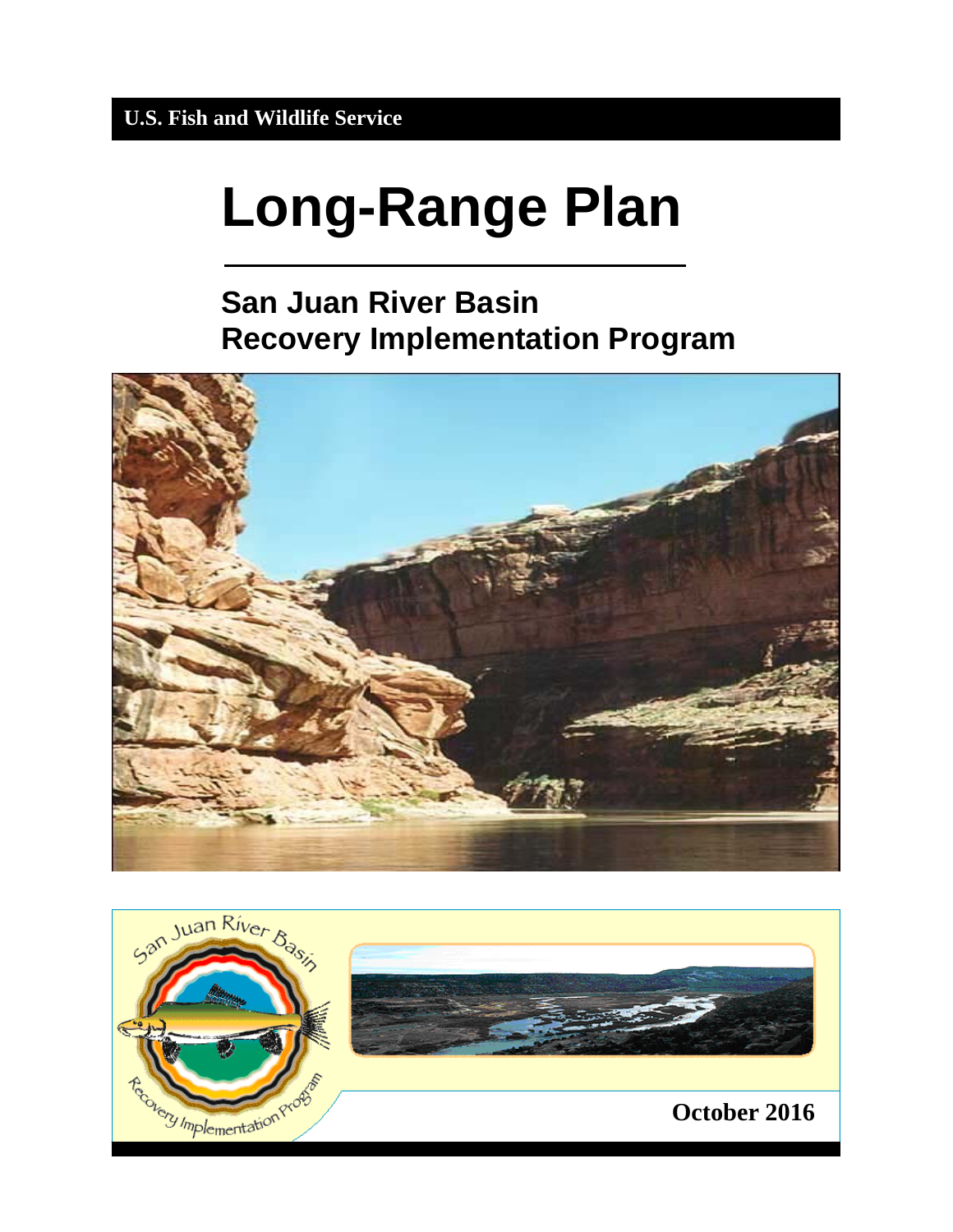# **Long-Range Plan**

# **San Juan River Basin Recovery Implementation Program**



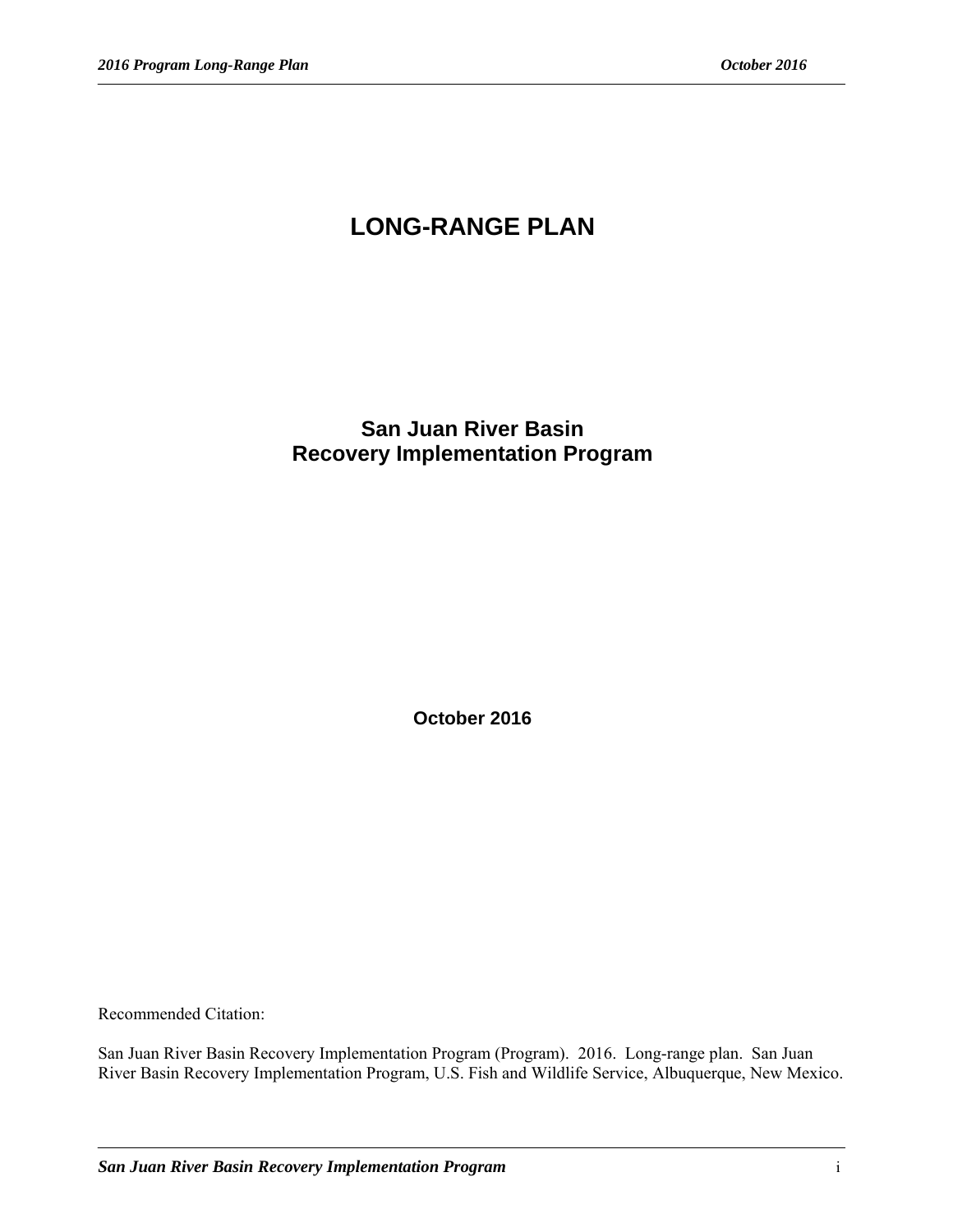# **LONG-RANGE PLAN**

### **San Juan River Basin Recovery Implementation Program**

**October 2016** 

Recommended Citation:

San Juan River Basin Recovery Implementation Program (Program). 2016. Long-range plan. San Juan River Basin Recovery Implementation Program, U.S. Fish and Wildlife Service, Albuquerque, New Mexico.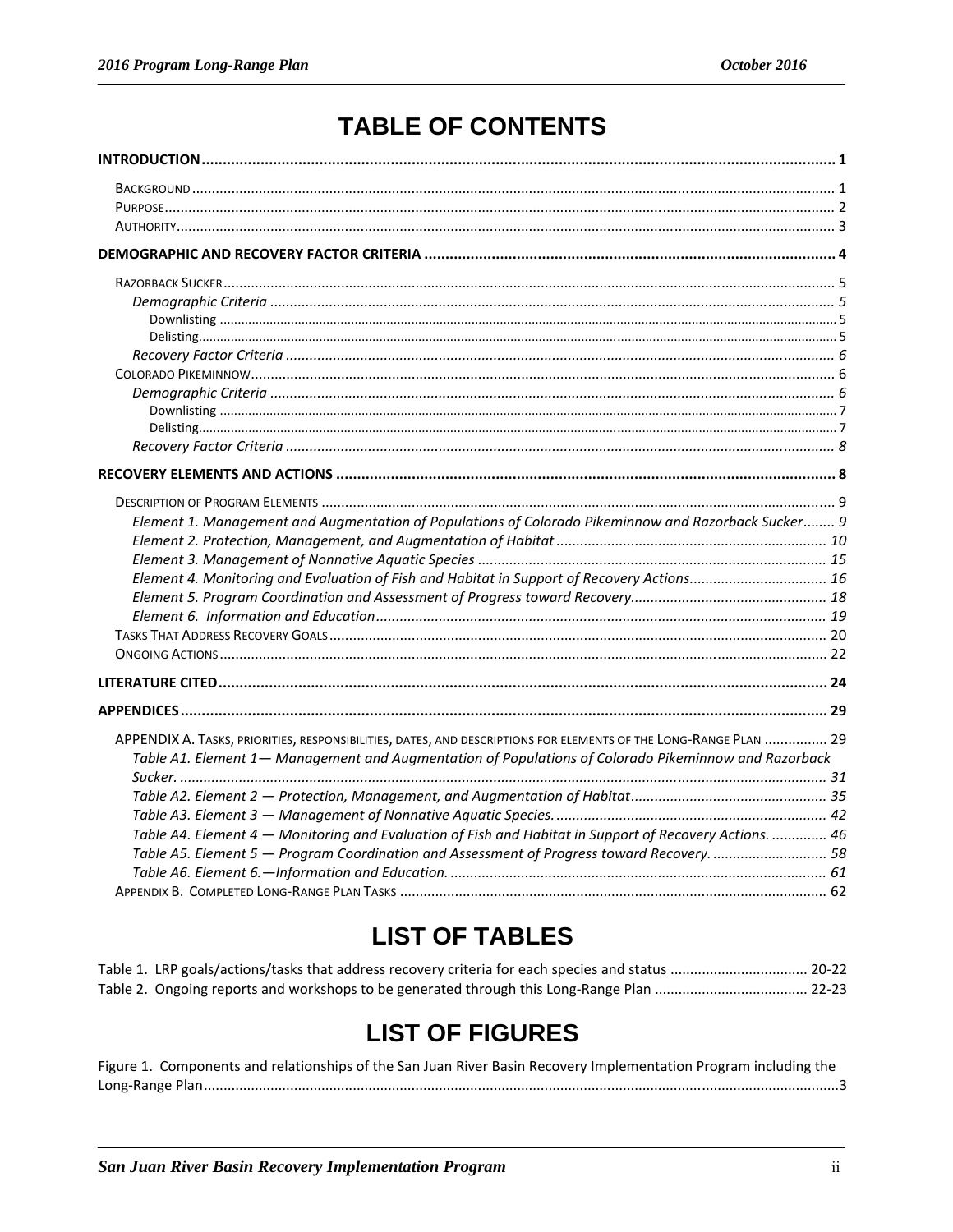# **TABLE OF CONTENTS**

| Element 1. Management and Augmentation of Populations of Colorado Pikeminnow and Razorback Sucker 9              |  |
|------------------------------------------------------------------------------------------------------------------|--|
|                                                                                                                  |  |
|                                                                                                                  |  |
| Element 4. Monitoring and Evaluation of Fish and Habitat in Support of Recovery Actions 16                       |  |
|                                                                                                                  |  |
|                                                                                                                  |  |
|                                                                                                                  |  |
|                                                                                                                  |  |
|                                                                                                                  |  |
|                                                                                                                  |  |
|                                                                                                                  |  |
| APPENDIX A. TASKS, PRIORITIES, RESPONSIBILITIES, DATES, AND DESCRIPTIONS FOR ELEMENTS OF THE LONG-RANGE PLAN  29 |  |
| Table A1. Element 1— Management and Augmentation of Populations of Colorado Pikeminnow and Razorback             |  |
|                                                                                                                  |  |
|                                                                                                                  |  |
| Table A4. Element 4 - Monitoring and Evaluation of Fish and Habitat in Support of Recovery Actions.  46          |  |
|                                                                                                                  |  |
| Table A5. Element 5 - Program Coordination and Assessment of Progress toward Recovery 58                         |  |
|                                                                                                                  |  |
|                                                                                                                  |  |

# **LIST OF TABLES**

# **LIST OF FIGURES**

| Figure 1. Components and relationships of the San Juan River Basin Recovery Implementation Program including the |
|------------------------------------------------------------------------------------------------------------------|
|                                                                                                                  |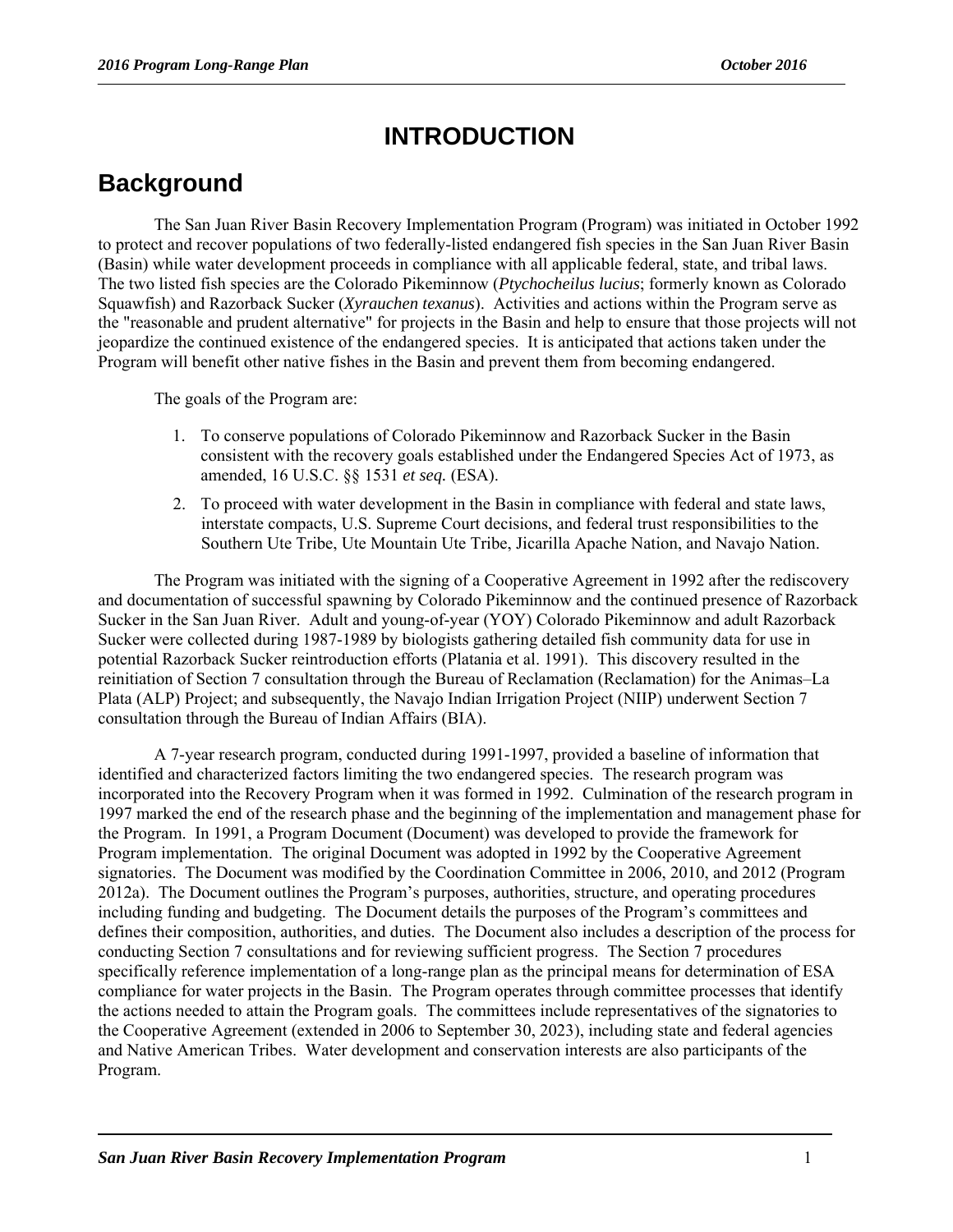## **INTRODUCTION**

## **Background**

The San Juan River Basin Recovery Implementation Program (Program) was initiated in October 1992 to protect and recover populations of two federally-listed endangered fish species in the San Juan River Basin (Basin) while water development proceeds in compliance with all applicable federal, state, and tribal laws. The two listed fish species are the Colorado Pikeminnow (*Ptychocheilus lucius*; formerly known as Colorado Squawfish) and Razorback Sucker (*Xyrauchen texanus*). Activities and actions within the Program serve as the "reasonable and prudent alternative" for projects in the Basin and help to ensure that those projects will not jeopardize the continued existence of the endangered species. It is anticipated that actions taken under the Program will benefit other native fishes in the Basin and prevent them from becoming endangered.

The goals of the Program are:

- 1. To conserve populations of Colorado Pikeminnow and Razorback Sucker in the Basin consistent with the recovery goals established under the Endangered Species Act of 1973, as amended, 16 U.S.C. §§ 1531 *et seq.* (ESA).
- 2. To proceed with water development in the Basin in compliance with federal and state laws, interstate compacts, U.S. Supreme Court decisions, and federal trust responsibilities to the Southern Ute Tribe, Ute Mountain Ute Tribe, Jicarilla Apache Nation, and Navajo Nation.

The Program was initiated with the signing of a Cooperative Agreement in 1992 after the rediscovery and documentation of successful spawning by Colorado Pikeminnow and the continued presence of Razorback Sucker in the San Juan River. Adult and young-of-year (YOY) Colorado Pikeminnow and adult Razorback Sucker were collected during 1987-1989 by biologists gathering detailed fish community data for use in potential Razorback Sucker reintroduction efforts (Platania et al. 1991). This discovery resulted in the reinitiation of Section 7 consultation through the Bureau of Reclamation (Reclamation) for the Animas–La Plata (ALP) Project; and subsequently, the Navajo Indian Irrigation Project (NIIP) underwent Section 7 consultation through the Bureau of Indian Affairs (BIA).

A 7-year research program, conducted during 1991-1997, provided a baseline of information that identified and characterized factors limiting the two endangered species. The research program was incorporated into the Recovery Program when it was formed in 1992. Culmination of the research program in 1997 marked the end of the research phase and the beginning of the implementation and management phase for the Program. In 1991, a Program Document (Document) was developed to provide the framework for Program implementation. The original Document was adopted in 1992 by the Cooperative Agreement signatories. The Document was modified by the Coordination Committee in 2006, 2010, and 2012 (Program 2012a). The Document outlines the Program's purposes, authorities, structure, and operating procedures including funding and budgeting. The Document details the purposes of the Program's committees and defines their composition, authorities, and duties. The Document also includes a description of the process for conducting Section 7 consultations and for reviewing sufficient progress. The Section 7 procedures specifically reference implementation of a long-range plan as the principal means for determination of ESA compliance for water projects in the Basin. The Program operates through committee processes that identify the actions needed to attain the Program goals. The committees include representatives of the signatories to the Cooperative Agreement (extended in 2006 to September 30, 2023), including state and federal agencies and Native American Tribes. Water development and conservation interests are also participants of the Program.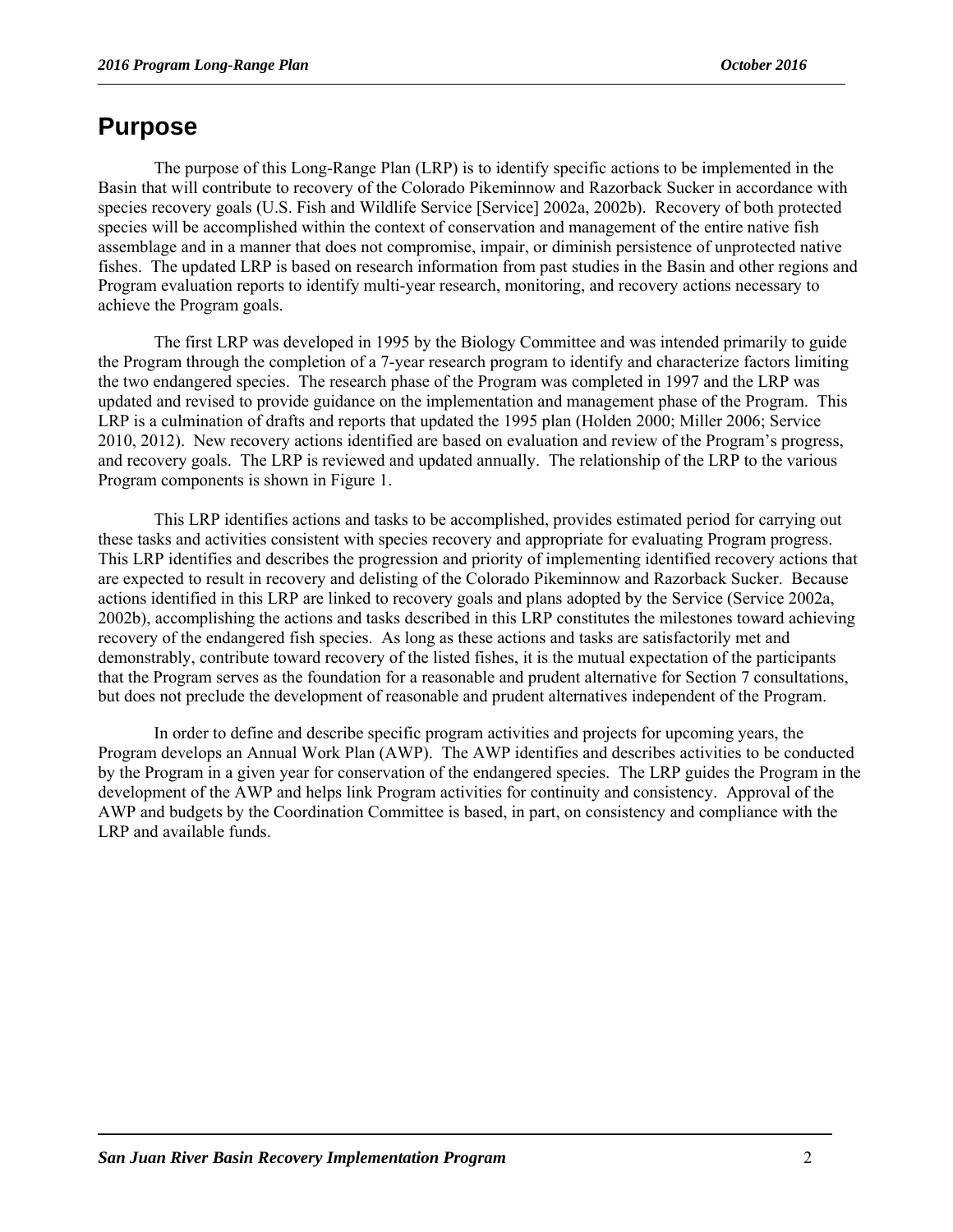## **Purpose**

The purpose of this Long-Range Plan (LRP) is to identify specific actions to be implemented in the Basin that will contribute to recovery of the Colorado Pikeminnow and Razorback Sucker in accordance with species recovery goals (U.S. Fish and Wildlife Service [Service] 2002a, 2002b). Recovery of both protected species will be accomplished within the context of conservation and management of the entire native fish assemblage and in a manner that does not compromise, impair, or diminish persistence of unprotected native fishes. The updated LRP is based on research information from past studies in the Basin and other regions and Program evaluation reports to identify multi-year research, monitoring, and recovery actions necessary to achieve the Program goals.

The first LRP was developed in 1995 by the Biology Committee and was intended primarily to guide the Program through the completion of a 7-year research program to identify and characterize factors limiting the two endangered species. The research phase of the Program was completed in 1997 and the LRP was updated and revised to provide guidance on the implementation and management phase of the Program. This LRP is a culmination of drafts and reports that updated the 1995 plan (Holden 2000; Miller 2006; Service 2010, 2012). New recovery actions identified are based on evaluation and review of the Program's progress, and recovery goals. The LRP is reviewed and updated annually. The relationship of the LRP to the various Program components is shown in Figure 1.

This LRP identifies actions and tasks to be accomplished, provides estimated period for carrying out these tasks and activities consistent with species recovery and appropriate for evaluating Program progress. This LRP identifies and describes the progression and priority of implementing identified recovery actions that are expected to result in recovery and delisting of the Colorado Pikeminnow and Razorback Sucker. Because actions identified in this LRP are linked to recovery goals and plans adopted by the Service (Service 2002a, 2002b), accomplishing the actions and tasks described in this LRP constitutes the milestones toward achieving recovery of the endangered fish species. As long as these actions and tasks are satisfactorily met and demonstrably, contribute toward recovery of the listed fishes, it is the mutual expectation of the participants that the Program serves as the foundation for a reasonable and prudent alternative for Section 7 consultations, but does not preclude the development of reasonable and prudent alternatives independent of the Program.

In order to define and describe specific program activities and projects for upcoming years, the Program develops an Annual Work Plan (AWP). The AWP identifies and describes activities to be conducted by the Program in a given year for conservation of the endangered species. The LRP guides the Program in the development of the AWP and helps link Program activities for continuity and consistency. Approval of the AWP and budgets by the Coordination Committee is based, in part, on consistency and compliance with the LRP and available funds.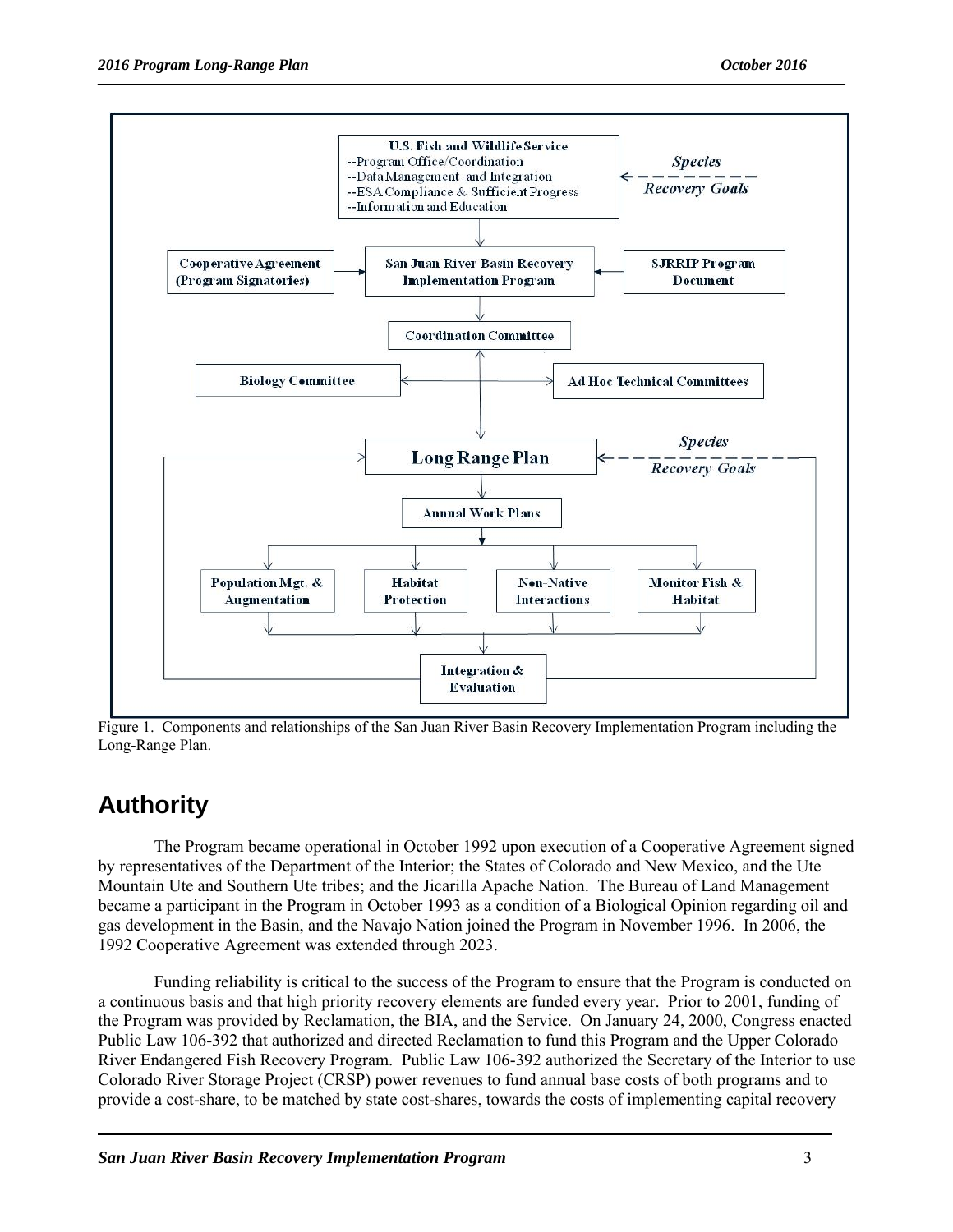

Figure 1. Components and relationships of the San Juan River Basin Recovery Implementation Program including the Long-Range Plan.

# **Authority**

The Program became operational in October 1992 upon execution of a Cooperative Agreement signed by representatives of the Department of the Interior; the States of Colorado and New Mexico, and the Ute Mountain Ute and Southern Ute tribes; and the Jicarilla Apache Nation. The Bureau of Land Management became a participant in the Program in October 1993 as a condition of a Biological Opinion regarding oil and gas development in the Basin, and the Navajo Nation joined the Program in November 1996. In 2006, the 1992 Cooperative Agreement was extended through 2023.

 Funding reliability is critical to the success of the Program to ensure that the Program is conducted on a continuous basis and that high priority recovery elements are funded every year. Prior to 2001, funding of the Program was provided by Reclamation, the BIA, and the Service. On January 24, 2000, Congress enacted Public Law 106-392 that authorized and directed Reclamation to fund this Program and the Upper Colorado River Endangered Fish Recovery Program. Public Law 106-392 authorized the Secretary of the Interior to use Colorado River Storage Project (CRSP) power revenues to fund annual base costs of both programs and to provide a cost-share, to be matched by state cost-shares, towards the costs of implementing capital recovery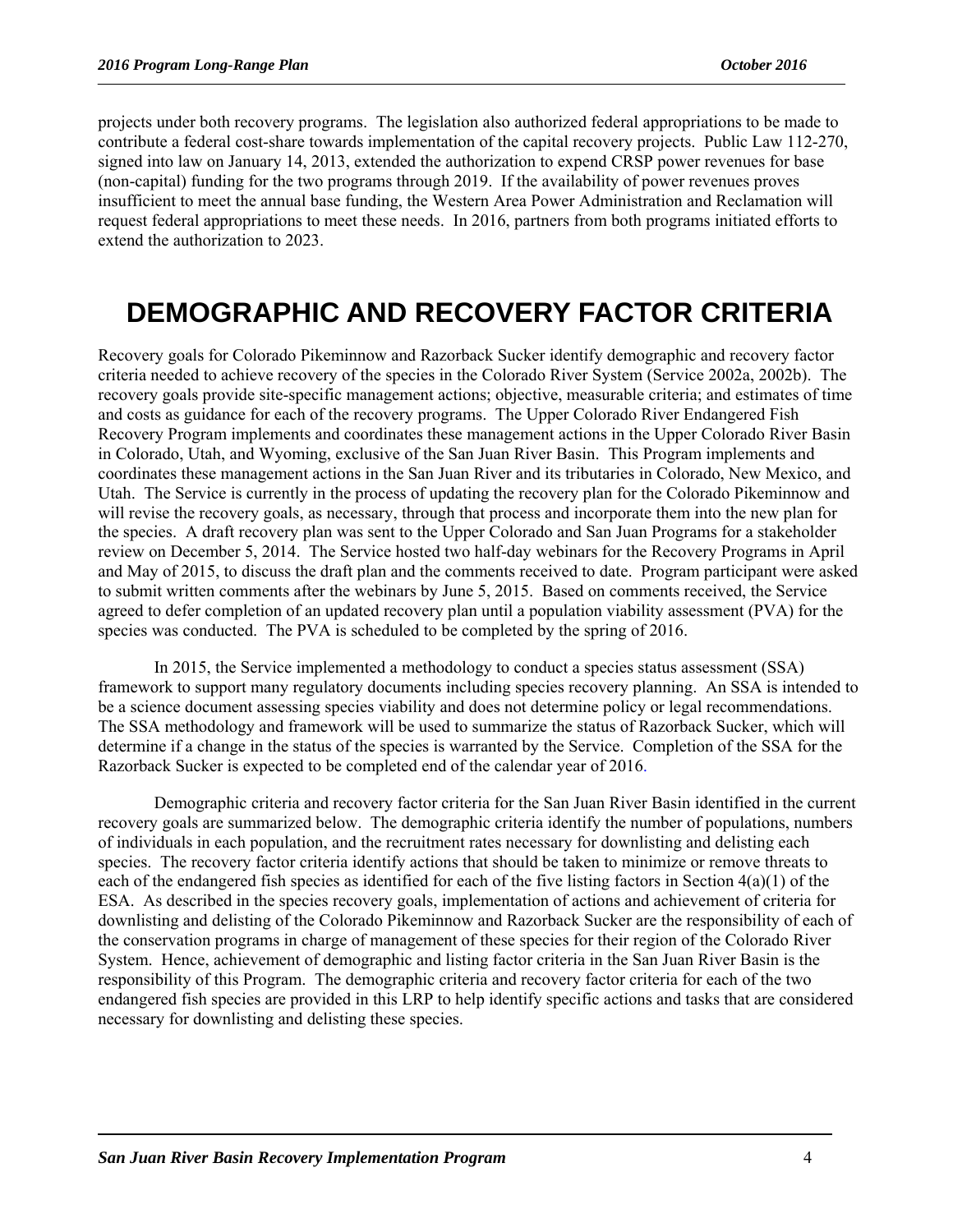projects under both recovery programs. The legislation also authorized federal appropriations to be made to contribute a federal cost-share towards implementation of the capital recovery projects. Public Law 112-270, signed into law on January 14, 2013, extended the authorization to expend CRSP power revenues for base (non-capital) funding for the two programs through 2019. If the availability of power revenues proves insufficient to meet the annual base funding, the Western Area Power Administration and Reclamation will request federal appropriations to meet these needs. In 2016, partners from both programs initiated efforts to extend the authorization to 2023.

# **DEMOGRAPHIC AND RECOVERY FACTOR CRITERIA**

Recovery goals for Colorado Pikeminnow and Razorback Sucker identify demographic and recovery factor criteria needed to achieve recovery of the species in the Colorado River System (Service 2002a, 2002b). The recovery goals provide site-specific management actions; objective, measurable criteria; and estimates of time and costs as guidance for each of the recovery programs. The Upper Colorado River Endangered Fish Recovery Program implements and coordinates these management actions in the Upper Colorado River Basin in Colorado, Utah, and Wyoming, exclusive of the San Juan River Basin. This Program implements and coordinates these management actions in the San Juan River and its tributaries in Colorado, New Mexico, and Utah. The Service is currently in the process of updating the recovery plan for the Colorado Pikeminnow and will revise the recovery goals, as necessary, through that process and incorporate them into the new plan for the species. A draft recovery plan was sent to the Upper Colorado and San Juan Programs for a stakeholder review on December 5, 2014. The Service hosted two half-day webinars for the Recovery Programs in April and May of 2015, to discuss the draft plan and the comments received to date. Program participant were asked to submit written comments after the webinars by June 5, 2015. Based on comments received, the Service agreed to defer completion of an updated recovery plan until a population viability assessment (PVA) for the species was conducted. The PVA is scheduled to be completed by the spring of 2016.

In 2015, the Service implemented a methodology to conduct a species status assessment (SSA) framework to support many regulatory documents including species recovery planning. An SSA is intended to be a science document assessing species viability and does not determine policy or legal recommendations. The SSA methodology and framework will be used to summarize the status of Razorback Sucker, which will determine if a change in the status of the species is warranted by the Service. Completion of the SSA for the Razorback Sucker is expected to be completed end of the calendar year of 2016.

Demographic criteria and recovery factor criteria for the San Juan River Basin identified in the current recovery goals are summarized below. The demographic criteria identify the number of populations, numbers of individuals in each population, and the recruitment rates necessary for downlisting and delisting each species. The recovery factor criteria identify actions that should be taken to minimize or remove threats to each of the endangered fish species as identified for each of the five listing factors in Section 4(a)(1) of the ESA. As described in the species recovery goals, implementation of actions and achievement of criteria for downlisting and delisting of the Colorado Pikeminnow and Razorback Sucker are the responsibility of each of the conservation programs in charge of management of these species for their region of the Colorado River System. Hence, achievement of demographic and listing factor criteria in the San Juan River Basin is the responsibility of this Program. The demographic criteria and recovery factor criteria for each of the two endangered fish species are provided in this LRP to help identify specific actions and tasks that are considered necessary for downlisting and delisting these species.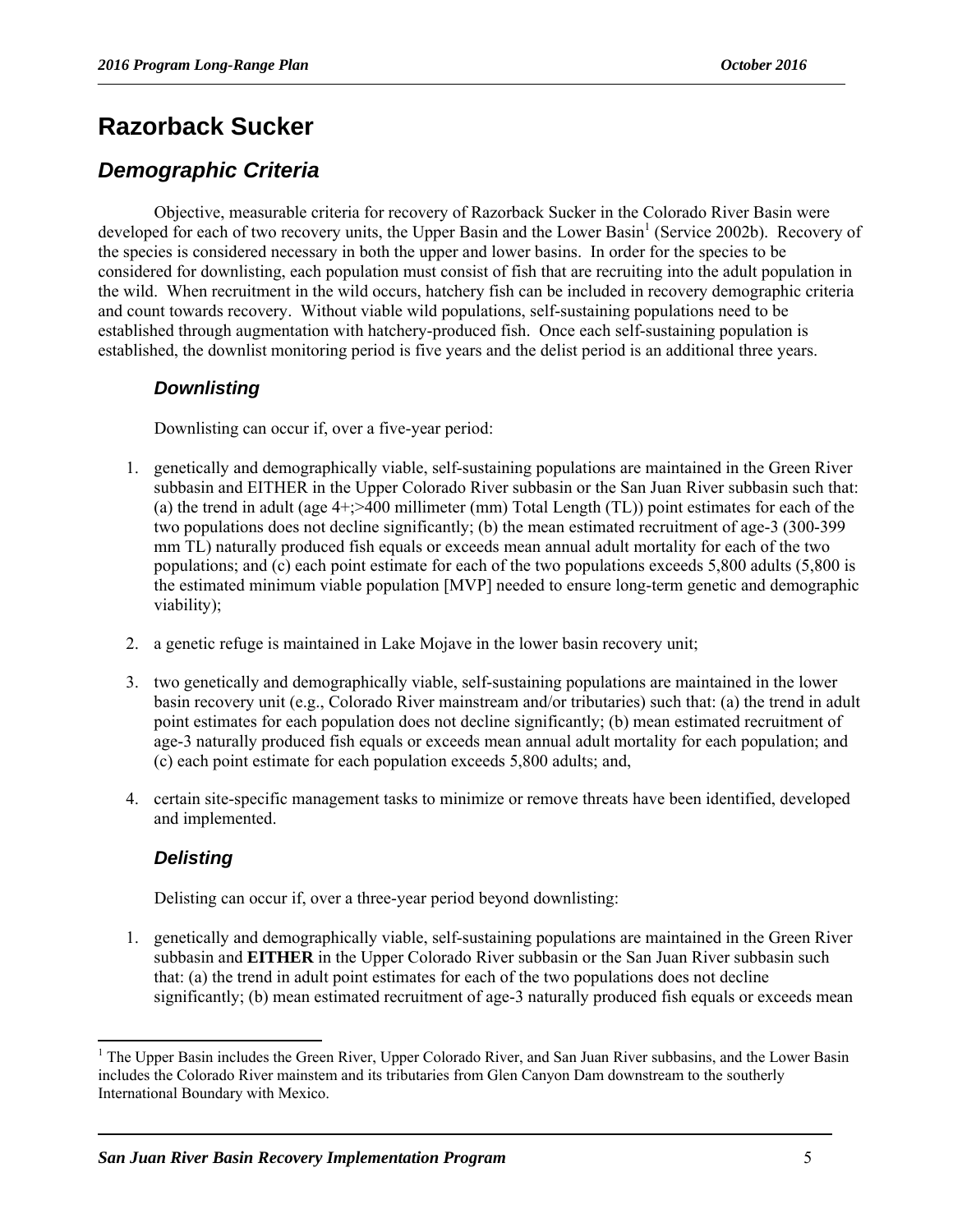## **Razorback Sucker**

#### *Demographic Criteria*

Objective, measurable criteria for recovery of Razorback Sucker in the Colorado River Basin were developed for each of two recovery units, the Upper Basin and the Lower Basin<sup>1</sup> (Service 2002b). Recovery of the species is considered necessary in both the upper and lower basins. In order for the species to be considered for downlisting, each population must consist of fish that are recruiting into the adult population in the wild. When recruitment in the wild occurs, hatchery fish can be included in recovery demographic criteria and count towards recovery. Without viable wild populations, self-sustaining populations need to be established through augmentation with hatchery-produced fish. Once each self-sustaining population is established, the downlist monitoring period is five years and the delist period is an additional three years.

#### *Downlisting*

Downlisting can occur if, over a five-year period:

- 1. genetically and demographically viable, self-sustaining populations are maintained in the Green River subbasin and EITHER in the Upper Colorado River subbasin or the San Juan River subbasin such that: (a) the trend in adult (age 4+;>400 millimeter (mm) Total Length (TL)) point estimates for each of the two populations does not decline significantly; (b) the mean estimated recruitment of age-3 (300-399 mm TL) naturally produced fish equals or exceeds mean annual adult mortality for each of the two populations; and (c) each point estimate for each of the two populations exceeds 5,800 adults (5,800 is the estimated minimum viable population [MVP] needed to ensure long-term genetic and demographic viability);
- 2. a genetic refuge is maintained in Lake Mojave in the lower basin recovery unit;
- 3. two genetically and demographically viable, self-sustaining populations are maintained in the lower basin recovery unit (e.g., Colorado River mainstream and/or tributaries) such that: (a) the trend in adult point estimates for each population does not decline significantly; (b) mean estimated recruitment of age-3 naturally produced fish equals or exceeds mean annual adult mortality for each population; and (c) each point estimate for each population exceeds 5,800 adults; and,
- 4. certain site-specific management tasks to minimize or remove threats have been identified, developed and implemented.

#### *Delisting*

l

Delisting can occur if, over a three-year period beyond downlisting:

1. genetically and demographically viable, self-sustaining populations are maintained in the Green River subbasin and **EITHER** in the Upper Colorado River subbasin or the San Juan River subbasin such that: (a) the trend in adult point estimates for each of the two populations does not decline significantly; (b) mean estimated recruitment of age-3 naturally produced fish equals or exceeds mean

<sup>&</sup>lt;sup>1</sup> The Upper Basin includes the Green River, Upper Colorado River, and San Juan River subbasins, and the Lower Basin includes the Colorado River mainstem and its tributaries from Glen Canyon Dam downstream to the southerly International Boundary with Mexico.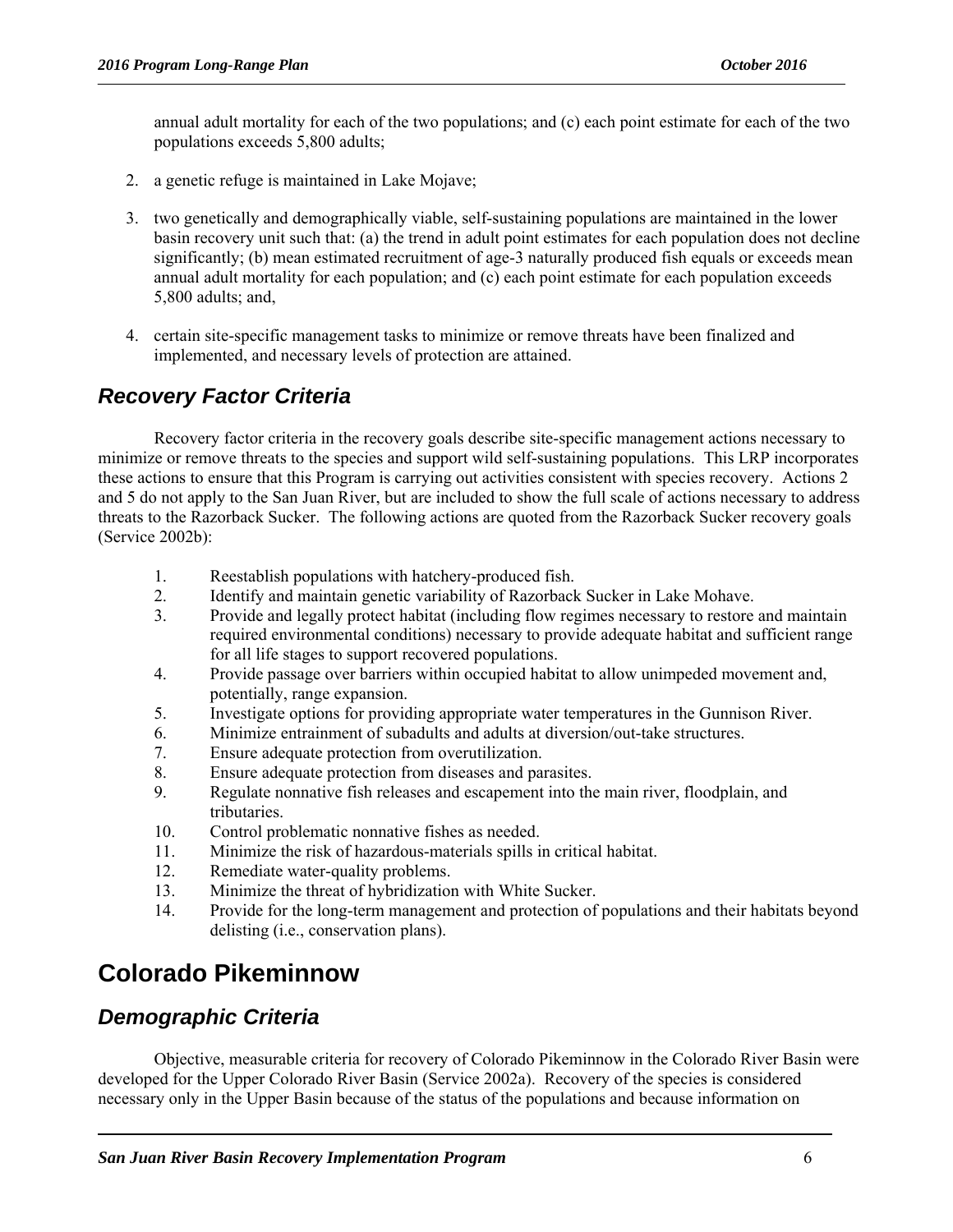annual adult mortality for each of the two populations; and (c) each point estimate for each of the two populations exceeds 5,800 adults;

- 2. a genetic refuge is maintained in Lake Mojave;
- 3. two genetically and demographically viable, self-sustaining populations are maintained in the lower basin recovery unit such that: (a) the trend in adult point estimates for each population does not decline significantly; (b) mean estimated recruitment of age-3 naturally produced fish equals or exceeds mean annual adult mortality for each population; and (c) each point estimate for each population exceeds 5,800 adults; and,
- 4. certain site-specific management tasks to minimize or remove threats have been finalized and implemented, and necessary levels of protection are attained.

#### *Recovery Factor Criteria*

Recovery factor criteria in the recovery goals describe site-specific management actions necessary to minimize or remove threats to the species and support wild self-sustaining populations. This LRP incorporates these actions to ensure that this Program is carrying out activities consistent with species recovery. Actions 2 and 5 do not apply to the San Juan River, but are included to show the full scale of actions necessary to address threats to the Razorback Sucker. The following actions are quoted from the Razorback Sucker recovery goals (Service 2002b):

- 1. Reestablish populations with hatchery-produced fish.
- 2. Identify and maintain genetic variability of Razorback Sucker in Lake Mohave.
- 3. Provide and legally protect habitat (including flow regimes necessary to restore and maintain required environmental conditions) necessary to provide adequate habitat and sufficient range for all life stages to support recovered populations.
- 4. Provide passage over barriers within occupied habitat to allow unimpeded movement and, potentially, range expansion.
- 5. Investigate options for providing appropriate water temperatures in the Gunnison River.
- 6. Minimize entrainment of subadults and adults at diversion/out-take structures.
- 7. Ensure adequate protection from overutilization.
- 8. Ensure adequate protection from diseases and parasites.
- 9. Regulate nonnative fish releases and escapement into the main river, floodplain, and tributaries.
- 10. Control problematic nonnative fishes as needed.
- 11. Minimize the risk of hazardous-materials spills in critical habitat.
- 12. Remediate water-quality problems.
- 13. Minimize the threat of hybridization with White Sucker.
- 14. Provide for the long-term management and protection of populations and their habitats beyond delisting (i.e., conservation plans).

## **Colorado Pikeminnow**

#### *Demographic Criteria*

Objective, measurable criteria for recovery of Colorado Pikeminnow in the Colorado River Basin were developed for the Upper Colorado River Basin (Service 2002a). Recovery of the species is considered necessary only in the Upper Basin because of the status of the populations and because information on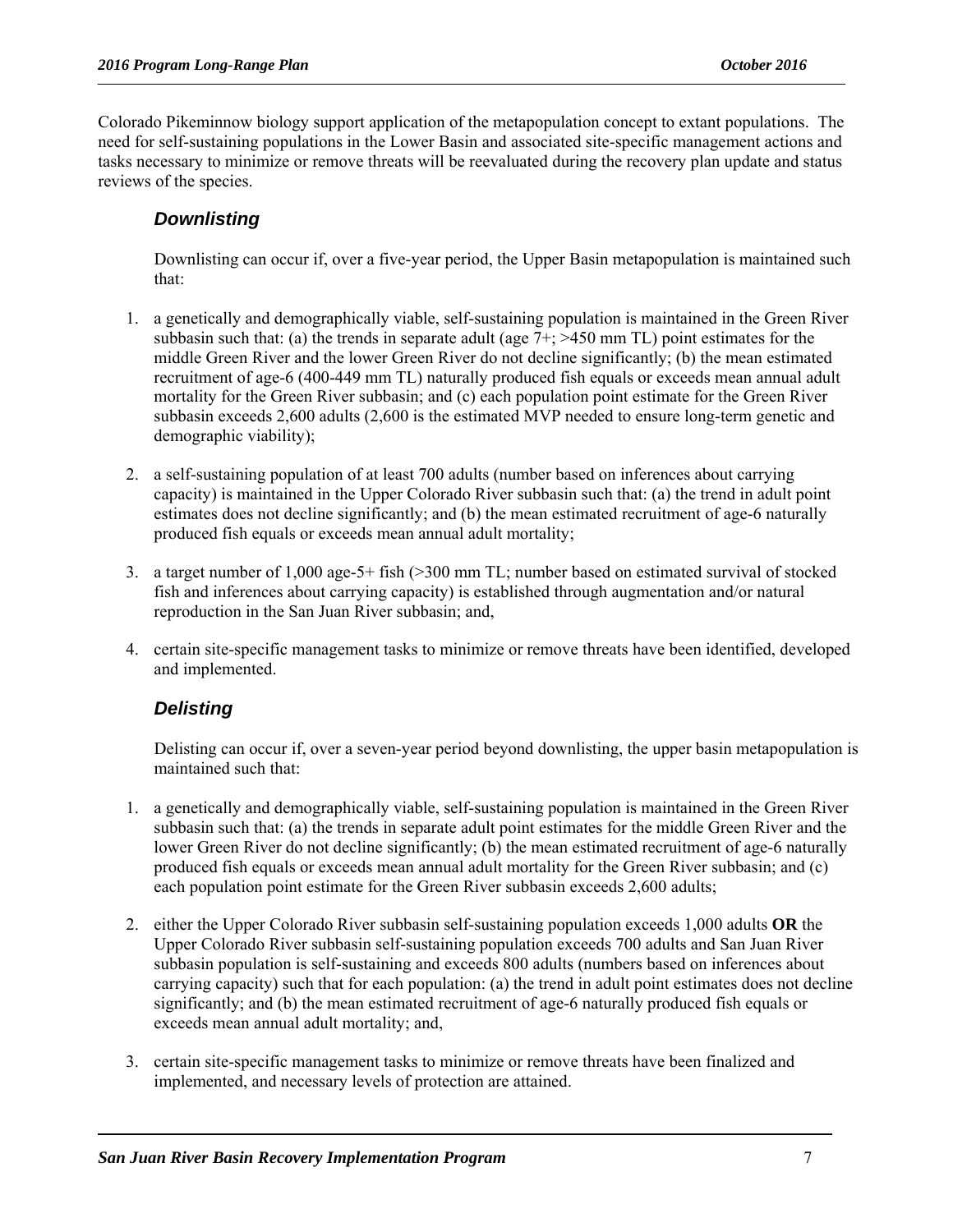Colorado Pikeminnow biology support application of the metapopulation concept to extant populations. The need for self-sustaining populations in the Lower Basin and associated site-specific management actions and tasks necessary to minimize or remove threats will be reevaluated during the recovery plan update and status reviews of the species.

#### *Downlisting*

Downlisting can occur if, over a five-year period, the Upper Basin metapopulation is maintained such that:

- 1. a genetically and demographically viable, self-sustaining population is maintained in the Green River subbasin such that: (a) the trends in separate adult (age  $7+$ ;  $>450$  mm TL) point estimates for the middle Green River and the lower Green River do not decline significantly; (b) the mean estimated recruitment of age-6 (400-449 mm TL) naturally produced fish equals or exceeds mean annual adult mortality for the Green River subbasin; and (c) each population point estimate for the Green River subbasin exceeds 2,600 adults (2,600 is the estimated MVP needed to ensure long-term genetic and demographic viability);
- 2. a self-sustaining population of at least 700 adults (number based on inferences about carrying capacity) is maintained in the Upper Colorado River subbasin such that: (a) the trend in adult point estimates does not decline significantly; and (b) the mean estimated recruitment of age-6 naturally produced fish equals or exceeds mean annual adult mortality;
- 3. a target number of 1,000 age-5+ fish (>300 mm TL; number based on estimated survival of stocked fish and inferences about carrying capacity) is established through augmentation and/or natural reproduction in the San Juan River subbasin; and,
- 4. certain site-specific management tasks to minimize or remove threats have been identified, developed and implemented.

#### *Delisting*

Delisting can occur if, over a seven-year period beyond downlisting, the upper basin metapopulation is maintained such that:

- 1. a genetically and demographically viable, self-sustaining population is maintained in the Green River subbasin such that: (a) the trends in separate adult point estimates for the middle Green River and the lower Green River do not decline significantly; (b) the mean estimated recruitment of age-6 naturally produced fish equals or exceeds mean annual adult mortality for the Green River subbasin; and (c) each population point estimate for the Green River subbasin exceeds 2,600 adults;
- 2. either the Upper Colorado River subbasin self-sustaining population exceeds 1,000 adults **OR** the Upper Colorado River subbasin self-sustaining population exceeds 700 adults and San Juan River subbasin population is self-sustaining and exceeds 800 adults (numbers based on inferences about carrying capacity) such that for each population: (a) the trend in adult point estimates does not decline significantly; and (b) the mean estimated recruitment of age-6 naturally produced fish equals or exceeds mean annual adult mortality; and,
- 3. certain site-specific management tasks to minimize or remove threats have been finalized and implemented, and necessary levels of protection are attained.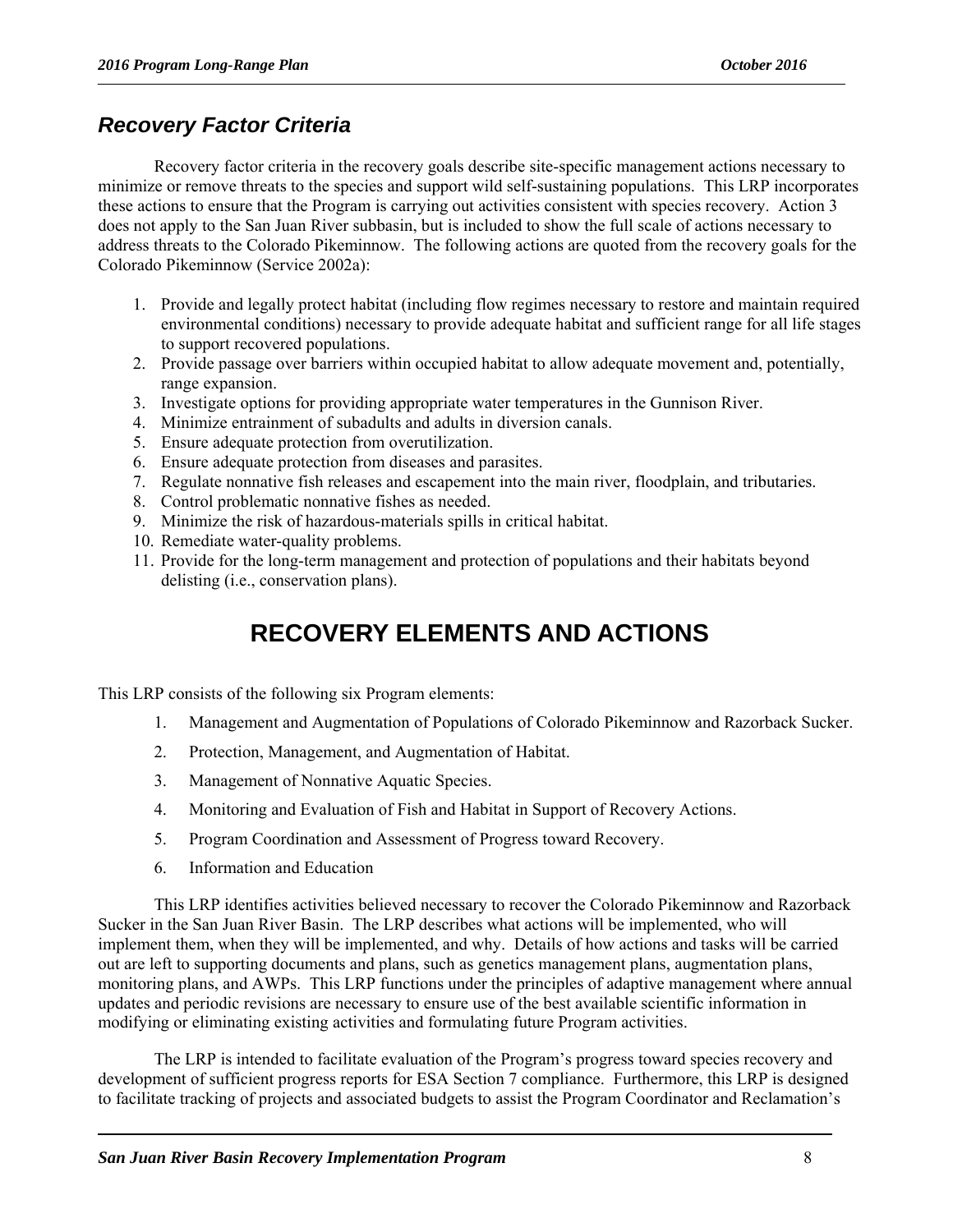#### *Recovery Factor Criteria*

Recovery factor criteria in the recovery goals describe site-specific management actions necessary to minimize or remove threats to the species and support wild self-sustaining populations. This LRP incorporates these actions to ensure that the Program is carrying out activities consistent with species recovery. Action 3 does not apply to the San Juan River subbasin, but is included to show the full scale of actions necessary to address threats to the Colorado Pikeminnow. The following actions are quoted from the recovery goals for the Colorado Pikeminnow (Service 2002a):

- 1. Provide and legally protect habitat (including flow regimes necessary to restore and maintain required environmental conditions) necessary to provide adequate habitat and sufficient range for all life stages to support recovered populations.
- 2. Provide passage over barriers within occupied habitat to allow adequate movement and, potentially, range expansion.
- 3. Investigate options for providing appropriate water temperatures in the Gunnison River.
- 4. Minimize entrainment of subadults and adults in diversion canals.
- 5. Ensure adequate protection from overutilization.
- 6. Ensure adequate protection from diseases and parasites.
- 7. Regulate nonnative fish releases and escapement into the main river, floodplain, and tributaries.
- 8. Control problematic nonnative fishes as needed.
- 9. Minimize the risk of hazardous-materials spills in critical habitat.
- 10. Remediate water-quality problems.
- 11. Provide for the long-term management and protection of populations and their habitats beyond delisting (i.e., conservation plans).

# **RECOVERY ELEMENTS AND ACTIONS**

This LRP consists of the following six Program elements:

- 1. Management and Augmentation of Populations of Colorado Pikeminnow and Razorback Sucker.
- 2. Protection, Management, and Augmentation of Habitat.
- 3. Management of Nonnative Aquatic Species.
- 4. Monitoring and Evaluation of Fish and Habitat in Support of Recovery Actions.
- 5. Program Coordination and Assessment of Progress toward Recovery.
- 6. Information and Education

This LRP identifies activities believed necessary to recover the Colorado Pikeminnow and Razorback Sucker in the San Juan River Basin. The LRP describes what actions will be implemented, who will implement them, when they will be implemented, and why. Details of how actions and tasks will be carried out are left to supporting documents and plans, such as genetics management plans, augmentation plans, monitoring plans, and AWPs. This LRP functions under the principles of adaptive management where annual updates and periodic revisions are necessary to ensure use of the best available scientific information in modifying or eliminating existing activities and formulating future Program activities.

The LRP is intended to facilitate evaluation of the Program's progress toward species recovery and development of sufficient progress reports for ESA Section 7 compliance. Furthermore, this LRP is designed to facilitate tracking of projects and associated budgets to assist the Program Coordinator and Reclamation's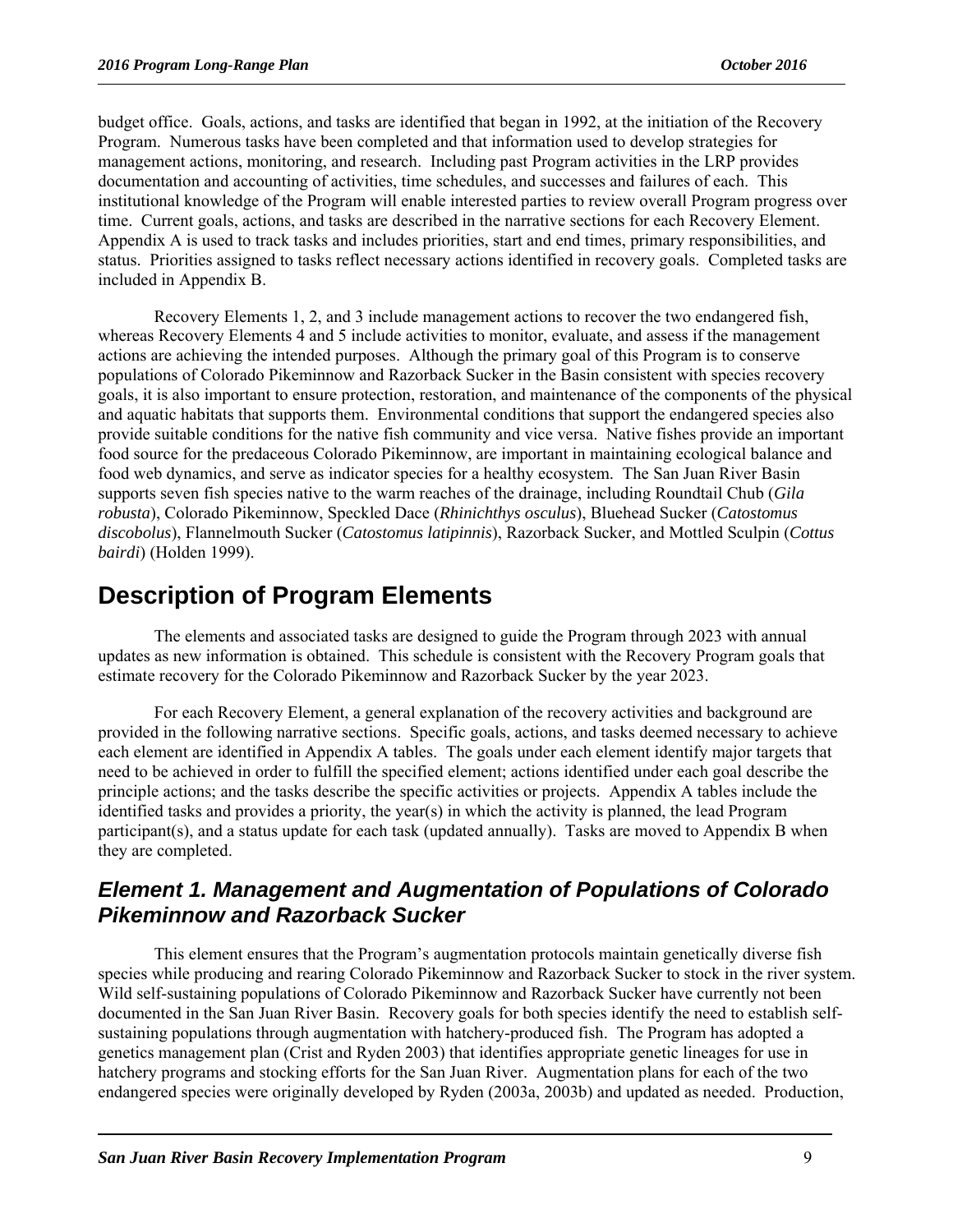budget office. Goals, actions, and tasks are identified that began in 1992, at the initiation of the Recovery Program. Numerous tasks have been completed and that information used to develop strategies for management actions, monitoring, and research. Including past Program activities in the LRP provides documentation and accounting of activities, time schedules, and successes and failures of each. This institutional knowledge of the Program will enable interested parties to review overall Program progress over time. Current goals, actions, and tasks are described in the narrative sections for each Recovery Element. Appendix A is used to track tasks and includes priorities, start and end times, primary responsibilities, and status. Priorities assigned to tasks reflect necessary actions identified in recovery goals. Completed tasks are included in Appendix B.

Recovery Elements 1, 2, and 3 include management actions to recover the two endangered fish, whereas Recovery Elements 4 and 5 include activities to monitor, evaluate, and assess if the management actions are achieving the intended purposes. Although the primary goal of this Program is to conserve populations of Colorado Pikeminnow and Razorback Sucker in the Basin consistent with species recovery goals, it is also important to ensure protection, restoration, and maintenance of the components of the physical and aquatic habitats that supports them. Environmental conditions that support the endangered species also provide suitable conditions for the native fish community and vice versa. Native fishes provide an important food source for the predaceous Colorado Pikeminnow, are important in maintaining ecological balance and food web dynamics, and serve as indicator species for a healthy ecosystem. The San Juan River Basin supports seven fish species native to the warm reaches of the drainage, including Roundtail Chub (*Gila robusta*), Colorado Pikeminnow, Speckled Dace (*Rhinichthys osculus*), Bluehead Sucker (*Catostomus discobolus*), Flannelmouth Sucker (*Catostomus latipinnis*), Razorback Sucker, and Mottled Sculpin (*Cottus bairdi*) (Holden 1999).

## **Description of Program Elements**

The elements and associated tasks are designed to guide the Program through 2023 with annual updates as new information is obtained. This schedule is consistent with the Recovery Program goals that estimate recovery for the Colorado Pikeminnow and Razorback Sucker by the year 2023.

For each Recovery Element, a general explanation of the recovery activities and background are provided in the following narrative sections. Specific goals, actions, and tasks deemed necessary to achieve each element are identified in Appendix A tables. The goals under each element identify major targets that need to be achieved in order to fulfill the specified element; actions identified under each goal describe the principle actions; and the tasks describe the specific activities or projects. Appendix A tables include the identified tasks and provides a priority, the year(s) in which the activity is planned, the lead Program participant(s), and a status update for each task (updated annually). Tasks are moved to Appendix B when they are completed.

#### *Element 1. Management and Augmentation of Populations of Colorado Pikeminnow and Razorback Sucker*

This element ensures that the Program's augmentation protocols maintain genetically diverse fish species while producing and rearing Colorado Pikeminnow and Razorback Sucker to stock in the river system. Wild self-sustaining populations of Colorado Pikeminnow and Razorback Sucker have currently not been documented in the San Juan River Basin. Recovery goals for both species identify the need to establish selfsustaining populations through augmentation with hatchery-produced fish. The Program has adopted a genetics management plan (Crist and Ryden 2003) that identifies appropriate genetic lineages for use in hatchery programs and stocking efforts for the San Juan River. Augmentation plans for each of the two endangered species were originally developed by Ryden (2003a, 2003b) and updated as needed. Production,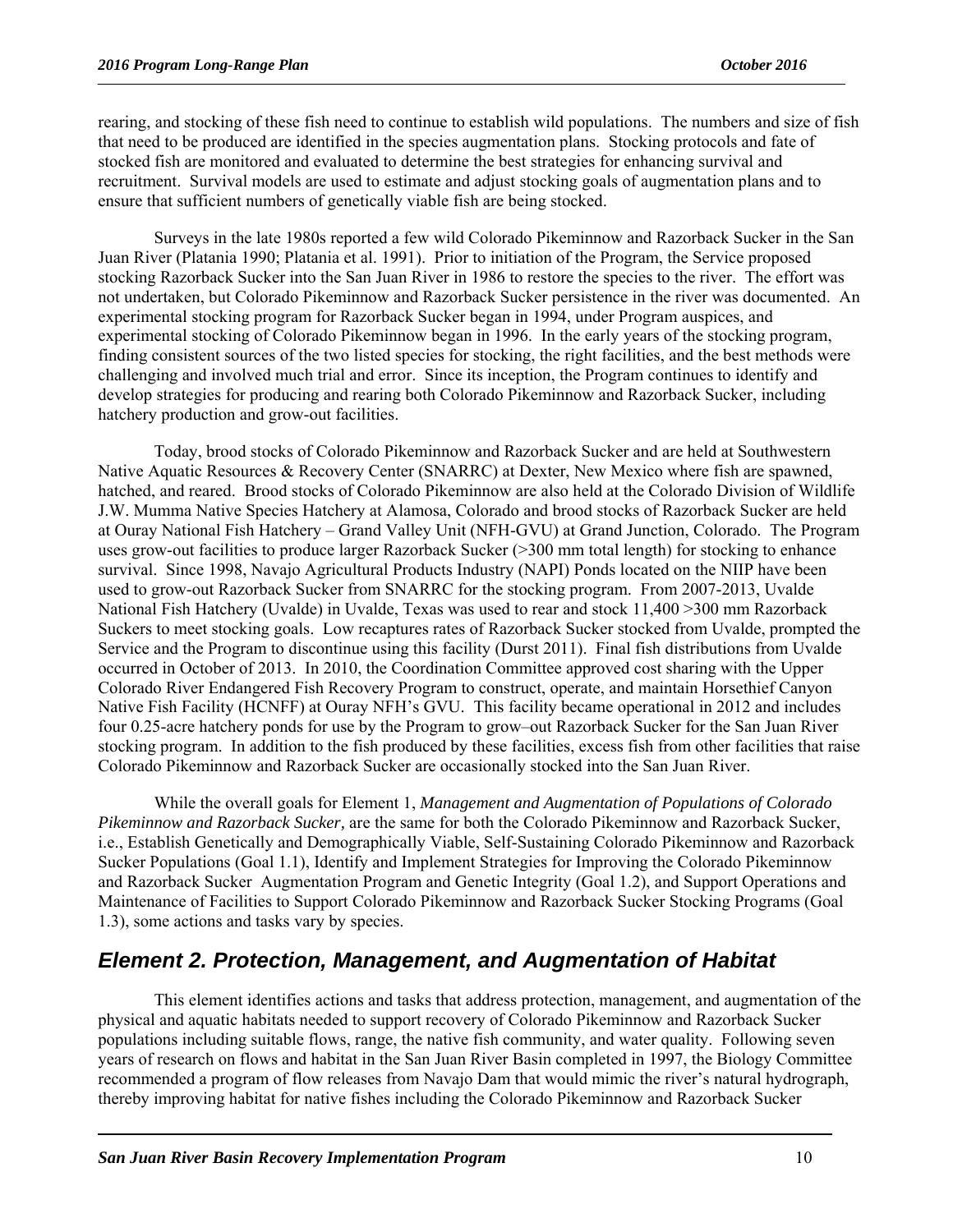rearing, and stocking of these fish need to continue to establish wild populations. The numbers and size of fish that need to be produced are identified in the species augmentation plans. Stocking protocols and fate of stocked fish are monitored and evaluated to determine the best strategies for enhancing survival and recruitment. Survival models are used to estimate and adjust stocking goals of augmentation plans and to ensure that sufficient numbers of genetically viable fish are being stocked.

Surveys in the late 1980s reported a few wild Colorado Pikeminnow and Razorback Sucker in the San Juan River (Platania 1990; Platania et al. 1991). Prior to initiation of the Program, the Service proposed stocking Razorback Sucker into the San Juan River in 1986 to restore the species to the river. The effort was not undertaken, but Colorado Pikeminnow and Razorback Sucker persistence in the river was documented. An experimental stocking program for Razorback Sucker began in 1994, under Program auspices, and experimental stocking of Colorado Pikeminnow began in 1996. In the early years of the stocking program, finding consistent sources of the two listed species for stocking, the right facilities, and the best methods were challenging and involved much trial and error. Since its inception, the Program continues to identify and develop strategies for producing and rearing both Colorado Pikeminnow and Razorback Sucker, including hatchery production and grow-out facilities.

Today, brood stocks of Colorado Pikeminnow and Razorback Sucker and are held at Southwestern Native Aquatic Resources & Recovery Center (SNARRC) at Dexter, New Mexico where fish are spawned, hatched, and reared. Brood stocks of Colorado Pikeminnow are also held at the Colorado Division of Wildlife J.W. Mumma Native Species Hatchery at Alamosa, Colorado and brood stocks of Razorback Sucker are held at Ouray National Fish Hatchery – Grand Valley Unit (NFH-GVU) at Grand Junction, Colorado. The Program uses grow-out facilities to produce larger Razorback Sucker (>300 mm total length) for stocking to enhance survival. Since 1998, Navajo Agricultural Products Industry (NAPI) Ponds located on the NIIP have been used to grow-out Razorback Sucker from SNARRC for the stocking program. From 2007-2013, Uvalde National Fish Hatchery (Uvalde) in Uvalde, Texas was used to rear and stock 11,400 >300 mm Razorback Suckers to meet stocking goals. Low recaptures rates of Razorback Sucker stocked from Uvalde, prompted the Service and the Program to discontinue using this facility (Durst 2011). Final fish distributions from Uvalde occurred in October of 2013. In 2010, the Coordination Committee approved cost sharing with the Upper Colorado River Endangered Fish Recovery Program to construct, operate, and maintain Horsethief Canyon Native Fish Facility (HCNFF) at Ouray NFH's GVU. This facility became operational in 2012 and includes four 0.25-acre hatchery ponds for use by the Program to grow–out Razorback Sucker for the San Juan River stocking program. In addition to the fish produced by these facilities, excess fish from other facilities that raise Colorado Pikeminnow and Razorback Sucker are occasionally stocked into the San Juan River.

While the overall goals for Element 1, *Management and Augmentation of Populations of Colorado Pikeminnow and Razorback Sucker,* are the same for both the Colorado Pikeminnow and Razorback Sucker, i.e., Establish Genetically and Demographically Viable, Self-Sustaining Colorado Pikeminnow and Razorback Sucker Populations (Goal 1.1), Identify and Implement Strategies for Improving the Colorado Pikeminnow and Razorback Sucker Augmentation Program and Genetic Integrity (Goal 1.2), and Support Operations and Maintenance of Facilities to Support Colorado Pikeminnow and Razorback Sucker Stocking Programs (Goal 1.3), some actions and tasks vary by species.

#### *Element 2. Protection, Management, and Augmentation of Habitat*

This element identifies actions and tasks that address protection, management, and augmentation of the physical and aquatic habitats needed to support recovery of Colorado Pikeminnow and Razorback Sucker populations including suitable flows, range, the native fish community, and water quality. Following seven years of research on flows and habitat in the San Juan River Basin completed in 1997, the Biology Committee recommended a program of flow releases from Navajo Dam that would mimic the river's natural hydrograph, thereby improving habitat for native fishes including the Colorado Pikeminnow and Razorback Sucker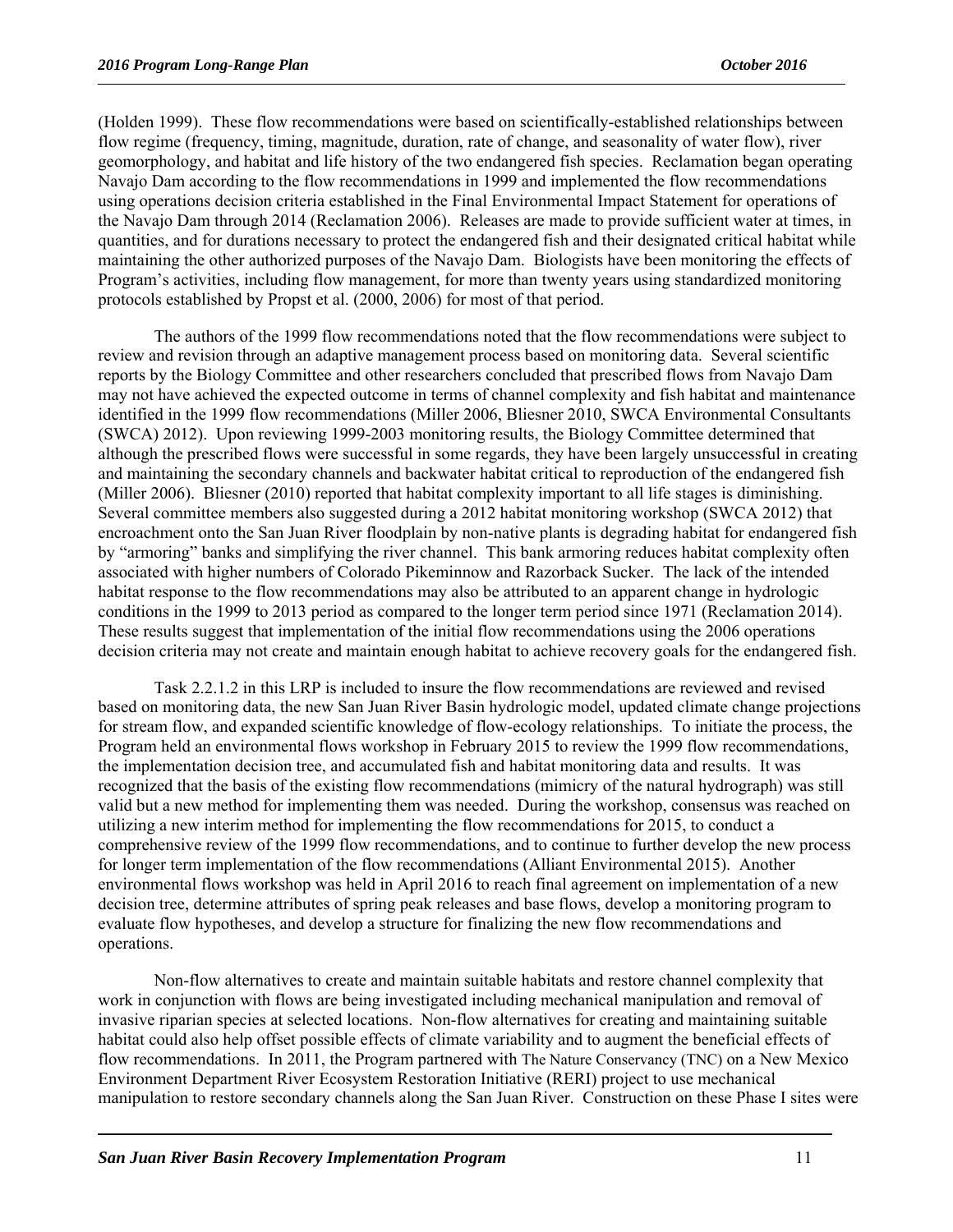(Holden 1999). These flow recommendations were based on scientifically-established relationships between flow regime (frequency, timing, magnitude, duration, rate of change, and seasonality of water flow), river geomorphology, and habitat and life history of the two endangered fish species. Reclamation began operating Navajo Dam according to the flow recommendations in 1999 and implemented the flow recommendations using operations decision criteria established in the Final Environmental Impact Statement for operations of the Navajo Dam through 2014 (Reclamation 2006). Releases are made to provide sufficient water at times, in quantities, and for durations necessary to protect the endangered fish and their designated critical habitat while maintaining the other authorized purposes of the Navajo Dam. Biologists have been monitoring the effects of Program's activities, including flow management, for more than twenty years using standardized monitoring protocols established by Propst et al. (2000, 2006) for most of that period.

The authors of the 1999 flow recommendations noted that the flow recommendations were subject to review and revision through an adaptive management process based on monitoring data. Several scientific reports by the Biology Committee and other researchers concluded that prescribed flows from Navajo Dam may not have achieved the expected outcome in terms of channel complexity and fish habitat and maintenance identified in the 1999 flow recommendations (Miller 2006, Bliesner 2010, SWCA Environmental Consultants (SWCA) 2012). Upon reviewing 1999-2003 monitoring results, the Biology Committee determined that although the prescribed flows were successful in some regards, they have been largely unsuccessful in creating and maintaining the secondary channels and backwater habitat critical to reproduction of the endangered fish (Miller 2006). Bliesner (2010) reported that habitat complexity important to all life stages is diminishing. Several committee members also suggested during a 2012 habitat monitoring workshop (SWCA 2012) that encroachment onto the San Juan River floodplain by non-native plants is degrading habitat for endangered fish by "armoring" banks and simplifying the river channel. This bank armoring reduces habitat complexity often associated with higher numbers of Colorado Pikeminnow and Razorback Sucker. The lack of the intended habitat response to the flow recommendations may also be attributed to an apparent change in hydrologic conditions in the 1999 to 2013 period as compared to the longer term period since 1971 (Reclamation 2014). These results suggest that implementation of the initial flow recommendations using the 2006 operations decision criteria may not create and maintain enough habitat to achieve recovery goals for the endangered fish.

Task 2.2.1.2 in this LRP is included to insure the flow recommendations are reviewed and revised based on monitoring data, the new San Juan River Basin hydrologic model, updated climate change projections for stream flow, and expanded scientific knowledge of flow-ecology relationships. To initiate the process, the Program held an environmental flows workshop in February 2015 to review the 1999 flow recommendations, the implementation decision tree, and accumulated fish and habitat monitoring data and results. It was recognized that the basis of the existing flow recommendations (mimicry of the natural hydrograph) was still valid but a new method for implementing them was needed. During the workshop, consensus was reached on utilizing a new interim method for implementing the flow recommendations for 2015, to conduct a comprehensive review of the 1999 flow recommendations, and to continue to further develop the new process for longer term implementation of the flow recommendations (Alliant Environmental 2015). Another environmental flows workshop was held in April 2016 to reach final agreement on implementation of a new decision tree, determine attributes of spring peak releases and base flows, develop a monitoring program to evaluate flow hypotheses, and develop a structure for finalizing the new flow recommendations and operations.

Non-flow alternatives to create and maintain suitable habitats and restore channel complexity that work in conjunction with flows are being investigated including mechanical manipulation and removal of invasive riparian species at selected locations. Non-flow alternatives for creating and maintaining suitable habitat could also help offset possible effects of climate variability and to augment the beneficial effects of flow recommendations. In 2011, the Program partnered with The Nature Conservancy (TNC) on a New Mexico Environment Department River Ecosystem Restoration Initiative (RERI) project to use mechanical manipulation to restore secondary channels along the San Juan River. Construction on these Phase I sites were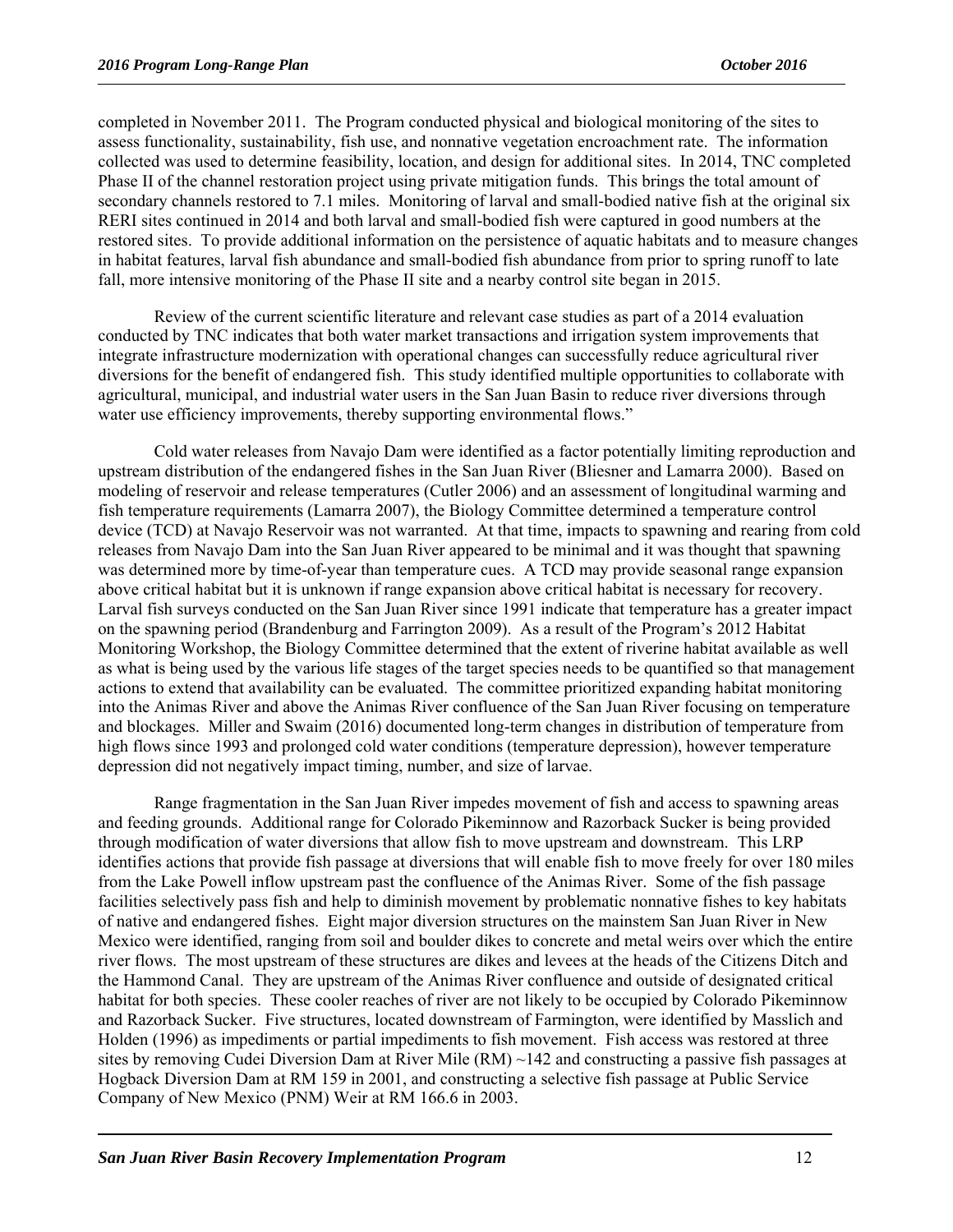completed in November 2011. The Program conducted physical and biological monitoring of the sites to assess functionality, sustainability, fish use, and nonnative vegetation encroachment rate. The information collected was used to determine feasibility, location, and design for additional sites. In 2014, TNC completed Phase II of the channel restoration project using private mitigation funds. This brings the total amount of secondary channels restored to 7.1 miles. Monitoring of larval and small-bodied native fish at the original six RERI sites continued in 2014 and both larval and small-bodied fish were captured in good numbers at the restored sites. To provide additional information on the persistence of aquatic habitats and to measure changes in habitat features, larval fish abundance and small-bodied fish abundance from prior to spring runoff to late fall, more intensive monitoring of the Phase II site and a nearby control site began in 2015.

Review of the current scientific literature and relevant case studies as part of a 2014 evaluation conducted by TNC indicates that both water market transactions and irrigation system improvements that integrate infrastructure modernization with operational changes can successfully reduce agricultural river diversions for the benefit of endangered fish. This study identified multiple opportunities to collaborate with agricultural, municipal, and industrial water users in the San Juan Basin to reduce river diversions through water use efficiency improvements, thereby supporting environmental flows."

Cold water releases from Navajo Dam were identified as a factor potentially limiting reproduction and upstream distribution of the endangered fishes in the San Juan River (Bliesner and Lamarra 2000). Based on modeling of reservoir and release temperatures (Cutler 2006) and an assessment of longitudinal warming and fish temperature requirements (Lamarra 2007), the Biology Committee determined a temperature control device (TCD) at Navajo Reservoir was not warranted. At that time, impacts to spawning and rearing from cold releases from Navajo Dam into the San Juan River appeared to be minimal and it was thought that spawning was determined more by time-of-year than temperature cues. A TCD may provide seasonal range expansion above critical habitat but it is unknown if range expansion above critical habitat is necessary for recovery. Larval fish surveys conducted on the San Juan River since 1991 indicate that temperature has a greater impact on the spawning period (Brandenburg and Farrington 2009). As a result of the Program's 2012 Habitat Monitoring Workshop, the Biology Committee determined that the extent of riverine habitat available as well as what is being used by the various life stages of the target species needs to be quantified so that management actions to extend that availability can be evaluated. The committee prioritized expanding habitat monitoring into the Animas River and above the Animas River confluence of the San Juan River focusing on temperature and blockages. Miller and Swaim (2016) documented long-term changes in distribution of temperature from high flows since 1993 and prolonged cold water conditions (temperature depression), however temperature depression did not negatively impact timing, number, and size of larvae.

Range fragmentation in the San Juan River impedes movement of fish and access to spawning areas and feeding grounds. Additional range for Colorado Pikeminnow and Razorback Sucker is being provided through modification of water diversions that allow fish to move upstream and downstream. This LRP identifies actions that provide fish passage at diversions that will enable fish to move freely for over 180 miles from the Lake Powell inflow upstream past the confluence of the Animas River. Some of the fish passage facilities selectively pass fish and help to diminish movement by problematic nonnative fishes to key habitats of native and endangered fishes. Eight major diversion structures on the mainstem San Juan River in New Mexico were identified, ranging from soil and boulder dikes to concrete and metal weirs over which the entire river flows. The most upstream of these structures are dikes and levees at the heads of the Citizens Ditch and the Hammond Canal. They are upstream of the Animas River confluence and outside of designated critical habitat for both species. These cooler reaches of river are not likely to be occupied by Colorado Pikeminnow and Razorback Sucker. Five structures, located downstream of Farmington, were identified by Masslich and Holden (1996) as impediments or partial impediments to fish movement. Fish access was restored at three sites by removing Cudei Diversion Dam at River Mile  $(RM) \sim 142$  and constructing a passive fish passages at Hogback Diversion Dam at RM 159 in 2001, and constructing a selective fish passage at Public Service Company of New Mexico (PNM) Weir at RM 166.6 in 2003.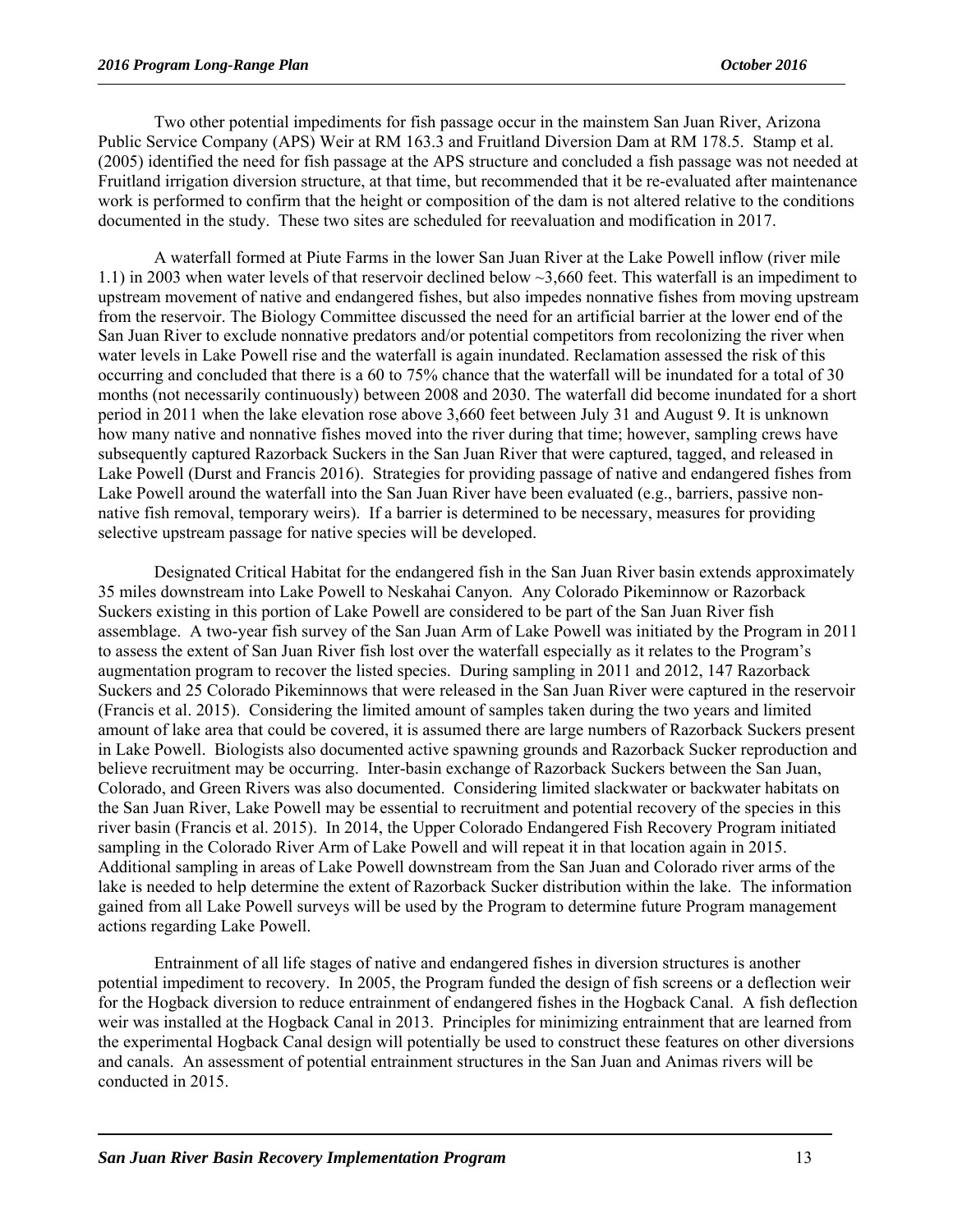Two other potential impediments for fish passage occur in the mainstem San Juan River, Arizona Public Service Company (APS) Weir at RM 163.3 and Fruitland Diversion Dam at RM 178.5. Stamp et al. (2005) identified the need for fish passage at the APS structure and concluded a fish passage was not needed at Fruitland irrigation diversion structure, at that time, but recommended that it be re-evaluated after maintenance work is performed to confirm that the height or composition of the dam is not altered relative to the conditions documented in the study. These two sites are scheduled for reevaluation and modification in 2017.

A waterfall formed at Piute Farms in the lower San Juan River at the Lake Powell inflow (river mile 1.1) in 2003 when water levels of that reservoir declined below ~3,660 feet. This waterfall is an impediment to upstream movement of native and endangered fishes, but also impedes nonnative fishes from moving upstream from the reservoir. The Biology Committee discussed the need for an artificial barrier at the lower end of the San Juan River to exclude nonnative predators and/or potential competitors from recolonizing the river when water levels in Lake Powell rise and the waterfall is again inundated. Reclamation assessed the risk of this occurring and concluded that there is a 60 to 75% chance that the waterfall will be inundated for a total of 30 months (not necessarily continuously) between 2008 and 2030. The waterfall did become inundated for a short period in 2011 when the lake elevation rose above 3,660 feet between July 31 and August 9. It is unknown how many native and nonnative fishes moved into the river during that time; however, sampling crews have subsequently captured Razorback Suckers in the San Juan River that were captured, tagged, and released in Lake Powell (Durst and Francis 2016). Strategies for providing passage of native and endangered fishes from Lake Powell around the waterfall into the San Juan River have been evaluated (e.g., barriers, passive nonnative fish removal, temporary weirs). If a barrier is determined to be necessary, measures for providing selective upstream passage for native species will be developed.

Designated Critical Habitat for the endangered fish in the San Juan River basin extends approximately 35 miles downstream into Lake Powell to Neskahai Canyon. Any Colorado Pikeminnow or Razorback Suckers existing in this portion of Lake Powell are considered to be part of the San Juan River fish assemblage. A two-year fish survey of the San Juan Arm of Lake Powell was initiated by the Program in 2011 to assess the extent of San Juan River fish lost over the waterfall especially as it relates to the Program's augmentation program to recover the listed species. During sampling in 2011 and 2012, 147 Razorback Suckers and 25 Colorado Pikeminnows that were released in the San Juan River were captured in the reservoir (Francis et al. 2015). Considering the limited amount of samples taken during the two years and limited amount of lake area that could be covered, it is assumed there are large numbers of Razorback Suckers present in Lake Powell. Biologists also documented active spawning grounds and Razorback Sucker reproduction and believe recruitment may be occurring. Inter-basin exchange of Razorback Suckers between the San Juan, Colorado, and Green Rivers was also documented. Considering limited slackwater or backwater habitats on the San Juan River, Lake Powell may be essential to recruitment and potential recovery of the species in this river basin (Francis et al. 2015). In 2014, the Upper Colorado Endangered Fish Recovery Program initiated sampling in the Colorado River Arm of Lake Powell and will repeat it in that location again in 2015. Additional sampling in areas of Lake Powell downstream from the San Juan and Colorado river arms of the lake is needed to help determine the extent of Razorback Sucker distribution within the lake. The information gained from all Lake Powell surveys will be used by the Program to determine future Program management actions regarding Lake Powell.

Entrainment of all life stages of native and endangered fishes in diversion structures is another potential impediment to recovery. In 2005, the Program funded the design of fish screens or a deflection weir for the Hogback diversion to reduce entrainment of endangered fishes in the Hogback Canal. A fish deflection weir was installed at the Hogback Canal in 2013. Principles for minimizing entrainment that are learned from the experimental Hogback Canal design will potentially be used to construct these features on other diversions and canals. An assessment of potential entrainment structures in the San Juan and Animas rivers will be conducted in 2015.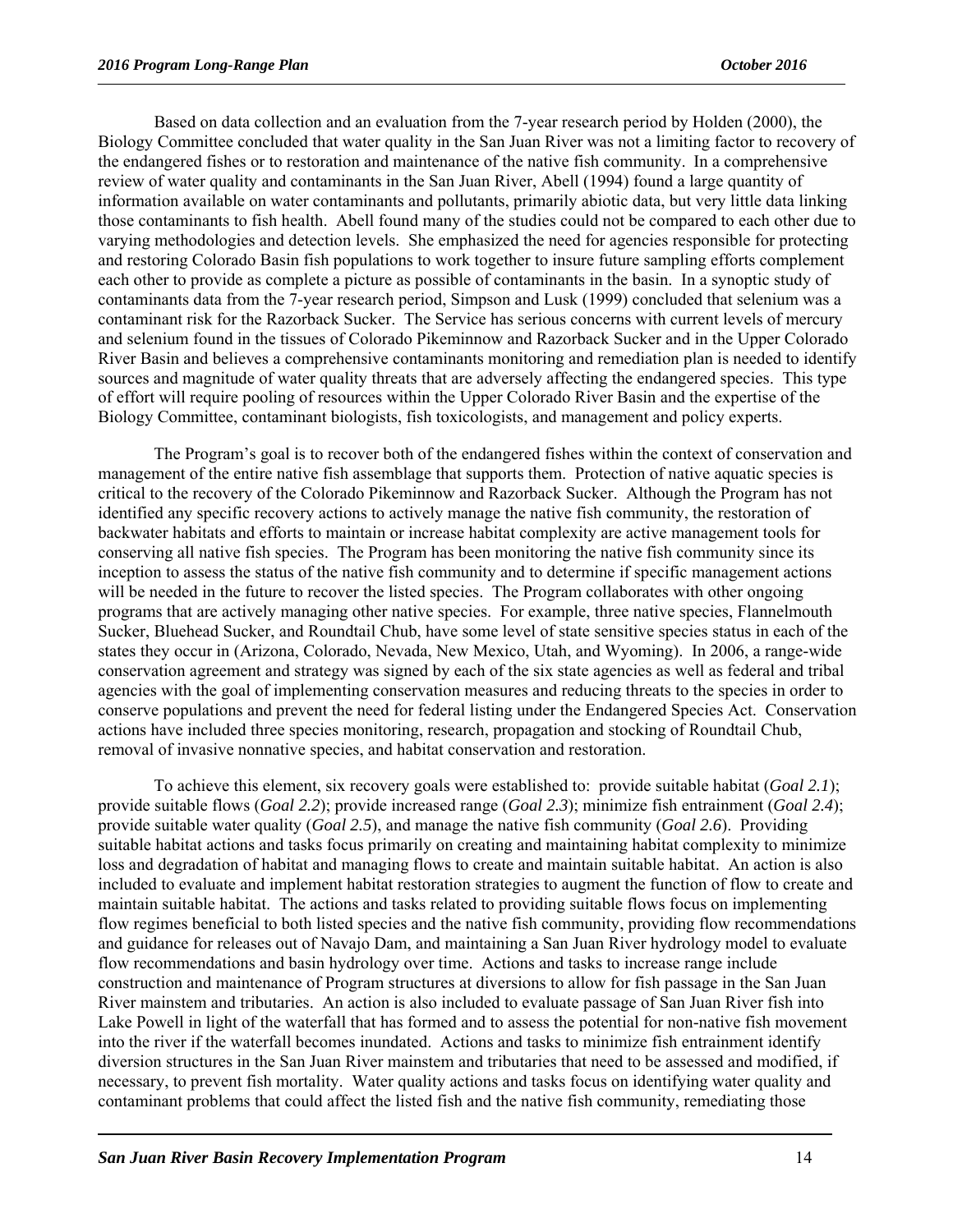Based on data collection and an evaluation from the 7-year research period by Holden (2000), the Biology Committee concluded that water quality in the San Juan River was not a limiting factor to recovery of the endangered fishes or to restoration and maintenance of the native fish community. In a comprehensive review of water quality and contaminants in the San Juan River, Abell (1994) found a large quantity of information available on water contaminants and pollutants, primarily abiotic data, but very little data linking those contaminants to fish health. Abell found many of the studies could not be compared to each other due to varying methodologies and detection levels. She emphasized the need for agencies responsible for protecting and restoring Colorado Basin fish populations to work together to insure future sampling efforts complement each other to provide as complete a picture as possible of contaminants in the basin. In a synoptic study of contaminants data from the 7-year research period, Simpson and Lusk (1999) concluded that selenium was a contaminant risk for the Razorback Sucker. The Service has serious concerns with current levels of mercury and selenium found in the tissues of Colorado Pikeminnow and Razorback Sucker and in the Upper Colorado River Basin and believes a comprehensive contaminants monitoring and remediation plan is needed to identify sources and magnitude of water quality threats that are adversely affecting the endangered species. This type of effort will require pooling of resources within the Upper Colorado River Basin and the expertise of the Biology Committee, contaminant biologists, fish toxicologists, and management and policy experts.

The Program's goal is to recover both of the endangered fishes within the context of conservation and management of the entire native fish assemblage that supports them. Protection of native aquatic species is critical to the recovery of the Colorado Pikeminnow and Razorback Sucker. Although the Program has not identified any specific recovery actions to actively manage the native fish community, the restoration of backwater habitats and efforts to maintain or increase habitat complexity are active management tools for conserving all native fish species. The Program has been monitoring the native fish community since its inception to assess the status of the native fish community and to determine if specific management actions will be needed in the future to recover the listed species. The Program collaborates with other ongoing programs that are actively managing other native species. For example, three native species, Flannelmouth Sucker, Bluehead Sucker, and Roundtail Chub, have some level of state sensitive species status in each of the states they occur in (Arizona, Colorado, Nevada, New Mexico, Utah, and Wyoming). In 2006, a range-wide conservation agreement and strategy was signed by each of the six state agencies as well as federal and tribal agencies with the goal of implementing conservation measures and reducing threats to the species in order to conserve populations and prevent the need for federal listing under the Endangered Species Act. Conservation actions have included three species monitoring, research, propagation and stocking of Roundtail Chub, removal of invasive nonnative species, and habitat conservation and restoration.

To achieve this element, six recovery goals were established to: provide suitable habitat (*Goal 2.1*); provide suitable flows (*Goal 2.2*); provide increased range (*Goal 2.3*); minimize fish entrainment (*Goal 2.4*); provide suitable water quality (*Goal 2.5*), and manage the native fish community (*Goal 2.6*). Providing suitable habitat actions and tasks focus primarily on creating and maintaining habitat complexity to minimize loss and degradation of habitat and managing flows to create and maintain suitable habitat. An action is also included to evaluate and implement habitat restoration strategies to augment the function of flow to create and maintain suitable habitat. The actions and tasks related to providing suitable flows focus on implementing flow regimes beneficial to both listed species and the native fish community, providing flow recommendations and guidance for releases out of Navajo Dam, and maintaining a San Juan River hydrology model to evaluate flow recommendations and basin hydrology over time. Actions and tasks to increase range include construction and maintenance of Program structures at diversions to allow for fish passage in the San Juan River mainstem and tributaries. An action is also included to evaluate passage of San Juan River fish into Lake Powell in light of the waterfall that has formed and to assess the potential for non-native fish movement into the river if the waterfall becomes inundated. Actions and tasks to minimize fish entrainment identify diversion structures in the San Juan River mainstem and tributaries that need to be assessed and modified, if necessary, to prevent fish mortality. Water quality actions and tasks focus on identifying water quality and contaminant problems that could affect the listed fish and the native fish community, remediating those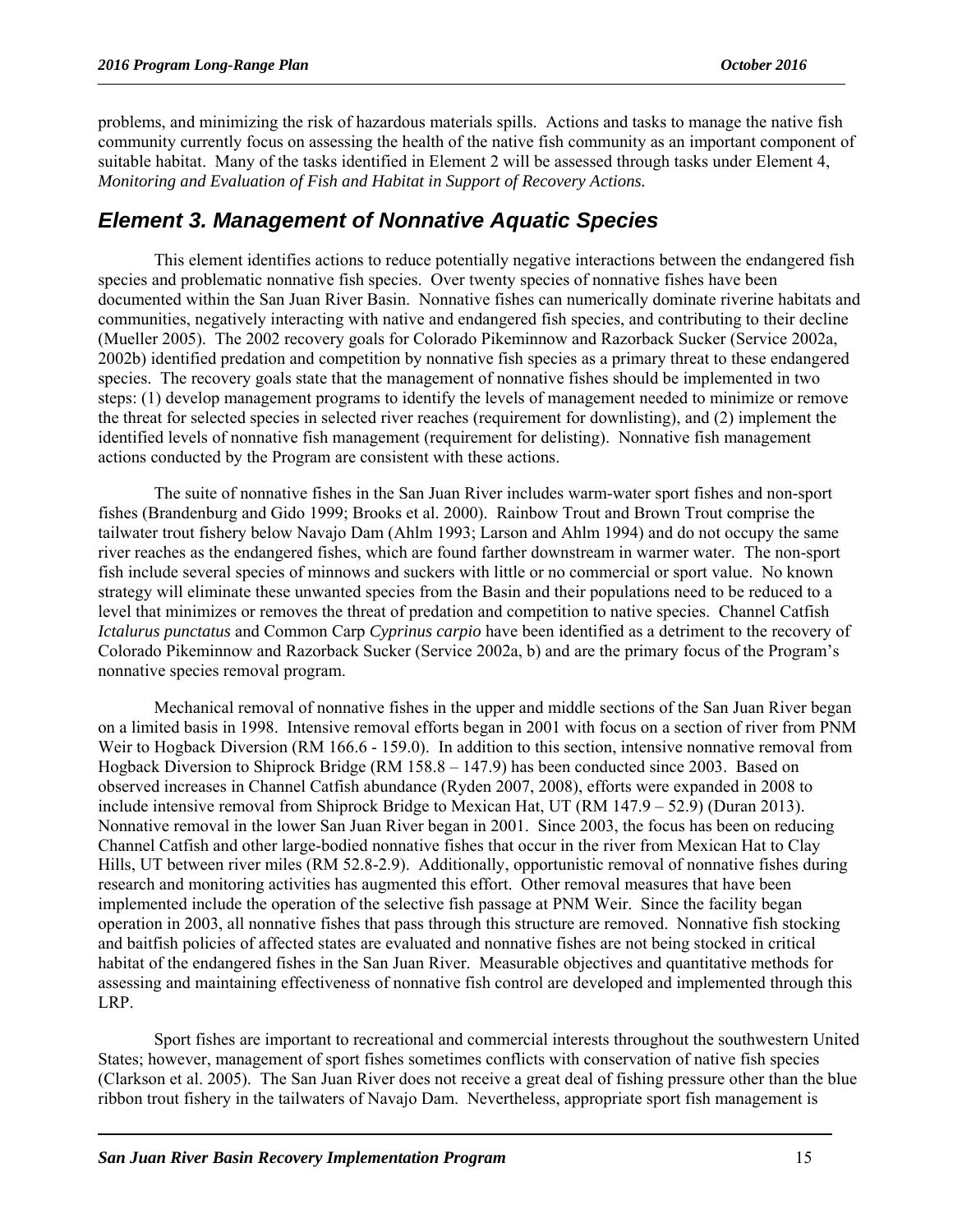problems, and minimizing the risk of hazardous materials spills. Actions and tasks to manage the native fish community currently focus on assessing the health of the native fish community as an important component of suitable habitat. Many of the tasks identified in Element 2 will be assessed through tasks under Element 4, *Monitoring and Evaluation of Fish and Habitat in Support of Recovery Actions.* 

#### *Element 3. Management of Nonnative Aquatic Species*

This element identifies actions to reduce potentially negative interactions between the endangered fish species and problematic nonnative fish species. Over twenty species of nonnative fishes have been documented within the San Juan River Basin. Nonnative fishes can numerically dominate riverine habitats and communities, negatively interacting with native and endangered fish species, and contributing to their decline (Mueller 2005). The 2002 recovery goals for Colorado Pikeminnow and Razorback Sucker (Service 2002a, 2002b) identified predation and competition by nonnative fish species as a primary threat to these endangered species. The recovery goals state that the management of nonnative fishes should be implemented in two steps: (1) develop management programs to identify the levels of management needed to minimize or remove the threat for selected species in selected river reaches (requirement for downlisting), and (2) implement the identified levels of nonnative fish management (requirement for delisting). Nonnative fish management actions conducted by the Program are consistent with these actions.

The suite of nonnative fishes in the San Juan River includes warm-water sport fishes and non-sport fishes (Brandenburg and Gido 1999; Brooks et al. 2000). Rainbow Trout and Brown Trout comprise the tailwater trout fishery below Navajo Dam (Ahlm 1993; Larson and Ahlm 1994) and do not occupy the same river reaches as the endangered fishes, which are found farther downstream in warmer water. The non-sport fish include several species of minnows and suckers with little or no commercial or sport value. No known strategy will eliminate these unwanted species from the Basin and their populations need to be reduced to a level that minimizes or removes the threat of predation and competition to native species. Channel Catfish *Ictalurus punctatus* and Common Carp *Cyprinus carpio* have been identified as a detriment to the recovery of Colorado Pikeminnow and Razorback Sucker (Service 2002a, b) and are the primary focus of the Program's nonnative species removal program.

Mechanical removal of nonnative fishes in the upper and middle sections of the San Juan River began on a limited basis in 1998. Intensive removal efforts began in 2001 with focus on a section of river from PNM Weir to Hogback Diversion (RM 166.6 - 159.0). In addition to this section, intensive nonnative removal from Hogback Diversion to Shiprock Bridge (RM 158.8 – 147.9) has been conducted since 2003. Based on observed increases in Channel Catfish abundance (Ryden 2007, 2008), efforts were expanded in 2008 to include intensive removal from Shiprock Bridge to Mexican Hat, UT (RM 147.9 – 52.9) (Duran 2013). Nonnative removal in the lower San Juan River began in 2001. Since 2003, the focus has been on reducing Channel Catfish and other large-bodied nonnative fishes that occur in the river from Mexican Hat to Clay Hills, UT between river miles (RM 52.8-2.9). Additionally, opportunistic removal of nonnative fishes during research and monitoring activities has augmented this effort. Other removal measures that have been implemented include the operation of the selective fish passage at PNM Weir. Since the facility began operation in 2003, all nonnative fishes that pass through this structure are removed. Nonnative fish stocking and baitfish policies of affected states are evaluated and nonnative fishes are not being stocked in critical habitat of the endangered fishes in the San Juan River. Measurable objectives and quantitative methods for assessing and maintaining effectiveness of nonnative fish control are developed and implemented through this LRP.

Sport fishes are important to recreational and commercial interests throughout the southwestern United States; however, management of sport fishes sometimes conflicts with conservation of native fish species (Clarkson et al. 2005). The San Juan River does not receive a great deal of fishing pressure other than the blue ribbon trout fishery in the tailwaters of Navajo Dam. Nevertheless, appropriate sport fish management is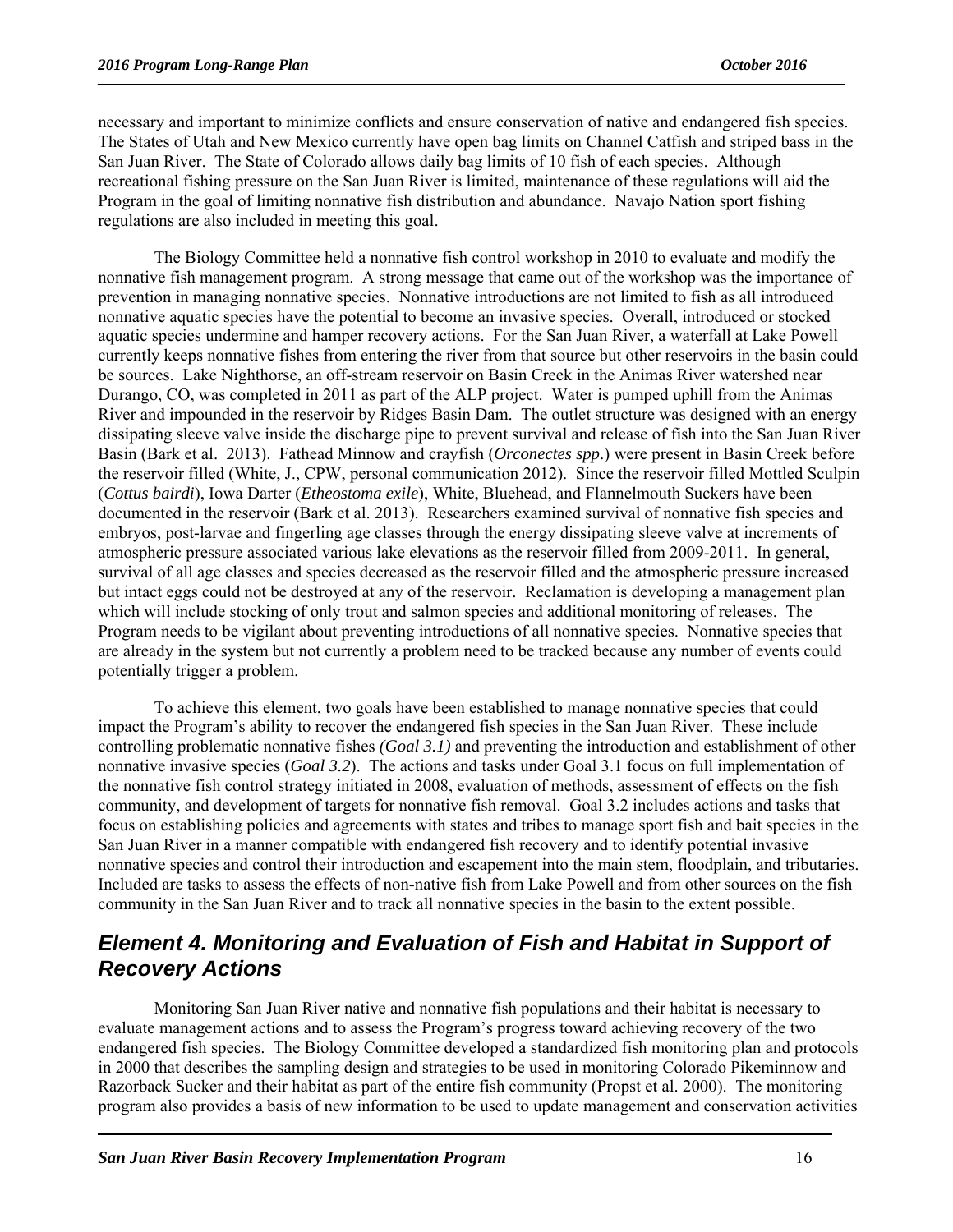necessary and important to minimize conflicts and ensure conservation of native and endangered fish species. The States of Utah and New Mexico currently have open bag limits on Channel Catfish and striped bass in the San Juan River. The State of Colorado allows daily bag limits of 10 fish of each species. Although recreational fishing pressure on the San Juan River is limited, maintenance of these regulations will aid the Program in the goal of limiting nonnative fish distribution and abundance. Navajo Nation sport fishing regulations are also included in meeting this goal.

The Biology Committee held a nonnative fish control workshop in 2010 to evaluate and modify the nonnative fish management program. A strong message that came out of the workshop was the importance of prevention in managing nonnative species. Nonnative introductions are not limited to fish as all introduced nonnative aquatic species have the potential to become an invasive species. Overall, introduced or stocked aquatic species undermine and hamper recovery actions. For the San Juan River, a waterfall at Lake Powell currently keeps nonnative fishes from entering the river from that source but other reservoirs in the basin could be sources. Lake Nighthorse, an off-stream reservoir on Basin Creek in the Animas River watershed near Durango, CO, was completed in 2011 as part of the ALP project. Water is pumped uphill from the Animas River and impounded in the reservoir by Ridges Basin Dam. The outlet structure was designed with an energy dissipating sleeve valve inside the discharge pipe to prevent survival and release of fish into the San Juan River Basin (Bark et al. 2013). Fathead Minnow and crayfish (*Orconectes spp*.) were present in Basin Creek before the reservoir filled (White, J., CPW, personal communication 2012). Since the reservoir filled Mottled Sculpin (*Cottus bairdi*), Iowa Darter (*Etheostoma exile*), White, Bluehead, and Flannelmouth Suckers have been documented in the reservoir (Bark et al. 2013). Researchers examined survival of nonnative fish species and embryos, post-larvae and fingerling age classes through the energy dissipating sleeve valve at increments of atmospheric pressure associated various lake elevations as the reservoir filled from 2009-2011. In general, survival of all age classes and species decreased as the reservoir filled and the atmospheric pressure increased but intact eggs could not be destroyed at any of the reservoir. Reclamation is developing a management plan which will include stocking of only trout and salmon species and additional monitoring of releases. The Program needs to be vigilant about preventing introductions of all nonnative species. Nonnative species that are already in the system but not currently a problem need to be tracked because any number of events could potentially trigger a problem.

To achieve this element, two goals have been established to manage nonnative species that could impact the Program's ability to recover the endangered fish species in the San Juan River. These include controlling problematic nonnative fishes *(Goal 3.1)* and preventing the introduction and establishment of other nonnative invasive species (*Goal 3.2*). The actions and tasks under Goal 3.1 focus on full implementation of the nonnative fish control strategy initiated in 2008, evaluation of methods, assessment of effects on the fish community, and development of targets for nonnative fish removal. Goal 3.2 includes actions and tasks that focus on establishing policies and agreements with states and tribes to manage sport fish and bait species in the San Juan River in a manner compatible with endangered fish recovery and to identify potential invasive nonnative species and control their introduction and escapement into the main stem, floodplain, and tributaries. Included are tasks to assess the effects of non-native fish from Lake Powell and from other sources on the fish community in the San Juan River and to track all nonnative species in the basin to the extent possible.

#### *Element 4. Monitoring and Evaluation of Fish and Habitat in Support of Recovery Actions*

Monitoring San Juan River native and nonnative fish populations and their habitat is necessary to evaluate management actions and to assess the Program's progress toward achieving recovery of the two endangered fish species. The Biology Committee developed a standardized fish monitoring plan and protocols in 2000 that describes the sampling design and strategies to be used in monitoring Colorado Pikeminnow and Razorback Sucker and their habitat as part of the entire fish community (Propst et al. 2000). The monitoring program also provides a basis of new information to be used to update management and conservation activities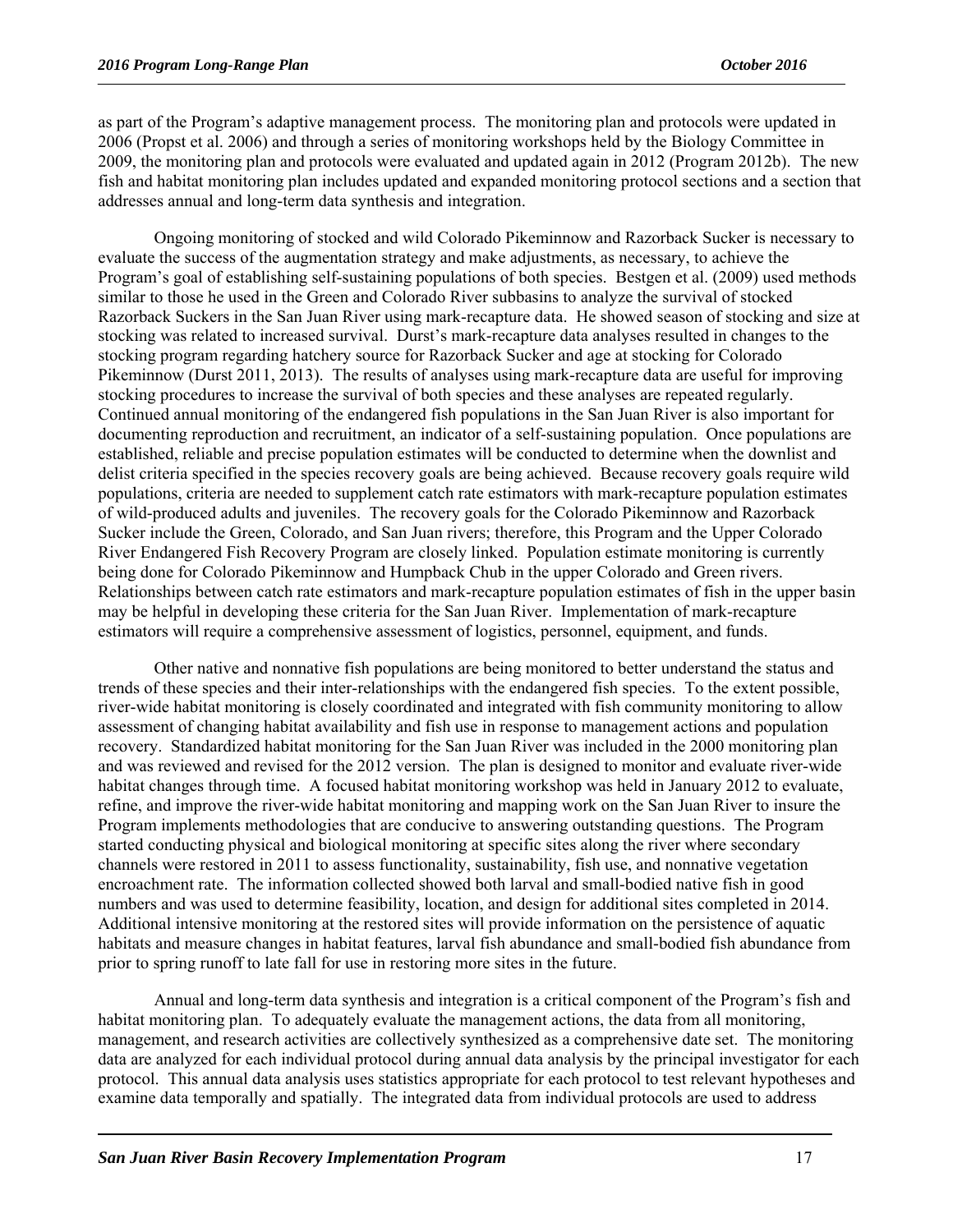as part of the Program's adaptive management process. The monitoring plan and protocols were updated in 2006 (Propst et al. 2006) and through a series of monitoring workshops held by the Biology Committee in 2009, the monitoring plan and protocols were evaluated and updated again in 2012 (Program 2012b). The new fish and habitat monitoring plan includes updated and expanded monitoring protocol sections and a section that addresses annual and long-term data synthesis and integration.

Ongoing monitoring of stocked and wild Colorado Pikeminnow and Razorback Sucker is necessary to evaluate the success of the augmentation strategy and make adjustments, as necessary, to achieve the Program's goal of establishing self-sustaining populations of both species. Bestgen et al. (2009) used methods similar to those he used in the Green and Colorado River subbasins to analyze the survival of stocked Razorback Suckers in the San Juan River using mark-recapture data. He showed season of stocking and size at stocking was related to increased survival. Durst's mark-recapture data analyses resulted in changes to the stocking program regarding hatchery source for Razorback Sucker and age at stocking for Colorado Pikeminnow (Durst 2011, 2013). The results of analyses using mark-recapture data are useful for improving stocking procedures to increase the survival of both species and these analyses are repeated regularly. Continued annual monitoring of the endangered fish populations in the San Juan River is also important for documenting reproduction and recruitment, an indicator of a self-sustaining population. Once populations are established, reliable and precise population estimates will be conducted to determine when the downlist and delist criteria specified in the species recovery goals are being achieved. Because recovery goals require wild populations, criteria are needed to supplement catch rate estimators with mark-recapture population estimates of wild-produced adults and juveniles. The recovery goals for the Colorado Pikeminnow and Razorback Sucker include the Green, Colorado, and San Juan rivers; therefore, this Program and the Upper Colorado River Endangered Fish Recovery Program are closely linked. Population estimate monitoring is currently being done for Colorado Pikeminnow and Humpback Chub in the upper Colorado and Green rivers. Relationships between catch rate estimators and mark-recapture population estimates of fish in the upper basin may be helpful in developing these criteria for the San Juan River. Implementation of mark-recapture estimators will require a comprehensive assessment of logistics, personnel, equipment, and funds.

Other native and nonnative fish populations are being monitored to better understand the status and trends of these species and their inter-relationships with the endangered fish species. To the extent possible, river-wide habitat monitoring is closely coordinated and integrated with fish community monitoring to allow assessment of changing habitat availability and fish use in response to management actions and population recovery. Standardized habitat monitoring for the San Juan River was included in the 2000 monitoring plan and was reviewed and revised for the 2012 version. The plan is designed to monitor and evaluate river-wide habitat changes through time. A focused habitat monitoring workshop was held in January 2012 to evaluate, refine, and improve the river-wide habitat monitoring and mapping work on the San Juan River to insure the Program implements methodologies that are conducive to answering outstanding questions. The Program started conducting physical and biological monitoring at specific sites along the river where secondary channels were restored in 2011 to assess functionality, sustainability, fish use, and nonnative vegetation encroachment rate. The information collected showed both larval and small-bodied native fish in good numbers and was used to determine feasibility, location, and design for additional sites completed in 2014. Additional intensive monitoring at the restored sites will provide information on the persistence of aquatic habitats and measure changes in habitat features, larval fish abundance and small-bodied fish abundance from prior to spring runoff to late fall for use in restoring more sites in the future.

Annual and long-term data synthesis and integration is a critical component of the Program's fish and habitat monitoring plan. To adequately evaluate the management actions, the data from all monitoring, management, and research activities are collectively synthesized as a comprehensive date set. The monitoring data are analyzed for each individual protocol during annual data analysis by the principal investigator for each protocol. This annual data analysis uses statistics appropriate for each protocol to test relevant hypotheses and examine data temporally and spatially. The integrated data from individual protocols are used to address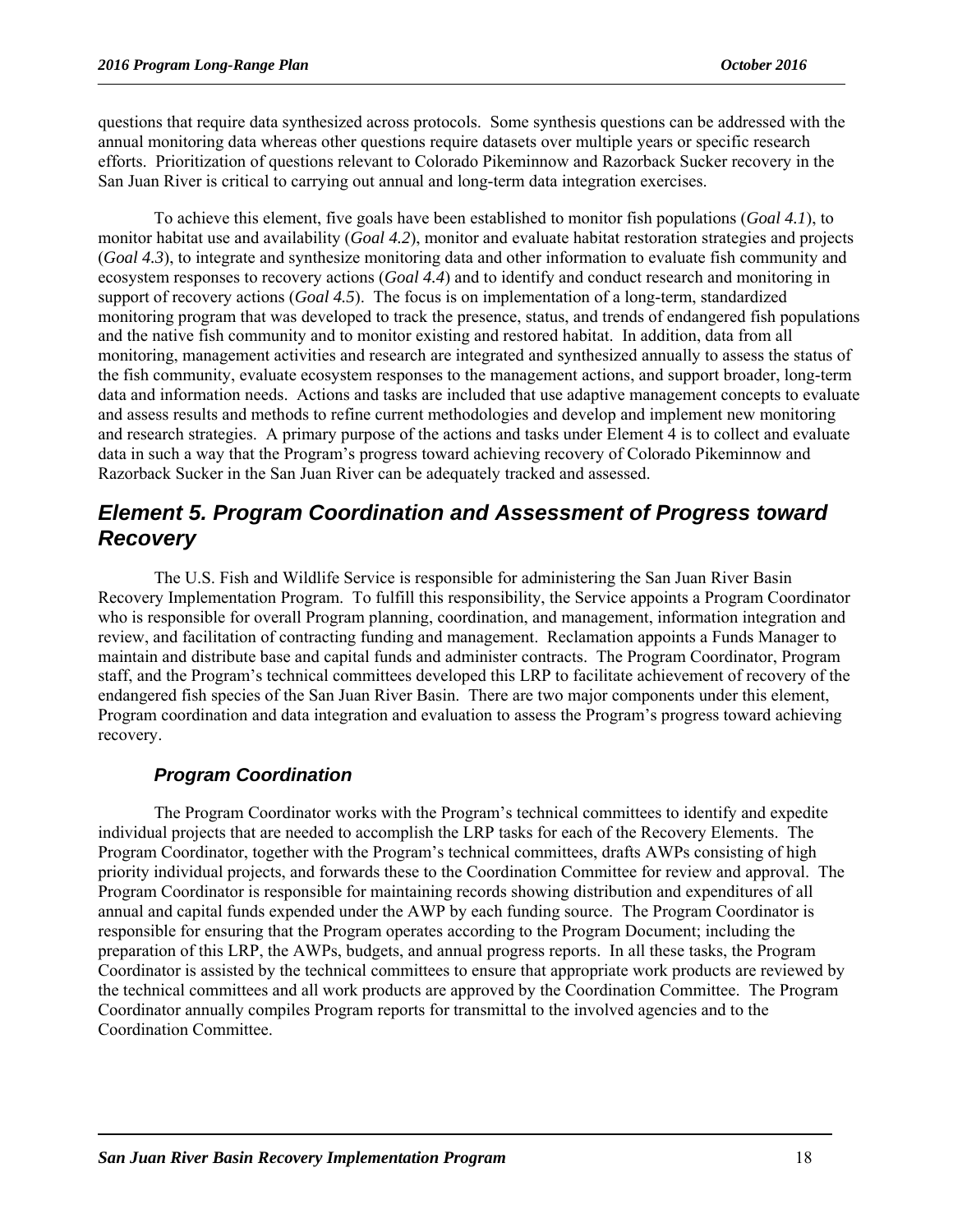questions that require data synthesized across protocols. Some synthesis questions can be addressed with the annual monitoring data whereas other questions require datasets over multiple years or specific research efforts. Prioritization of questions relevant to Colorado Pikeminnow and Razorback Sucker recovery in the San Juan River is critical to carrying out annual and long-term data integration exercises.

To achieve this element, five goals have been established to monitor fish populations (*Goal 4.1*), to monitor habitat use and availability (*Goal 4.2*), monitor and evaluate habitat restoration strategies and projects (*Goal 4.3*), to integrate and synthesize monitoring data and other information to evaluate fish community and ecosystem responses to recovery actions (*Goal 4.4*) and to identify and conduct research and monitoring in support of recovery actions (*Goal 4.5*). The focus is on implementation of a long-term, standardized monitoring program that was developed to track the presence, status, and trends of endangered fish populations and the native fish community and to monitor existing and restored habitat. In addition, data from all monitoring, management activities and research are integrated and synthesized annually to assess the status of the fish community, evaluate ecosystem responses to the management actions, and support broader, long-term data and information needs. Actions and tasks are included that use adaptive management concepts to evaluate and assess results and methods to refine current methodologies and develop and implement new monitoring and research strategies. A primary purpose of the actions and tasks under Element 4 is to collect and evaluate data in such a way that the Program's progress toward achieving recovery of Colorado Pikeminnow and Razorback Sucker in the San Juan River can be adequately tracked and assessed.

#### *Element 5. Program Coordination and Assessment of Progress toward Recovery*

The U.S. Fish and Wildlife Service is responsible for administering the San Juan River Basin Recovery Implementation Program. To fulfill this responsibility, the Service appoints a Program Coordinator who is responsible for overall Program planning, coordination, and management, information integration and review, and facilitation of contracting funding and management. Reclamation appoints a Funds Manager to maintain and distribute base and capital funds and administer contracts. The Program Coordinator, Program staff, and the Program's technical committees developed this LRP to facilitate achievement of recovery of the endangered fish species of the San Juan River Basin. There are two major components under this element, Program coordination and data integration and evaluation to assess the Program's progress toward achieving recovery.

#### *Program Coordination*

The Program Coordinator works with the Program's technical committees to identify and expedite individual projects that are needed to accomplish the LRP tasks for each of the Recovery Elements. The Program Coordinator, together with the Program's technical committees, drafts AWPs consisting of high priority individual projects, and forwards these to the Coordination Committee for review and approval. The Program Coordinator is responsible for maintaining records showing distribution and expenditures of all annual and capital funds expended under the AWP by each funding source. The Program Coordinator is responsible for ensuring that the Program operates according to the Program Document; including the preparation of this LRP, the AWPs, budgets, and annual progress reports. In all these tasks, the Program Coordinator is assisted by the technical committees to ensure that appropriate work products are reviewed by the technical committees and all work products are approved by the Coordination Committee. The Program Coordinator annually compiles Program reports for transmittal to the involved agencies and to the Coordination Committee.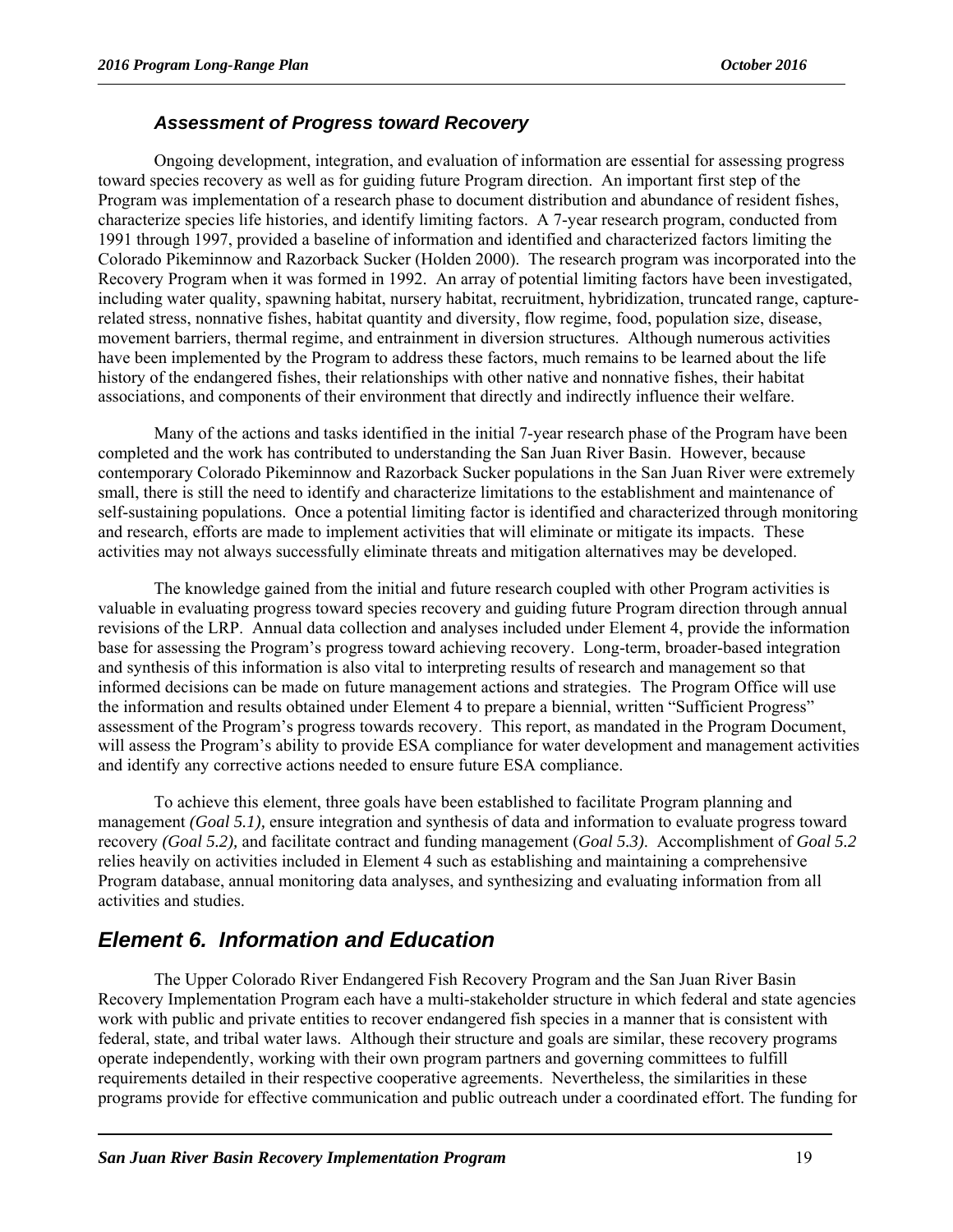#### *Assessment of Progress toward Recovery*

Ongoing development, integration, and evaluation of information are essential for assessing progress toward species recovery as well as for guiding future Program direction. An important first step of the Program was implementation of a research phase to document distribution and abundance of resident fishes, characterize species life histories, and identify limiting factors. A 7-year research program, conducted from 1991 through 1997, provided a baseline of information and identified and characterized factors limiting the Colorado Pikeminnow and Razorback Sucker (Holden 2000). The research program was incorporated into the Recovery Program when it was formed in 1992. An array of potential limiting factors have been investigated, including water quality, spawning habitat, nursery habitat, recruitment, hybridization, truncated range, capturerelated stress, nonnative fishes, habitat quantity and diversity, flow regime, food, population size, disease, movement barriers, thermal regime, and entrainment in diversion structures. Although numerous activities have been implemented by the Program to address these factors, much remains to be learned about the life history of the endangered fishes, their relationships with other native and nonnative fishes, their habitat associations, and components of their environment that directly and indirectly influence their welfare.

Many of the actions and tasks identified in the initial 7-year research phase of the Program have been completed and the work has contributed to understanding the San Juan River Basin. However, because contemporary Colorado Pikeminnow and Razorback Sucker populations in the San Juan River were extremely small, there is still the need to identify and characterize limitations to the establishment and maintenance of self-sustaining populations. Once a potential limiting factor is identified and characterized through monitoring and research, efforts are made to implement activities that will eliminate or mitigate its impacts. These activities may not always successfully eliminate threats and mitigation alternatives may be developed.

The knowledge gained from the initial and future research coupled with other Program activities is valuable in evaluating progress toward species recovery and guiding future Program direction through annual revisions of the LRP. Annual data collection and analyses included under Element 4, provide the information base for assessing the Program's progress toward achieving recovery. Long-term, broader-based integration and synthesis of this information is also vital to interpreting results of research and management so that informed decisions can be made on future management actions and strategies. The Program Office will use the information and results obtained under Element 4 to prepare a biennial, written "Sufficient Progress" assessment of the Program's progress towards recovery. This report, as mandated in the Program Document, will assess the Program's ability to provide ESA compliance for water development and management activities and identify any corrective actions needed to ensure future ESA compliance.

To achieve this element, three goals have been established to facilitate Program planning and management *(Goal 5.1),* ensure integration and synthesis of data and information to evaluate progress toward recovery *(Goal 5.2),* and facilitate contract and funding management (*Goal 5.3)*. Accomplishment of *Goal 5.2* relies heavily on activities included in Element 4 such as establishing and maintaining a comprehensive Program database, annual monitoring data analyses, and synthesizing and evaluating information from all activities and studies.

#### *Element 6. Information and Education*

The Upper Colorado River Endangered Fish Recovery Program and the San Juan River Basin Recovery Implementation Program each have a multi-stakeholder structure in which federal and state agencies work with public and private entities to recover endangered fish species in a manner that is consistent with federal, state, and tribal water laws. Although their structure and goals are similar, these recovery programs operate independently, working with their own program partners and governing committees to fulfill requirements detailed in their respective cooperative agreements. Nevertheless, the similarities in these programs provide for effective communication and public outreach under a coordinated effort. The funding for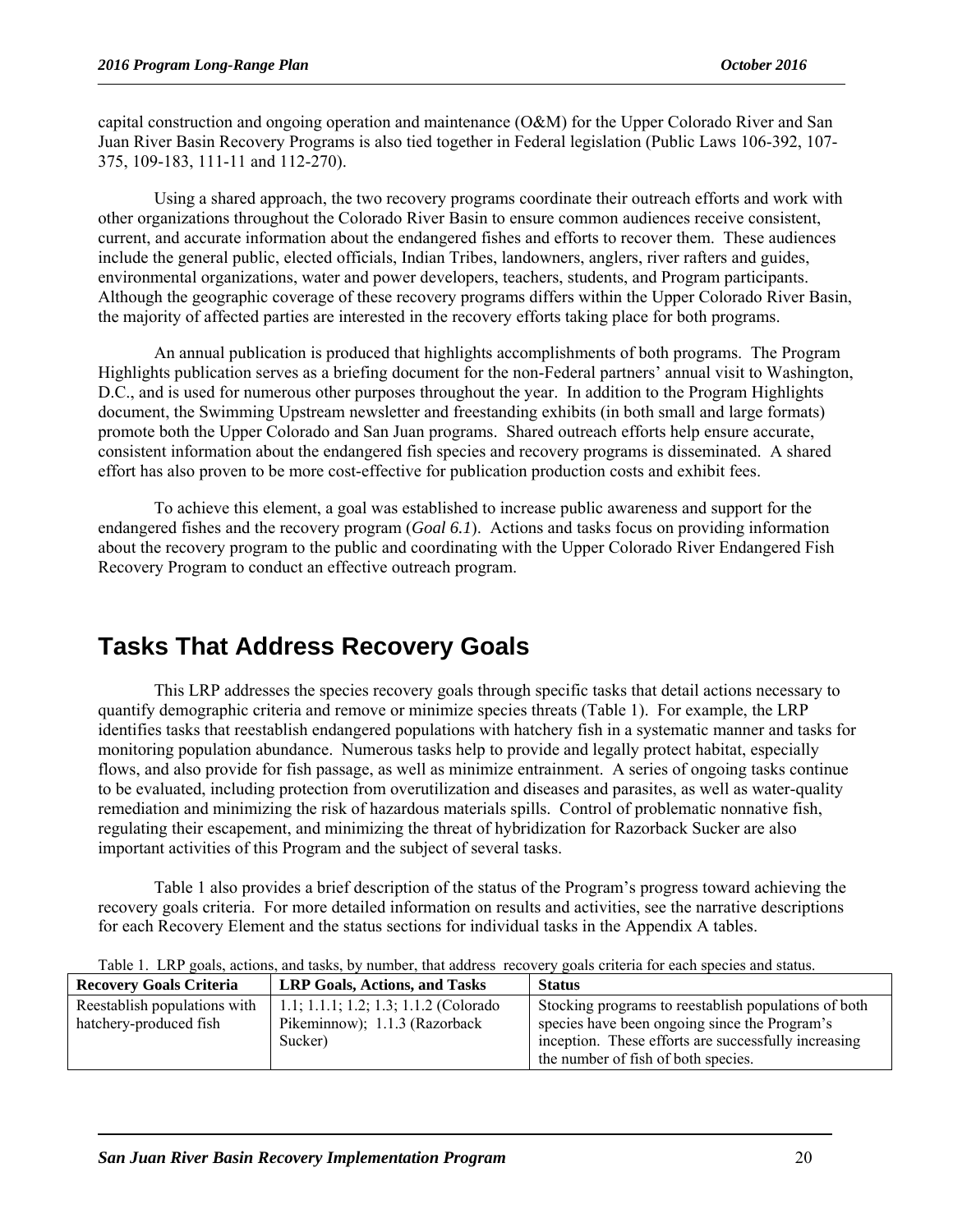capital construction and ongoing operation and maintenance (O&M) for the Upper Colorado River and San Juan River Basin Recovery Programs is also tied together in Federal legislation (Public Laws 106-392, 107- 375, 109-183, 111-11 and 112-270).

Using a shared approach, the two recovery programs coordinate their outreach efforts and work with other organizations throughout the Colorado River Basin to ensure common audiences receive consistent, current, and accurate information about the endangered fishes and efforts to recover them. These audiences include the general public, elected officials, Indian Tribes, landowners, anglers, river rafters and guides, environmental organizations, water and power developers, teachers, students, and Program participants. Although the geographic coverage of these recovery programs differs within the Upper Colorado River Basin, the majority of affected parties are interested in the recovery efforts taking place for both programs.

An annual publication is produced that highlights accomplishments of both programs. The Program Highlights publication serves as a briefing document for the non-Federal partners' annual visit to Washington, D.C., and is used for numerous other purposes throughout the year. In addition to the Program Highlights document, the Swimming Upstream newsletter and freestanding exhibits (in both small and large formats) promote both the Upper Colorado and San Juan programs. Shared outreach efforts help ensure accurate, consistent information about the endangered fish species and recovery programs is disseminated. A shared effort has also proven to be more cost-effective for publication production costs and exhibit fees.

To achieve this element, a goal was established to increase public awareness and support for the endangered fishes and the recovery program (*Goal 6.1*). Actions and tasks focus on providing information about the recovery program to the public and coordinating with the Upper Colorado River Endangered Fish Recovery Program to conduct an effective outreach program.

## **Tasks That Address Recovery Goals**

This LRP addresses the species recovery goals through specific tasks that detail actions necessary to quantify demographic criteria and remove or minimize species threats (Table 1). For example, the LRP identifies tasks that reestablish endangered populations with hatchery fish in a systematic manner and tasks for monitoring population abundance. Numerous tasks help to provide and legally protect habitat, especially flows, and also provide for fish passage, as well as minimize entrainment. A series of ongoing tasks continue to be evaluated, including protection from overutilization and diseases and parasites, as well as water-quality remediation and minimizing the risk of hazardous materials spills. Control of problematic nonnative fish, regulating their escapement, and minimizing the threat of hybridization for Razorback Sucker are also important activities of this Program and the subject of several tasks.

Table 1 also provides a brief description of the status of the Program's progress toward achieving the recovery goals criteria. For more detailed information on results and activities, see the narrative descriptions for each Recovery Element and the status sections for individual tasks in the Appendix A tables.

| <b>Recovery Goals Criteria</b><br><b>LRP Goals, Actions, and Tasks</b> |                                                                                   | <b>Status</b>                                                                                                                                                                                        |  |  |
|------------------------------------------------------------------------|-----------------------------------------------------------------------------------|------------------------------------------------------------------------------------------------------------------------------------------------------------------------------------------------------|--|--|
| Reestablish populations with<br>hatchery-produced fish                 | 1.1; 1.1.1; 1.2; 1.3; 1.1.2 (Colorado<br>Pikeminnow); 1.1.3 (Razorback<br>Sucker) | Stocking programs to reestablish populations of both<br>species have been ongoing since the Program's<br>inception. These efforts are successfully increasing<br>the number of fish of both species. |  |  |

Table 1. LRP goals, actions, and tasks, by number, that address recovery goals criteria for each species and status.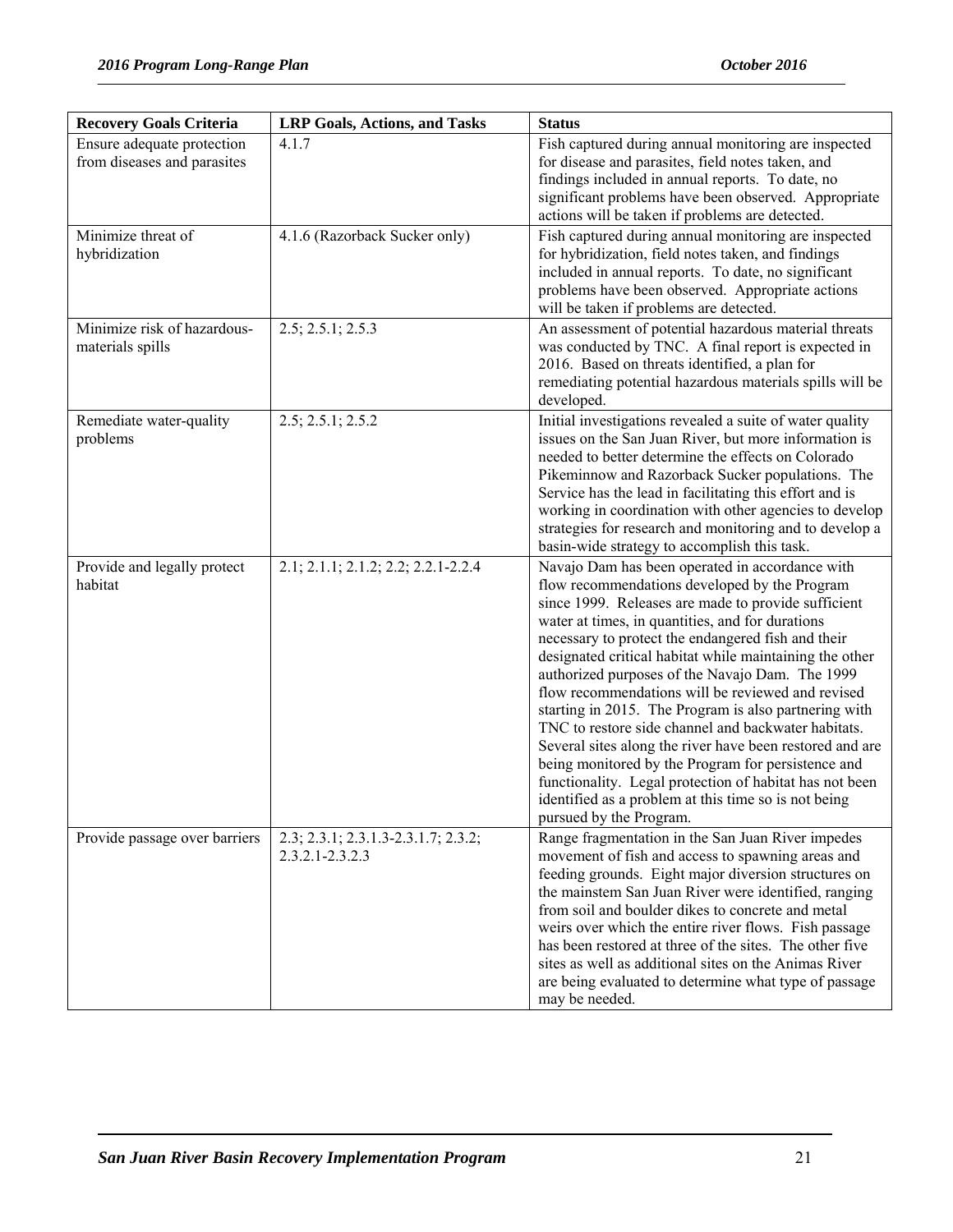| <b>Recovery Goals Criteria</b>                            | <b>LRP Goals, Actions, and Tasks</b>                       | <b>Status</b>                                                                                                                                                                                                                                                                                                                                                                                                                                                                                                                                                                                                                                                                                                                                                                                                        |
|-----------------------------------------------------------|------------------------------------------------------------|----------------------------------------------------------------------------------------------------------------------------------------------------------------------------------------------------------------------------------------------------------------------------------------------------------------------------------------------------------------------------------------------------------------------------------------------------------------------------------------------------------------------------------------------------------------------------------------------------------------------------------------------------------------------------------------------------------------------------------------------------------------------------------------------------------------------|
| Ensure adequate protection<br>from diseases and parasites | 4.1.7                                                      | Fish captured during annual monitoring are inspected<br>for disease and parasites, field notes taken, and<br>findings included in annual reports. To date, no<br>significant problems have been observed. Appropriate<br>actions will be taken if problems are detected.                                                                                                                                                                                                                                                                                                                                                                                                                                                                                                                                             |
| Minimize threat of<br>hybridization                       | 4.1.6 (Razorback Sucker only)                              | Fish captured during annual monitoring are inspected<br>for hybridization, field notes taken, and findings<br>included in annual reports. To date, no significant<br>problems have been observed. Appropriate actions<br>will be taken if problems are detected.                                                                                                                                                                                                                                                                                                                                                                                                                                                                                                                                                     |
| Minimize risk of hazardous-<br>materials spills           | 2.5; 2.5.1; 2.5.3                                          | An assessment of potential hazardous material threats<br>was conducted by TNC. A final report is expected in<br>2016. Based on threats identified, a plan for<br>remediating potential hazardous materials spills will be<br>developed.                                                                                                                                                                                                                                                                                                                                                                                                                                                                                                                                                                              |
| Remediate water-quality<br>problems                       | 2.5; 2.5.1; 2.5.2                                          | Initial investigations revealed a suite of water quality<br>issues on the San Juan River, but more information is<br>needed to better determine the effects on Colorado<br>Pikeminnow and Razorback Sucker populations. The<br>Service has the lead in facilitating this effort and is<br>working in coordination with other agencies to develop<br>strategies for research and monitoring and to develop a<br>basin-wide strategy to accomplish this task.                                                                                                                                                                                                                                                                                                                                                          |
| Provide and legally protect<br>habitat                    | 2.1; 2.1.1; 2.1.2; 2.2; 2.2.1-2.2.4                        | Navajo Dam has been operated in accordance with<br>flow recommendations developed by the Program<br>since 1999. Releases are made to provide sufficient<br>water at times, in quantities, and for durations<br>necessary to protect the endangered fish and their<br>designated critical habitat while maintaining the other<br>authorized purposes of the Navajo Dam. The 1999<br>flow recommendations will be reviewed and revised<br>starting in 2015. The Program is also partnering with<br>TNC to restore side channel and backwater habitats.<br>Several sites along the river have been restored and are<br>being monitored by the Program for persistence and<br>functionality. Legal protection of habitat has not been<br>identified as a problem at this time so is not being<br>pursued by the Program. |
| Provide passage over barriers                             | 2.3; 2.3.1; 2.3.1.3-2.3.1.7; 2.3.2;<br>$2.3.2.1 - 2.3.2.3$ | Range fragmentation in the San Juan River impedes<br>movement of fish and access to spawning areas and<br>feeding grounds. Eight major diversion structures on<br>the mainstem San Juan River were identified, ranging<br>from soil and boulder dikes to concrete and metal<br>weirs over which the entire river flows. Fish passage<br>has been restored at three of the sites. The other five<br>sites as well as additional sites on the Animas River<br>are being evaluated to determine what type of passage<br>may be needed.                                                                                                                                                                                                                                                                                  |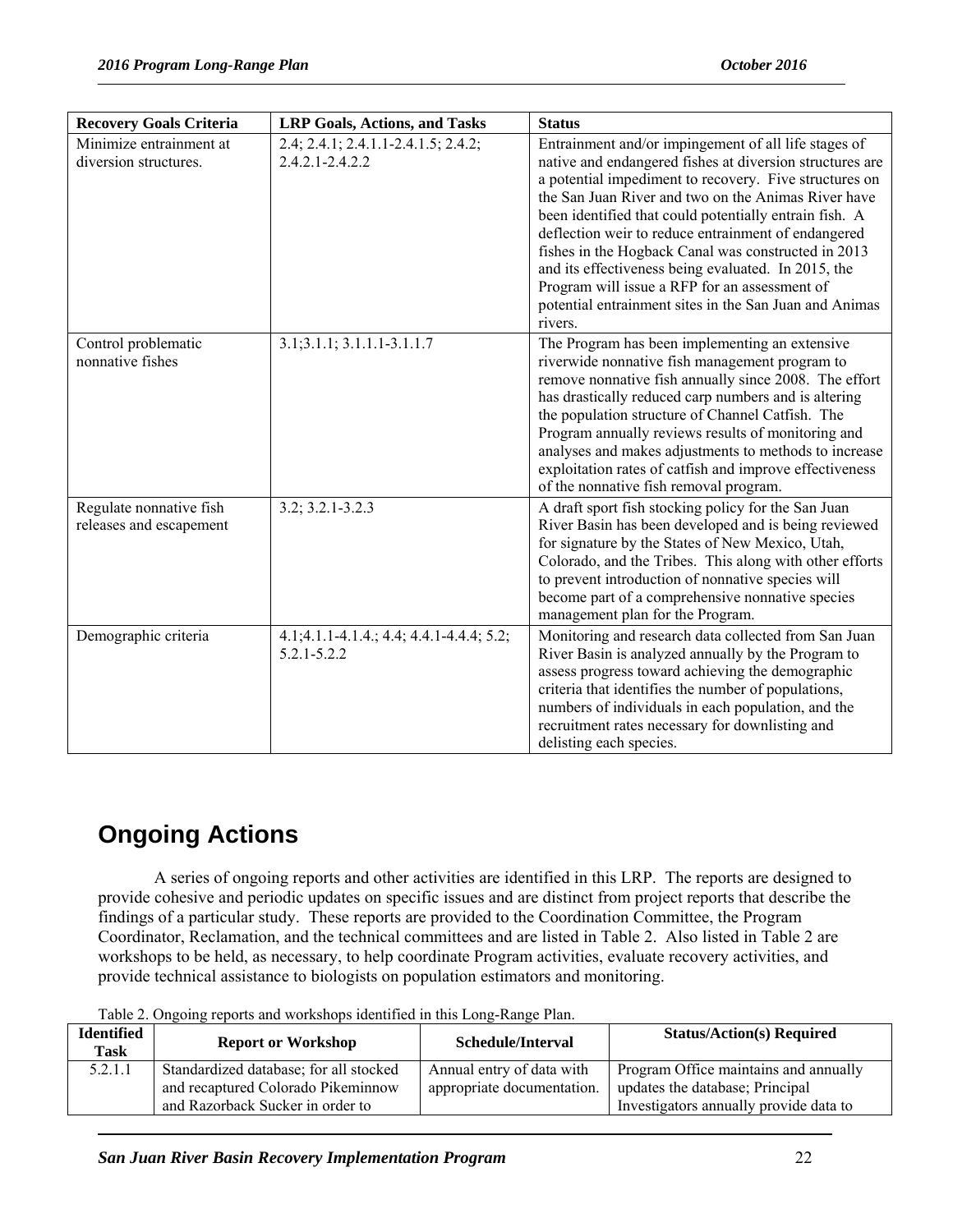| <b>Recovery Goals Criteria</b>                     | <b>LRP Goals, Actions, and Tasks</b>                        | <b>Status</b>                                                                                                                                                                                                                                                                                                                                                                                                                                                                                                                                                                          |
|----------------------------------------------------|-------------------------------------------------------------|----------------------------------------------------------------------------------------------------------------------------------------------------------------------------------------------------------------------------------------------------------------------------------------------------------------------------------------------------------------------------------------------------------------------------------------------------------------------------------------------------------------------------------------------------------------------------------------|
| Minimize entrainment at<br>diversion structures.   | 2.4; 2.4.1; 2.4.1.1-2.4.1.5; 2.4.2;<br>$2.4.2.1 - 2.4.2.2$  | Entrainment and/or impingement of all life stages of<br>native and endangered fishes at diversion structures are<br>a potential impediment to recovery. Five structures on<br>the San Juan River and two on the Animas River have<br>been identified that could potentially entrain fish. A<br>deflection weir to reduce entrainment of endangered<br>fishes in the Hogback Canal was constructed in 2013<br>and its effectiveness being evaluated. In 2015, the<br>Program will issue a RFP for an assessment of<br>potential entrainment sites in the San Juan and Animas<br>rivers. |
| Control problematic<br>nonnative fishes            | 3.1;3.1.1; 3.1.1.1-3.1.1.7                                  | The Program has been implementing an extensive<br>riverwide nonnative fish management program to<br>remove nonnative fish annually since 2008. The effort<br>has drastically reduced carp numbers and is altering<br>the population structure of Channel Catfish. The<br>Program annually reviews results of monitoring and<br>analyses and makes adjustments to methods to increase<br>exploitation rates of catfish and improve effectiveness<br>of the nonnative fish removal program.                                                                                              |
| Regulate nonnative fish<br>releases and escapement | $3.2; 3.2.1 - 3.2.3$                                        | A draft sport fish stocking policy for the San Juan<br>River Basin has been developed and is being reviewed<br>for signature by the States of New Mexico, Utah,<br>Colorado, and the Tribes. This along with other efforts<br>to prevent introduction of nonnative species will<br>become part of a comprehensive nonnative species<br>management plan for the Program.                                                                                                                                                                                                                |
| Demographic criteria                               | 4.1;4.1.1-4.1.4.; 4.4; 4.4.1-4.4.4; 5.2;<br>$5.2.1 - 5.2.2$ | Monitoring and research data collected from San Juan<br>River Basin is analyzed annually by the Program to<br>assess progress toward achieving the demographic<br>criteria that identifies the number of populations,<br>numbers of individuals in each population, and the<br>recruitment rates necessary for downlisting and<br>delisting each species.                                                                                                                                                                                                                              |

# **Ongoing Actions**

A series of ongoing reports and other activities are identified in this LRP. The reports are designed to provide cohesive and periodic updates on specific issues and are distinct from project reports that describe the findings of a particular study. These reports are provided to the Coordination Committee, the Program Coordinator, Reclamation, and the technical committees and are listed in Table 2. Also listed in Table 2 are workshops to be held, as necessary, to help coordinate Program activities, evaluate recovery activities, and provide technical assistance to biologists on population estimators and monitoring.

| Identified<br>Task | <b>Report or Workshop</b>                                                                                        | Schedule/Interval                                       | <b>Status/Action(s) Required</b>                                                                                   |
|--------------------|------------------------------------------------------------------------------------------------------------------|---------------------------------------------------------|--------------------------------------------------------------------------------------------------------------------|
| 5.2.1.1            | Standardized database; for all stocked<br>and recaptured Colorado Pikeminnow<br>and Razorback Sucker in order to | Annual entry of data with<br>appropriate documentation. | Program Office maintains and annually<br>updates the database; Principal<br>Investigators annually provide data to |

Table 2. Ongoing reports and workshops identified in this Long-Range Plan.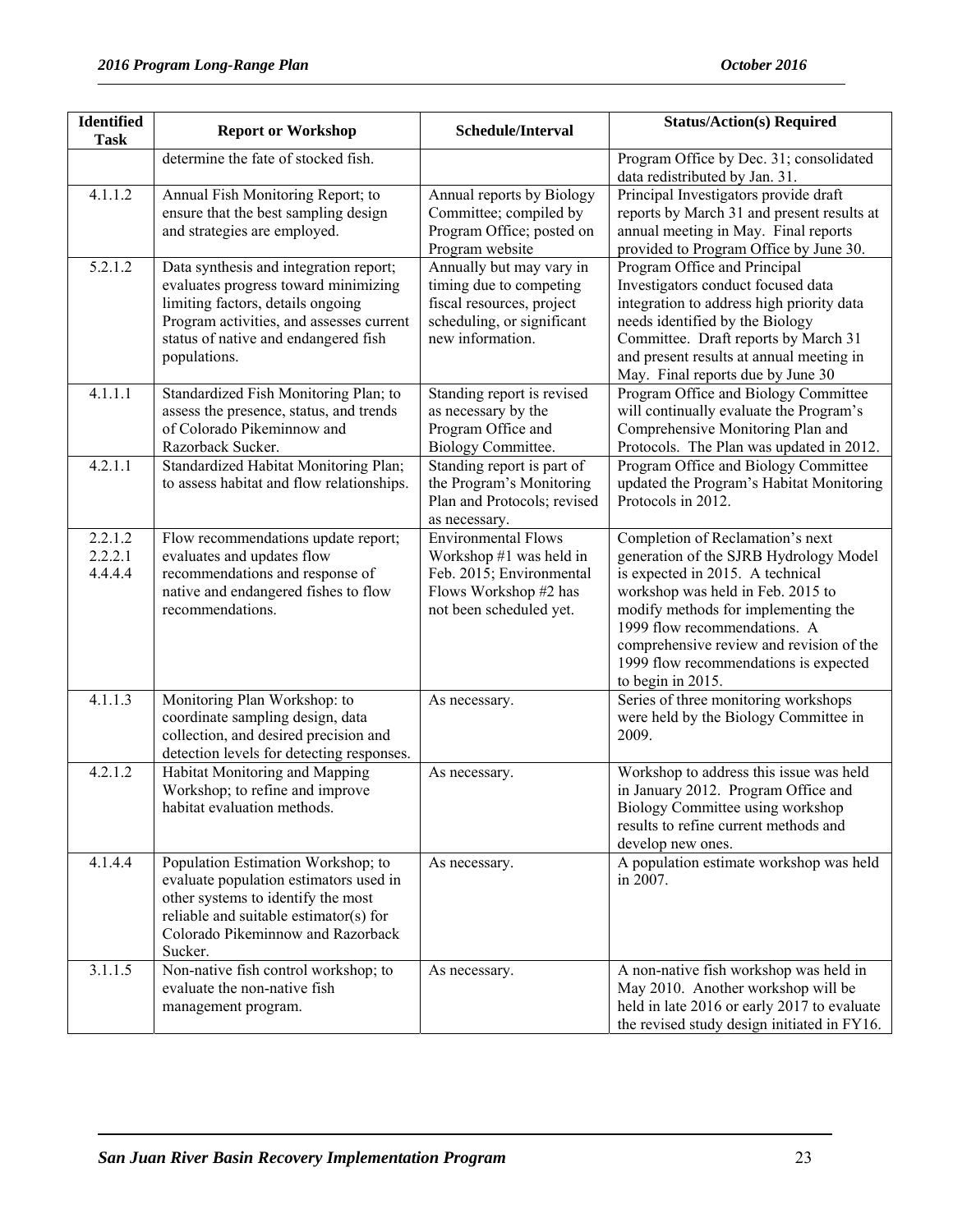| <b>Identified</b>             | <b>Report or Workshop</b>                                                                                                                                                                                               | Schedule/Interval                                                                                                                     | <b>Status/Action(s) Required</b>                                                                                                                                                                                                                                                                                                     |
|-------------------------------|-------------------------------------------------------------------------------------------------------------------------------------------------------------------------------------------------------------------------|---------------------------------------------------------------------------------------------------------------------------------------|--------------------------------------------------------------------------------------------------------------------------------------------------------------------------------------------------------------------------------------------------------------------------------------------------------------------------------------|
| <b>Task</b>                   | determine the fate of stocked fish.                                                                                                                                                                                     |                                                                                                                                       | Program Office by Dec. 31; consolidated                                                                                                                                                                                                                                                                                              |
|                               |                                                                                                                                                                                                                         |                                                                                                                                       | data redistributed by Jan. 31.                                                                                                                                                                                                                                                                                                       |
| 4.1.1.2                       | Annual Fish Monitoring Report; to<br>ensure that the best sampling design<br>and strategies are employed.                                                                                                               | Annual reports by Biology<br>Committee; compiled by<br>Program Office; posted on<br>Program website                                   | Principal Investigators provide draft<br>reports by March 31 and present results at<br>annual meeting in May. Final reports<br>provided to Program Office by June 30.                                                                                                                                                                |
| 5.2.1.2                       | Data synthesis and integration report;<br>evaluates progress toward minimizing<br>limiting factors, details ongoing<br>Program activities, and assesses current<br>status of native and endangered fish<br>populations. | Annually but may vary in<br>timing due to competing<br>fiscal resources, project<br>scheduling, or significant<br>new information.    | Program Office and Principal<br>Investigators conduct focused data<br>integration to address high priority data<br>needs identified by the Biology<br>Committee. Draft reports by March 31<br>and present results at annual meeting in<br>May. Final reports due by June 30                                                          |
| 4.1.1.1                       | Standardized Fish Monitoring Plan; to<br>assess the presence, status, and trends<br>of Colorado Pikeminnow and<br>Razorback Sucker.                                                                                     | Standing report is revised<br>as necessary by the<br>Program Office and<br><b>Biology Committee.</b>                                  | Program Office and Biology Committee<br>will continually evaluate the Program's<br>Comprehensive Monitoring Plan and<br>Protocols. The Plan was updated in 2012.                                                                                                                                                                     |
| 4.2.1.1                       | Standardized Habitat Monitoring Plan;<br>to assess habitat and flow relationships.                                                                                                                                      | Standing report is part of<br>the Program's Monitoring<br>Plan and Protocols; revised<br>as necessary.                                | Program Office and Biology Committee<br>updated the Program's Habitat Monitoring<br>Protocols in 2012.                                                                                                                                                                                                                               |
| 2.2.1.2<br>2.2.2.1<br>4.4.4.4 | Flow recommendations update report;<br>evaluates and updates flow<br>recommendations and response of<br>native and endangered fishes to flow<br>recommendations.                                                        | <b>Environmental Flows</b><br>Workshop #1 was held in<br>Feb. 2015; Environmental<br>Flows Workshop #2 has<br>not been scheduled yet. | Completion of Reclamation's next<br>generation of the SJRB Hydrology Model<br>is expected in 2015. A technical<br>workshop was held in Feb. 2015 to<br>modify methods for implementing the<br>1999 flow recommendations. A<br>comprehensive review and revision of the<br>1999 flow recommendations is expected<br>to begin in 2015. |
| 4.1.1.3                       | Monitoring Plan Workshop: to<br>coordinate sampling design, data<br>collection, and desired precision and<br>detection levels for detecting responses.                                                                  | As necessary.                                                                                                                         | Series of three monitoring workshops<br>were held by the Biology Committee in<br>2009.                                                                                                                                                                                                                                               |
| 4.2.1.2                       | Habitat Monitoring and Mapping<br>Workshop; to refine and improve<br>habitat evaluation methods.                                                                                                                        | As necessary.                                                                                                                         | Workshop to address this issue was held<br>in January 2012. Program Office and<br>Biology Committee using workshop<br>results to refine current methods and<br>develop new ones.                                                                                                                                                     |
| 4.1.4.4                       | Population Estimation Workshop; to<br>evaluate population estimators used in<br>other systems to identify the most<br>reliable and suitable estimator(s) for<br>Colorado Pikeminnow and Razorback<br>Sucker.            | As necessary.                                                                                                                         | A population estimate workshop was held<br>in 2007.                                                                                                                                                                                                                                                                                  |
| 3.1.1.5                       | Non-native fish control workshop; to<br>evaluate the non-native fish<br>management program.                                                                                                                             | As necessary.                                                                                                                         | A non-native fish workshop was held in<br>May 2010. Another workshop will be<br>held in late 2016 or early 2017 to evaluate<br>the revised study design initiated in FY16.                                                                                                                                                           |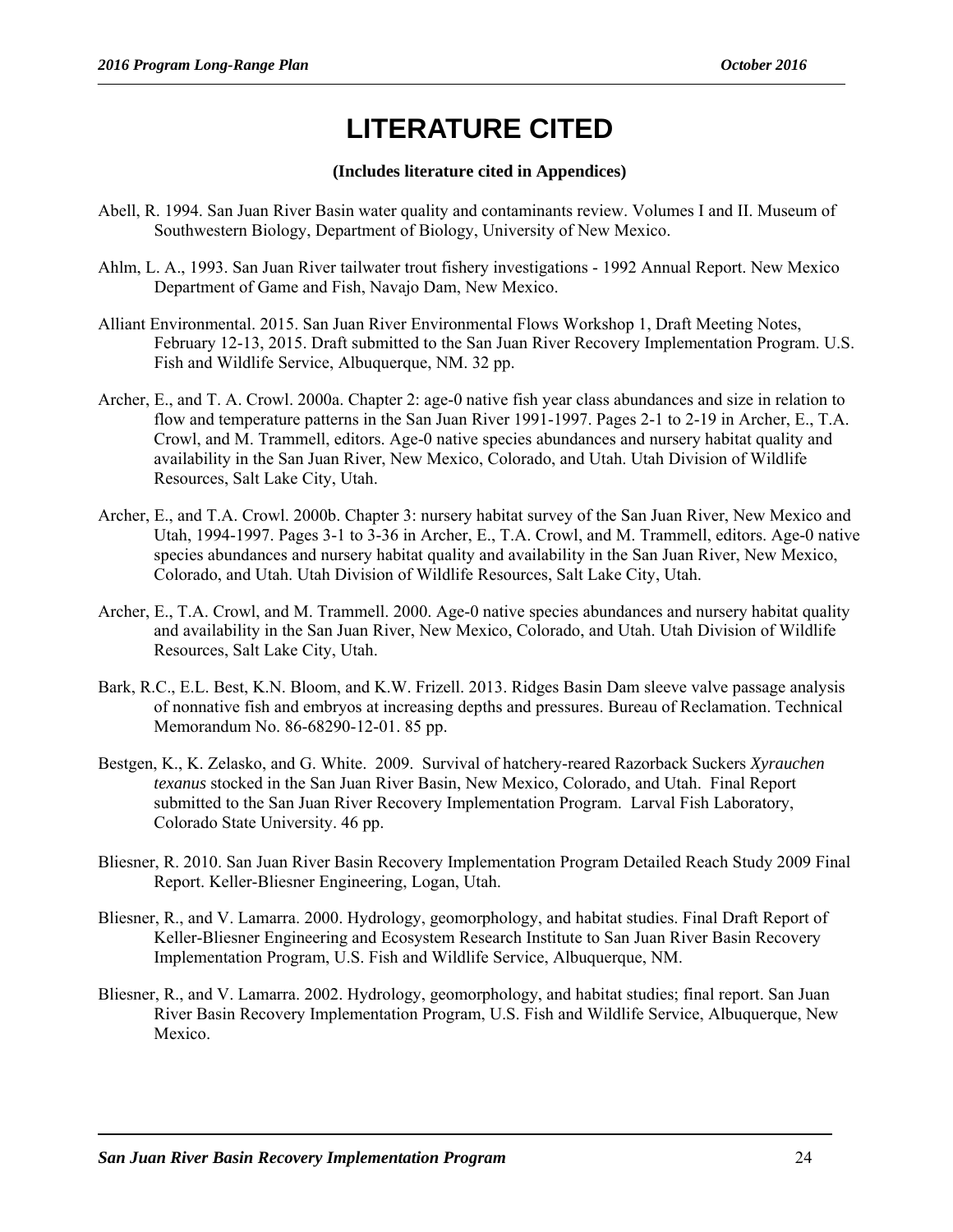# **LITERATURE CITED**

#### **(Includes literature cited in Appendices)**

- Abell, R. 1994. San Juan River Basin water quality and contaminants review. Volumes I and II. Museum of Southwestern Biology, Department of Biology, University of New Mexico.
- Ahlm, L. A., 1993. San Juan River tailwater trout fishery investigations 1992 Annual Report. New Mexico Department of Game and Fish, Navajo Dam, New Mexico.
- Alliant Environmental. 2015. San Juan River Environmental Flows Workshop 1, Draft Meeting Notes, February 12-13, 2015. Draft submitted to the San Juan River Recovery Implementation Program. U.S. Fish and Wildlife Service, Albuquerque, NM. 32 pp.
- Archer, E., and T. A. Crowl. 2000a. Chapter 2: age-0 native fish year class abundances and size in relation to flow and temperature patterns in the San Juan River 1991-1997. Pages 2-1 to 2-19 in Archer, E., T.A. Crowl, and M. Trammell, editors. Age-0 native species abundances and nursery habitat quality and availability in the San Juan River, New Mexico, Colorado, and Utah. Utah Division of Wildlife Resources, Salt Lake City, Utah.
- Archer, E., and T.A. Crowl. 2000b. Chapter 3: nursery habitat survey of the San Juan River, New Mexico and Utah, 1994-1997. Pages 3-1 to 3-36 in Archer, E., T.A. Crowl, and M. Trammell, editors. Age-0 native species abundances and nursery habitat quality and availability in the San Juan River, New Mexico, Colorado, and Utah. Utah Division of Wildlife Resources, Salt Lake City, Utah.
- Archer, E., T.A. Crowl, and M. Trammell. 2000. Age-0 native species abundances and nursery habitat quality and availability in the San Juan River, New Mexico, Colorado, and Utah. Utah Division of Wildlife Resources, Salt Lake City, Utah.
- Bark, R.C., E.L. Best, K.N. Bloom, and K.W. Frizell. 2013. Ridges Basin Dam sleeve valve passage analysis of nonnative fish and embryos at increasing depths and pressures. Bureau of Reclamation. Technical Memorandum No. 86-68290-12-01. 85 pp.
- Bestgen, K., K. Zelasko, and G. White. 2009. Survival of hatchery-reared Razorback Suckers *Xyrauchen texanus* stocked in the San Juan River Basin, New Mexico, Colorado, and Utah. Final Report submitted to the San Juan River Recovery Implementation Program. Larval Fish Laboratory, Colorado State University. 46 pp.
- Bliesner, R. 2010. San Juan River Basin Recovery Implementation Program Detailed Reach Study 2009 Final Report. Keller-Bliesner Engineering, Logan, Utah.
- Bliesner, R., and V. Lamarra. 2000. Hydrology, geomorphology, and habitat studies. Final Draft Report of Keller-Bliesner Engineering and Ecosystem Research Institute to San Juan River Basin Recovery Implementation Program, U.S. Fish and Wildlife Service, Albuquerque, NM.
- Bliesner, R., and V. Lamarra. 2002. Hydrology, geomorphology, and habitat studies; final report. San Juan River Basin Recovery Implementation Program, U.S. Fish and Wildlife Service, Albuquerque, New Mexico.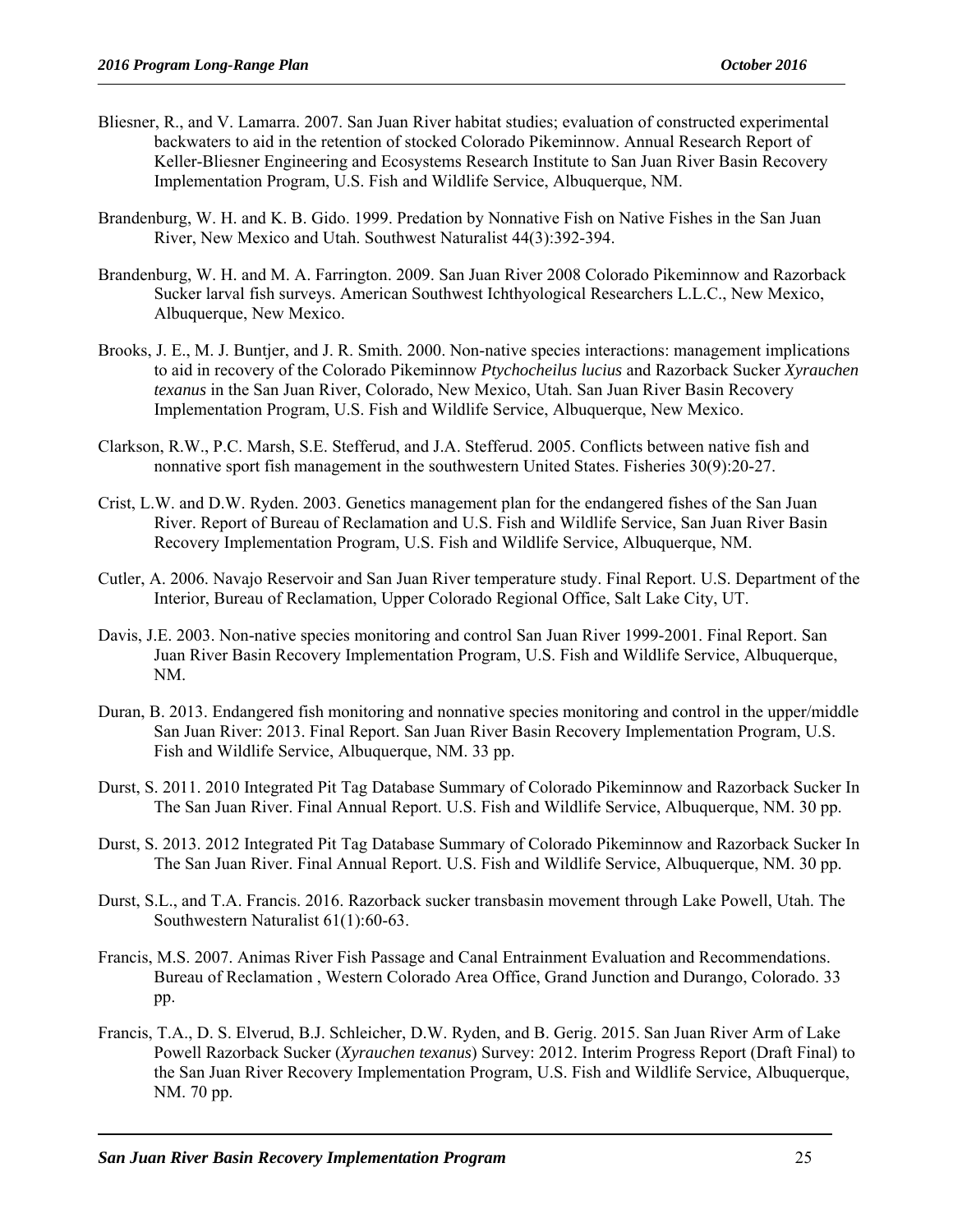- Bliesner, R., and V. Lamarra. 2007. San Juan River habitat studies; evaluation of constructed experimental backwaters to aid in the retention of stocked Colorado Pikeminnow. Annual Research Report of Keller-Bliesner Engineering and Ecosystems Research Institute to San Juan River Basin Recovery Implementation Program, U.S. Fish and Wildlife Service, Albuquerque, NM.
- Brandenburg, W. H. and K. B. Gido. 1999. Predation by Nonnative Fish on Native Fishes in the San Juan River, New Mexico and Utah. Southwest Naturalist 44(3):392-394.
- Brandenburg, W. H. and M. A. Farrington. 2009. San Juan River 2008 Colorado Pikeminnow and Razorback Sucker larval fish surveys. American Southwest Ichthyological Researchers L.L.C., New Mexico, Albuquerque, New Mexico.
- Brooks, J. E., M. J. Buntjer, and J. R. Smith. 2000. Non-native species interactions: management implications to aid in recovery of the Colorado Pikeminnow *Ptychocheilus lucius* and Razorback Sucker *Xyrauchen texanus* in the San Juan River, Colorado, New Mexico, Utah. San Juan River Basin Recovery Implementation Program, U.S. Fish and Wildlife Service, Albuquerque, New Mexico.
- Clarkson, R.W., P.C. Marsh, S.E. Stefferud, and J.A. Stefferud. 2005. Conflicts between native fish and nonnative sport fish management in the southwestern United States. Fisheries 30(9):20-27.
- Crist, L.W. and D.W. Ryden. 2003. Genetics management plan for the endangered fishes of the San Juan River. Report of Bureau of Reclamation and U.S. Fish and Wildlife Service, San Juan River Basin Recovery Implementation Program, U.S. Fish and Wildlife Service, Albuquerque, NM.
- Cutler, A. 2006. Navajo Reservoir and San Juan River temperature study. Final Report. U.S. Department of the Interior, Bureau of Reclamation, Upper Colorado Regional Office, Salt Lake City, UT.
- Davis, J.E. 2003. Non-native species monitoring and control San Juan River 1999-2001. Final Report. San Juan River Basin Recovery Implementation Program, U.S. Fish and Wildlife Service, Albuquerque, NM.
- Duran, B. 2013. Endangered fish monitoring and nonnative species monitoring and control in the upper/middle San Juan River: 2013. Final Report. San Juan River Basin Recovery Implementation Program, U.S. Fish and Wildlife Service, Albuquerque, NM. 33 pp.
- Durst, S. 2011. 2010 Integrated Pit Tag Database Summary of Colorado Pikeminnow and Razorback Sucker In The San Juan River. Final Annual Report. U.S. Fish and Wildlife Service, Albuquerque, NM. 30 pp.
- Durst, S. 2013. 2012 Integrated Pit Tag Database Summary of Colorado Pikeminnow and Razorback Sucker In The San Juan River. Final Annual Report. U.S. Fish and Wildlife Service, Albuquerque, NM. 30 pp.
- Durst, S.L., and T.A. Francis. 2016. Razorback sucker transbasin movement through Lake Powell, Utah. The Southwestern Naturalist 61(1):60-63.
- Francis, M.S. 2007. Animas River Fish Passage and Canal Entrainment Evaluation and Recommendations. Bureau of Reclamation , Western Colorado Area Office, Grand Junction and Durango, Colorado. 33 pp.
- Francis, T.A., D. S. Elverud, B.J. Schleicher, D.W. Ryden, and B. Gerig. 2015. San Juan River Arm of Lake Powell Razorback Sucker (*Xyrauchen texanus*) Survey: 2012. Interim Progress Report (Draft Final) to the San Juan River Recovery Implementation Program, U.S. Fish and Wildlife Service, Albuquerque, NM. 70 pp.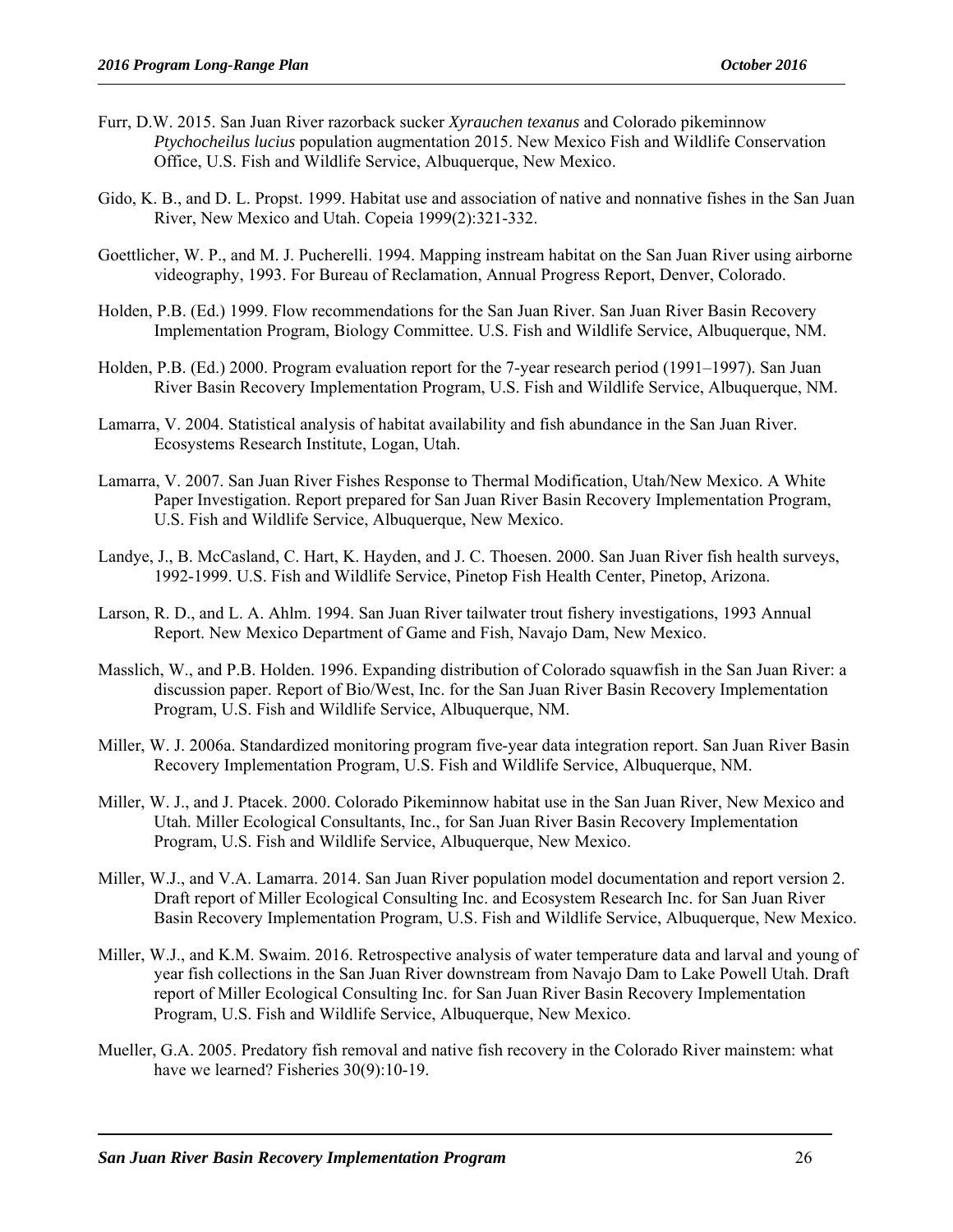- Furr, D.W. 2015. San Juan River razorback sucker *Xyrauchen texanus* and Colorado pikeminnow *Ptychocheilus lucius* population augmentation 2015. New Mexico Fish and Wildlife Conservation Office, U.S. Fish and Wildlife Service, Albuquerque, New Mexico.
- Gido, K. B., and D. L. Propst. 1999. Habitat use and association of native and nonnative fishes in the San Juan River, New Mexico and Utah. Copeia 1999(2):321-332.
- Goettlicher, W. P., and M. J. Pucherelli. 1994. Mapping instream habitat on the San Juan River using airborne videography, 1993. For Bureau of Reclamation, Annual Progress Report, Denver, Colorado.
- Holden, P.B. (Ed.) 1999. Flow recommendations for the San Juan River. San Juan River Basin Recovery Implementation Program, Biology Committee. U.S. Fish and Wildlife Service, Albuquerque, NM.
- Holden, P.B. (Ed.) 2000. Program evaluation report for the 7-year research period (1991–1997). San Juan River Basin Recovery Implementation Program, U.S. Fish and Wildlife Service, Albuquerque, NM.
- Lamarra, V. 2004. Statistical analysis of habitat availability and fish abundance in the San Juan River. Ecosystems Research Institute, Logan, Utah.
- Lamarra, V. 2007. San Juan River Fishes Response to Thermal Modification, Utah/New Mexico. A White Paper Investigation. Report prepared for San Juan River Basin Recovery Implementation Program, U.S. Fish and Wildlife Service, Albuquerque, New Mexico.
- Landye, J., B. McCasland, C. Hart, K. Hayden, and J. C. Thoesen. 2000. San Juan River fish health surveys, 1992-1999. U.S. Fish and Wildlife Service, Pinetop Fish Health Center, Pinetop, Arizona.
- Larson, R. D., and L. A. Ahlm. 1994. San Juan River tailwater trout fishery investigations, 1993 Annual Report. New Mexico Department of Game and Fish, Navajo Dam, New Mexico.
- Masslich, W., and P.B. Holden. 1996. Expanding distribution of Colorado squawfish in the San Juan River: a discussion paper. Report of Bio/West, Inc. for the San Juan River Basin Recovery Implementation Program, U.S. Fish and Wildlife Service, Albuquerque, NM.
- Miller, W. J. 2006a. Standardized monitoring program five-year data integration report. San Juan River Basin Recovery Implementation Program, U.S. Fish and Wildlife Service, Albuquerque, NM.
- Miller, W. J., and J. Ptacek. 2000. Colorado Pikeminnow habitat use in the San Juan River, New Mexico and Utah. Miller Ecological Consultants, Inc., for San Juan River Basin Recovery Implementation Program, U.S. Fish and Wildlife Service, Albuquerque, New Mexico.
- Miller, W.J., and V.A. Lamarra. 2014. San Juan River population model documentation and report version 2. Draft report of Miller Ecological Consulting Inc. and Ecosystem Research Inc. for San Juan River Basin Recovery Implementation Program, U.S. Fish and Wildlife Service, Albuquerque, New Mexico.
- Miller, W.J., and K.M. Swaim. 2016. Retrospective analysis of water temperature data and larval and young of year fish collections in the San Juan River downstream from Navajo Dam to Lake Powell Utah. Draft report of Miller Ecological Consulting Inc. for San Juan River Basin Recovery Implementation Program, U.S. Fish and Wildlife Service, Albuquerque, New Mexico.
- Mueller, G.A. 2005. Predatory fish removal and native fish recovery in the Colorado River mainstem: what have we learned? Fisheries  $30(9)$ :10-19.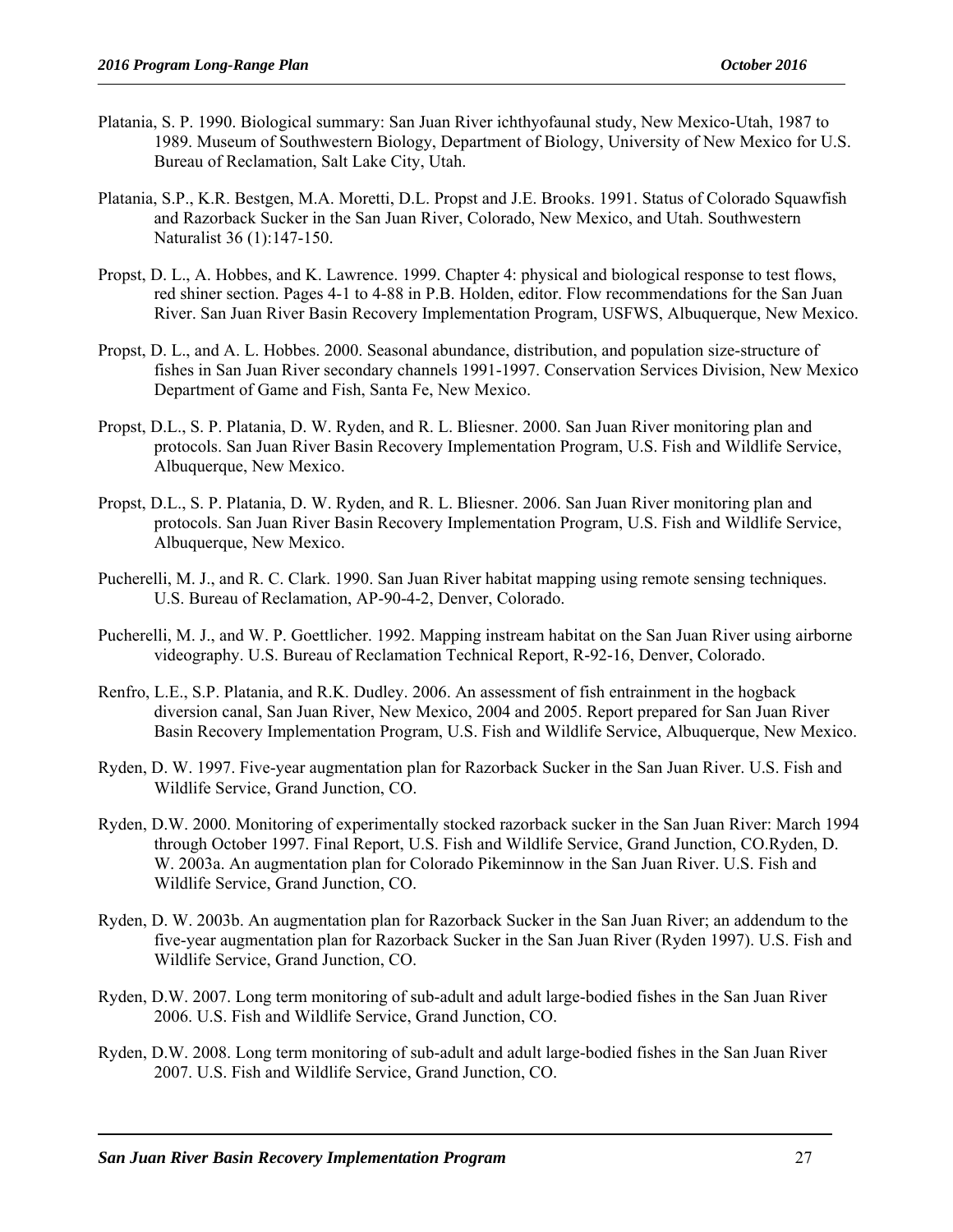- Platania, S. P. 1990. Biological summary: San Juan River ichthyofaunal study, New Mexico-Utah, 1987 to 1989. Museum of Southwestern Biology, Department of Biology, University of New Mexico for U.S. Bureau of Reclamation, Salt Lake City, Utah.
- Platania, S.P., K.R. Bestgen, M.A. Moretti, D.L. Propst and J.E. Brooks. 1991. Status of Colorado Squawfish and Razorback Sucker in the San Juan River, Colorado, New Mexico, and Utah. Southwestern Naturalist 36 (1):147-150.
- Propst, D. L., A. Hobbes, and K. Lawrence. 1999. Chapter 4: physical and biological response to test flows, red shiner section. Pages 4-1 to 4-88 in P.B. Holden, editor. Flow recommendations for the San Juan River. San Juan River Basin Recovery Implementation Program, USFWS, Albuquerque, New Mexico.
- Propst, D. L., and A. L. Hobbes. 2000. Seasonal abundance, distribution, and population size-structure of fishes in San Juan River secondary channels 1991-1997. Conservation Services Division, New Mexico Department of Game and Fish, Santa Fe, New Mexico.
- Propst, D.L., S. P. Platania, D. W. Ryden, and R. L. Bliesner. 2000. San Juan River monitoring plan and protocols. San Juan River Basin Recovery Implementation Program, U.S. Fish and Wildlife Service, Albuquerque, New Mexico.
- Propst, D.L., S. P. Platania, D. W. Ryden, and R. L. Bliesner. 2006. San Juan River monitoring plan and protocols. San Juan River Basin Recovery Implementation Program, U.S. Fish and Wildlife Service, Albuquerque, New Mexico.
- Pucherelli, M. J., and R. C. Clark. 1990. San Juan River habitat mapping using remote sensing techniques. U.S. Bureau of Reclamation, AP-90-4-2, Denver, Colorado.
- Pucherelli, M. J., and W. P. Goettlicher. 1992. Mapping instream habitat on the San Juan River using airborne videography. U.S. Bureau of Reclamation Technical Report, R-92-16, Denver, Colorado.
- Renfro, L.E., S.P. Platania, and R.K. Dudley. 2006. An assessment of fish entrainment in the hogback diversion canal, San Juan River, New Mexico, 2004 and 2005. Report prepared for San Juan River Basin Recovery Implementation Program, U.S. Fish and Wildlife Service, Albuquerque, New Mexico.
- Ryden, D. W. 1997. Five-year augmentation plan for Razorback Sucker in the San Juan River. U.S. Fish and Wildlife Service, Grand Junction, CO.
- Ryden, D.W. 2000. Monitoring of experimentally stocked razorback sucker in the San Juan River: March 1994 through October 1997. Final Report, U.S. Fish and Wildlife Service, Grand Junction, CO.Ryden, D. W. 2003a. An augmentation plan for Colorado Pikeminnow in the San Juan River. U.S. Fish and Wildlife Service, Grand Junction, CO.
- Ryden, D. W. 2003b. An augmentation plan for Razorback Sucker in the San Juan River; an addendum to the five-year augmentation plan for Razorback Sucker in the San Juan River (Ryden 1997). U.S. Fish and Wildlife Service, Grand Junction, CO.
- Ryden, D.W. 2007. Long term monitoring of sub-adult and adult large-bodied fishes in the San Juan River 2006. U.S. Fish and Wildlife Service, Grand Junction, CO.
- Ryden, D.W. 2008. Long term monitoring of sub-adult and adult large-bodied fishes in the San Juan River 2007. U.S. Fish and Wildlife Service, Grand Junction, CO.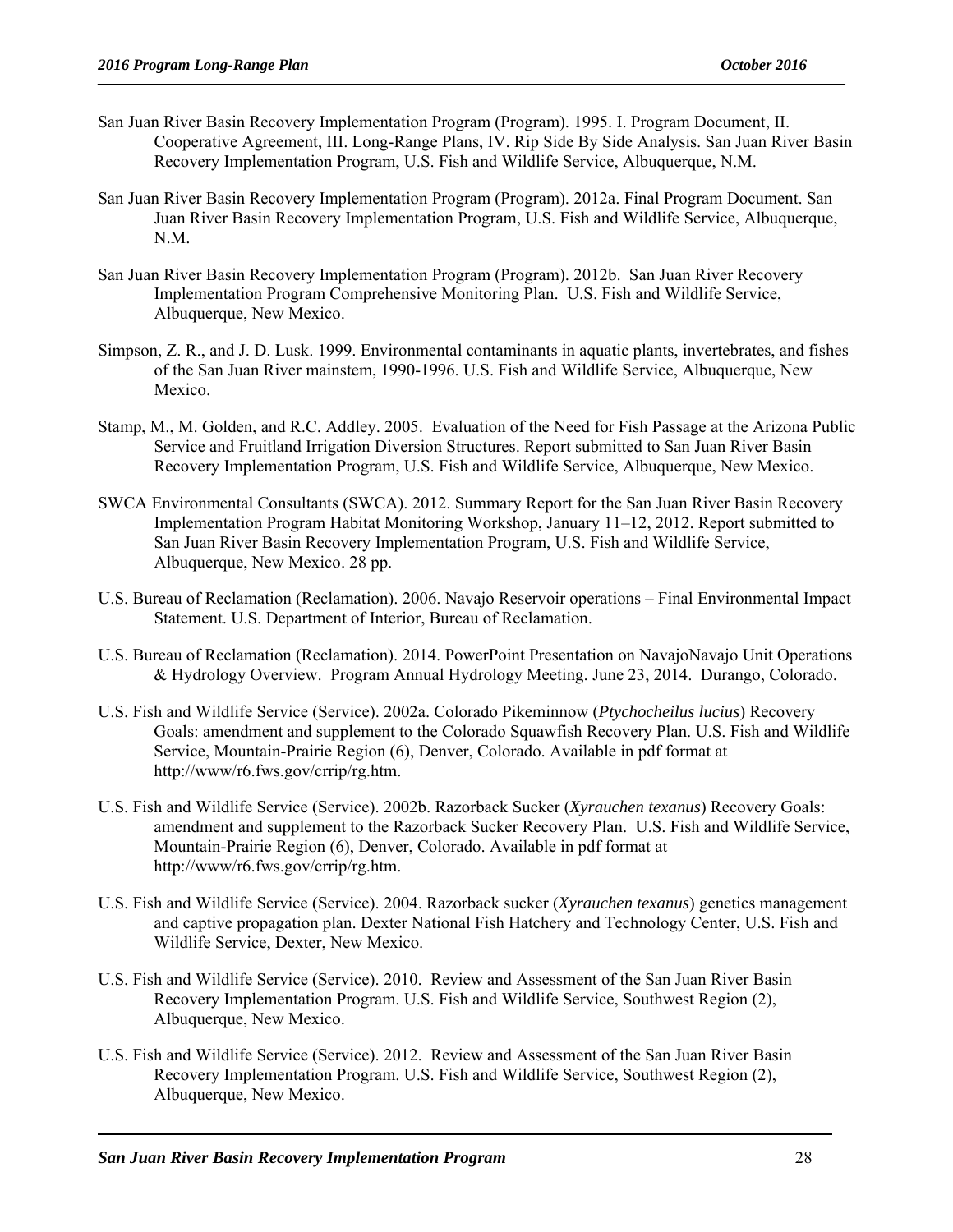- San Juan River Basin Recovery Implementation Program (Program). 1995. I. Program Document, II. Cooperative Agreement, III. Long-Range Plans, IV. Rip Side By Side Analysis. San Juan River Basin Recovery Implementation Program, U.S. Fish and Wildlife Service, Albuquerque, N.M.
- San Juan River Basin Recovery Implementation Program (Program). 2012a. Final Program Document. San Juan River Basin Recovery Implementation Program, U.S. Fish and Wildlife Service, Albuquerque, N.M.
- San Juan River Basin Recovery Implementation Program (Program). 2012b. San Juan River Recovery Implementation Program Comprehensive Monitoring Plan. U.S. Fish and Wildlife Service, Albuquerque, New Mexico.
- Simpson, Z. R., and J. D. Lusk. 1999. Environmental contaminants in aquatic plants, invertebrates, and fishes of the San Juan River mainstem, 1990-1996. U.S. Fish and Wildlife Service, Albuquerque, New Mexico.
- Stamp, M., M. Golden, and R.C. Addley. 2005. Evaluation of the Need for Fish Passage at the Arizona Public Service and Fruitland Irrigation Diversion Structures. Report submitted to San Juan River Basin Recovery Implementation Program, U.S. Fish and Wildlife Service, Albuquerque, New Mexico.
- SWCA Environmental Consultants (SWCA). 2012. Summary Report for the San Juan River Basin Recovery Implementation Program Habitat Monitoring Workshop, January 11–12, 2012. Report submitted to San Juan River Basin Recovery Implementation Program, U.S. Fish and Wildlife Service, Albuquerque, New Mexico. 28 pp.
- U.S. Bureau of Reclamation (Reclamation). 2006. Navajo Reservoir operations Final Environmental Impact Statement. U.S. Department of Interior, Bureau of Reclamation.
- U.S. Bureau of Reclamation (Reclamation). 2014. PowerPoint Presentation on NavajoNavajo Unit Operations & Hydrology Overview. Program Annual Hydrology Meeting. June 23, 2014. Durango, Colorado.
- U.S. Fish and Wildlife Service (Service). 2002a. Colorado Pikeminnow (*Ptychocheilus lucius*) Recovery Goals: amendment and supplement to the Colorado Squawfish Recovery Plan. U.S. Fish and Wildlife Service, Mountain-Prairie Region (6), Denver, Colorado. Available in pdf format at http://www/r6.fws.gov/crrip/rg.htm.
- U.S. Fish and Wildlife Service (Service). 2002b. Razorback Sucker (*Xyrauchen texanus*) Recovery Goals: amendment and supplement to the Razorback Sucker Recovery Plan. U.S. Fish and Wildlife Service, Mountain-Prairie Region (6), Denver, Colorado. Available in pdf format at http://www/r6.fws.gov/crrip/rg.htm.
- U.S. Fish and Wildlife Service (Service). 2004. Razorback sucker (*Xyrauchen texanus*) genetics management and captive propagation plan. Dexter National Fish Hatchery and Technology Center, U.S. Fish and Wildlife Service, Dexter, New Mexico.
- U.S. Fish and Wildlife Service (Service). 2010. Review and Assessment of the San Juan River Basin Recovery Implementation Program. U.S. Fish and Wildlife Service, Southwest Region (2), Albuquerque, New Mexico.
- U.S. Fish and Wildlife Service (Service). 2012. Review and Assessment of the San Juan River Basin Recovery Implementation Program. U.S. Fish and Wildlife Service, Southwest Region (2), Albuquerque, New Mexico.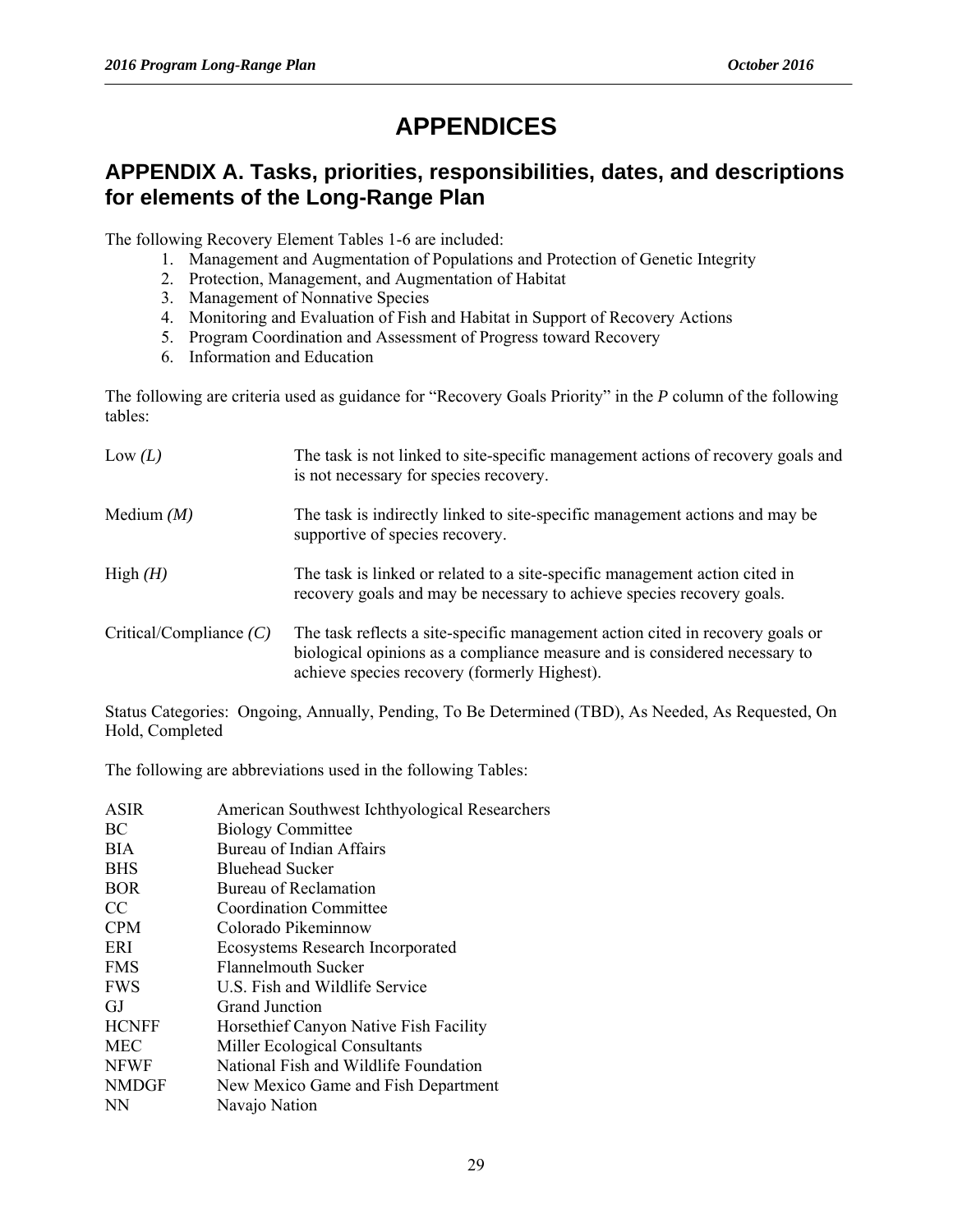# **APPENDICES**

#### **APPENDIX A. Tasks, priorities, responsibilities, dates, and descriptions for elements of the Long-Range Plan**

The following Recovery Element Tables 1-6 are included:

- 1. Management and Augmentation of Populations and Protection of Genetic Integrity
- 2. Protection, Management, and Augmentation of Habitat
- 3. Management of Nonnative Species
- 4. Monitoring and Evaluation of Fish and Habitat in Support of Recovery Actions
- 5. Program Coordination and Assessment of Progress toward Recovery
- 6. Information and Education

The following are criteria used as guidance for "Recovery Goals Priority" in the *P* column of the following tables:

| Low $(L)$                 | The task is not linked to site-specific management actions of recovery goals and<br>is not necessary for species recovery.                                                                                   |  |
|---------------------------|--------------------------------------------------------------------------------------------------------------------------------------------------------------------------------------------------------------|--|
| Medium $(M)$              | The task is indirectly linked to site-specific management actions and may be<br>supportive of species recovery.                                                                                              |  |
| High $(H)$                | The task is linked or related to a site-specific management action cited in<br>recovery goals and may be necessary to achieve species recovery goals.                                                        |  |
| Critical/Compliance $(C)$ | The task reflects a site-specific management action cited in recovery goals or<br>biological opinions as a compliance measure and is considered necessary to<br>achieve species recovery (formerly Highest). |  |

Status Categories: Ongoing, Annually, Pending, To Be Determined (TBD), As Needed, As Requested, On Hold, Completed

The following are abbreviations used in the following Tables:

| American Southwest Ichthyological Researchers |
|-----------------------------------------------|
| <b>Biology Committee</b>                      |
| Bureau of Indian Affairs                      |
| <b>Bluehead Sucker</b>                        |
| <b>Bureau of Reclamation</b>                  |
| Coordination Committee                        |
| Colorado Pikeminnow                           |
| <b>Ecosystems Research Incorporated</b>       |
| Flannelmouth Sucker                           |
| U.S. Fish and Wildlife Service                |
| Grand Junction                                |
| Horsethief Canyon Native Fish Facility        |
| Miller Ecological Consultants                 |
| National Fish and Wildlife Foundation         |
| New Mexico Game and Fish Department           |
| Navajo Nation                                 |
|                                               |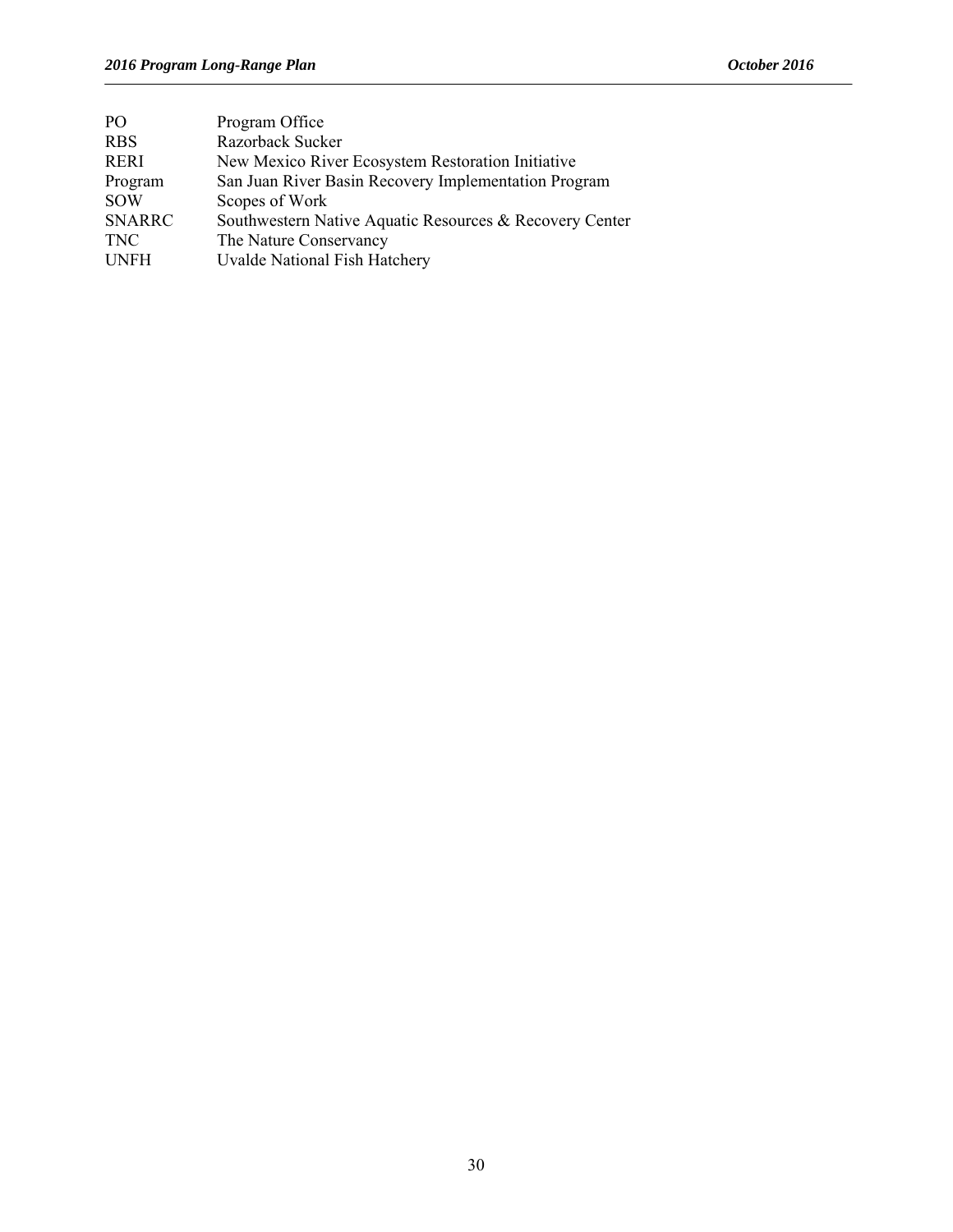| PO <sub>1</sub> | Program Office                                          |
|-----------------|---------------------------------------------------------|
| <b>RBS</b>      | Razorback Sucker                                        |
| <b>RERI</b>     | New Mexico River Ecosystem Restoration Initiative       |
| Program         | San Juan River Basin Recovery Implementation Program    |
| <b>SOW</b>      | Scopes of Work                                          |
| <b>SNARRC</b>   | Southwestern Native Aquatic Resources & Recovery Center |
| <b>TNC</b>      | The Nature Conservancy                                  |
| <b>UNFH</b>     | Uvalde National Fish Hatchery                           |
|                 |                                                         |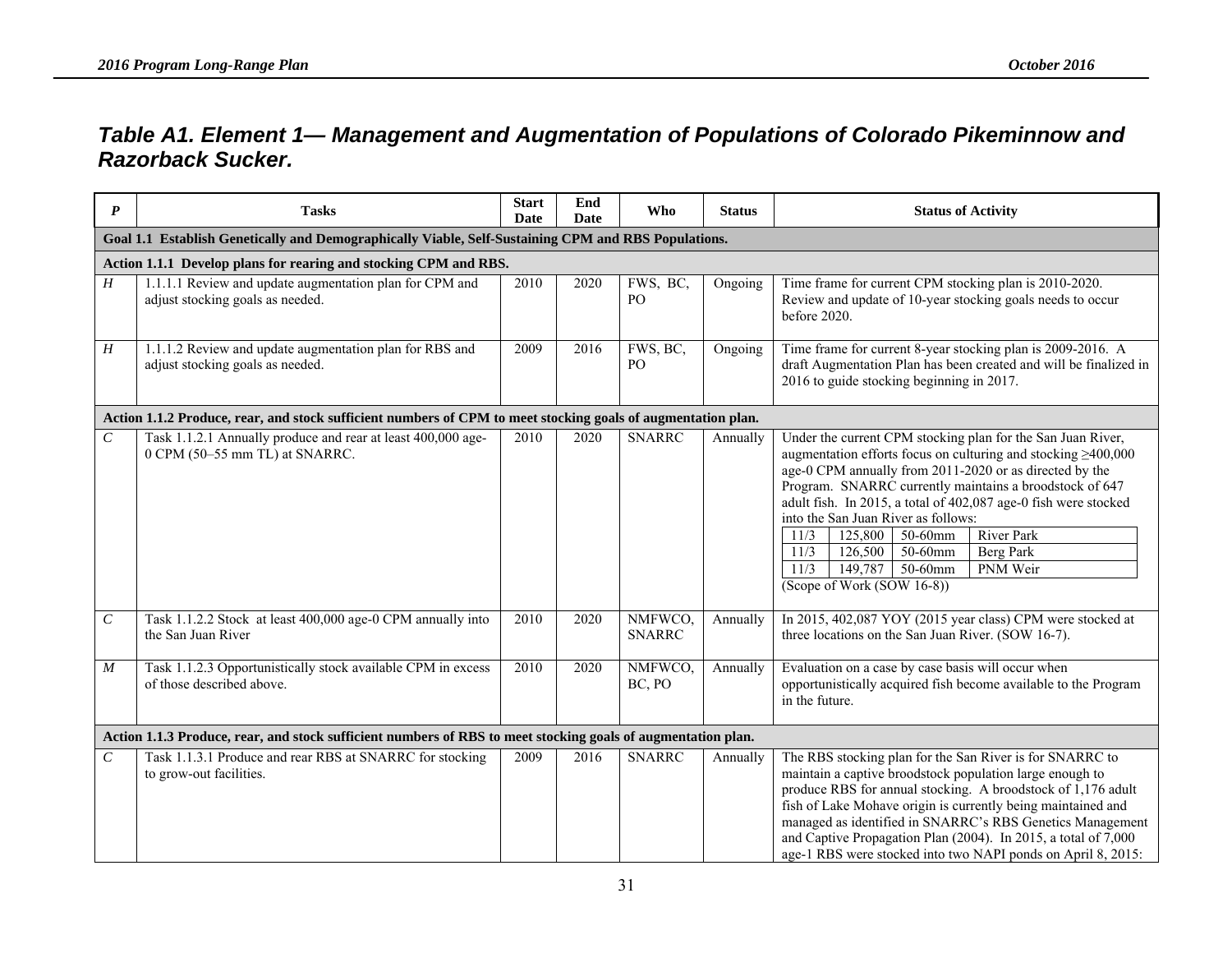### *Table A1. Element 1— Management and Augmentation of Populations of Colorado Pikeminnow and Razorback Sucker.*

| $\boldsymbol{P}$                                                                                             | <b>Tasks</b>                                                                                                 | <b>Start</b><br>Date | End<br>Date | <b>Who</b>                  | <b>Status</b> | <b>Status of Activity</b>                                                                                                                                                                                                                                                                                                                                                                                                                                                                                                                              |
|--------------------------------------------------------------------------------------------------------------|--------------------------------------------------------------------------------------------------------------|----------------------|-------------|-----------------------------|---------------|--------------------------------------------------------------------------------------------------------------------------------------------------------------------------------------------------------------------------------------------------------------------------------------------------------------------------------------------------------------------------------------------------------------------------------------------------------------------------------------------------------------------------------------------------------|
|                                                                                                              | Goal 1.1 Establish Genetically and Demographically Viable, Self-Sustaining CPM and RBS Populations.          |                      |             |                             |               |                                                                                                                                                                                                                                                                                                                                                                                                                                                                                                                                                        |
|                                                                                                              | Action 1.1.1 Develop plans for rearing and stocking CPM and RBS.                                             |                      |             |                             |               |                                                                                                                                                                                                                                                                                                                                                                                                                                                                                                                                                        |
| H                                                                                                            | 1.1.1.1 Review and update augmentation plan for CPM and<br>adjust stocking goals as needed.                  | 2010                 | 2020        | FWS, BC,<br>PO <sub>1</sub> | Ongoing       | Time frame for current CPM stocking plan is 2010-2020.<br>Review and update of 10-year stocking goals needs to occur<br>before 2020.                                                                                                                                                                                                                                                                                                                                                                                                                   |
| Η                                                                                                            | 1.1.1.2 Review and update augmentation plan for RBS and<br>adjust stocking goals as needed.                  | 2009                 | 2016        | FWS, BC,<br>PO <sub>1</sub> | Ongoing       | Time frame for current 8-year stocking plan is 2009-2016. A<br>draft Augmentation Plan has been created and will be finalized in<br>2016 to guide stocking beginning in 2017.                                                                                                                                                                                                                                                                                                                                                                          |
|                                                                                                              | Action 1.1.2 Produce, rear, and stock sufficient numbers of CPM to meet stocking goals of augmentation plan. |                      |             |                             |               |                                                                                                                                                                                                                                                                                                                                                                                                                                                                                                                                                        |
| $\,c\,$                                                                                                      | Task 1.1.2.1 Annually produce and rear at least 400,000 age-<br>0 CPM (50-55 mm TL) at SNARRC.               | 2010                 | 2020        | <b>SNARRC</b>               | Annually      | Under the current CPM stocking plan for the San Juan River,<br>augmentation efforts focus on culturing and stocking $\geq 400,000$<br>age-0 CPM annually from 2011-2020 or as directed by the<br>Program. SNARRC currently maintains a broodstock of 647<br>adult fish. In 2015, a total of 402,087 age-0 fish were stocked<br>into the San Juan River as follows:<br>11/3<br>125,800<br>$\overline{50}$ -60mm<br><b>River Park</b><br>11/3<br>50-60mm<br>126,500<br>Berg Park<br>11/3<br>149,787<br>50-60mm<br>PNM Weir<br>(Scope of Work (SOW 16-8)) |
| $\cal C$                                                                                                     | Task 1.1.2.2 Stock at least 400,000 age-0 CPM annually into<br>the San Juan River                            | 2010                 | 2020        | NMFWCO,<br><b>SNARRC</b>    | Annually      | In 2015, 402,087 YOY (2015 year class) CPM were stocked at<br>three locations on the San Juan River. (SOW 16-7).                                                                                                                                                                                                                                                                                                                                                                                                                                       |
| M                                                                                                            | Task 1.1.2.3 Opportunistically stock available CPM in excess<br>of those described above.                    | 2010                 | 2020        | NMFWCO,<br>BC, PO           | Annually      | Evaluation on a case by case basis will occur when<br>opportunistically acquired fish become available to the Program<br>in the future.                                                                                                                                                                                                                                                                                                                                                                                                                |
| Action 1.1.3 Produce, rear, and stock sufficient numbers of RBS to meet stocking goals of augmentation plan. |                                                                                                              |                      |             |                             |               |                                                                                                                                                                                                                                                                                                                                                                                                                                                                                                                                                        |
| $\mathcal{C}_{\mathcal{C}}$                                                                                  | Task 1.1.3.1 Produce and rear RBS at SNARRC for stocking<br>to grow-out facilities.                          | 2009                 | 2016        | <b>SNARRC</b>               | Annually      | The RBS stocking plan for the San River is for SNARRC to<br>maintain a captive broodstock population large enough to<br>produce RBS for annual stocking. A broodstock of 1,176 adult<br>fish of Lake Mohave origin is currently being maintained and<br>managed as identified in SNARRC's RBS Genetics Management<br>and Captive Propagation Plan (2004). In 2015, a total of 7,000<br>age-1 RBS were stocked into two NAPI ponds on April 8, 2015:                                                                                                    |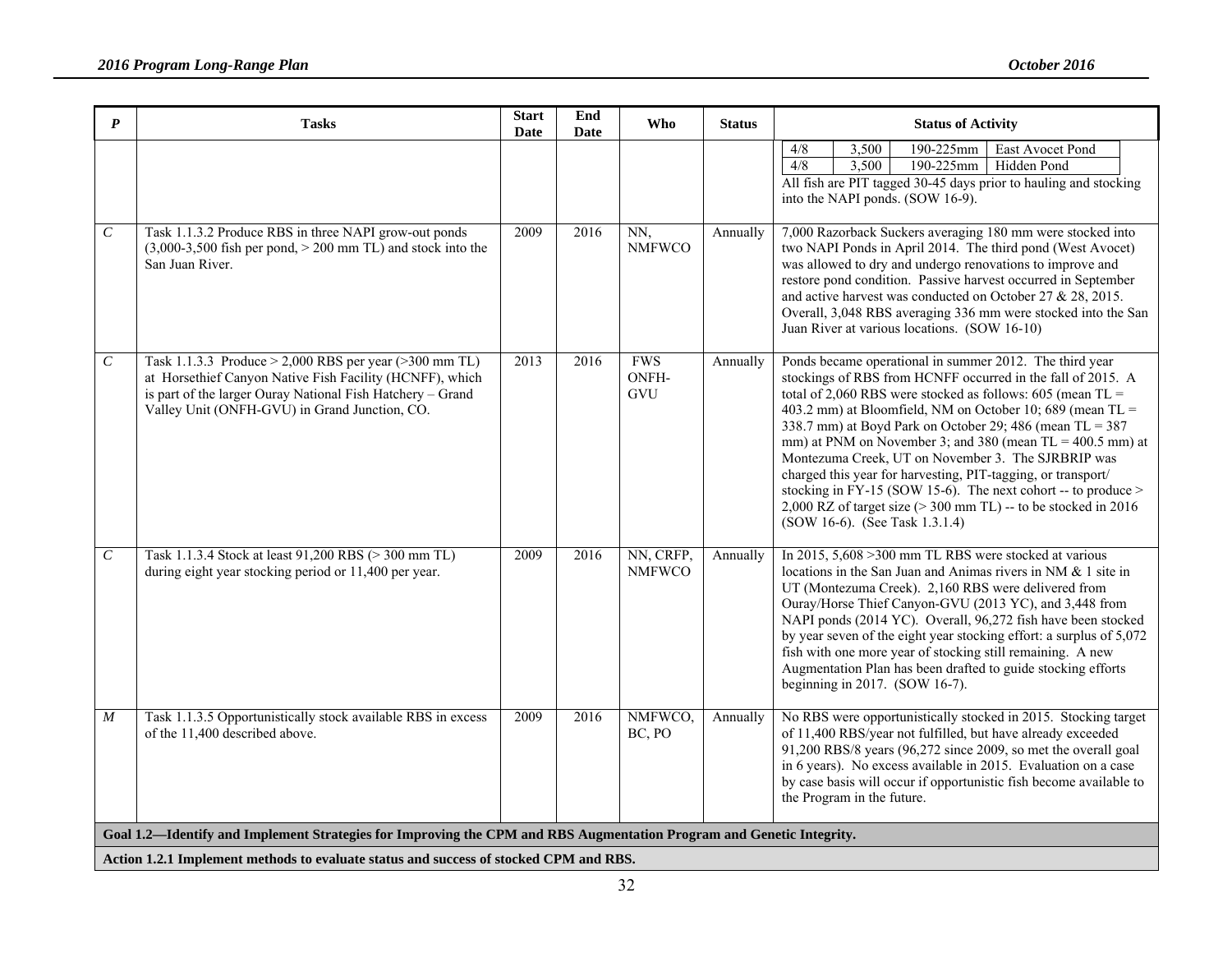| $\boldsymbol{P}$                                                                                                                                                                                              | <b>Tasks</b>                                                                                                                                                                                                                            | <b>Start</b><br>Date | End<br>Date | Who                        | <b>Status</b> | <b>Status of Activity</b>                                                                                                                                                                                                                                                                                                                                                                                                                                                                                                                                                                                                                                                      |  |  |  |
|---------------------------------------------------------------------------------------------------------------------------------------------------------------------------------------------------------------|-----------------------------------------------------------------------------------------------------------------------------------------------------------------------------------------------------------------------------------------|----------------------|-------------|----------------------------|---------------|--------------------------------------------------------------------------------------------------------------------------------------------------------------------------------------------------------------------------------------------------------------------------------------------------------------------------------------------------------------------------------------------------------------------------------------------------------------------------------------------------------------------------------------------------------------------------------------------------------------------------------------------------------------------------------|--|--|--|
|                                                                                                                                                                                                               |                                                                                                                                                                                                                                         |                      |             |                            |               | $4/8$<br>3,500<br>190-225mm<br>East Avocet Pond<br>4/8<br>3,500<br>190-225mm<br>Hidden Pond<br>All fish are PIT tagged 30-45 days prior to hauling and stocking<br>into the NAPI ponds. (SOW 16-9).                                                                                                                                                                                                                                                                                                                                                                                                                                                                            |  |  |  |
| $\cal C$                                                                                                                                                                                                      | Task 1.1.3.2 Produce RBS in three NAPI grow-out ponds<br>$(3,000-3,500$ fish per pond, $> 200$ mm TL) and stock into the<br>San Juan River.                                                                                             | 2009                 | 2016        | NN,<br><b>NMFWCO</b>       | Annually      | 7,000 Razorback Suckers averaging 180 mm were stocked into<br>two NAPI Ponds in April 2014. The third pond (West Avocet)<br>was allowed to dry and undergo renovations to improve and<br>restore pond condition. Passive harvest occurred in September<br>and active harvest was conducted on October 27 & 28, 2015.<br>Overall, 3,048 RBS averaging 336 mm were stocked into the San<br>Juan River at various locations. (SOW 16-10)                                                                                                                                                                                                                                          |  |  |  |
| $\cal C$                                                                                                                                                                                                      | Task 1.1.3.3 Produce $> 2,000$ RBS per year ( $> 300$ mm TL)<br>at Horsethief Canyon Native Fish Facility (HCNFF), which<br>is part of the larger Ouray National Fish Hatchery - Grand<br>Valley Unit (ONFH-GVU) in Grand Junction, CO. | 2013                 | 2016        | <b>FWS</b><br>ONFH-<br>GVU | Annually      | Ponds became operational in summer 2012. The third year<br>stockings of RBS from HCNFF occurred in the fall of 2015. A<br>total of 2,060 RBS were stocked as follows: 605 (mean TL =<br>403.2 mm) at Bloomfield, NM on October 10; 689 (mean $TL =$<br>338.7 mm) at Boyd Park on October 29; 486 (mean TL = 387<br>mm) at PNM on November 3; and 380 (mean $TL = 400.5$ mm) at<br>Montezuma Creek, UT on November 3. The SJRBRIP was<br>charged this year for harvesting, PIT-tagging, or transport/<br>stocking in FY-15 (SOW 15-6). The next cohort -- to produce ><br>$2,000$ RZ of target size ( $>$ 300 mm TL) -- to be stocked in 2016<br>(SOW 16-6). (See Task 1.3.1.4) |  |  |  |
| $\cal C$                                                                                                                                                                                                      | Task 1.1.3.4 Stock at least 91,200 RBS (> 300 mm TL)<br>during eight year stocking period or 11,400 per year.                                                                                                                           | 2009                 | 2016        | NN, CRFP,<br><b>NMFWCO</b> | Annually      | In 2015, 5,608 > 300 mm TL RBS were stocked at various<br>locations in the San Juan and Animas rivers in NM & 1 site in<br>UT (Montezuma Creek). 2,160 RBS were delivered from<br>Ouray/Horse Thief Canyon-GVU (2013 YC), and 3,448 from<br>NAPI ponds (2014 YC). Overall, 96,272 fish have been stocked<br>by year seven of the eight year stocking effort: a surplus of 5,072<br>fish with one more year of stocking still remaining. A new<br>Augmentation Plan has been drafted to guide stocking efforts<br>beginning in 2017. (SOW 16-7).                                                                                                                                |  |  |  |
| $\boldsymbol{M}$                                                                                                                                                                                              | Task 1.1.3.5 Opportunistically stock available RBS in excess<br>of the 11,400 described above.                                                                                                                                          | 2009                 | 2016        | NMFWCO,<br>BC, PO          | Annually      | No RBS were opportunistically stocked in 2015. Stocking target<br>of 11,400 RBS/year not fulfilled, but have already exceeded<br>91,200 RBS/8 years (96,272 since 2009, so met the overall goal<br>in 6 years). No excess available in 2015. Evaluation on a case<br>by case basis will occur if opportunistic fish become available to<br>the Program in the future.                                                                                                                                                                                                                                                                                                          |  |  |  |
| Goal 1.2—Identify and Implement Strategies for Improving the CPM and RBS Augmentation Program and Genetic Integrity.<br>Action 1.2.1 Implement methods to evaluate status and success of stocked CPM and RBS. |                                                                                                                                                                                                                                         |                      |             |                            |               |                                                                                                                                                                                                                                                                                                                                                                                                                                                                                                                                                                                                                                                                                |  |  |  |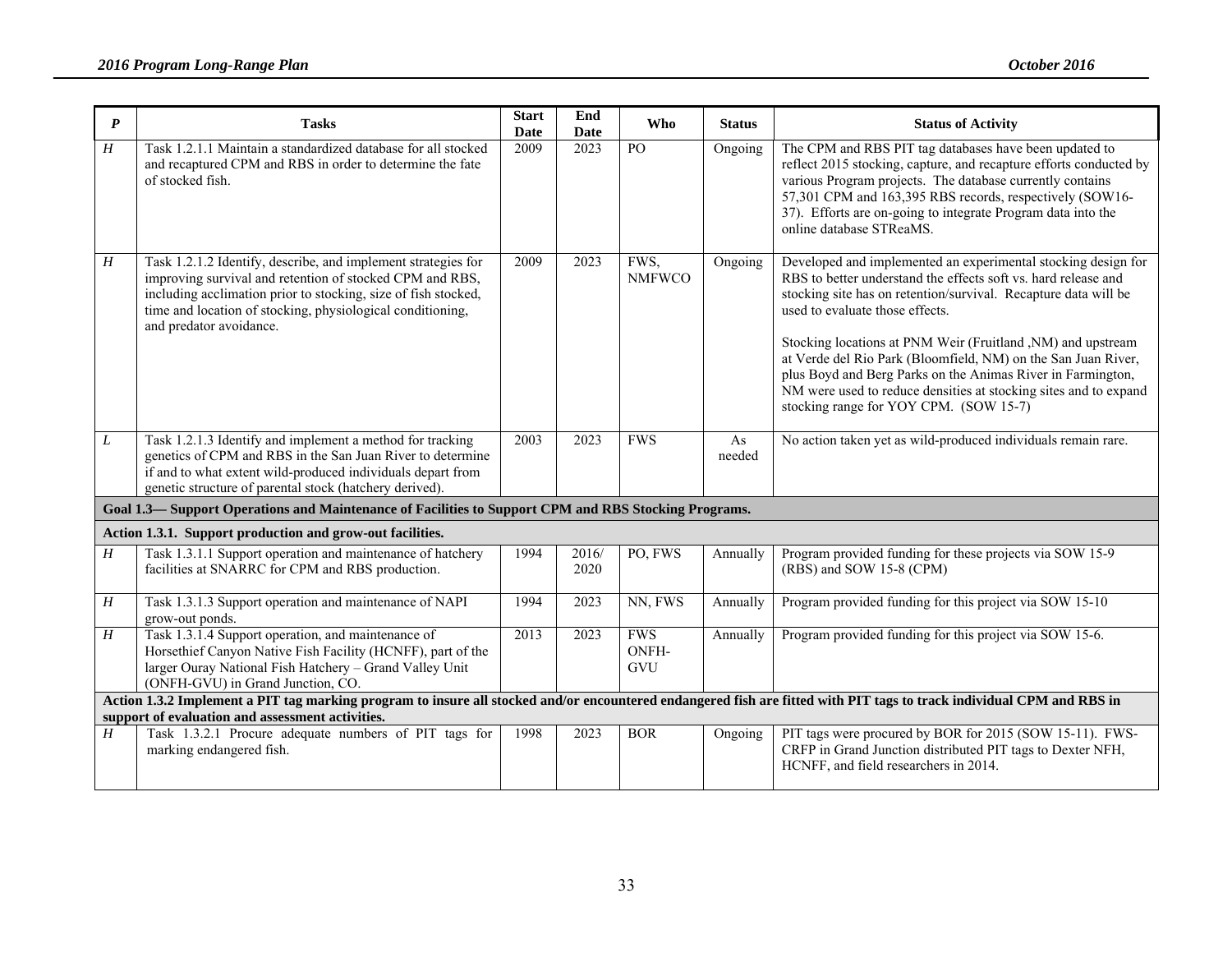| $\boldsymbol{P}$                                                                                                                                                      | <b>Tasks</b>                                                                                                                                                                                                                                                                         | <b>Start</b><br><b>Date</b> | End<br><b>Date</b> | Who                        | <b>Status</b> | <b>Status of Activity</b>                                                                                                                                                                                                                                                                                                                                                                                                                                                                                                                          |  |  |  |  |
|-----------------------------------------------------------------------------------------------------------------------------------------------------------------------|--------------------------------------------------------------------------------------------------------------------------------------------------------------------------------------------------------------------------------------------------------------------------------------|-----------------------------|--------------------|----------------------------|---------------|----------------------------------------------------------------------------------------------------------------------------------------------------------------------------------------------------------------------------------------------------------------------------------------------------------------------------------------------------------------------------------------------------------------------------------------------------------------------------------------------------------------------------------------------------|--|--|--|--|
| H                                                                                                                                                                     | Task 1.2.1.1 Maintain a standardized database for all stocked<br>and recaptured CPM and RBS in order to determine the fate<br>of stocked fish.                                                                                                                                       | 2009                        | 2023               | PO                         | Ongoing       | The CPM and RBS PIT tag databases have been updated to<br>reflect 2015 stocking, capture, and recapture efforts conducted by<br>various Program projects. The database currently contains<br>57,301 CPM and 163,395 RBS records, respectively (SOW16-<br>37). Efforts are on-going to integrate Program data into the<br>online database STReaMS.                                                                                                                                                                                                  |  |  |  |  |
| H                                                                                                                                                                     | Task 1.2.1.2 Identify, describe, and implement strategies for<br>improving survival and retention of stocked CPM and RBS,<br>including acclimation prior to stocking, size of fish stocked,<br>time and location of stocking, physiological conditioning,<br>and predator avoidance. | 2009                        | 2023               | FWS,<br><b>NMFWCO</b>      | Ongoing       | Developed and implemented an experimental stocking design for<br>RBS to better understand the effects soft vs. hard release and<br>stocking site has on retention/survival. Recapture data will be<br>used to evaluate those effects.<br>Stocking locations at PNM Weir (Fruitland, NM) and upstream<br>at Verde del Rio Park (Bloomfield, NM) on the San Juan River,<br>plus Boyd and Berg Parks on the Animas River in Farmington,<br>NM were used to reduce densities at stocking sites and to expand<br>stocking range for YOY CPM. (SOW 15-7) |  |  |  |  |
| L                                                                                                                                                                     | Task 1.2.1.3 Identify and implement a method for tracking<br>genetics of CPM and RBS in the San Juan River to determine<br>if and to what extent wild-produced individuals depart from<br>genetic structure of parental stock (hatchery derived).                                    | 2003                        | 2023               | <b>FWS</b>                 | As<br>needed  | No action taken yet as wild-produced individuals remain rare.                                                                                                                                                                                                                                                                                                                                                                                                                                                                                      |  |  |  |  |
| Goal 1.3— Support Operations and Maintenance of Facilities to Support CPM and RBS Stocking Programs.                                                                  |                                                                                                                                                                                                                                                                                      |                             |                    |                            |               |                                                                                                                                                                                                                                                                                                                                                                                                                                                                                                                                                    |  |  |  |  |
|                                                                                                                                                                       | Action 1.3.1. Support production and grow-out facilities.                                                                                                                                                                                                                            |                             |                    |                            |               |                                                                                                                                                                                                                                                                                                                                                                                                                                                                                                                                                    |  |  |  |  |
| H                                                                                                                                                                     | Task 1.3.1.1 Support operation and maintenance of hatchery<br>facilities at SNARRC for CPM and RBS production.                                                                                                                                                                       | 1994                        | 2016/<br>2020      | PO, FWS                    | Annually      | Program provided funding for these projects via SOW 15-9<br>(RBS) and SOW 15-8 (CPM)                                                                                                                                                                                                                                                                                                                                                                                                                                                               |  |  |  |  |
| $\boldsymbol{H}$                                                                                                                                                      | Task 1.3.1.3 Support operation and maintenance of NAPI<br>grow-out ponds.                                                                                                                                                                                                            | 1994                        | 2023               | NN, FWS                    | Annually      | Program provided funding for this project via SOW 15-10                                                                                                                                                                                                                                                                                                                                                                                                                                                                                            |  |  |  |  |
| H                                                                                                                                                                     | Task 1.3.1.4 Support operation, and maintenance of<br>Horsethief Canyon Native Fish Facility (HCNFF), part of the<br>larger Ouray National Fish Hatchery - Grand Valley Unit<br>(ONFH-GVU) in Grand Junction, CO.                                                                    | 2013                        | 2023               | <b>FWS</b><br>ONFH-<br>GVU | Annually      | Program provided funding for this project via SOW 15-6.                                                                                                                                                                                                                                                                                                                                                                                                                                                                                            |  |  |  |  |
| Action 1.3.2 Implement a PIT tag marking program to insure all stocked and/or encountered endangered fish are fitted with PIT tags to track individual CPM and RBS in |                                                                                                                                                                                                                                                                                      |                             |                    |                            |               |                                                                                                                                                                                                                                                                                                                                                                                                                                                                                                                                                    |  |  |  |  |
| support of evaluation and assessment activities.                                                                                                                      |                                                                                                                                                                                                                                                                                      |                             |                    |                            |               |                                                                                                                                                                                                                                                                                                                                                                                                                                                                                                                                                    |  |  |  |  |
| H                                                                                                                                                                     | Task 1.3.2.1 Procure adequate numbers of PIT tags for<br>marking endangered fish.                                                                                                                                                                                                    | 1998                        | 2023               | <b>BOR</b>                 | Ongoing       | PIT tags were procured by BOR for 2015 (SOW 15-11). FWS-<br>CRFP in Grand Junction distributed PIT tags to Dexter NFH,<br>HCNFF, and field researchers in 2014.                                                                                                                                                                                                                                                                                                                                                                                    |  |  |  |  |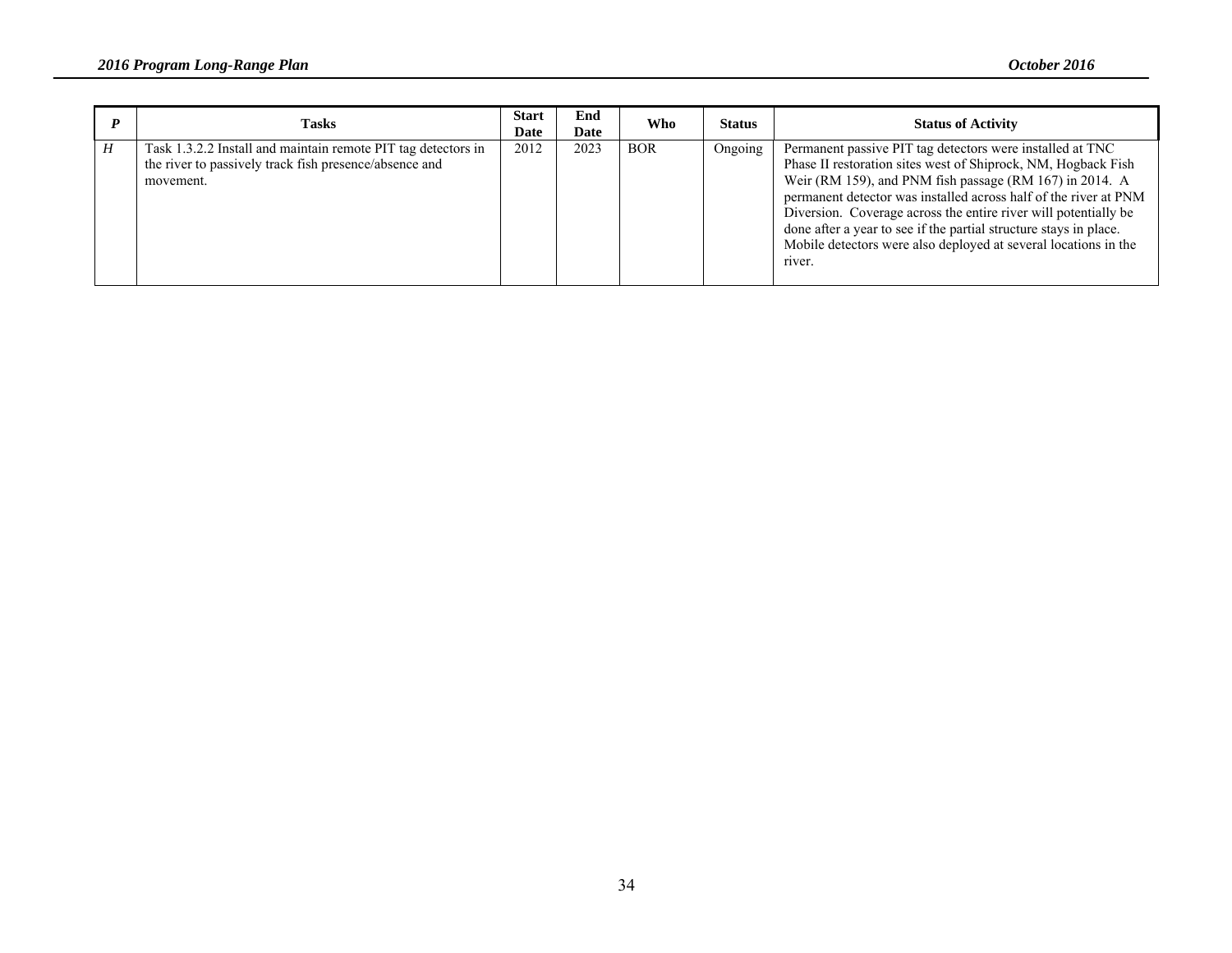| <b>Tasks</b>                                                                                                                         | Start<br>Date | End<br>Date | <b>Who</b> | <b>Status</b> | <b>Status of Activity</b>                                                                                                                                                                                                                                                                                                                                                                                                                                                      |
|--------------------------------------------------------------------------------------------------------------------------------------|---------------|-------------|------------|---------------|--------------------------------------------------------------------------------------------------------------------------------------------------------------------------------------------------------------------------------------------------------------------------------------------------------------------------------------------------------------------------------------------------------------------------------------------------------------------------------|
| Task 1.3.2.2 Install and maintain remote PIT tag detectors in<br>the river to passively track fish presence/absence and<br>movement. | 2012          | 2023        | <b>BOR</b> | Ongoing       | Permanent passive PIT tag detectors were installed at TNC<br>Phase II restoration sites west of Shiprock, NM, Hogback Fish<br>Weir (RM 159), and PNM fish passage (RM 167) in 2014. A<br>permanent detector was installed across half of the river at PNM<br>Diversion. Coverage across the entire river will potentially be<br>done after a year to see if the partial structure stays in place.<br>Mobile detectors were also deployed at several locations in the<br>river. |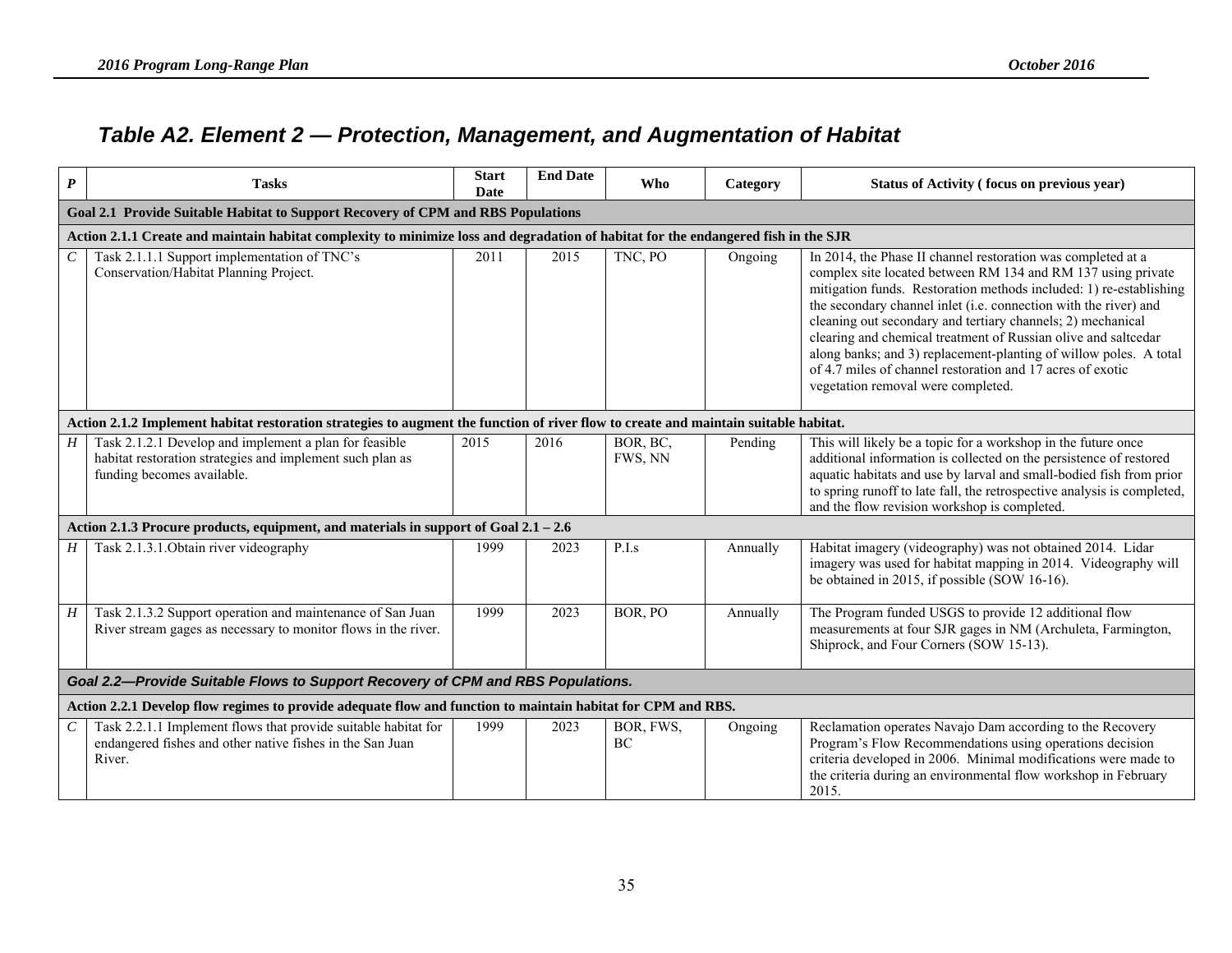## *Table A2. Element 2 — Protection, Management, and Augmentation of Habitat*

| $\boldsymbol{P}$ | <b>Tasks</b>                                                                                                                                      | <b>Start</b><br>Date | <b>End Date</b> | Who                    | Category | Status of Activity (focus on previous year)                                                                                                                                                                                                                                                                                                                                                                                                                                                                                                                                      |  |  |  |  |  |  |
|------------------|---------------------------------------------------------------------------------------------------------------------------------------------------|----------------------|-----------------|------------------------|----------|----------------------------------------------------------------------------------------------------------------------------------------------------------------------------------------------------------------------------------------------------------------------------------------------------------------------------------------------------------------------------------------------------------------------------------------------------------------------------------------------------------------------------------------------------------------------------------|--|--|--|--|--|--|
|                  | Goal 2.1 Provide Suitable Habitat to Support Recovery of CPM and RBS Populations                                                                  |                      |                 |                        |          |                                                                                                                                                                                                                                                                                                                                                                                                                                                                                                                                                                                  |  |  |  |  |  |  |
|                  | Action 2.1.1 Create and maintain habitat complexity to minimize loss and degradation of habitat for the endangered fish in the SJR                |                      |                 |                        |          |                                                                                                                                                                                                                                                                                                                                                                                                                                                                                                                                                                                  |  |  |  |  |  |  |
| $\mathcal{C}$    | Task 2.1.1.1 Support implementation of TNC's<br>Conservation/Habitat Planning Project.                                                            | 2011                 | 2015            | TNC, PO                | Ongoing  | In 2014, the Phase II channel restoration was completed at a<br>complex site located between RM 134 and RM 137 using private<br>mitigation funds. Restoration methods included: 1) re-establishing<br>the secondary channel inlet (i.e. connection with the river) and<br>cleaning out secondary and tertiary channels; 2) mechanical<br>clearing and chemical treatment of Russian olive and saltcedar<br>along banks; and 3) replacement-planting of willow poles. A total<br>of 4.7 miles of channel restoration and 17 acres of exotic<br>vegetation removal were completed. |  |  |  |  |  |  |
|                  | Action 2.1.2 Implement habitat restoration strategies to augment the function of river flow to create and maintain suitable habitat.              |                      |                 |                        |          |                                                                                                                                                                                                                                                                                                                                                                                                                                                                                                                                                                                  |  |  |  |  |  |  |
| H <sub>1</sub>   | Task 2.1.2.1 Develop and implement a plan for feasible<br>habitat restoration strategies and implement such plan as<br>funding becomes available. | 2015                 | 2016            | BOR, BC,<br>FWS, NN    | Pending  | This will likely be a topic for a workshop in the future once<br>additional information is collected on the persistence of restored<br>aquatic habitats and use by larval and small-bodied fish from prior<br>to spring runoff to late fall, the retrospective analysis is completed,<br>and the flow revision workshop is completed.                                                                                                                                                                                                                                            |  |  |  |  |  |  |
|                  | Action 2.1.3 Procure products, equipment, and materials in support of Goal 2.1 - 2.6                                                              |                      |                 |                        |          |                                                                                                                                                                                                                                                                                                                                                                                                                                                                                                                                                                                  |  |  |  |  |  |  |
| H <sub>1</sub>   | Task 2.1.3.1. Obtain river videography                                                                                                            | 1999                 | 2023            | P.I.s                  | Annually | Habitat imagery (videography) was not obtained 2014. Lidar<br>imagery was used for habitat mapping in 2014. Videography will<br>be obtained in 2015, if possible (SOW 16-16).                                                                                                                                                                                                                                                                                                                                                                                                    |  |  |  |  |  |  |
| H <sup>1</sup>   | Task 2.1.3.2 Support operation and maintenance of San Juan<br>River stream gages as necessary to monitor flows in the river.                      | 1999                 | 2023            | BOR, PO                | Annually | The Program funded USGS to provide 12 additional flow<br>measurements at four SJR gages in NM (Archuleta, Farmington,<br>Shiprock, and Four Corners (SOW 15-13).                                                                                                                                                                                                                                                                                                                                                                                                                 |  |  |  |  |  |  |
|                  | Goal 2.2-Provide Suitable Flows to Support Recovery of CPM and RBS Populations.                                                                   |                      |                 |                        |          |                                                                                                                                                                                                                                                                                                                                                                                                                                                                                                                                                                                  |  |  |  |  |  |  |
|                  | Action 2.2.1 Develop flow regimes to provide adequate flow and function to maintain habitat for CPM and RBS.                                      |                      |                 |                        |          |                                                                                                                                                                                                                                                                                                                                                                                                                                                                                                                                                                                  |  |  |  |  |  |  |
| $\mathcal{C}$    | Task 2.2.1.1 Implement flows that provide suitable habitat for<br>endangered fishes and other native fishes in the San Juan<br>River.             | 1999                 | 2023            | BOR, FWS,<br><b>BC</b> | Ongoing  | Reclamation operates Navajo Dam according to the Recovery<br>Program's Flow Recommendations using operations decision<br>criteria developed in 2006. Minimal modifications were made to<br>the criteria during an environmental flow workshop in February<br>2015.                                                                                                                                                                                                                                                                                                               |  |  |  |  |  |  |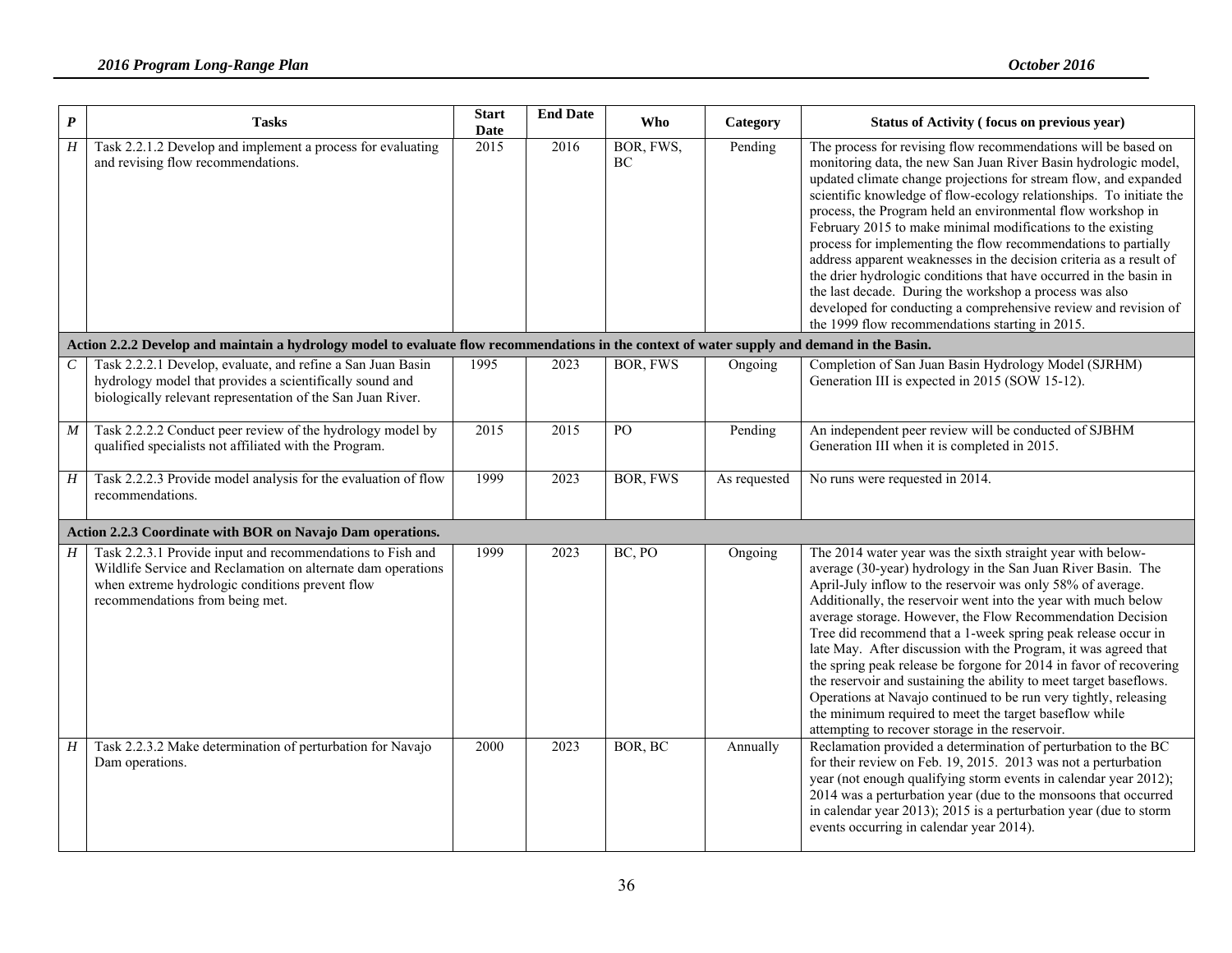| $\boldsymbol{P}$      | <b>Tasks</b>                                                                                                                                                                                                     | <b>Start</b><br>Date | <b>End Date</b> | Who             | Category     | Status of Activity (focus on previous year)                                                                                                                                                                                                                                                                                                                                                                                                                                                                                                                                                                                                                                                                                                                                                                |
|-----------------------|------------------------------------------------------------------------------------------------------------------------------------------------------------------------------------------------------------------|----------------------|-----------------|-----------------|--------------|------------------------------------------------------------------------------------------------------------------------------------------------------------------------------------------------------------------------------------------------------------------------------------------------------------------------------------------------------------------------------------------------------------------------------------------------------------------------------------------------------------------------------------------------------------------------------------------------------------------------------------------------------------------------------------------------------------------------------------------------------------------------------------------------------------|
| H                     | Task 2.2.1.2 Develop and implement a process for evaluating<br>and revising flow recommendations.                                                                                                                | 2015                 | 2016            | BOR, FWS,<br>ВC | Pending      | The process for revising flow recommendations will be based on<br>monitoring data, the new San Juan River Basin hydrologic model,<br>updated climate change projections for stream flow, and expanded<br>scientific knowledge of flow-ecology relationships. To initiate the<br>process, the Program held an environmental flow workshop in<br>February 2015 to make minimal modifications to the existing<br>process for implementing the flow recommendations to partially<br>address apparent weaknesses in the decision criteria as a result of<br>the drier hydrologic conditions that have occurred in the basin in<br>the last decade. During the workshop a process was also<br>developed for conducting a comprehensive review and revision of<br>the 1999 flow recommendations starting in 2015. |
|                       | Action 2.2.2 Develop and maintain a hydrology model to evaluate flow recommendations in the context of water supply and demand in the Basin.                                                                     |                      |                 |                 |              |                                                                                                                                                                                                                                                                                                                                                                                                                                                                                                                                                                                                                                                                                                                                                                                                            |
| $\mathcal{C}_{0}^{0}$ | Task 2.2.2.1 Develop, evaluate, and refine a San Juan Basin<br>hydrology model that provides a scientifically sound and<br>biologically relevant representation of the San Juan River.                           | 1995                 | 2023            | <b>BOR, FWS</b> | Ongoing      | Completion of San Juan Basin Hydrology Model (SJRHM)<br>Generation III is expected in 2015 (SOW 15-12).                                                                                                                                                                                                                                                                                                                                                                                                                                                                                                                                                                                                                                                                                                    |
| $\boldsymbol{M}$      | Task 2.2.2.2 Conduct peer review of the hydrology model by<br>qualified specialists not affiliated with the Program.                                                                                             | 2015                 | 2015            | P <sub>O</sub>  | Pending      | An independent peer review will be conducted of SJBHM<br>Generation III when it is completed in 2015.                                                                                                                                                                                                                                                                                                                                                                                                                                                                                                                                                                                                                                                                                                      |
| H                     | Task 2.2.2.3 Provide model analysis for the evaluation of flow<br>recommendations.                                                                                                                               | 1999                 | 2023            | <b>BOR, FWS</b> | As requested | No runs were requested in 2014.                                                                                                                                                                                                                                                                                                                                                                                                                                                                                                                                                                                                                                                                                                                                                                            |
|                       | Action 2.2.3 Coordinate with BOR on Navajo Dam operations.                                                                                                                                                       |                      |                 |                 |              |                                                                                                                                                                                                                                                                                                                                                                                                                                                                                                                                                                                                                                                                                                                                                                                                            |
| H                     | Task 2.2.3.1 Provide input and recommendations to Fish and<br>Wildlife Service and Reclamation on alternate dam operations<br>when extreme hydrologic conditions prevent flow<br>recommendations from being met. | 1999                 | 2023            | BC, PO          | Ongoing      | The 2014 water year was the sixth straight year with below-<br>average (30-year) hydrology in the San Juan River Basin. The<br>April-July inflow to the reservoir was only 58% of average.<br>Additionally, the reservoir went into the year with much below<br>average storage. However, the Flow Recommendation Decision<br>Tree did recommend that a 1-week spring peak release occur in<br>late May. After discussion with the Program, it was agreed that<br>the spring peak release be forgone for 2014 in favor of recovering<br>the reservoir and sustaining the ability to meet target baseflows.<br>Operations at Navajo continued to be run very tightly, releasing<br>the minimum required to meet the target baseflow while<br>attempting to recover storage in the reservoir.                |
| H                     | Task 2.2.3.2 Make determination of perturbation for Navajo<br>Dam operations.                                                                                                                                    | 2000                 | 2023            | BOR, BC         | Annually     | Reclamation provided a determination of perturbation to the BC<br>for their review on Feb. 19, 2015. 2013 was not a perturbation<br>year (not enough qualifying storm events in calendar year 2012);<br>2014 was a perturbation year (due to the monsoons that occurred<br>in calendar year 2013); 2015 is a perturbation year (due to storm<br>events occurring in calendar year 2014).                                                                                                                                                                                                                                                                                                                                                                                                                   |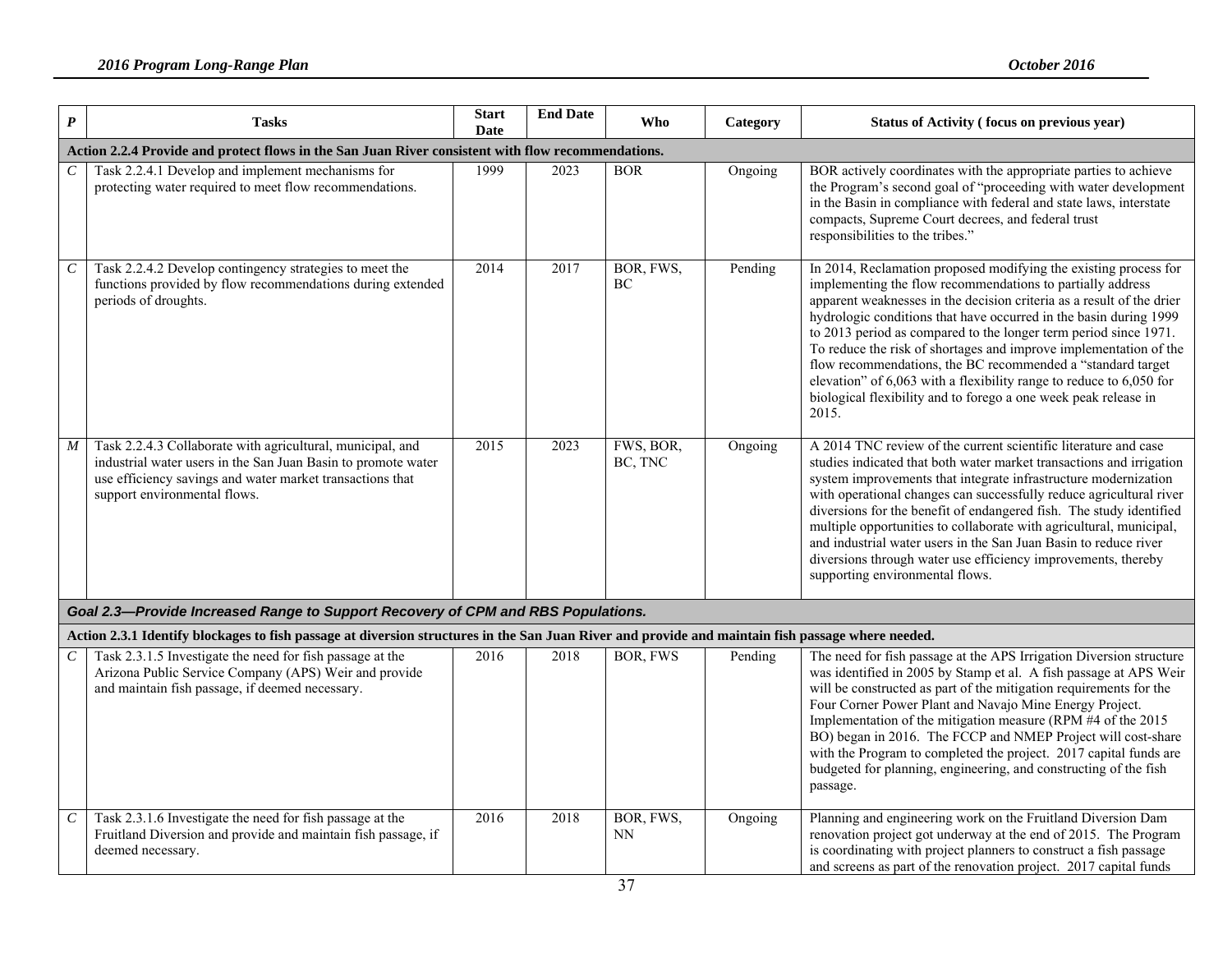| $\boldsymbol{P}$ | <b>Tasks</b>                                                                                                                                                                                                             | <b>Start</b><br>Date | <b>End Date</b> | Who                    | Category | Status of Activity (focus on previous year)                                                                                                                                                                                                                                                                                                                                                                                                                                                                                                                                                                                                 |
|------------------|--------------------------------------------------------------------------------------------------------------------------------------------------------------------------------------------------------------------------|----------------------|-----------------|------------------------|----------|---------------------------------------------------------------------------------------------------------------------------------------------------------------------------------------------------------------------------------------------------------------------------------------------------------------------------------------------------------------------------------------------------------------------------------------------------------------------------------------------------------------------------------------------------------------------------------------------------------------------------------------------|
|                  | Action 2.2.4 Provide and protect flows in the San Juan River consistent with flow recommendations.                                                                                                                       |                      |                 |                        |          |                                                                                                                                                                                                                                                                                                                                                                                                                                                                                                                                                                                                                                             |
| $\boldsymbol{C}$ | Task 2.2.4.1 Develop and implement mechanisms for<br>protecting water required to meet flow recommendations.                                                                                                             | 1999                 | 2023            | <b>BOR</b>             | Ongoing  | BOR actively coordinates with the appropriate parties to achieve<br>the Program's second goal of "proceeding with water development<br>in the Basin in compliance with federal and state laws, interstate<br>compacts, Supreme Court decrees, and federal trust<br>responsibilities to the tribes."                                                                                                                                                                                                                                                                                                                                         |
| $\cal C$         | Task 2.2.4.2 Develop contingency strategies to meet the<br>functions provided by flow recommendations during extended<br>periods of droughts.                                                                            | 2014                 | 2017            | BOR, FWS,<br><b>BC</b> | Pending  | In 2014, Reclamation proposed modifying the existing process for<br>implementing the flow recommendations to partially address<br>apparent weaknesses in the decision criteria as a result of the drier<br>hydrologic conditions that have occurred in the basin during 1999<br>to 2013 period as compared to the longer term period since 1971.<br>To reduce the risk of shortages and improve implementation of the<br>flow recommendations, the BC recommended a "standard target<br>elevation" of $6,063$ with a flexibility range to reduce to $6,050$ for<br>biological flexibility and to forego a one week peak release in<br>2015. |
| $\boldsymbol{M}$ | Task 2.2.4.3 Collaborate with agricultural, municipal, and<br>industrial water users in the San Juan Basin to promote water<br>use efficiency savings and water market transactions that<br>support environmental flows. | 2015                 | 2023            | FWS, BOR,<br>BC, TNC   | Ongoing  | A 2014 TNC review of the current scientific literature and case<br>studies indicated that both water market transactions and irrigation<br>system improvements that integrate infrastructure modernization<br>with operational changes can successfully reduce agricultural river<br>diversions for the benefit of endangered fish. The study identified<br>multiple opportunities to collaborate with agricultural, municipal,<br>and industrial water users in the San Juan Basin to reduce river<br>diversions through water use efficiency improvements, thereby<br>supporting environmental flows.                                     |
|                  | Goal 2.3-Provide Increased Range to Support Recovery of CPM and RBS Populations.                                                                                                                                         |                      |                 |                        |          |                                                                                                                                                                                                                                                                                                                                                                                                                                                                                                                                                                                                                                             |
|                  | Action 2.3.1 Identify blockages to fish passage at diversion structures in the San Juan River and provide and maintain fish passage where needed.                                                                        |                      |                 |                        |          |                                                                                                                                                                                                                                                                                                                                                                                                                                                                                                                                                                                                                                             |
| $\mathcal C$     | Task 2.3.1.5 Investigate the need for fish passage at the<br>Arizona Public Service Company (APS) Weir and provide<br>and maintain fish passage, if deemed necessary.                                                    | 2016                 | 2018            | <b>BOR, FWS</b>        | Pending  | The need for fish passage at the APS Irrigation Diversion structure<br>was identified in 2005 by Stamp et al. A fish passage at APS Weir<br>will be constructed as part of the mitigation requirements for the<br>Four Corner Power Plant and Navajo Mine Energy Project.<br>Implementation of the mitigation measure (RPM #4 of the 2015<br>BO) began in 2016. The FCCP and NMEP Project will cost-share<br>with the Program to completed the project. 2017 capital funds are<br>budgeted for planning, engineering, and constructing of the fish<br>passage.                                                                              |
| $\mathcal C$     | Task 2.3.1.6 Investigate the need for fish passage at the<br>Fruitland Diversion and provide and maintain fish passage, if<br>deemed necessary.                                                                          | 2016                 | 2018            | BOR, FWS,<br><b>NN</b> | Ongoing  | Planning and engineering work on the Fruitland Diversion Dam<br>renovation project got underway at the end of 2015. The Program<br>is coordinating with project planners to construct a fish passage<br>and screens as part of the renovation project. 2017 capital funds                                                                                                                                                                                                                                                                                                                                                                   |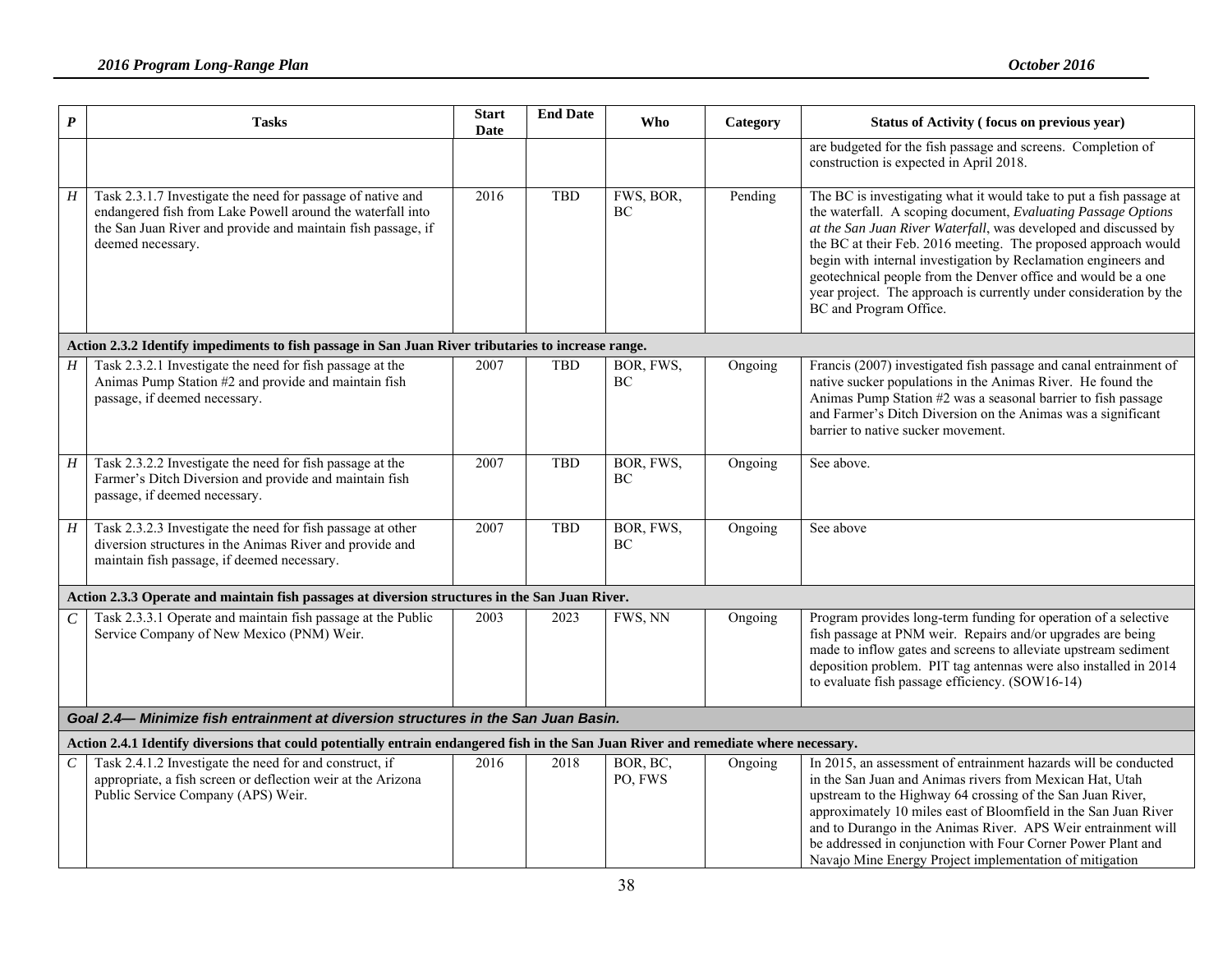| $\boldsymbol{P}$ | <b>Tasks</b>                                                                                                                                                                                                   | <b>Start</b><br>Date | <b>End Date</b> | Who                 | Category | Status of Activity (focus on previous year)                                                                                                                                                                                                                                                                                                                                                                                                                                                                  |  |  |  |  |  |
|------------------|----------------------------------------------------------------------------------------------------------------------------------------------------------------------------------------------------------------|----------------------|-----------------|---------------------|----------|--------------------------------------------------------------------------------------------------------------------------------------------------------------------------------------------------------------------------------------------------------------------------------------------------------------------------------------------------------------------------------------------------------------------------------------------------------------------------------------------------------------|--|--|--|--|--|
|                  |                                                                                                                                                                                                                |                      |                 |                     |          | are budgeted for the fish passage and screens. Completion of<br>construction is expected in April 2018.                                                                                                                                                                                                                                                                                                                                                                                                      |  |  |  |  |  |
| H                | Task 2.3.1.7 Investigate the need for passage of native and<br>endangered fish from Lake Powell around the waterfall into<br>the San Juan River and provide and maintain fish passage, if<br>deemed necessary. | 2016                 | <b>TBD</b>      | FWS, BOR,<br>ВC     | Pending  | The BC is investigating what it would take to put a fish passage at<br>the waterfall. A scoping document, Evaluating Passage Options<br>at the San Juan River Waterfall, was developed and discussed by<br>the BC at their Feb. 2016 meeting. The proposed approach would<br>begin with internal investigation by Reclamation engineers and<br>geotechnical people from the Denver office and would be a one<br>year project. The approach is currently under consideration by the<br>BC and Program Office. |  |  |  |  |  |
|                  | Action 2.3.2 Identify impediments to fish passage in San Juan River tributaries to increase range.                                                                                                             |                      |                 |                     |          |                                                                                                                                                                                                                                                                                                                                                                                                                                                                                                              |  |  |  |  |  |
| H                | Task 2.3.2.1 Investigate the need for fish passage at the<br>Animas Pump Station #2 and provide and maintain fish<br>passage, if deemed necessary.                                                             | 2007                 | <b>TBD</b>      | BOR, FWS,<br>BC     | Ongoing  | Francis (2007) investigated fish passage and canal entrainment of<br>native sucker populations in the Animas River. He found the<br>Animas Pump Station #2 was a seasonal barrier to fish passage<br>and Farmer's Ditch Diversion on the Animas was a significant<br>barrier to native sucker movement.                                                                                                                                                                                                      |  |  |  |  |  |
| $H_{\rm}$        | Task 2.3.2.2 Investigate the need for fish passage at the<br>Farmer's Ditch Diversion and provide and maintain fish<br>passage, if deemed necessary.                                                           | 2007                 | <b>TBD</b>      | BOR, FWS,<br>BC     | Ongoing  | See above.                                                                                                                                                                                                                                                                                                                                                                                                                                                                                                   |  |  |  |  |  |
| $\overline{H}$   | Task 2.3.2.3 Investigate the need for fish passage at other<br>diversion structures in the Animas River and provide and<br>maintain fish passage, if deemed necessary.                                         | 2007                 | <b>TBD</b>      | BOR, FWS,<br>BC     | Ongoing  | See above                                                                                                                                                                                                                                                                                                                                                                                                                                                                                                    |  |  |  |  |  |
|                  | Action 2.3.3 Operate and maintain fish passages at diversion structures in the San Juan River.                                                                                                                 |                      |                 |                     |          |                                                                                                                                                                                                                                                                                                                                                                                                                                                                                                              |  |  |  |  |  |
| $\cal C$         | Task 2.3.3.1 Operate and maintain fish passage at the Public<br>Service Company of New Mexico (PNM) Weir.                                                                                                      | 2003                 | 2023            | FWS, NN             | Ongoing  | Program provides long-term funding for operation of a selective<br>fish passage at PNM weir. Repairs and/or upgrades are being<br>made to inflow gates and screens to alleviate upstream sediment<br>deposition problem. PIT tag antennas were also installed in 2014<br>to evaluate fish passage efficiency. (SOW16-14)                                                                                                                                                                                     |  |  |  |  |  |
|                  | Goal 2.4- Minimize fish entrainment at diversion structures in the San Juan Basin.                                                                                                                             |                      |                 |                     |          |                                                                                                                                                                                                                                                                                                                                                                                                                                                                                                              |  |  |  |  |  |
|                  | Action 2.4.1 Identify diversions that could potentially entrain endangered fish in the San Juan River and remediate where necessary.                                                                           |                      |                 |                     |          |                                                                                                                                                                                                                                                                                                                                                                                                                                                                                                              |  |  |  |  |  |
| $\,$             | Task 2.4.1.2 Investigate the need for and construct, if<br>appropriate, a fish screen or deflection weir at the Arizona<br>Public Service Company (APS) Weir.                                                  | 2016                 | 2018            | BOR, BC,<br>PO, FWS | Ongoing  | In 2015, an assessment of entrainment hazards will be conducted<br>in the San Juan and Animas rivers from Mexican Hat, Utah<br>upstream to the Highway 64 crossing of the San Juan River,<br>approximately 10 miles east of Bloomfield in the San Juan River<br>and to Durango in the Animas River. APS Weir entrainment will<br>be addressed in conjunction with Four Corner Power Plant and<br>Navajo Mine Energy Project implementation of mitigation                                                     |  |  |  |  |  |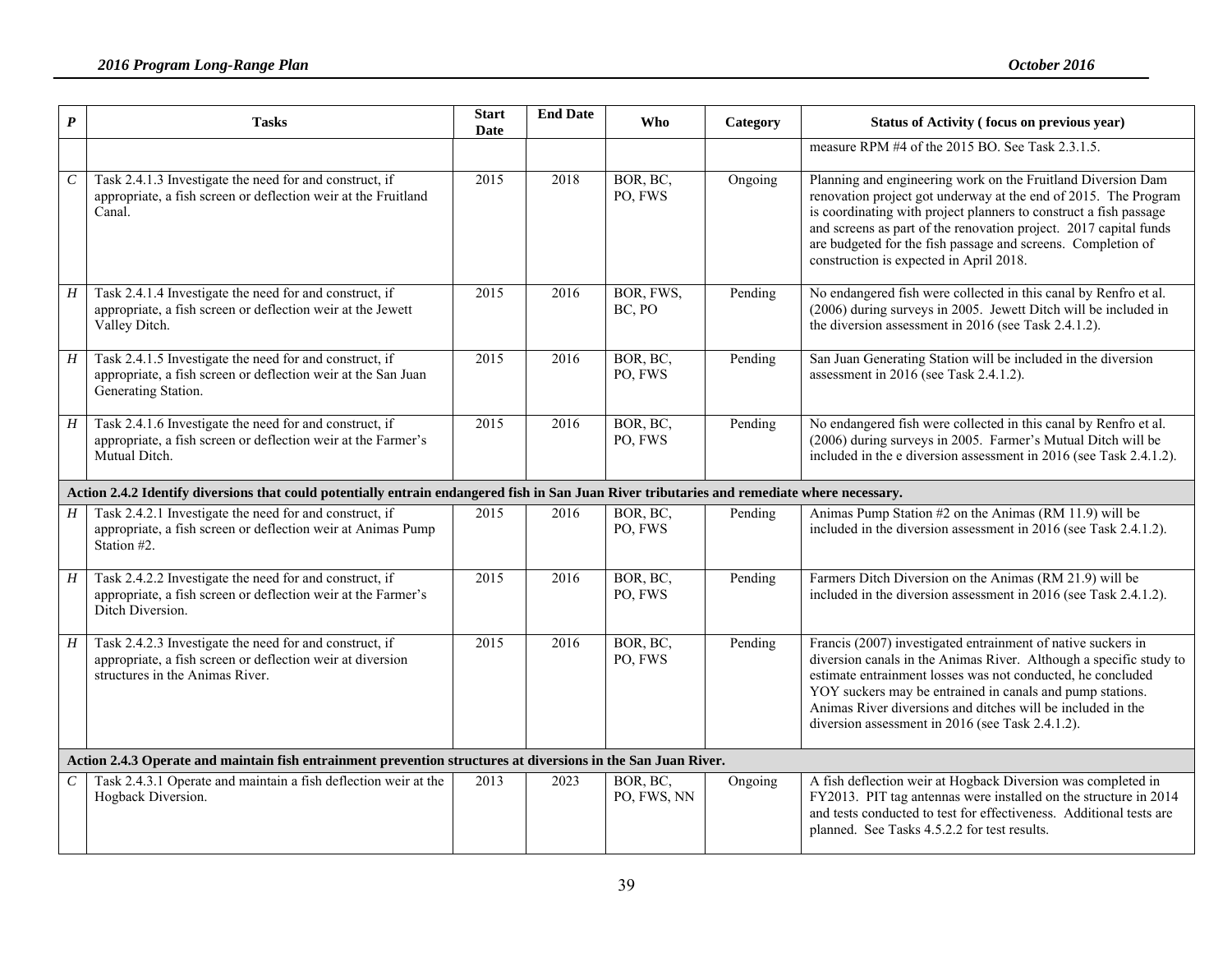| $\boldsymbol{P}$            | <b>Tasks</b>                                                                                                                                             | <b>Start</b><br>Date | <b>End Date</b> | Who                     | Category | Status of Activity (focus on previous year)                                                                                                                                                                                                                                                                                                                                          |
|-----------------------------|----------------------------------------------------------------------------------------------------------------------------------------------------------|----------------------|-----------------|-------------------------|----------|--------------------------------------------------------------------------------------------------------------------------------------------------------------------------------------------------------------------------------------------------------------------------------------------------------------------------------------------------------------------------------------|
|                             |                                                                                                                                                          |                      |                 |                         |          | measure RPM #4 of the 2015 BO. See Task 2.3.1.5.                                                                                                                                                                                                                                                                                                                                     |
| $\cal C$                    | Task 2.4.1.3 Investigate the need for and construct, if<br>appropriate, a fish screen or deflection weir at the Fruitland<br>Canal.                      | 2015                 | 2018            | BOR, BC.<br>PO, FWS     | Ongoing  | Planning and engineering work on the Fruitland Diversion Dam<br>renovation project got underway at the end of 2015. The Program<br>is coordinating with project planners to construct a fish passage<br>and screens as part of the renovation project. 2017 capital funds<br>are budgeted for the fish passage and screens. Completion of<br>construction is expected in April 2018. |
| H                           | Task 2.4.1.4 Investigate the need for and construct, if<br>appropriate, a fish screen or deflection weir at the Jewett<br>Valley Ditch.                  | 2015                 | 2016            | BOR, FWS,<br>BC, PO     | Pending  | No endangered fish were collected in this canal by Renfro et al.<br>(2006) during surveys in 2005. Jewett Ditch will be included in<br>the diversion assessment in 2016 (see Task 2.4.1.2).                                                                                                                                                                                          |
| H                           | Task 2.4.1.5 Investigate the need for and construct, if<br>appropriate, a fish screen or deflection weir at the San Juan<br>Generating Station.          | 2015                 | 2016            | BOR, BC,<br>PO, FWS     | Pending  | San Juan Generating Station will be included in the diversion<br>assessment in 2016 (see Task 2.4.1.2).                                                                                                                                                                                                                                                                              |
| H                           | Task 2.4.1.6 Investigate the need for and construct, if<br>appropriate, a fish screen or deflection weir at the Farmer's<br>Mutual Ditch.                | 2015                 | 2016            | BOR, BC,<br>PO, FWS     | Pending  | No endangered fish were collected in this canal by Renfro et al.<br>(2006) during surveys in 2005. Farmer's Mutual Ditch will be<br>included in the e diversion assessment in 2016 (see Task 2.4.1.2).                                                                                                                                                                               |
|                             | Action 2.4.2 Identify diversions that could potentially entrain endangered fish in San Juan River tributaries and remediate where necessary.             |                      |                 |                         |          |                                                                                                                                                                                                                                                                                                                                                                                      |
| $H_{-}$                     | Task 2.4.2.1 Investigate the need for and construct, if<br>appropriate, a fish screen or deflection weir at Animas Pump<br>Station #2.                   | 2015                 | 2016            | BOR, BC,<br>PO, FWS     | Pending  | Animas Pump Station #2 on the Animas (RM 11.9) will be<br>included in the diversion assessment in 2016 (see Task 2.4.1.2).                                                                                                                                                                                                                                                           |
| $\boldsymbol{H}$            | Task 2.4.2.2 Investigate the need for and construct, if<br>appropriate, a fish screen or deflection weir at the Farmer's<br>Ditch Diversion.             | 2015                 | 2016            | BOR, BC,<br>PO, FWS     | Pending  | Farmers Ditch Diversion on the Animas (RM 21.9) will be<br>included in the diversion assessment in 2016 (see Task 2.4.1.2).                                                                                                                                                                                                                                                          |
| H                           | Task 2.4.2.3 Investigate the need for and construct, if<br>appropriate, a fish screen or deflection weir at diversion<br>structures in the Animas River. | 2015                 | 2016            | BOR, BC,<br>PO, FWS     | Pending  | Francis (2007) investigated entrainment of native suckers in<br>diversion canals in the Animas River. Although a specific study to<br>estimate entrainment losses was not conducted, he concluded<br>YOY suckers may be entrained in canals and pump stations.<br>Animas River diversions and ditches will be included in the<br>diversion assessment in 2016 (see Task 2.4.1.2).    |
|                             | Action 2.4.3 Operate and maintain fish entrainment prevention structures at diversions in the San Juan River.                                            |                      |                 |                         |          |                                                                                                                                                                                                                                                                                                                                                                                      |
| $\mathcal{C}_{\mathcal{C}}$ | Task 2.4.3.1 Operate and maintain a fish deflection weir at the<br>Hogback Diversion.                                                                    | 2013                 | 2023            | BOR, BC,<br>PO, FWS, NN | Ongoing  | A fish deflection weir at Hogback Diversion was completed in<br>FY2013. PIT tag antennas were installed on the structure in 2014<br>and tests conducted to test for effectiveness. Additional tests are<br>planned. See Tasks 4.5.2.2 for test results.                                                                                                                              |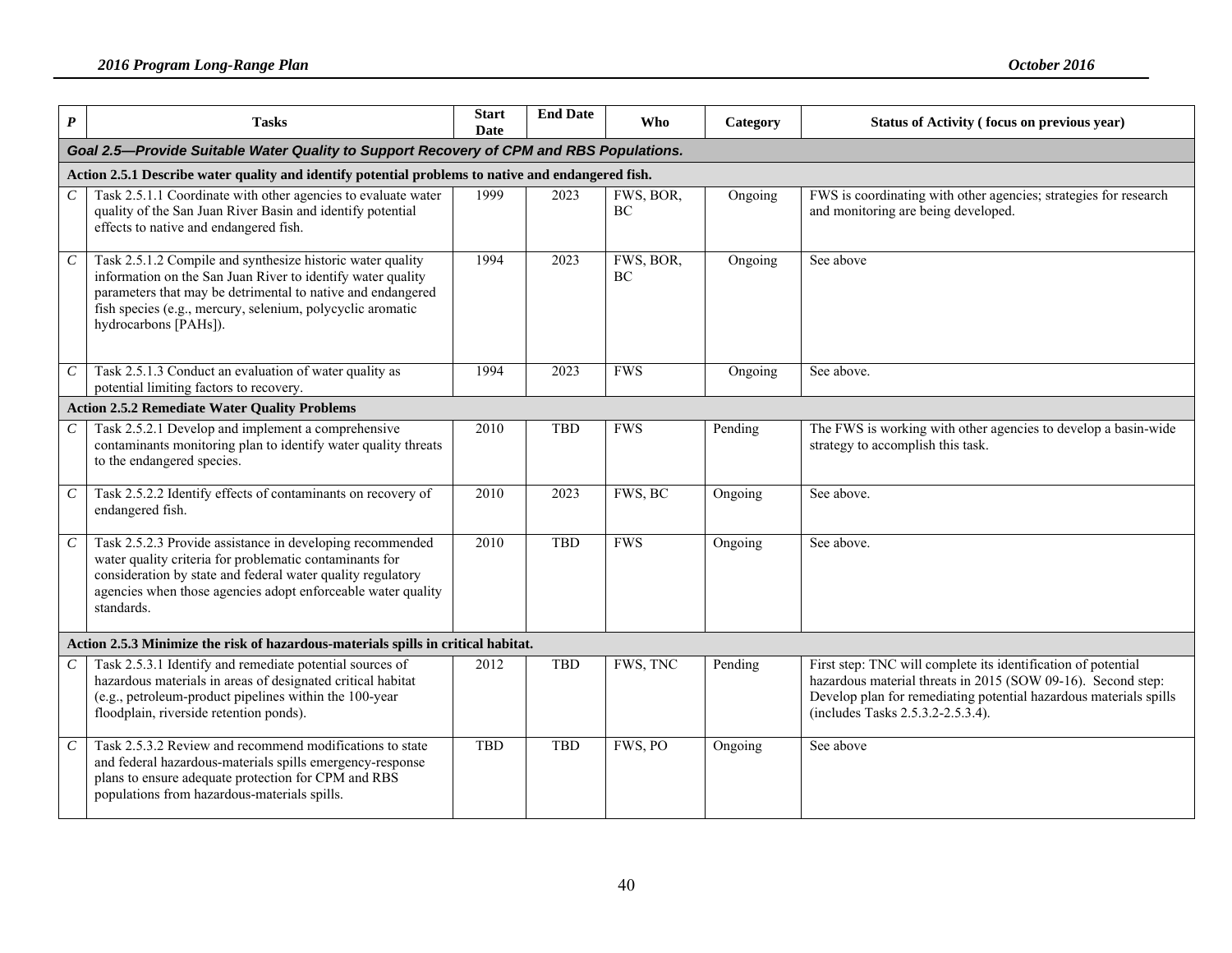| $\boldsymbol{P}$            | <b>Tasks</b>                                                                                                                                                                                                                                                                    | <b>Start</b><br>Date | <b>End Date</b> | <b>Who</b>      | Category | Status of Activity (focus on previous year)                                                                                                                                                                                             |  |  |  |  |  |
|-----------------------------|---------------------------------------------------------------------------------------------------------------------------------------------------------------------------------------------------------------------------------------------------------------------------------|----------------------|-----------------|-----------------|----------|-----------------------------------------------------------------------------------------------------------------------------------------------------------------------------------------------------------------------------------------|--|--|--|--|--|
|                             | Goal 2.5-Provide Suitable Water Quality to Support Recovery of CPM and RBS Populations.                                                                                                                                                                                         |                      |                 |                 |          |                                                                                                                                                                                                                                         |  |  |  |  |  |
|                             | Action 2.5.1 Describe water quality and identify potential problems to native and endangered fish.                                                                                                                                                                              |                      |                 |                 |          |                                                                                                                                                                                                                                         |  |  |  |  |  |
| $\mathcal{C}$               | Task 2.5.1.1 Coordinate with other agencies to evaluate water<br>quality of the San Juan River Basin and identify potential<br>effects to native and endangered fish.                                                                                                           | 1999                 | 2023            | FWS, BOR,<br>BC | Ongoing  | FWS is coordinating with other agencies; strategies for research<br>and monitoring are being developed.                                                                                                                                 |  |  |  |  |  |
| $\boldsymbol{C}$            | Task 2.5.1.2 Compile and synthesize historic water quality<br>information on the San Juan River to identify water quality<br>parameters that may be detrimental to native and endangered<br>fish species (e.g., mercury, selenium, polycyclic aromatic<br>hydrocarbons [PAHs]). | 1994                 | 2023            | FWS, BOR,<br>BC | Ongoing  | See above                                                                                                                                                                                                                               |  |  |  |  |  |
| $\mathcal C$                | Task 2.5.1.3 Conduct an evaluation of water quality as<br>potential limiting factors to recovery.                                                                                                                                                                               | 1994                 | 2023            | <b>FWS</b>      | Ongoing  | See above.                                                                                                                                                                                                                              |  |  |  |  |  |
|                             | <b>Action 2.5.2 Remediate Water Quality Problems</b>                                                                                                                                                                                                                            |                      |                 |                 |          |                                                                                                                                                                                                                                         |  |  |  |  |  |
| $\mathcal{C}$               | Task 2.5.2.1 Develop and implement a comprehensive<br>contaminants monitoring plan to identify water quality threats<br>to the endangered species.                                                                                                                              | 2010                 | <b>TBD</b>      | <b>FWS</b>      | Pending  | The FWS is working with other agencies to develop a basin-wide<br>strategy to accomplish this task.                                                                                                                                     |  |  |  |  |  |
| $\mathcal{C}_{\mathcal{C}}$ | Task 2.5.2.2 Identify effects of contaminants on recovery of<br>endangered fish.                                                                                                                                                                                                | 2010                 | 2023            | FWS, BC         | Ongoing  | See above.                                                                                                                                                                                                                              |  |  |  |  |  |
| $\cal C$                    | Task 2.5.2.3 Provide assistance in developing recommended<br>water quality criteria for problematic contaminants for<br>consideration by state and federal water quality regulatory<br>agencies when those agencies adopt enforceable water quality<br>standards.               | 2010                 | <b>TBD</b>      | <b>FWS</b>      | Ongoing  | See above.                                                                                                                                                                                                                              |  |  |  |  |  |
|                             | Action 2.5.3 Minimize the risk of hazardous-materials spills in critical habitat.                                                                                                                                                                                               |                      |                 |                 |          |                                                                                                                                                                                                                                         |  |  |  |  |  |
| $\mathcal{C}_{\mathcal{C}}$ | Task 2.5.3.1 Identify and remediate potential sources of<br>hazardous materials in areas of designated critical habitat<br>(e.g., petroleum-product pipelines within the 100-year<br>floodplain, riverside retention ponds).                                                    | 2012                 | <b>TBD</b>      | FWS, TNC        | Pending  | First step: TNC will complete its identification of potential<br>hazardous material threats in 2015 (SOW 09-16). Second step:<br>Develop plan for remediating potential hazardous materials spills<br>(includes Tasks 2.5.3.2-2.5.3.4). |  |  |  |  |  |
| $\mathcal{C}_{0}^{0}$       | Task 2.5.3.2 Review and recommend modifications to state<br>and federal hazardous-materials spills emergency-response<br>plans to ensure adequate protection for CPM and RBS<br>populations from hazardous-materials spills.                                                    | <b>TBD</b>           | <b>TBD</b>      | FWS, PO         | Ongoing  | See above                                                                                                                                                                                                                               |  |  |  |  |  |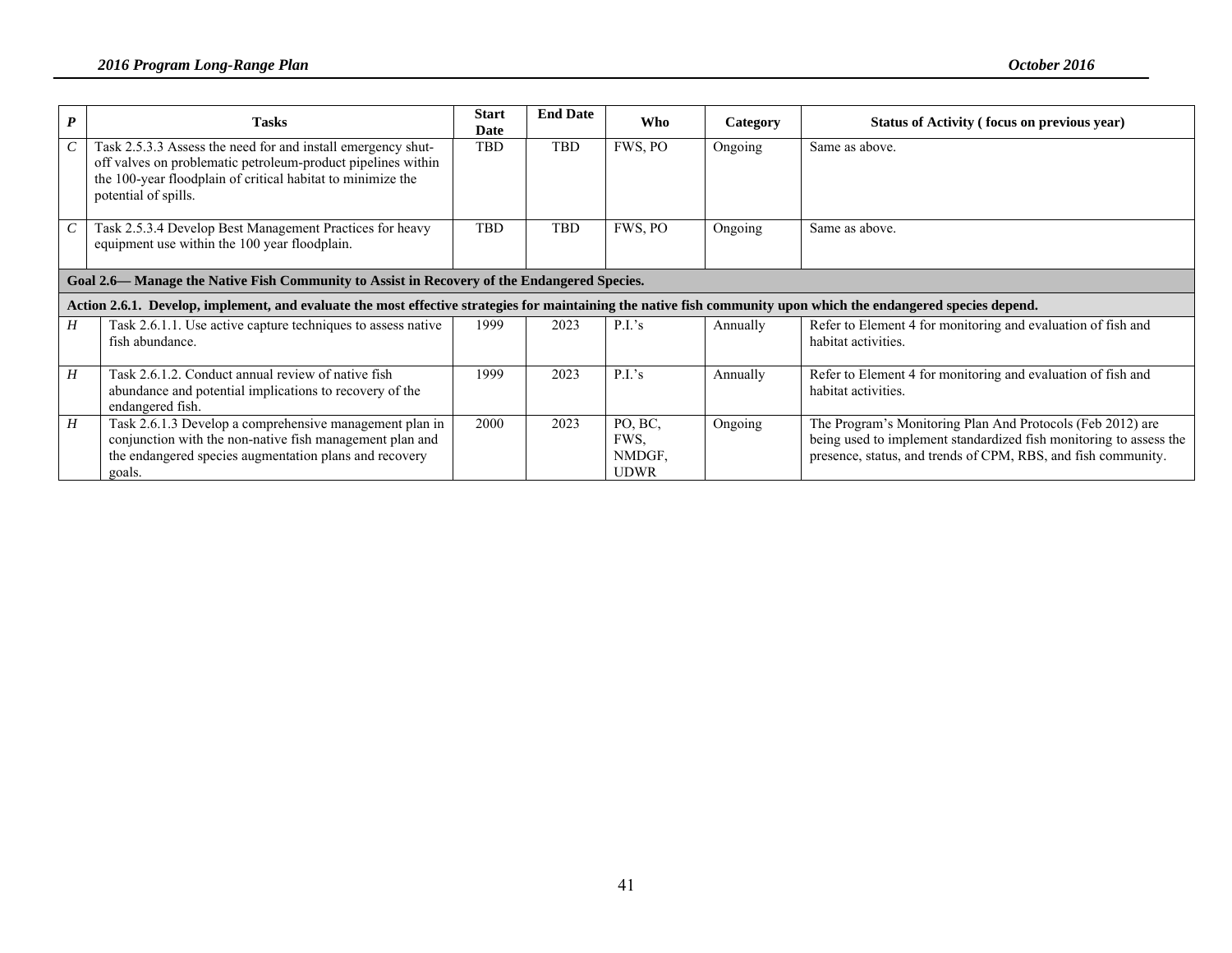| $\boldsymbol{P}$ | <b>Tasks</b>                                                                                                                                                                                                        | <b>Start</b><br>Date | <b>End Date</b> | Who                                      | Category | Status of Activity (focus on previous year)                                                                                                                                                       |  |  |  |
|------------------|---------------------------------------------------------------------------------------------------------------------------------------------------------------------------------------------------------------------|----------------------|-----------------|------------------------------------------|----------|---------------------------------------------------------------------------------------------------------------------------------------------------------------------------------------------------|--|--|--|
| $\mathcal{C}$    | Task 2.5.3.3 Assess the need for and install emergency shut-<br>off valves on problematic petroleum-product pipelines within<br>the 100-year floodplain of critical habitat to minimize the<br>potential of spills. | <b>TBD</b>           | <b>TBD</b>      | FWS, PO                                  | Ongoing  | Same as above.                                                                                                                                                                                    |  |  |  |
| $\mathcal{C}$    | Task 2.5.3.4 Develop Best Management Practices for heavy<br>equipment use within the 100 year floodplain.                                                                                                           | <b>TBD</b>           | TBD             | FWS, PO                                  | Ongoing  | Same as above.                                                                                                                                                                                    |  |  |  |
|                  | Goal 2.6— Manage the Native Fish Community to Assist in Recovery of the Endangered Species.                                                                                                                         |                      |                 |                                          |          |                                                                                                                                                                                                   |  |  |  |
|                  | Action 2.6.1. Develop, implement, and evaluate the most effective strategies for maintaining the native fish community upon which the endangered species depend.                                                    |                      |                 |                                          |          |                                                                                                                                                                                                   |  |  |  |
| H                | Task 2.6.1.1. Use active capture techniques to assess native<br>fish abundance.                                                                                                                                     | 1999                 | 2023            | P.I.'s                                   | Annually | Refer to Element 4 for monitoring and evaluation of fish and<br>habitat activities.                                                                                                               |  |  |  |
| H                | Task 2.6.1.2. Conduct annual review of native fish<br>abundance and potential implications to recovery of the<br>endangered fish.                                                                                   | 1999                 | 2023            | P.I.'s                                   | Annually | Refer to Element 4 for monitoring and evaluation of fish and<br>habitat activities.                                                                                                               |  |  |  |
| H                | Task 2.6.1.3 Develop a comprehensive management plan in<br>conjunction with the non-native fish management plan and<br>the endangered species augmentation plans and recovery<br>goals.                             | 2000                 | 2023            | PO, BC,<br>FWS,<br>NMDGF,<br><b>UDWR</b> | Ongoing  | The Program's Monitoring Plan And Protocols (Feb 2012) are<br>being used to implement standardized fish monitoring to assess the<br>presence, status, and trends of CPM, RBS, and fish community. |  |  |  |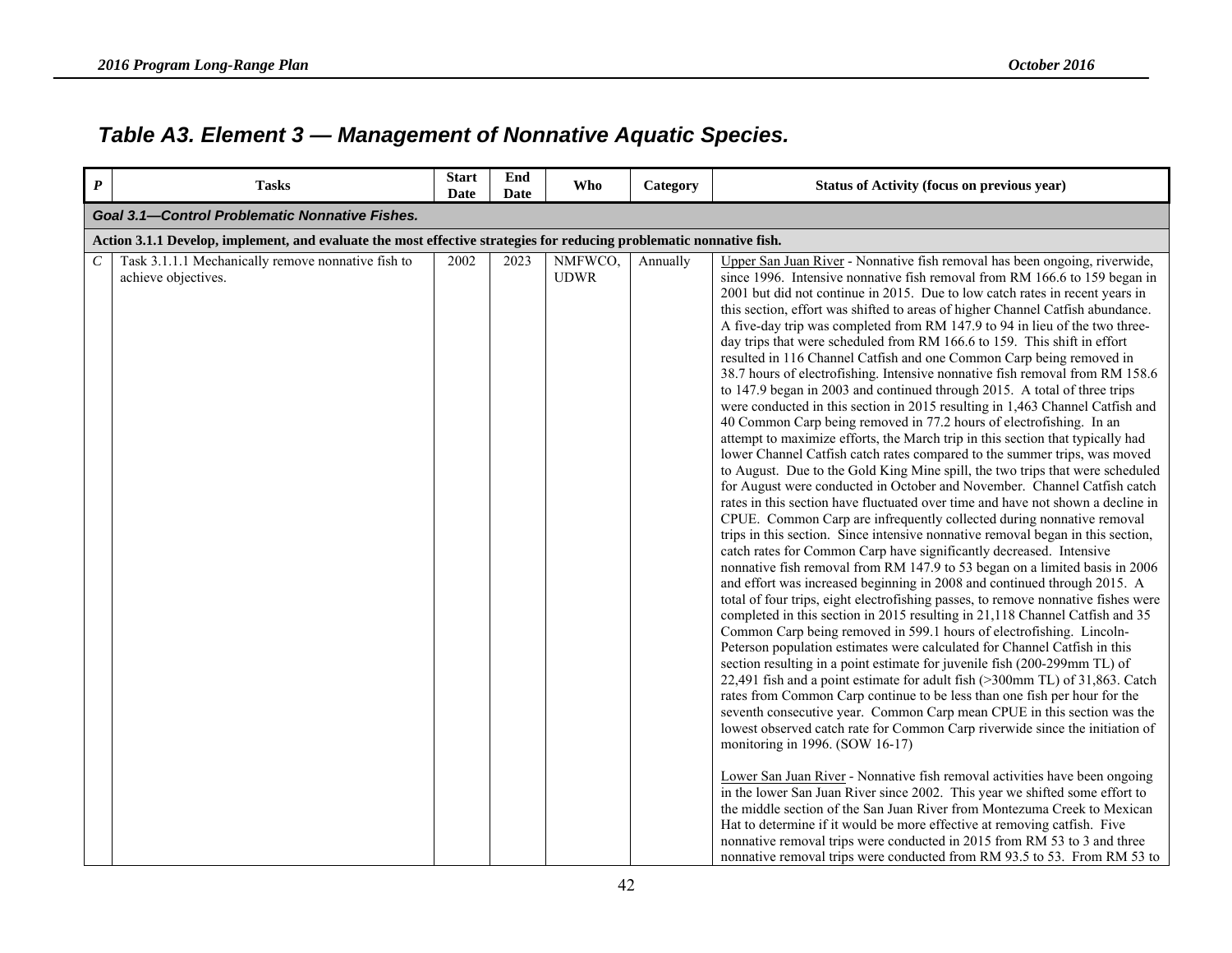# *Table A3. Element 3 — Management of Nonnative Aquatic Species.*

| $\boldsymbol{P}$ | <b>Tasks</b>                                                                                                         | <b>Start</b><br>Date | End<br><b>Date</b> | Who                    | Category | <b>Status of Activity (focus on previous year)</b>                                                                                                                                                                                                                                                                                                                                                                                                                                                                                                                                                                                                                                                                                                                                                                                                                                                                                                                                                                                                                                                                                                                                                                                                                                                                                                                                                                                                                                                                                                                                                                                                                                                                                                                                                                                                                                                                                                                                                                                                                                                                                                                                                                                                                                                                                                                                                                                                                                                                                                                                                                                                                                                                                                                                                                                                                                                                                             |  |  |  |  |  |  |
|------------------|----------------------------------------------------------------------------------------------------------------------|----------------------|--------------------|------------------------|----------|------------------------------------------------------------------------------------------------------------------------------------------------------------------------------------------------------------------------------------------------------------------------------------------------------------------------------------------------------------------------------------------------------------------------------------------------------------------------------------------------------------------------------------------------------------------------------------------------------------------------------------------------------------------------------------------------------------------------------------------------------------------------------------------------------------------------------------------------------------------------------------------------------------------------------------------------------------------------------------------------------------------------------------------------------------------------------------------------------------------------------------------------------------------------------------------------------------------------------------------------------------------------------------------------------------------------------------------------------------------------------------------------------------------------------------------------------------------------------------------------------------------------------------------------------------------------------------------------------------------------------------------------------------------------------------------------------------------------------------------------------------------------------------------------------------------------------------------------------------------------------------------------------------------------------------------------------------------------------------------------------------------------------------------------------------------------------------------------------------------------------------------------------------------------------------------------------------------------------------------------------------------------------------------------------------------------------------------------------------------------------------------------------------------------------------------------------------------------------------------------------------------------------------------------------------------------------------------------------------------------------------------------------------------------------------------------------------------------------------------------------------------------------------------------------------------------------------------------------------------------------------------------------------------------------------------------|--|--|--|--|--|--|
|                  | <b>Goal 3.1-Control Problematic Nonnative Fishes.</b>                                                                |                      |                    |                        |          |                                                                                                                                                                                                                                                                                                                                                                                                                                                                                                                                                                                                                                                                                                                                                                                                                                                                                                                                                                                                                                                                                                                                                                                                                                                                                                                                                                                                                                                                                                                                                                                                                                                                                                                                                                                                                                                                                                                                                                                                                                                                                                                                                                                                                                                                                                                                                                                                                                                                                                                                                                                                                                                                                                                                                                                                                                                                                                                                                |  |  |  |  |  |  |
|                  | Action 3.1.1 Develop, implement, and evaluate the most effective strategies for reducing problematic nonnative fish. |                      |                    |                        |          |                                                                                                                                                                                                                                                                                                                                                                                                                                                                                                                                                                                                                                                                                                                                                                                                                                                                                                                                                                                                                                                                                                                                                                                                                                                                                                                                                                                                                                                                                                                                                                                                                                                                                                                                                                                                                                                                                                                                                                                                                                                                                                                                                                                                                                                                                                                                                                                                                                                                                                                                                                                                                                                                                                                                                                                                                                                                                                                                                |  |  |  |  |  |  |
| C                | Task 3.1.1.1 Mechanically remove nonnative fish to<br>achieve objectives.                                            | 2002                 | 2023               | NMFWCO,<br><b>UDWR</b> | Annually | Upper San Juan River - Nonnative fish removal has been ongoing, riverwide,<br>since 1996. Intensive nonnative fish removal from RM 166.6 to 159 began in<br>2001 but did not continue in 2015. Due to low catch rates in recent years in<br>this section, effort was shifted to areas of higher Channel Catfish abundance.<br>A five-day trip was completed from RM 147.9 to 94 in lieu of the two three-<br>day trips that were scheduled from RM 166.6 to 159. This shift in effort<br>resulted in 116 Channel Catfish and one Common Carp being removed in<br>38.7 hours of electrofishing. Intensive nonnative fish removal from RM 158.6<br>to 147.9 began in 2003 and continued through 2015. A total of three trips<br>were conducted in this section in 2015 resulting in 1,463 Channel Catfish and<br>40 Common Carp being removed in 77.2 hours of electrofishing. In an<br>attempt to maximize efforts, the March trip in this section that typically had<br>lower Channel Catfish catch rates compared to the summer trips, was moved<br>to August. Due to the Gold King Mine spill, the two trips that were scheduled<br>for August were conducted in October and November. Channel Catfish catch<br>rates in this section have fluctuated over time and have not shown a decline in<br>CPUE. Common Carp are infrequently collected during nonnative removal<br>trips in this section. Since intensive nonnative removal began in this section,<br>catch rates for Common Carp have significantly decreased. Intensive<br>nonnative fish removal from RM 147.9 to 53 began on a limited basis in 2006<br>and effort was increased beginning in 2008 and continued through 2015. A<br>total of four trips, eight electrofishing passes, to remove nonnative fishes were<br>completed in this section in 2015 resulting in 21,118 Channel Catfish and 35<br>Common Carp being removed in 599.1 hours of electrofishing. Lincoln-<br>Peterson population estimates were calculated for Channel Catfish in this<br>section resulting in a point estimate for juvenile fish (200-299mm TL) of<br>22,491 fish and a point estimate for adult fish (>300mm TL) of 31,863. Catch<br>rates from Common Carp continue to be less than one fish per hour for the<br>seventh consecutive year. Common Carp mean CPUE in this section was the<br>lowest observed catch rate for Common Carp riverwide since the initiation of<br>monitoring in 1996. (SOW 16-17)<br>Lower San Juan River - Nonnative fish removal activities have been ongoing<br>in the lower San Juan River since 2002. This year we shifted some effort to<br>the middle section of the San Juan River from Montezuma Creek to Mexican<br>Hat to determine if it would be more effective at removing catfish. Five<br>nonnative removal trips were conducted in 2015 from RM 53 to 3 and three<br>nonnative removal trips were conducted from RM 93.5 to 53. From RM 53 to |  |  |  |  |  |  |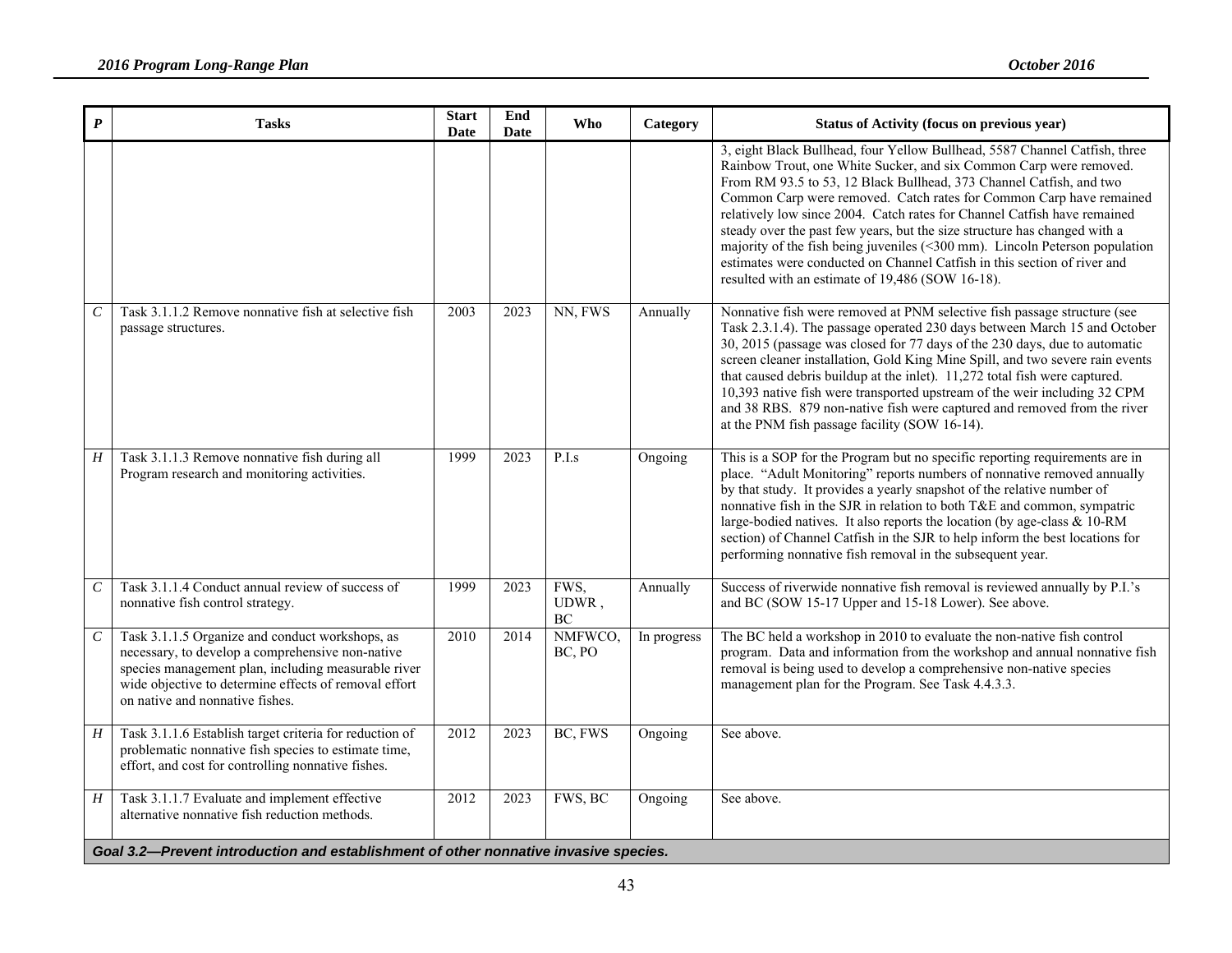| $\boldsymbol{P}$            | <b>Tasks</b>                                                                                                                                                                                                                                           | <b>Start</b><br>Date | End<br>Date | Who                 | Category    | <b>Status of Activity (focus on previous year)</b>                                                                                                                                                                                                                                                                                                                                                                                                                                                                                                                                                                                                                        |
|-----------------------------|--------------------------------------------------------------------------------------------------------------------------------------------------------------------------------------------------------------------------------------------------------|----------------------|-------------|---------------------|-------------|---------------------------------------------------------------------------------------------------------------------------------------------------------------------------------------------------------------------------------------------------------------------------------------------------------------------------------------------------------------------------------------------------------------------------------------------------------------------------------------------------------------------------------------------------------------------------------------------------------------------------------------------------------------------------|
|                             |                                                                                                                                                                                                                                                        |                      |             |                     |             | 3, eight Black Bullhead, four Yellow Bullhead, 5587 Channel Catfish, three<br>Rainbow Trout, one White Sucker, and six Common Carp were removed.<br>From RM 93.5 to 53, 12 Black Bullhead, 373 Channel Catfish, and two<br>Common Carp were removed. Catch rates for Common Carp have remained<br>relatively low since 2004. Catch rates for Channel Catfish have remained<br>steady over the past few years, but the size structure has changed with a<br>majority of the fish being juveniles $(< 300$ mm). Lincoln Peterson population<br>estimates were conducted on Channel Catfish in this section of river and<br>resulted with an estimate of 19,486 (SOW 16-18). |
| $\mathcal{C}_{0}^{0}$       | Task 3.1.1.2 Remove nonnative fish at selective fish<br>passage structures.                                                                                                                                                                            | 2003                 | 2023        | NN, FWS             | Annually    | Nonnative fish were removed at PNM selective fish passage structure (see<br>Task 2.3.1.4). The passage operated 230 days between March 15 and October<br>30, 2015 (passage was closed for 77 days of the 230 days, due to automatic<br>screen cleaner installation, Gold King Mine Spill, and two severe rain events<br>that caused debris buildup at the inlet). 11,272 total fish were captured.<br>10,393 native fish were transported upstream of the weir including 32 CPM<br>and 38 RBS. 879 non-native fish were captured and removed from the river<br>at the PNM fish passage facility (SOW 16-14).                                                              |
| H                           | Task 3.1.1.3 Remove nonnative fish during all<br>Program research and monitoring activities.                                                                                                                                                           | 1999                 | 2023        | P.I.s               | Ongoing     | This is a SOP for the Program but no specific reporting requirements are in<br>place. "Adult Monitoring" reports numbers of nonnative removed annually<br>by that study. It provides a yearly snapshot of the relative number of<br>nonnative fish in the SJR in relation to both T&E and common, sympatric<br>large-bodied natives. It also reports the location (by age-class & 10-RM<br>section) of Channel Catfish in the SJR to help inform the best locations for<br>performing nonnative fish removal in the subsequent year.                                                                                                                                      |
| $\mathcal{C}_{\mathcal{C}}$ | Task 3.1.1.4 Conduct annual review of success of<br>nonnative fish control strategy.                                                                                                                                                                   | 1999                 | 2023        | FWS,<br>UDWR,<br>BC | Annually    | Success of riverwide nonnative fish removal is reviewed annually by P.I.'s<br>and BC (SOW 15-17 Upper and 15-18 Lower). See above.                                                                                                                                                                                                                                                                                                                                                                                                                                                                                                                                        |
| $\cal C$                    | Task 3.1.1.5 Organize and conduct workshops, as<br>necessary, to develop a comprehensive non-native<br>species management plan, including measurable river<br>wide objective to determine effects of removal effort<br>on native and nonnative fishes. | 2010                 | 2014        | NMFWCO,<br>BC, PO   | In progress | The BC held a workshop in 2010 to evaluate the non-native fish control<br>program. Data and information from the workshop and annual nonnative fish<br>removal is being used to develop a comprehensive non-native species<br>management plan for the Program. See Task 4.4.3.3.                                                                                                                                                                                                                                                                                                                                                                                          |
| $H_{\parallel}$             | Task 3.1.1.6 Establish target criteria for reduction of<br>problematic nonnative fish species to estimate time,<br>effort, and cost for controlling nonnative fishes.                                                                                  | 2012                 | 2023        | BC, FWS             | Ongoing     | See above.                                                                                                                                                                                                                                                                                                                                                                                                                                                                                                                                                                                                                                                                |
| $\boldsymbol{H}$            | Task 3.1.1.7 Evaluate and implement effective<br>alternative nonnative fish reduction methods.                                                                                                                                                         | 2012                 | 2023        | FWS, BC             | Ongoing     | See above.                                                                                                                                                                                                                                                                                                                                                                                                                                                                                                                                                                                                                                                                |
|                             | Goal 3.2-Prevent introduction and establishment of other nonnative invasive species.                                                                                                                                                                   |                      |             |                     |             |                                                                                                                                                                                                                                                                                                                                                                                                                                                                                                                                                                                                                                                                           |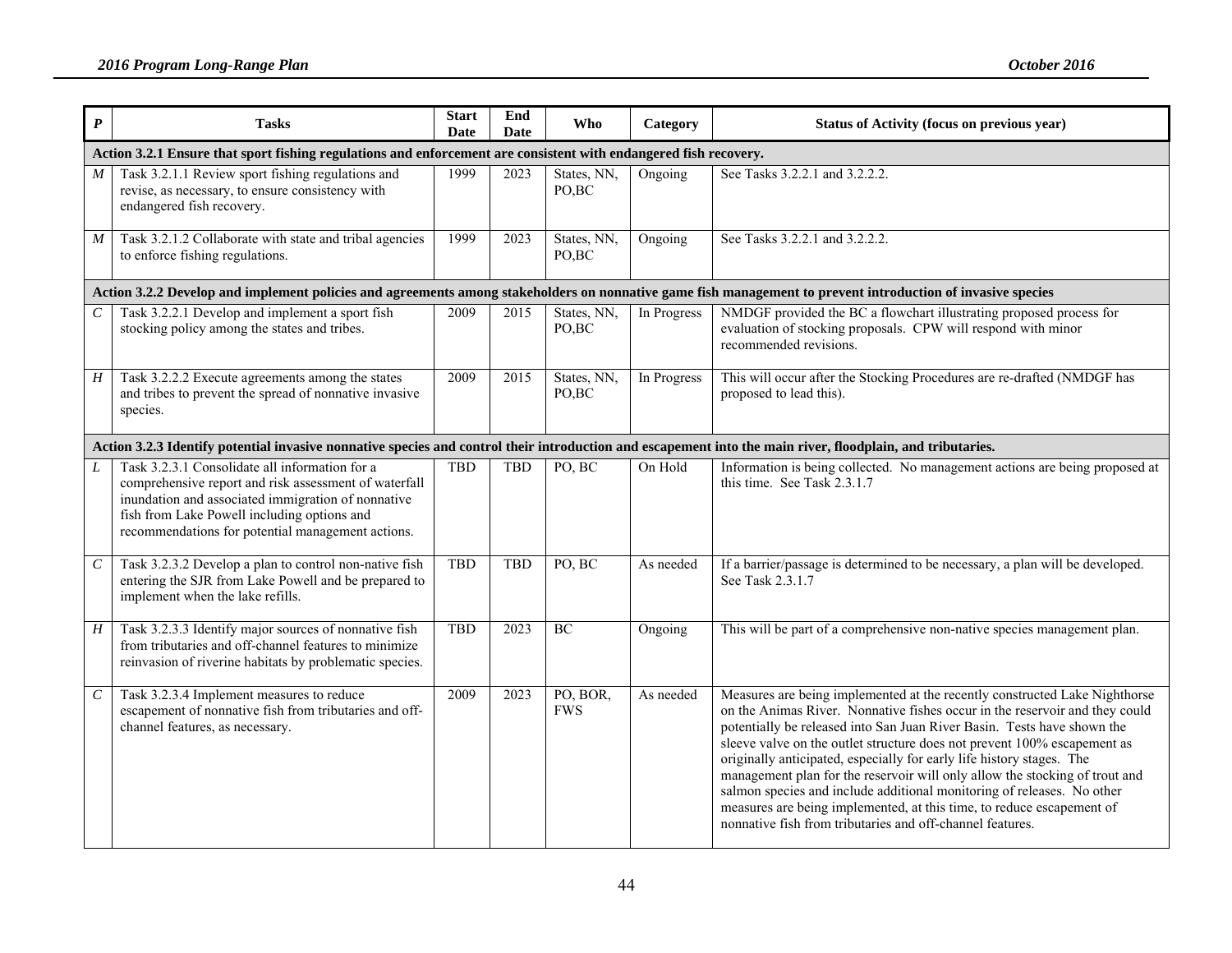| $\boldsymbol{P}$      | <b>Tasks</b>                                                                                                                                                                                                                                                      | <b>Start</b><br>Date | End<br><b>Date</b> | Who                    | Category    | <b>Status of Activity (focus on previous year)</b>                                                                                                                                                                                                                                                                                                                                                                                                                                                                                                                                                                                                                                       |
|-----------------------|-------------------------------------------------------------------------------------------------------------------------------------------------------------------------------------------------------------------------------------------------------------------|----------------------|--------------------|------------------------|-------------|------------------------------------------------------------------------------------------------------------------------------------------------------------------------------------------------------------------------------------------------------------------------------------------------------------------------------------------------------------------------------------------------------------------------------------------------------------------------------------------------------------------------------------------------------------------------------------------------------------------------------------------------------------------------------------------|
|                       | Action 3.2.1 Ensure that sport fishing regulations and enforcement are consistent with endangered fish recovery.                                                                                                                                                  |                      |                    |                        |             |                                                                                                                                                                                                                                                                                                                                                                                                                                                                                                                                                                                                                                                                                          |
| $\boldsymbol{M}$      | Task 3.2.1.1 Review sport fishing regulations and<br>revise, as necessary, to ensure consistency with<br>endangered fish recovery.                                                                                                                                | 1999                 | 2023               | States, NN,<br>PO,BC   | Ongoing     | See Tasks 3.2.2.1 and 3.2.2.2.                                                                                                                                                                                                                                                                                                                                                                                                                                                                                                                                                                                                                                                           |
| $\overline{M}$        | Task 3.2.1.2 Collaborate with state and tribal agencies<br>to enforce fishing regulations.                                                                                                                                                                        | 1999                 | 2023               | States, NN,<br>PO, BC  | Ongoing     | See Tasks 3.2.2.1 and 3.2.2.2.                                                                                                                                                                                                                                                                                                                                                                                                                                                                                                                                                                                                                                                           |
|                       |                                                                                                                                                                                                                                                                   |                      |                    |                        |             | Action 3.2.2 Develop and implement policies and agreements among stakeholders on nonnative game fish management to prevent introduction of invasive species                                                                                                                                                                                                                                                                                                                                                                                                                                                                                                                              |
| $\mathcal{C}_{0}^{0}$ | Task 3.2.2.1 Develop and implement a sport fish<br>stocking policy among the states and tribes.                                                                                                                                                                   | 2009                 | 2015               | States, NN,<br>PO, BC  | In Progress | NMDGF provided the BC a flowchart illustrating proposed process for<br>evaluation of stocking proposals. CPW will respond with minor<br>recommended revisions.                                                                                                                                                                                                                                                                                                                                                                                                                                                                                                                           |
| $\overline{H}$        | Task 3.2.2.2 Execute agreements among the states<br>and tribes to prevent the spread of nonnative invasive<br>species.                                                                                                                                            | 2009                 | 2015               | States, NN,<br>PO,BC   | In Progress | This will occur after the Stocking Procedures are re-drafted (NMDGF has<br>proposed to lead this).                                                                                                                                                                                                                                                                                                                                                                                                                                                                                                                                                                                       |
|                       | Action 3.2.3 Identify potential invasive nonnative species and control their introduction and escapement into the main river, floodplain, and tributaries.                                                                                                        |                      |                    |                        |             |                                                                                                                                                                                                                                                                                                                                                                                                                                                                                                                                                                                                                                                                                          |
| L                     | Task 3.2.3.1 Consolidate all information for a<br>comprehensive report and risk assessment of waterfall<br>inundation and associated immigration of nonnative<br>fish from Lake Powell including options and<br>recommendations for potential management actions. | <b>TBD</b>           | <b>TBD</b>         | PO, BC                 | On Hold     | Information is being collected. No management actions are being proposed at<br>this time. See Task 2.3.1.7                                                                                                                                                                                                                                                                                                                                                                                                                                                                                                                                                                               |
| $\boldsymbol{C}$      | Task 3.2.3.2 Develop a plan to control non-native fish<br>entering the SJR from Lake Powell and be prepared to<br>implement when the lake refills.                                                                                                                | <b>TBD</b>           | <b>TBD</b>         | PO, BC                 | As needed   | If a barrier/passage is determined to be necessary, a plan will be developed.<br>See Task 2.3.1.7                                                                                                                                                                                                                                                                                                                                                                                                                                                                                                                                                                                        |
| H                     | Task 3.2.3.3 Identify major sources of nonnative fish<br>from tributaries and off-channel features to minimize<br>reinvasion of riverine habitats by problematic species.                                                                                         | <b>TBD</b>           | 2023               | BC                     | Ongoing     | This will be part of a comprehensive non-native species management plan.                                                                                                                                                                                                                                                                                                                                                                                                                                                                                                                                                                                                                 |
| $\mathcal{C}$         | Task 3.2.3.4 Implement measures to reduce<br>escapement of nonnative fish from tributaries and off-<br>channel features, as necessary.                                                                                                                            | 2009                 | 2023               | PO, BOR,<br><b>FWS</b> | As needed   | Measures are being implemented at the recently constructed Lake Nighthorse<br>on the Animas River. Nonnative fishes occur in the reservoir and they could<br>potentially be released into San Juan River Basin. Tests have shown the<br>sleeve valve on the outlet structure does not prevent 100% escapement as<br>originally anticipated, especially for early life history stages. The<br>management plan for the reservoir will only allow the stocking of trout and<br>salmon species and include additional monitoring of releases. No other<br>measures are being implemented, at this time, to reduce escapement of<br>nonnative fish from tributaries and off-channel features. |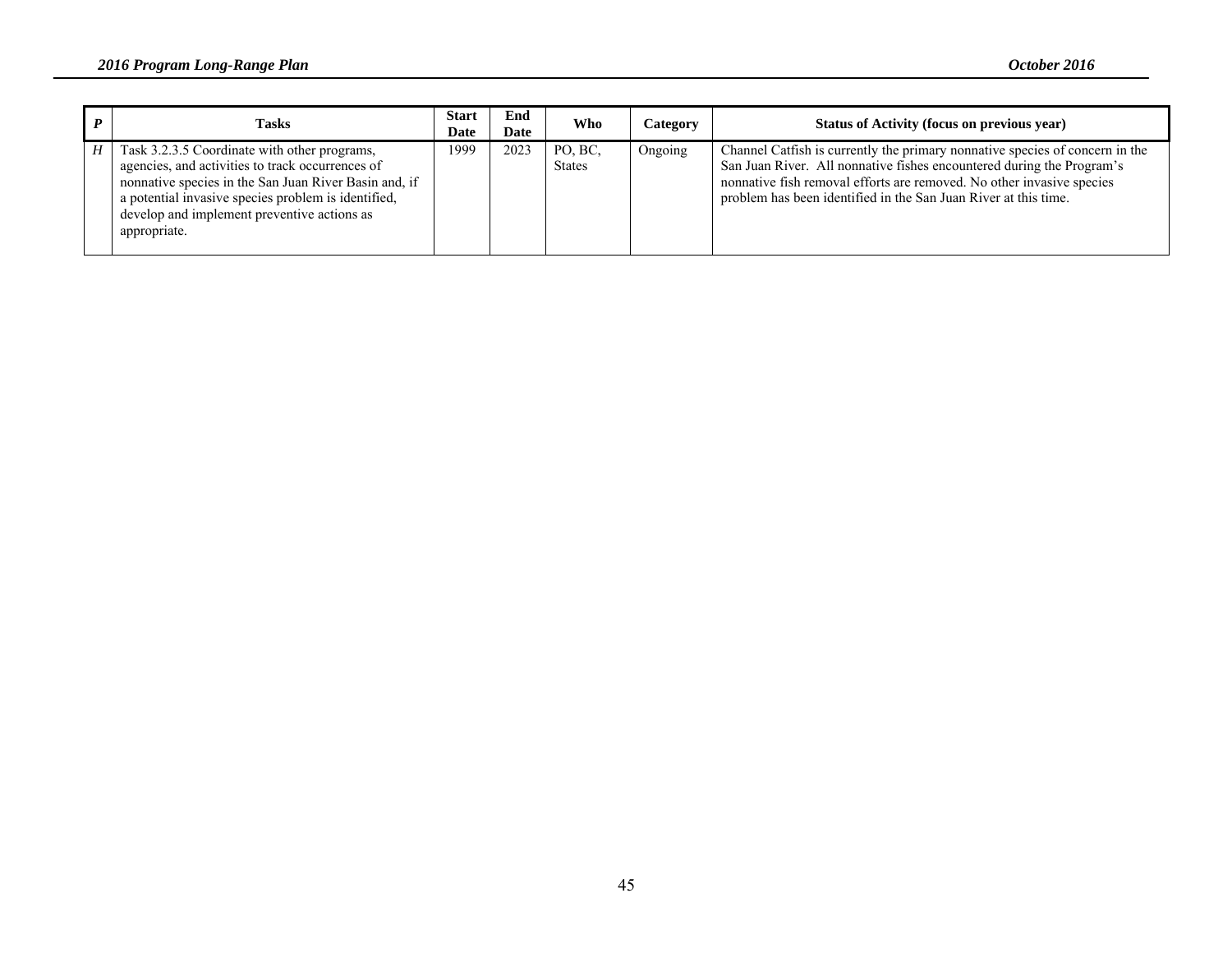|   | <b>Tasks</b>                                                                                                                                                                                                                                                                    | <b>Start</b><br>Date | End<br>Date | Who                      | Category | Status of Activity (focus on previous year)                                                                                                                                                                                                                                                       |
|---|---------------------------------------------------------------------------------------------------------------------------------------------------------------------------------------------------------------------------------------------------------------------------------|----------------------|-------------|--------------------------|----------|---------------------------------------------------------------------------------------------------------------------------------------------------------------------------------------------------------------------------------------------------------------------------------------------------|
| H | Task 3.2.3.5 Coordinate with other programs,<br>agencies, and activities to track occurrences of<br>nonnative species in the San Juan River Basin and, if<br>a potential invasive species problem is identified,<br>develop and implement preventive actions as<br>appropriate. | 1999                 | 2023        | PO, BC,<br><b>States</b> | Ongoing  | Channel Catfish is currently the primary nonnative species of concern in the<br>San Juan River. All nonnative fishes encountered during the Program's<br>nonnative fish removal efforts are removed. No other invasive species<br>problem has been identified in the San Juan River at this time. |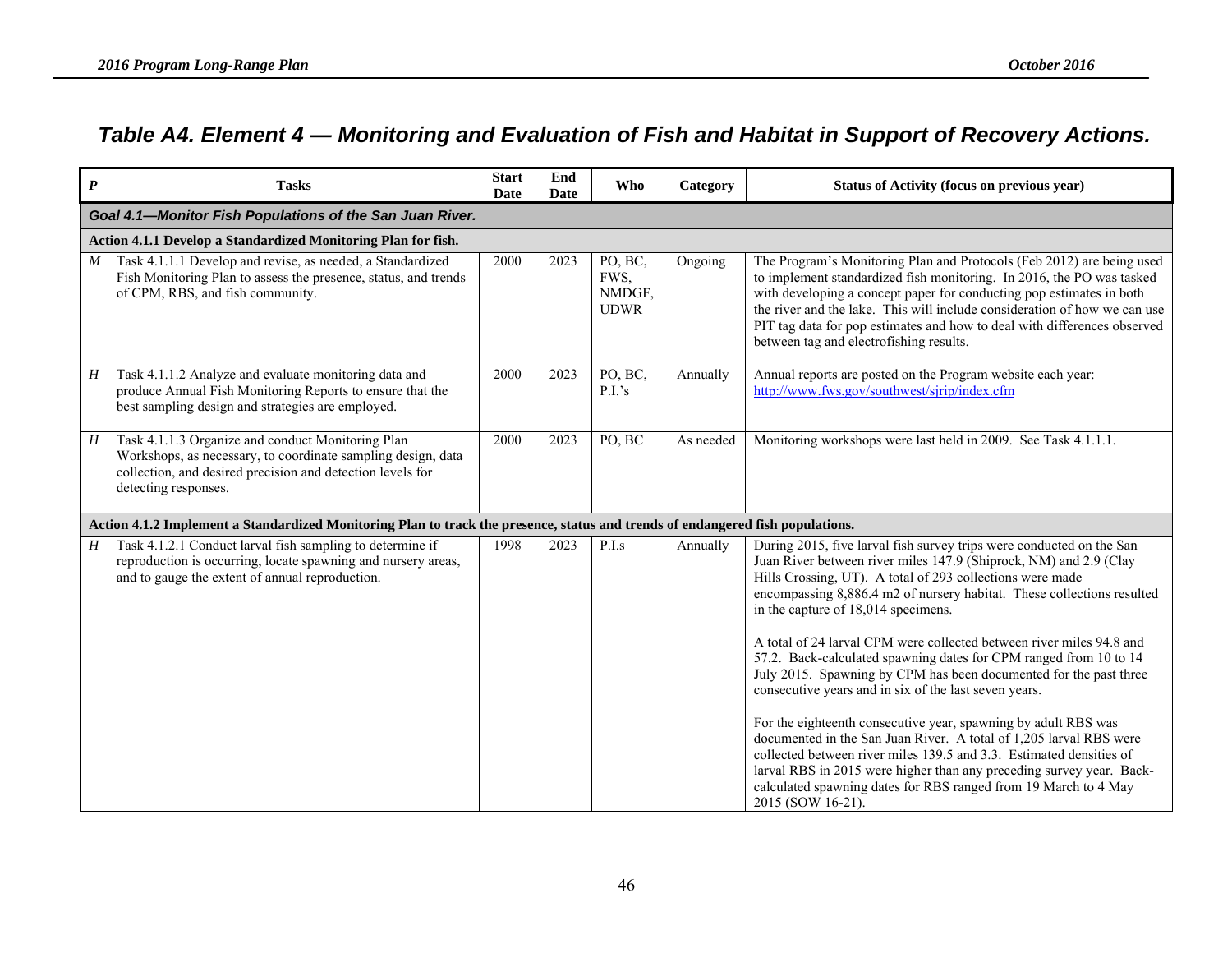## *Table A4. Element 4 — Monitoring and Evaluation of Fish and Habitat in Support of Recovery Actions.*

| $\boldsymbol{P}$ | <b>Tasks</b>                                                                                                                                                                                            | <b>Start</b><br>Date | End<br><b>Date</b> | <b>Who</b>                               | Category  | Status of Activity (focus on previous year)                                                                                                                                                                                                                                                                                                                                                                                                                                                                                                                                                                                                                                                                                                                                                                                                                                                                                                                                       |  |  |  |  |  |
|------------------|---------------------------------------------------------------------------------------------------------------------------------------------------------------------------------------------------------|----------------------|--------------------|------------------------------------------|-----------|-----------------------------------------------------------------------------------------------------------------------------------------------------------------------------------------------------------------------------------------------------------------------------------------------------------------------------------------------------------------------------------------------------------------------------------------------------------------------------------------------------------------------------------------------------------------------------------------------------------------------------------------------------------------------------------------------------------------------------------------------------------------------------------------------------------------------------------------------------------------------------------------------------------------------------------------------------------------------------------|--|--|--|--|--|
|                  | Goal 4.1-Monitor Fish Populations of the San Juan River.                                                                                                                                                |                      |                    |                                          |           |                                                                                                                                                                                                                                                                                                                                                                                                                                                                                                                                                                                                                                                                                                                                                                                                                                                                                                                                                                                   |  |  |  |  |  |
|                  | Action 4.1.1 Develop a Standardized Monitoring Plan for fish.                                                                                                                                           |                      |                    |                                          |           |                                                                                                                                                                                                                                                                                                                                                                                                                                                                                                                                                                                                                                                                                                                                                                                                                                                                                                                                                                                   |  |  |  |  |  |
| M                | Task 4.1.1.1 Develop and revise, as needed, a Standardized<br>Fish Monitoring Plan to assess the presence, status, and trends<br>of CPM, RBS, and fish community.                                       | 2000                 | 2023               | PO, BC,<br>FWS,<br>NMDGF,<br><b>UDWR</b> | Ongoing   | The Program's Monitoring Plan and Protocols (Feb 2012) are being used<br>to implement standardized fish monitoring. In 2016, the PO was tasked<br>with developing a concept paper for conducting pop estimates in both<br>the river and the lake. This will include consideration of how we can use<br>PIT tag data for pop estimates and how to deal with differences observed<br>between tag and electrofishing results.                                                                                                                                                                                                                                                                                                                                                                                                                                                                                                                                                        |  |  |  |  |  |
| H                | Task 4.1.1.2 Analyze and evaluate monitoring data and<br>produce Annual Fish Monitoring Reports to ensure that the<br>best sampling design and strategies are employed.                                 | 2000                 | 2023               | PO, BC,<br>P.I.'s                        | Annually  | Annual reports are posted on the Program website each year:<br>http://www.fws.gov/southwest/sjrip/index.cfm                                                                                                                                                                                                                                                                                                                                                                                                                                                                                                                                                                                                                                                                                                                                                                                                                                                                       |  |  |  |  |  |
| H                | Task 4.1.1.3 Organize and conduct Monitoring Plan<br>Workshops, as necessary, to coordinate sampling design, data<br>collection, and desired precision and detection levels for<br>detecting responses. | 2000                 | 2023               | PO, BC                                   | As needed | Monitoring workshops were last held in 2009. See Task 4.1.1.1.                                                                                                                                                                                                                                                                                                                                                                                                                                                                                                                                                                                                                                                                                                                                                                                                                                                                                                                    |  |  |  |  |  |
|                  | Action 4.1.2 Implement a Standardized Monitoring Plan to track the presence, status and trends of endangered fish populations.                                                                          |                      |                    |                                          |           |                                                                                                                                                                                                                                                                                                                                                                                                                                                                                                                                                                                                                                                                                                                                                                                                                                                                                                                                                                                   |  |  |  |  |  |
| $H_{\parallel}$  | Task 4.1.2.1 Conduct larval fish sampling to determine if<br>reproduction is occurring, locate spawning and nursery areas,<br>and to gauge the extent of annual reproduction.                           | 1998                 | 2023               | P.I.s                                    | Annually  | During 2015, five larval fish survey trips were conducted on the San<br>Juan River between river miles 147.9 (Shiprock, NM) and 2.9 (Clay<br>Hills Crossing, UT). A total of 293 collections were made<br>encompassing 8,886.4 m2 of nursery habitat. These collections resulted<br>in the capture of 18,014 specimens.<br>A total of 24 larval CPM were collected between river miles 94.8 and<br>57.2. Back-calculated spawning dates for CPM ranged from 10 to 14<br>July 2015. Spawning by CPM has been documented for the past three<br>consecutive years and in six of the last seven years.<br>For the eighteenth consecutive year, spawning by adult RBS was<br>documented in the San Juan River. A total of 1,205 larval RBS were<br>collected between river miles 139.5 and 3.3. Estimated densities of<br>larval RBS in 2015 were higher than any preceding survey year. Back-<br>calculated spawning dates for RBS ranged from 19 March to 4 May<br>2015 (SOW 16-21). |  |  |  |  |  |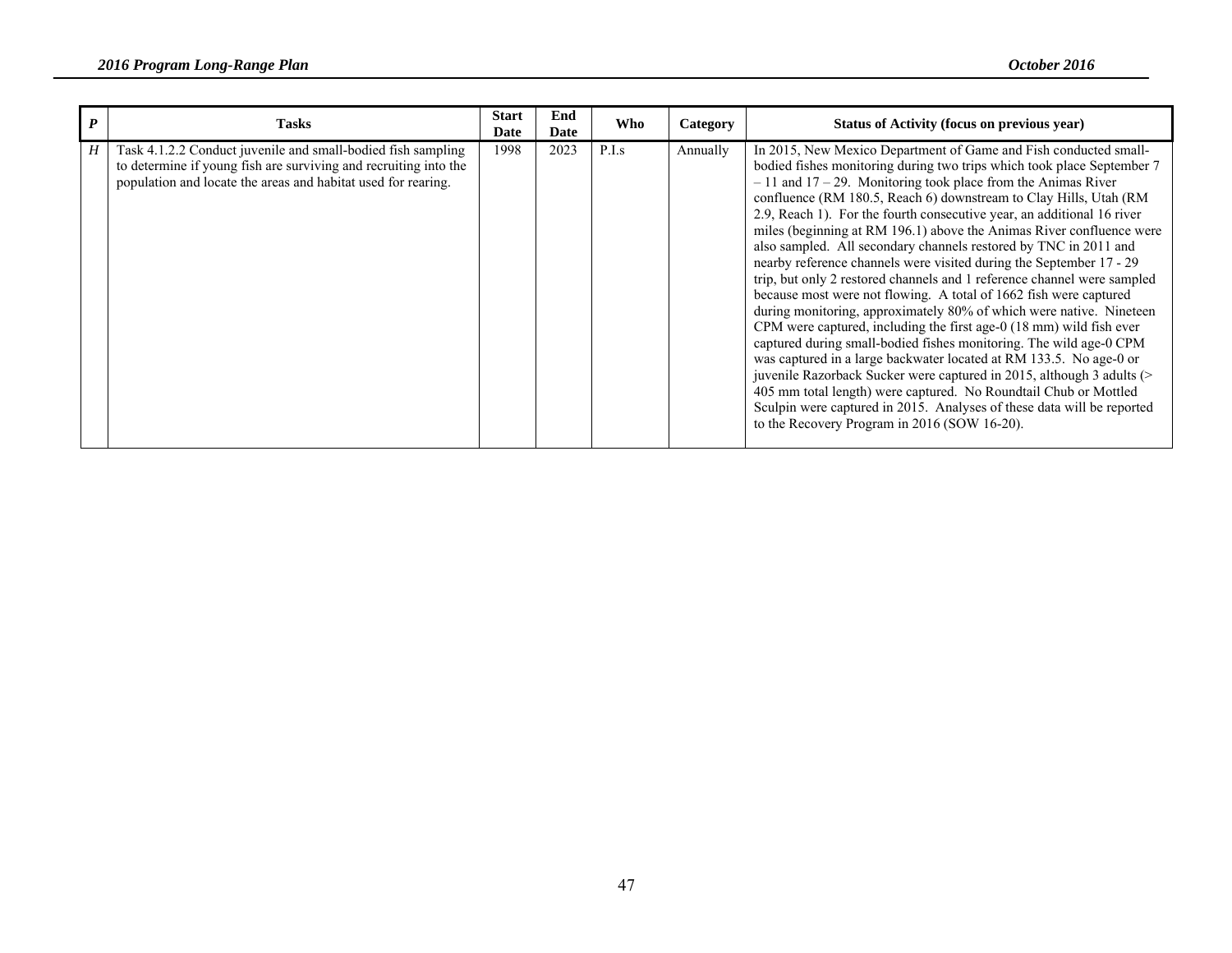| <b>Tasks</b>                                                                                                                                                                                      | <b>Start</b><br>Date | End<br>Date | Who   | Category | Status of Activity (focus on previous year)                                                                                                                                                                                                                                                                                                                                                                                                                                                                                                                                                                                                                                                                                                                                                                                                                                                                                                                                                                                                                                                                                                                                                                                                                                                      |
|---------------------------------------------------------------------------------------------------------------------------------------------------------------------------------------------------|----------------------|-------------|-------|----------|--------------------------------------------------------------------------------------------------------------------------------------------------------------------------------------------------------------------------------------------------------------------------------------------------------------------------------------------------------------------------------------------------------------------------------------------------------------------------------------------------------------------------------------------------------------------------------------------------------------------------------------------------------------------------------------------------------------------------------------------------------------------------------------------------------------------------------------------------------------------------------------------------------------------------------------------------------------------------------------------------------------------------------------------------------------------------------------------------------------------------------------------------------------------------------------------------------------------------------------------------------------------------------------------------|
| Task 4.1.2.2 Conduct juvenile and small-bodied fish sampling<br>to determine if young fish are surviving and recruiting into the<br>population and locate the areas and habitat used for rearing. | 1998                 | 2023        | P.I.s | Annually | In 2015, New Mexico Department of Game and Fish conducted small-<br>bodied fishes monitoring during two trips which took place September 7<br>$-11$ and $17-29$ . Monitoring took place from the Animas River<br>confluence (RM 180.5, Reach 6) downstream to Clay Hills, Utah (RM<br>2.9, Reach 1). For the fourth consecutive year, an additional 16 river<br>miles (beginning at RM 196.1) above the Animas River confluence were<br>also sampled. All secondary channels restored by TNC in 2011 and<br>nearby reference channels were visited during the September 17 - 29<br>trip, but only 2 restored channels and 1 reference channel were sampled<br>because most were not flowing. A total of 1662 fish were captured<br>during monitoring, approximately 80% of which were native. Nineteen<br>CPM were captured, including the first age-0 (18 mm) wild fish ever<br>captured during small-bodied fishes monitoring. The wild age-0 CPM<br>was captured in a large backwater located at RM 133.5. No age-0 or<br>juvenile Razorback Sucker were captured in 2015, although 3 adults (><br>405 mm total length) were captured. No Roundtail Chub or Mottled<br>Sculpin were captured in 2015. Analyses of these data will be reported<br>to the Recovery Program in 2016 (SOW 16-20). |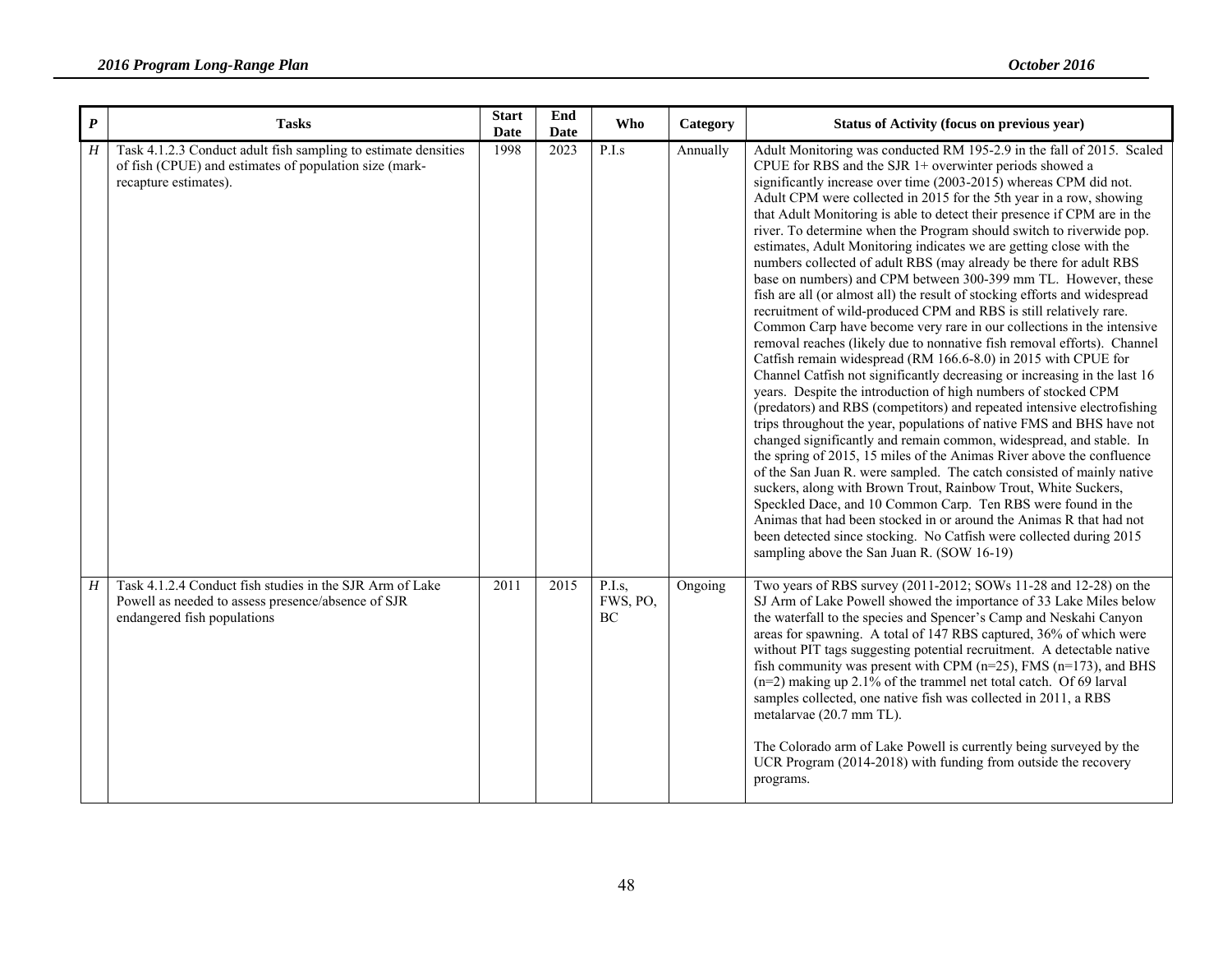| $\boldsymbol{P}$ | <b>Tasks</b>                                                                                                                                      | <b>Start</b><br><b>Date</b> | End<br><b>Date</b> | <b>Who</b>               | Category | Status of Activity (focus on previous year)                                                                                                                                                                                                                                                                                                                                                                                                                                                                                                                                                                                                                                                                                                                                                                                                                                                                                                                                                                                                                                                                                                                                                                                                                                                                                                                                                                                                                                                                                                                                                                                                                                                                                                                                                                                                                                         |
|------------------|---------------------------------------------------------------------------------------------------------------------------------------------------|-----------------------------|--------------------|--------------------------|----------|-------------------------------------------------------------------------------------------------------------------------------------------------------------------------------------------------------------------------------------------------------------------------------------------------------------------------------------------------------------------------------------------------------------------------------------------------------------------------------------------------------------------------------------------------------------------------------------------------------------------------------------------------------------------------------------------------------------------------------------------------------------------------------------------------------------------------------------------------------------------------------------------------------------------------------------------------------------------------------------------------------------------------------------------------------------------------------------------------------------------------------------------------------------------------------------------------------------------------------------------------------------------------------------------------------------------------------------------------------------------------------------------------------------------------------------------------------------------------------------------------------------------------------------------------------------------------------------------------------------------------------------------------------------------------------------------------------------------------------------------------------------------------------------------------------------------------------------------------------------------------------------|
| H                | Task 4.1.2.3 Conduct adult fish sampling to estimate densities<br>of fish (CPUE) and estimates of population size (mark-<br>recapture estimates). | 1998                        | 2023               | P.I.s                    | Annually | Adult Monitoring was conducted RM 195-2.9 in the fall of 2015. Scaled<br>CPUE for RBS and the SJR 1+ overwinter periods showed a<br>significantly increase over time (2003-2015) whereas CPM did not.<br>Adult CPM were collected in 2015 for the 5th year in a row, showing<br>that Adult Monitoring is able to detect their presence if CPM are in the<br>river. To determine when the Program should switch to riverwide pop.<br>estimates, Adult Monitoring indicates we are getting close with the<br>numbers collected of adult RBS (may already be there for adult RBS<br>base on numbers) and CPM between 300-399 mm TL. However, these<br>fish are all (or almost all) the result of stocking efforts and widespread<br>recruitment of wild-produced CPM and RBS is still relatively rare.<br>Common Carp have become very rare in our collections in the intensive<br>removal reaches (likely due to nonnative fish removal efforts). Channel<br>Catfish remain widespread (RM 166.6-8.0) in 2015 with CPUE for<br>Channel Catfish not significantly decreasing or increasing in the last 16<br>years. Despite the introduction of high numbers of stocked CPM<br>(predators) and RBS (competitors) and repeated intensive electrofishing<br>trips throughout the year, populations of native FMS and BHS have not<br>changed significantly and remain common, widespread, and stable. In<br>the spring of 2015, 15 miles of the Animas River above the confluence<br>of the San Juan R. were sampled. The catch consisted of mainly native<br>suckers, along with Brown Trout, Rainbow Trout, White Suckers,<br>Speckled Dace, and 10 Common Carp. Ten RBS were found in the<br>Animas that had been stocked in or around the Animas R that had not<br>been detected since stocking. No Catfish were collected during 2015<br>sampling above the San Juan R. (SOW 16-19) |
| H                | Task 4.1.2.4 Conduct fish studies in the SJR Arm of Lake<br>Powell as needed to assess presence/absence of SJR<br>endangered fish populations     | $\overline{2011}$           | 2015               | P.I.s.<br>FWS, PO,<br>BC | Ongoing  | Two years of RBS survey (2011-2012; SOWs 11-28 and 12-28) on the<br>SJ Arm of Lake Powell showed the importance of 33 Lake Miles below<br>the waterfall to the species and Spencer's Camp and Neskahi Canyon<br>areas for spawning. A total of 147 RBS captured, 36% of which were<br>without PIT tags suggesting potential recruitment. A detectable native<br>fish community was present with CPM ( $n=25$ ), FMS ( $n=173$ ), and BHS<br>$(n=2)$ making up 2.1% of the trammel net total catch. Of 69 larval<br>samples collected, one native fish was collected in 2011, a RBS<br>metalarvae (20.7 mm TL).<br>The Colorado arm of Lake Powell is currently being surveyed by the<br>UCR Program (2014-2018) with funding from outside the recovery<br>programs.                                                                                                                                                                                                                                                                                                                                                                                                                                                                                                                                                                                                                                                                                                                                                                                                                                                                                                                                                                                                                                                                                                                 |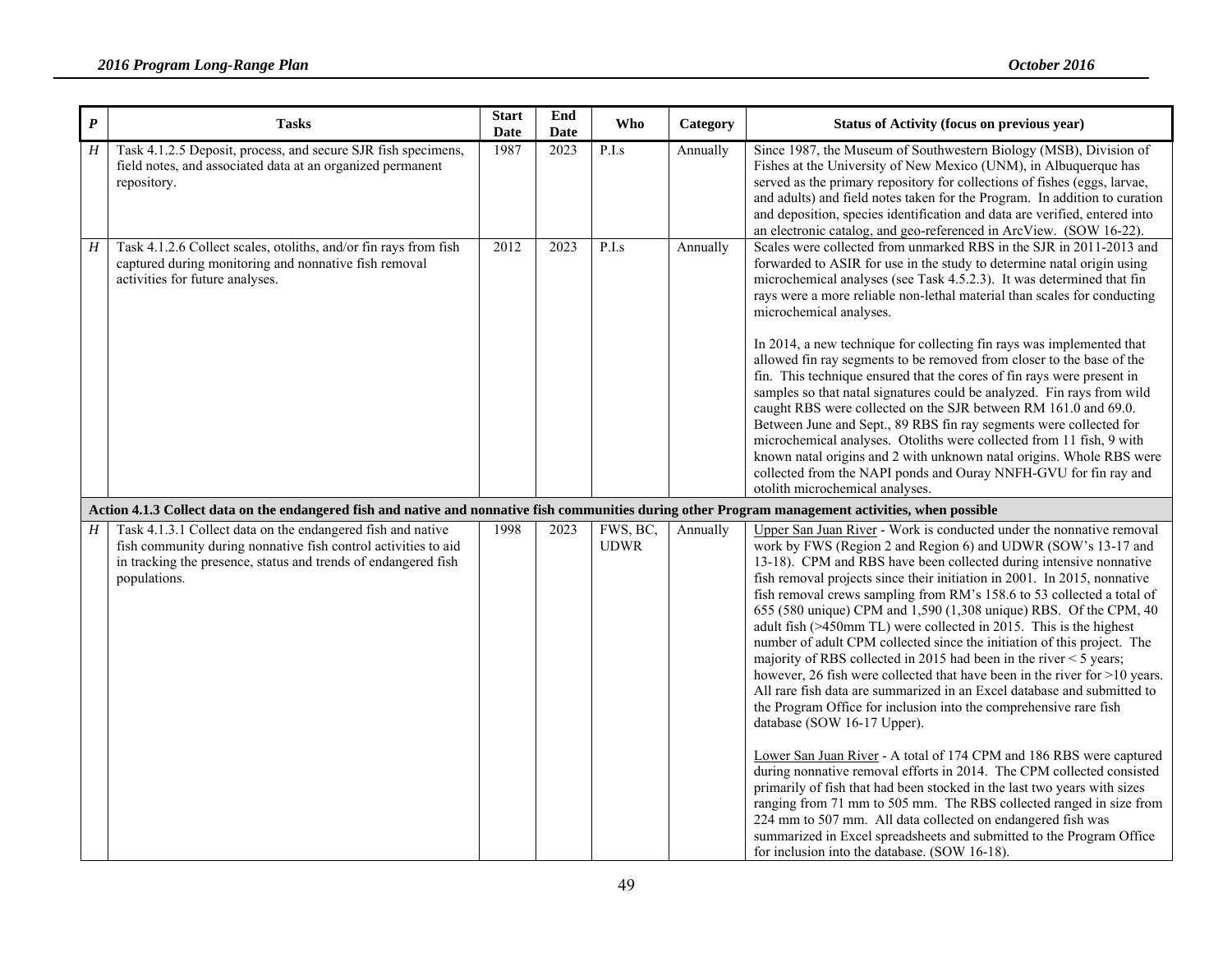| $\boldsymbol{P}$ | <b>Tasks</b>                                                                                                                                                                                                    | <b>Start</b><br>Date | End<br>Date | <b>Who</b>              | Category | Status of Activity (focus on previous year)                                                                                                                                                                                                                                                                                                                                                                                                                                                                                                                                                                                                                                                                                                                                                                                                                                                                                                                                                                                                                                                                                                                                                                                                                                                                                                                                                                               |
|------------------|-----------------------------------------------------------------------------------------------------------------------------------------------------------------------------------------------------------------|----------------------|-------------|-------------------------|----------|---------------------------------------------------------------------------------------------------------------------------------------------------------------------------------------------------------------------------------------------------------------------------------------------------------------------------------------------------------------------------------------------------------------------------------------------------------------------------------------------------------------------------------------------------------------------------------------------------------------------------------------------------------------------------------------------------------------------------------------------------------------------------------------------------------------------------------------------------------------------------------------------------------------------------------------------------------------------------------------------------------------------------------------------------------------------------------------------------------------------------------------------------------------------------------------------------------------------------------------------------------------------------------------------------------------------------------------------------------------------------------------------------------------------------|
| H                | Task 4.1.2.5 Deposit, process, and secure SJR fish specimens,<br>field notes, and associated data at an organized permanent<br>repository.                                                                      | 1987                 | 2023        | P.I.s                   | Annually | Since 1987, the Museum of Southwestern Biology (MSB), Division of<br>Fishes at the University of New Mexico (UNM), in Albuquerque has<br>served as the primary repository for collections of fishes (eggs, larvae,<br>and adults) and field notes taken for the Program. In addition to curation<br>and deposition, species identification and data are verified, entered into<br>an electronic catalog, and geo-referenced in ArcView. (SOW 16-22).                                                                                                                                                                                                                                                                                                                                                                                                                                                                                                                                                                                                                                                                                                                                                                                                                                                                                                                                                                      |
| H                | Task 4.1.2.6 Collect scales, otoliths, and/or fin rays from fish<br>captured during monitoring and nonnative fish removal<br>activities for future analyses.                                                    | 2012                 | 2023        | P.I.s                   | Annually | Scales were collected from unmarked RBS in the SJR in 2011-2013 and<br>forwarded to ASIR for use in the study to determine natal origin using<br>microchemical analyses (see Task 4.5.2.3). It was determined that fin<br>rays were a more reliable non-lethal material than scales for conducting<br>microchemical analyses.<br>In 2014, a new technique for collecting fin rays was implemented that<br>allowed fin ray segments to be removed from closer to the base of the<br>fin. This technique ensured that the cores of fin rays were present in<br>samples so that natal signatures could be analyzed. Fin rays from wild<br>caught RBS were collected on the SJR between RM 161.0 and 69.0.<br>Between June and Sept., 89 RBS fin ray segments were collected for<br>microchemical analyses. Otoliths were collected from 11 fish, 9 with<br>known natal origins and 2 with unknown natal origins. Whole RBS were<br>collected from the NAPI ponds and Ouray NNFH-GVU for fin ray and<br>otolith microchemical analyses.                                                                                                                                                                                                                                                                                                                                                                                       |
|                  | Action 4.1.3 Collect data on the endangered fish and native and nonnative fish communities during other Program management activities, when possible                                                            |                      |             |                         |          |                                                                                                                                                                                                                                                                                                                                                                                                                                                                                                                                                                                                                                                                                                                                                                                                                                                                                                                                                                                                                                                                                                                                                                                                                                                                                                                                                                                                                           |
| H                | Task 4.1.3.1 Collect data on the endangered fish and native<br>fish community during nonnative fish control activities to aid<br>in tracking the presence, status and trends of endangered fish<br>populations. | 1998                 | 2023        | FWS, BC,<br><b>UDWR</b> | Annually | Upper San Juan River - Work is conducted under the nonnative removal<br>work by FWS (Region 2 and Region 6) and UDWR (SOW's 13-17 and<br>13-18). CPM and RBS have been collected during intensive nonnative<br>fish removal projects since their initiation in 2001. In 2015, nonnative<br>fish removal crews sampling from RM's 158.6 to 53 collected a total of<br>655 (580 unique) CPM and 1,590 (1,308 unique) RBS. Of the CPM, 40<br>adult fish (>450mm TL) were collected in 2015. This is the highest<br>number of adult CPM collected since the initiation of this project. The<br>majority of RBS collected in 2015 had been in the river $<$ 5 years;<br>however, 26 fish were collected that have been in the river for $>10$ years.<br>All rare fish data are summarized in an Excel database and submitted to<br>the Program Office for inclusion into the comprehensive rare fish<br>database (SOW 16-17 Upper).<br>Lower San Juan River - A total of 174 CPM and 186 RBS were captured<br>during nonnative removal efforts in 2014. The CPM collected consisted<br>primarily of fish that had been stocked in the last two years with sizes<br>ranging from 71 mm to 505 mm. The RBS collected ranged in size from<br>224 mm to 507 mm. All data collected on endangered fish was<br>summarized in Excel spreadsheets and submitted to the Program Office<br>for inclusion into the database. (SOW 16-18). |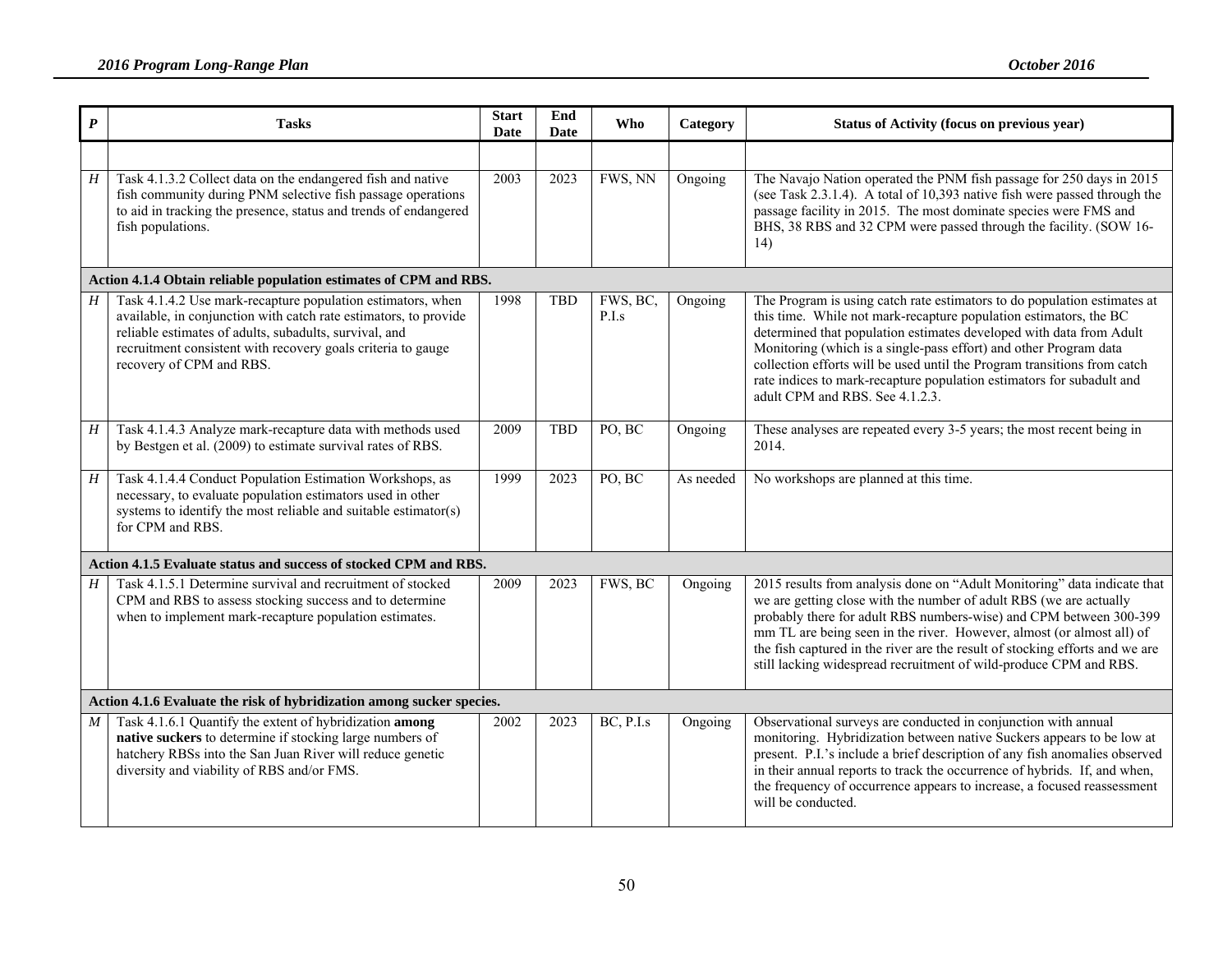| $\boldsymbol{P}$ | <b>Tasks</b>                                                                                                                                                                                                                                                                          | <b>Start</b><br>Date | End<br>Date | <b>Who</b>        | Category  | Status of Activity (focus on previous year)                                                                                                                                                                                                                                                                                                                                                                                                                                       |  |  |  |  |  |
|------------------|---------------------------------------------------------------------------------------------------------------------------------------------------------------------------------------------------------------------------------------------------------------------------------------|----------------------|-------------|-------------------|-----------|-----------------------------------------------------------------------------------------------------------------------------------------------------------------------------------------------------------------------------------------------------------------------------------------------------------------------------------------------------------------------------------------------------------------------------------------------------------------------------------|--|--|--|--|--|
|                  |                                                                                                                                                                                                                                                                                       |                      |             |                   |           |                                                                                                                                                                                                                                                                                                                                                                                                                                                                                   |  |  |  |  |  |
| H                | Task 4.1.3.2 Collect data on the endangered fish and native<br>fish community during PNM selective fish passage operations<br>to aid in tracking the presence, status and trends of endangered<br>fish populations.                                                                   | 2003                 | 2023        | FWS, NN           | Ongoing   | The Navajo Nation operated the PNM fish passage for 250 days in 2015<br>(see Task 2.3.1.4). A total of 10,393 native fish were passed through the<br>passage facility in 2015. The most dominate species were FMS and<br>BHS, 38 RBS and 32 CPM were passed through the facility. (SOW 16-<br>14)                                                                                                                                                                                 |  |  |  |  |  |
|                  | Action 4.1.4 Obtain reliable population estimates of CPM and RBS.                                                                                                                                                                                                                     |                      |             |                   |           |                                                                                                                                                                                                                                                                                                                                                                                                                                                                                   |  |  |  |  |  |
| H                | Task 4.1.4.2 Use mark-recapture population estimators, when<br>available, in conjunction with catch rate estimators, to provide<br>reliable estimates of adults, subadults, survival, and<br>recruitment consistent with recovery goals criteria to gauge<br>recovery of CPM and RBS. | 1998                 | <b>TBD</b>  | FWS, BC,<br>P.I.s | Ongoing   | The Program is using catch rate estimators to do population estimates at<br>this time. While not mark-recapture population estimators, the BC<br>determined that population estimates developed with data from Adult<br>Monitoring (which is a single-pass effort) and other Program data<br>collection efforts will be used until the Program transitions from catch<br>rate indices to mark-recapture population estimators for subadult and<br>adult CPM and RBS. See 4.1.2.3. |  |  |  |  |  |
| $\cal H$         | Task 4.1.4.3 Analyze mark-recapture data with methods used<br>by Bestgen et al. (2009) to estimate survival rates of RBS.                                                                                                                                                             | 2009                 | <b>TBD</b>  | PO, BC            | Ongoing   | These analyses are repeated every 3-5 years; the most recent being in<br>2014.                                                                                                                                                                                                                                                                                                                                                                                                    |  |  |  |  |  |
| H                | Task 4.1.4.4 Conduct Population Estimation Workshops, as<br>necessary, to evaluate population estimators used in other<br>systems to identify the most reliable and suitable estimator(s)<br>for CPM and RBS.                                                                         | 1999                 | 2023        | PO, BC            | As needed | No workshops are planned at this time.                                                                                                                                                                                                                                                                                                                                                                                                                                            |  |  |  |  |  |
|                  | Action 4.1.5 Evaluate status and success of stocked CPM and RBS.                                                                                                                                                                                                                      |                      |             |                   |           |                                                                                                                                                                                                                                                                                                                                                                                                                                                                                   |  |  |  |  |  |
| H                | Task 4.1.5.1 Determine survival and recruitment of stocked<br>CPM and RBS to assess stocking success and to determine<br>when to implement mark-recapture population estimates.                                                                                                       | 2009                 | 2023        | FWS, BC           | Ongoing   | 2015 results from analysis done on "Adult Monitoring" data indicate that<br>we are getting close with the number of adult RBS (we are actually<br>probably there for adult RBS numbers-wise) and CPM between 300-399<br>mm TL are being seen in the river. However, almost (or almost all) of<br>the fish captured in the river are the result of stocking efforts and we are<br>still lacking widespread recruitment of wild-produce CPM and RBS.                                |  |  |  |  |  |
|                  | Action 4.1.6 Evaluate the risk of hybridization among sucker species.                                                                                                                                                                                                                 |                      |             |                   |           |                                                                                                                                                                                                                                                                                                                                                                                                                                                                                   |  |  |  |  |  |
| M                | Task 4.1.6.1 Quantify the extent of hybridization among<br>native suckers to determine if stocking large numbers of<br>hatchery RBSs into the San Juan River will reduce genetic<br>diversity and viability of RBS and/or FMS.                                                        | 2002                 | 2023        | BC, P.I.s         | Ongoing   | Observational surveys are conducted in conjunction with annual<br>monitoring. Hybridization between native Suckers appears to be low at<br>present. P.I.'s include a brief description of any fish anomalies observed<br>in their annual reports to track the occurrence of hybrids. If, and when,<br>the frequency of occurrence appears to increase, a focused reassessment<br>will be conducted.                                                                               |  |  |  |  |  |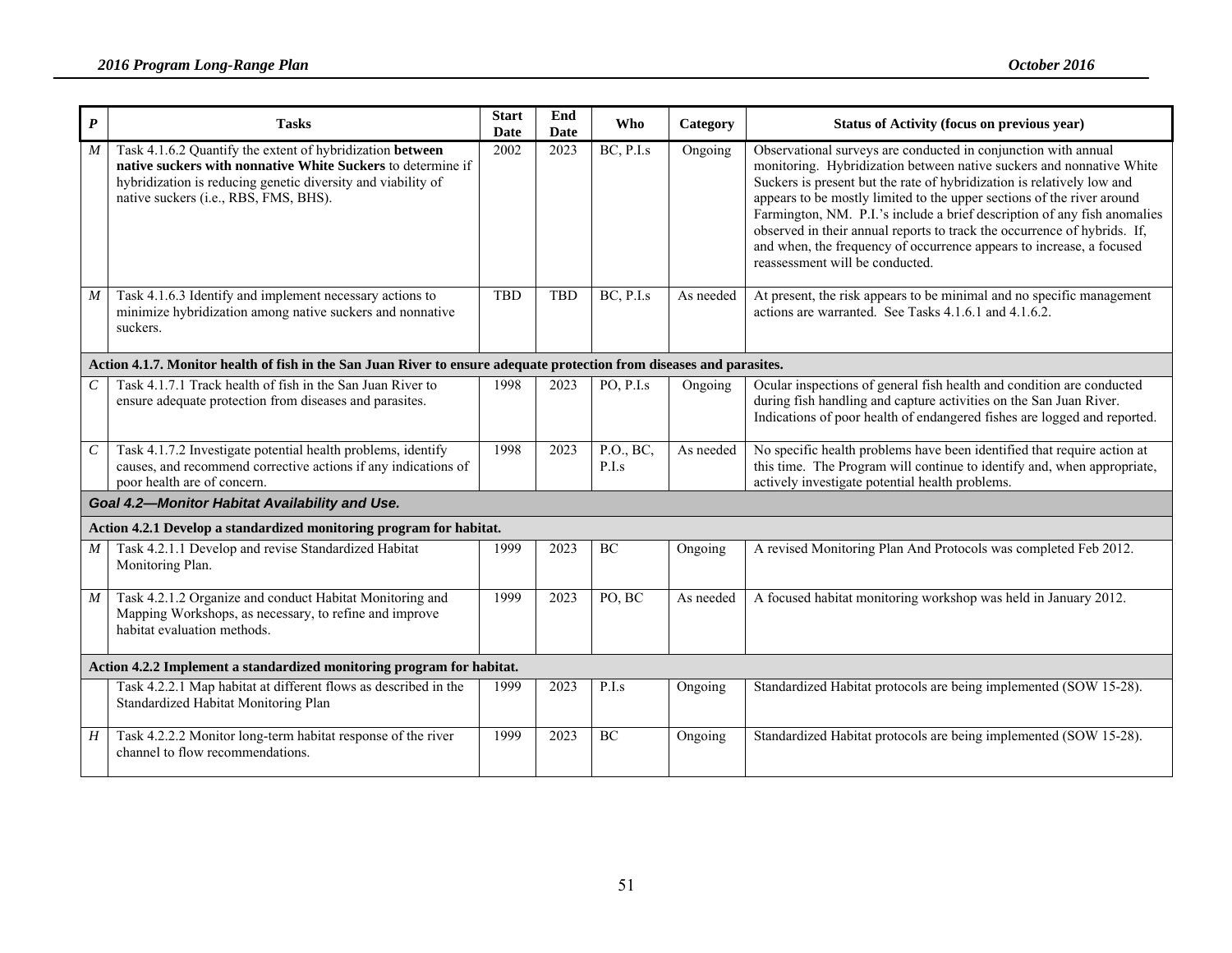| $\boldsymbol{P}$            | <b>Tasks</b>                                                                                                                                                                                                                      | <b>Start</b><br>Date | End<br>Date | <b>Who</b>         | Category  | <b>Status of Activity (focus on previous year)</b>                                                                                                                                                                                                                                                                                                                                                                                                                                                                                                            |  |  |  |  |
|-----------------------------|-----------------------------------------------------------------------------------------------------------------------------------------------------------------------------------------------------------------------------------|----------------------|-------------|--------------------|-----------|---------------------------------------------------------------------------------------------------------------------------------------------------------------------------------------------------------------------------------------------------------------------------------------------------------------------------------------------------------------------------------------------------------------------------------------------------------------------------------------------------------------------------------------------------------------|--|--|--|--|
| M                           | Task 4.1.6.2 Quantify the extent of hybridization between<br>native suckers with nonnative White Suckers to determine if<br>hybridization is reducing genetic diversity and viability of<br>native suckers (i.e., RBS, FMS, BHS). | 2002                 | 2023        | BC, P.I.s          | Ongoing   | Observational surveys are conducted in conjunction with annual<br>monitoring. Hybridization between native suckers and nonnative White<br>Suckers is present but the rate of hybridization is relatively low and<br>appears to be mostly limited to the upper sections of the river around<br>Farmington, NM. P.I.'s include a brief description of any fish anomalies<br>observed in their annual reports to track the occurrence of hybrids. If,<br>and when, the frequency of occurrence appears to increase, a focused<br>reassessment will be conducted. |  |  |  |  |
| $\boldsymbol{M}$            | Task 4.1.6.3 Identify and implement necessary actions to<br>minimize hybridization among native suckers and nonnative<br>suckers.                                                                                                 | <b>TBD</b>           | <b>TBD</b>  | BC, P.I.s          | As needed | At present, the risk appears to be minimal and no specific management<br>actions are warranted. See Tasks 4.1.6.1 and 4.1.6.2.                                                                                                                                                                                                                                                                                                                                                                                                                                |  |  |  |  |
|                             | Action 4.1.7. Monitor health of fish in the San Juan River to ensure adequate protection from diseases and parasites.                                                                                                             |                      |             |                    |           |                                                                                                                                                                                                                                                                                                                                                                                                                                                                                                                                                               |  |  |  |  |
| $\mathcal{C}_{\mathcal{C}}$ | Task 4.1.7.1 Track health of fish in the San Juan River to<br>ensure adequate protection from diseases and parasites.                                                                                                             | 1998                 | 2023        | PO, P.I.s          | Ongoing   | Ocular inspections of general fish health and condition are conducted<br>during fish handling and capture activities on the San Juan River.<br>Indications of poor health of endangered fishes are logged and reported.                                                                                                                                                                                                                                                                                                                                       |  |  |  |  |
| $\cal C$                    | Task 4.1.7.2 Investigate potential health problems, identify<br>causes, and recommend corrective actions if any indications of<br>poor health are of concern.                                                                     | 1998                 | 2023        | P.O., BC,<br>P.I.s | As needed | No specific health problems have been identified that require action at<br>this time. The Program will continue to identify and, when appropriate,<br>actively investigate potential health problems.                                                                                                                                                                                                                                                                                                                                                         |  |  |  |  |
|                             | Goal 4.2-Monitor Habitat Availability and Use.                                                                                                                                                                                    |                      |             |                    |           |                                                                                                                                                                                                                                                                                                                                                                                                                                                                                                                                                               |  |  |  |  |
|                             | Action 4.2.1 Develop a standardized monitoring program for habitat.                                                                                                                                                               |                      |             |                    |           |                                                                                                                                                                                                                                                                                                                                                                                                                                                                                                                                                               |  |  |  |  |
| M                           | Task 4.2.1.1 Develop and revise Standardized Habitat<br>Monitoring Plan.                                                                                                                                                          | 1999                 | 2023        | BC                 | Ongoing   | A revised Monitoring Plan And Protocols was completed Feb 2012.                                                                                                                                                                                                                                                                                                                                                                                                                                                                                               |  |  |  |  |
| $\boldsymbol{M}$            | Task 4.2.1.2 Organize and conduct Habitat Monitoring and<br>Mapping Workshops, as necessary, to refine and improve<br>habitat evaluation methods.                                                                                 | 1999                 | 2023        | PO, BC             | As needed | A focused habitat monitoring workshop was held in January 2012.                                                                                                                                                                                                                                                                                                                                                                                                                                                                                               |  |  |  |  |
|                             | Action 4.2.2 Implement a standardized monitoring program for habitat.                                                                                                                                                             |                      |             |                    |           |                                                                                                                                                                                                                                                                                                                                                                                                                                                                                                                                                               |  |  |  |  |
|                             | Task 4.2.2.1 Map habitat at different flows as described in the<br>Standardized Habitat Monitoring Plan                                                                                                                           | 1999                 | 2023        | P.I.s              | Ongoing   | Standardized Habitat protocols are being implemented (SOW 15-28).                                                                                                                                                                                                                                                                                                                                                                                                                                                                                             |  |  |  |  |
| H                           | Task 4.2.2.2 Monitor long-term habitat response of the river<br>channel to flow recommendations.                                                                                                                                  | 1999                 | 2023        | BC                 | Ongoing   | Standardized Habitat protocols are being implemented (SOW 15-28).                                                                                                                                                                                                                                                                                                                                                                                                                                                                                             |  |  |  |  |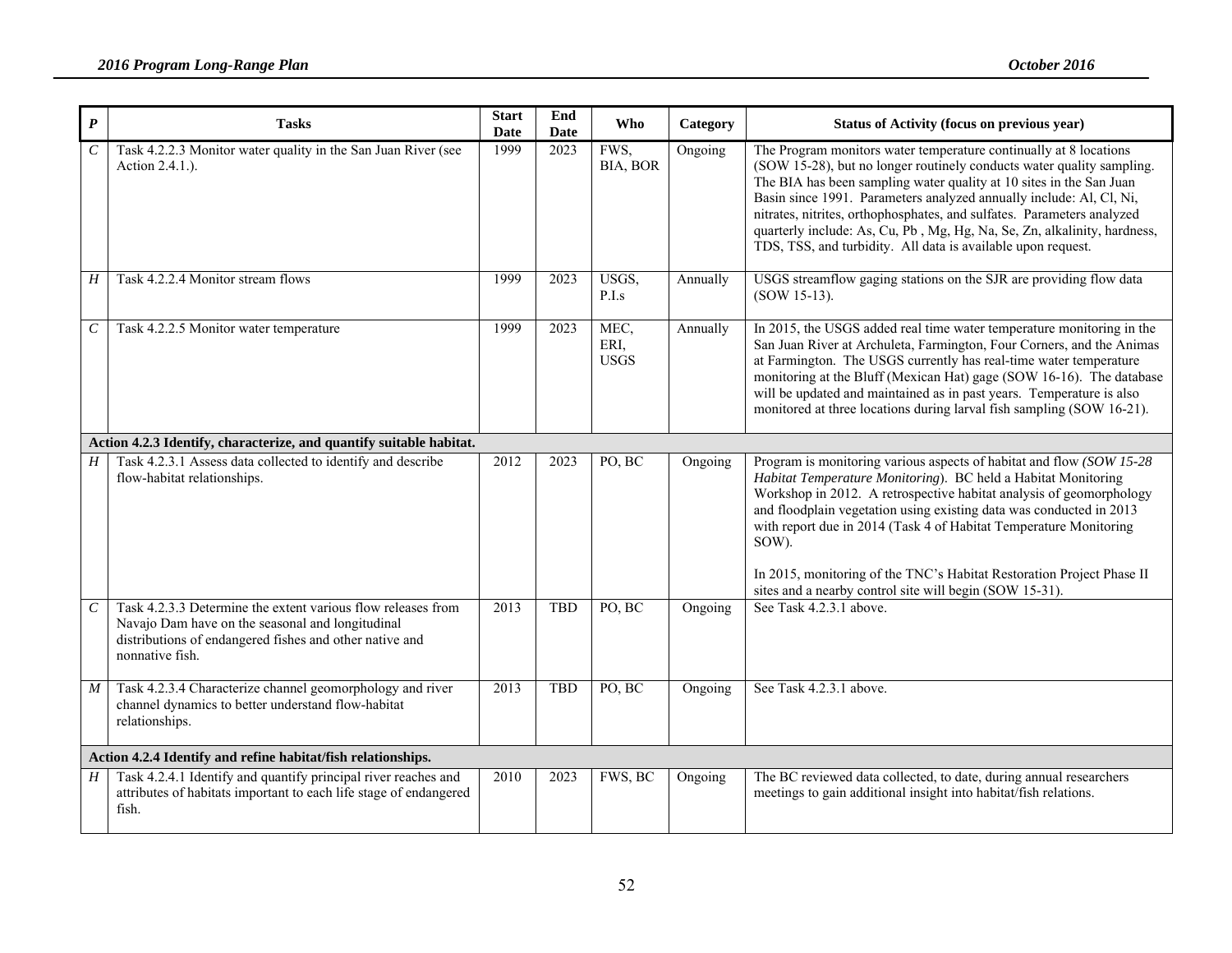| $\boldsymbol{P}$      | <b>Tasks</b>                                                                                                                                                                                   | <b>Start</b><br>Date | End<br><b>Date</b> | <b>Who</b>                  | Category | <b>Status of Activity (focus on previous year)</b>                                                                                                                                                                                                                                                                                                                                                                                                                                                             |
|-----------------------|------------------------------------------------------------------------------------------------------------------------------------------------------------------------------------------------|----------------------|--------------------|-----------------------------|----------|----------------------------------------------------------------------------------------------------------------------------------------------------------------------------------------------------------------------------------------------------------------------------------------------------------------------------------------------------------------------------------------------------------------------------------------------------------------------------------------------------------------|
| $\overline{C}$        | Task 4.2.2.3 Monitor water quality in the San Juan River (see<br>Action 2.4.1.).                                                                                                               | 1999                 | 2023               | FWS,<br>BIA, BOR            | Ongoing  | The Program monitors water temperature continually at 8 locations<br>(SOW 15-28), but no longer routinely conducts water quality sampling.<br>The BIA has been sampling water quality at 10 sites in the San Juan<br>Basin since 1991. Parameters analyzed annually include: Al, Cl, Ni,<br>nitrates, nitrites, orthophosphates, and sulfates. Parameters analyzed<br>quarterly include: As, Cu, Pb, Mg, Hg, Na, Se, Zn, alkalinity, hardness,<br>TDS, TSS, and turbidity. All data is available upon request. |
| $H_{\rm}$             | Task 4.2.2.4 Monitor stream flows                                                                                                                                                              | 1999                 | 2023               | USGS,<br>P.I.s              | Annually | USGS streamflow gaging stations on the SJR are providing flow data<br>(SOW 15-13).                                                                                                                                                                                                                                                                                                                                                                                                                             |
| $\mathcal{C}_{0}^{0}$ | Task 4.2.2.5 Monitor water temperature                                                                                                                                                         | 1999                 | 2023               | MEC,<br>ERI.<br><b>USGS</b> | Annually | In 2015, the USGS added real time water temperature monitoring in the<br>San Juan River at Archuleta, Farmington, Four Corners, and the Animas<br>at Farmington. The USGS currently has real-time water temperature<br>monitoring at the Bluff (Mexican Hat) gage (SOW 16-16). The database<br>will be updated and maintained as in past years. Temperature is also<br>monitored at three locations during larval fish sampling (SOW 16-21).                                                                   |
|                       | Action 4.2.3 Identify, characterize, and quantify suitable habitat.                                                                                                                            |                      |                    |                             |          |                                                                                                                                                                                                                                                                                                                                                                                                                                                                                                                |
| $H_{\parallel}$       | Task 4.2.3.1 Assess data collected to identify and describe<br>flow-habitat relationships.                                                                                                     | 2012                 | 2023               | PO, BC                      | Ongoing  | Program is monitoring various aspects of habitat and flow (SOW 15-28)<br>Habitat Temperature Monitoring). BC held a Habitat Monitoring<br>Workshop in 2012. A retrospective habitat analysis of geomorphology<br>and floodplain vegetation using existing data was conducted in 2013<br>with report due in 2014 (Task 4 of Habitat Temperature Monitoring<br>SOW).<br>In 2015, monitoring of the TNC's Habitat Restoration Project Phase II<br>sites and a nearby control site will begin (SOW 15-31).         |
| $\mathcal{C}_{0}$     | Task 4.2.3.3 Determine the extent various flow releases from<br>Navajo Dam have on the seasonal and longitudinal<br>distributions of endangered fishes and other native and<br>nonnative fish. | 2013                 | <b>TBD</b>         | PO, BC                      | Ongoing  | See Task 4.2.3.1 above.                                                                                                                                                                                                                                                                                                                                                                                                                                                                                        |
| $\boldsymbol{M}$      | Task 4.2.3.4 Characterize channel geomorphology and river<br>channel dynamics to better understand flow-habitat<br>relationships.                                                              | 2013                 | <b>TBD</b>         | PO, BC                      | Ongoing  | See Task 4.2.3.1 above.                                                                                                                                                                                                                                                                                                                                                                                                                                                                                        |
|                       | Action 4.2.4 Identify and refine habitat/fish relationships.                                                                                                                                   |                      |                    |                             |          |                                                                                                                                                                                                                                                                                                                                                                                                                                                                                                                |
| H                     | Task 4.2.4.1 Identify and quantify principal river reaches and<br>attributes of habitats important to each life stage of endangered<br>fish.                                                   | 2010                 | 2023               | FWS, BC                     | Ongoing  | The BC reviewed data collected, to date, during annual researchers<br>meetings to gain additional insight into habitat/fish relations.                                                                                                                                                                                                                                                                                                                                                                         |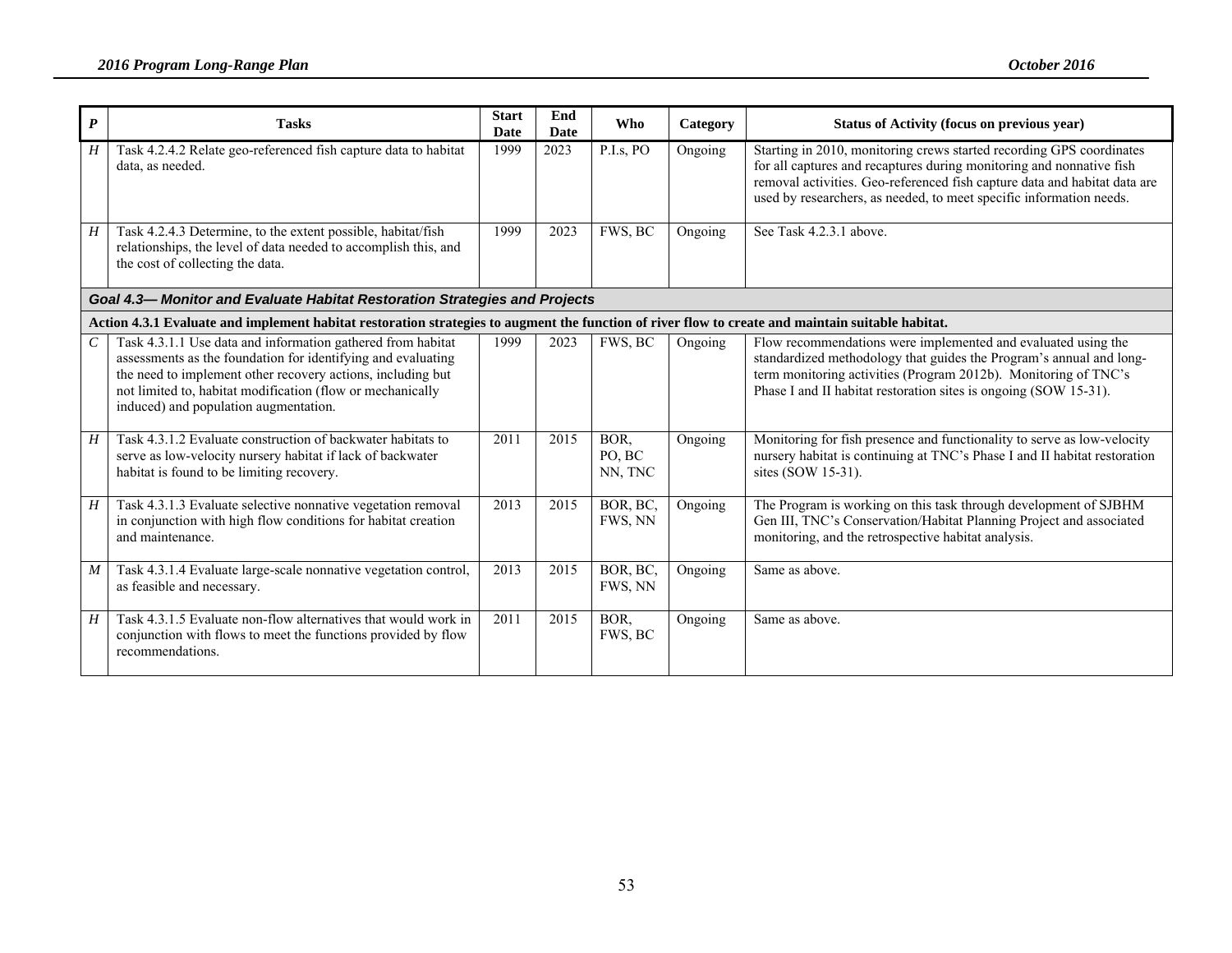| $\boldsymbol{P}$ | <b>Tasks</b>                                                                                                                                                                                                                                                                                      | <b>Start</b><br><b>Date</b> | End<br><b>Date</b> | <b>Who</b>                | Category | <b>Status of Activity (focus on previous year)</b>                                                                                                                                                                                                                                               |  |  |  |  |
|------------------|---------------------------------------------------------------------------------------------------------------------------------------------------------------------------------------------------------------------------------------------------------------------------------------------------|-----------------------------|--------------------|---------------------------|----------|--------------------------------------------------------------------------------------------------------------------------------------------------------------------------------------------------------------------------------------------------------------------------------------------------|--|--|--|--|
| H                | Task 4.2.4.2 Relate geo-referenced fish capture data to habitat<br>data, as needed.                                                                                                                                                                                                               | 1999                        | 2023               | P.I.s, PO                 | Ongoing  | Starting in 2010, monitoring crews started recording GPS coordinates<br>for all captures and recaptures during monitoring and nonnative fish<br>removal activities. Geo-referenced fish capture data and habitat data are<br>used by researchers, as needed, to meet specific information needs. |  |  |  |  |
| H                | Task 4.2.4.3 Determine, to the extent possible, habitat/fish<br>relationships, the level of data needed to accomplish this, and<br>the cost of collecting the data.                                                                                                                               | 1999                        | 2023               | FWS, BC                   | Ongoing  | See Task 4.2.3.1 above.                                                                                                                                                                                                                                                                          |  |  |  |  |
|                  | Goal 4.3-Monitor and Evaluate Habitat Restoration Strategies and Projects                                                                                                                                                                                                                         |                             |                    |                           |          |                                                                                                                                                                                                                                                                                                  |  |  |  |  |
|                  | Action 4.3.1 Evaluate and implement habitat restoration strategies to augment the function of river flow to create and maintain suitable habitat.                                                                                                                                                 |                             |                    |                           |          |                                                                                                                                                                                                                                                                                                  |  |  |  |  |
| $\mathcal{C}$    | Task 4.3.1.1 Use data and information gathered from habitat<br>assessments as the foundation for identifying and evaluating<br>the need to implement other recovery actions, including but<br>not limited to, habitat modification (flow or mechanically<br>induced) and population augmentation. | 1999                        | 2023               | FWS, BC                   | Ongoing  | Flow recommendations were implemented and evaluated using the<br>standardized methodology that guides the Program's annual and long-<br>term monitoring activities (Program 2012b). Monitoring of TNC's<br>Phase I and II habitat restoration sites is ongoing (SOW 15-31).                      |  |  |  |  |
| H                | Task 4.3.1.2 Evaluate construction of backwater habitats to<br>serve as low-velocity nursery habitat if lack of backwater<br>habitat is found to be limiting recovery.                                                                                                                            | 2011                        | 2015               | BOR,<br>PO, BC<br>NN, TNC | Ongoing  | Monitoring for fish presence and functionality to serve as low-velocity<br>nursery habitat is continuing at TNC's Phase I and II habitat restoration<br>sites (SOW 15-31).                                                                                                                       |  |  |  |  |
| H                | Task 4.3.1.3 Evaluate selective nonnative vegetation removal<br>in conjunction with high flow conditions for habitat creation<br>and maintenance.                                                                                                                                                 | 2013                        | 2015               | BOR, BC,<br>FWS, NN       | Ongoing  | The Program is working on this task through development of SJBHM<br>Gen III, TNC's Conservation/Habitat Planning Project and associated<br>monitoring, and the retrospective habitat analysis.                                                                                                   |  |  |  |  |
| $\boldsymbol{M}$ | Task 4.3.1.4 Evaluate large-scale nonnative vegetation control,<br>as feasible and necessary.                                                                                                                                                                                                     | 2013                        | 2015               | BOR, BC,<br>FWS, NN       | Ongoing  | Same as above.                                                                                                                                                                                                                                                                                   |  |  |  |  |
| H                | Task 4.3.1.5 Evaluate non-flow alternatives that would work in<br>conjunction with flows to meet the functions provided by flow<br>recommendations.                                                                                                                                               | 2011                        | 2015               | BOR,<br>FWS, BC           | Ongoing  | Same as above.                                                                                                                                                                                                                                                                                   |  |  |  |  |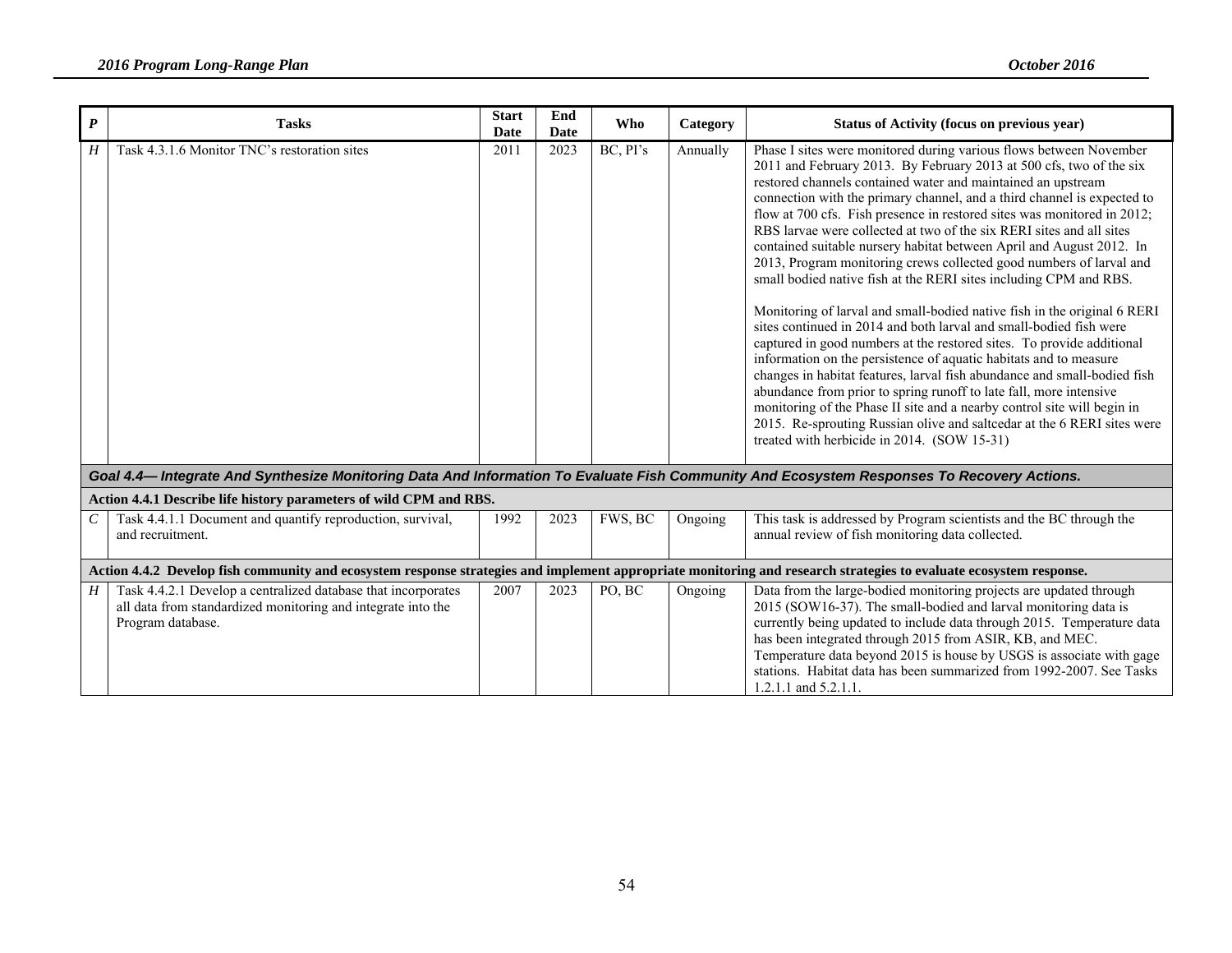| $\boldsymbol{P}$ | <b>Tasks</b>                                                                                                                                                       | <b>Start</b><br><b>Date</b> | End<br>Date | Who      | Category | Status of Activity (focus on previous year)                                                                                                                                                                                                                                                                                                                                                                                                                                                                                                                                                                                                                                                                                                                                                                                                                                                                                                                                                                                                                                                                                                                                                                                                                                                                        |
|------------------|--------------------------------------------------------------------------------------------------------------------------------------------------------------------|-----------------------------|-------------|----------|----------|--------------------------------------------------------------------------------------------------------------------------------------------------------------------------------------------------------------------------------------------------------------------------------------------------------------------------------------------------------------------------------------------------------------------------------------------------------------------------------------------------------------------------------------------------------------------------------------------------------------------------------------------------------------------------------------------------------------------------------------------------------------------------------------------------------------------------------------------------------------------------------------------------------------------------------------------------------------------------------------------------------------------------------------------------------------------------------------------------------------------------------------------------------------------------------------------------------------------------------------------------------------------------------------------------------------------|
| H                | Task 4.3.1.6 Monitor TNC's restoration sites                                                                                                                       | 2011                        | 2023        | BC, PI's | Annually | Phase I sites were monitored during various flows between November<br>2011 and February 2013. By February 2013 at 500 cfs, two of the six<br>restored channels contained water and maintained an upstream<br>connection with the primary channel, and a third channel is expected to<br>flow at 700 cfs. Fish presence in restored sites was monitored in 2012;<br>RBS larvae were collected at two of the six RERI sites and all sites<br>contained suitable nursery habitat between April and August 2012. In<br>2013, Program monitoring crews collected good numbers of larval and<br>small bodied native fish at the RERI sites including CPM and RBS.<br>Monitoring of larval and small-bodied native fish in the original 6 RERI<br>sites continued in 2014 and both larval and small-bodied fish were<br>captured in good numbers at the restored sites. To provide additional<br>information on the persistence of aquatic habitats and to measure<br>changes in habitat features, larval fish abundance and small-bodied fish<br>abundance from prior to spring runoff to late fall, more intensive<br>monitoring of the Phase II site and a nearby control site will begin in<br>2015. Re-sprouting Russian olive and salteedar at the 6 RERI sites were<br>treated with herbicide in 2014. (SOW 15-31) |
|                  | Goal 4.4-Integrate And Synthesize Monitoring Data And Information To Evaluate Fish Community And Ecosystem Responses To Recovery Actions.                          |                             |             |          |          |                                                                                                                                                                                                                                                                                                                                                                                                                                                                                                                                                                                                                                                                                                                                                                                                                                                                                                                                                                                                                                                                                                                                                                                                                                                                                                                    |
|                  | Action 4.4.1 Describe life history parameters of wild CPM and RBS.                                                                                                 |                             |             |          |          |                                                                                                                                                                                                                                                                                                                                                                                                                                                                                                                                                                                                                                                                                                                                                                                                                                                                                                                                                                                                                                                                                                                                                                                                                                                                                                                    |
| C                | Task 4.4.1.1 Document and quantify reproduction, survival,<br>and recruitment.                                                                                     | 1992                        | 2023        | FWS, BC  | Ongoing  | This task is addressed by Program scientists and the BC through the<br>annual review of fish monitoring data collected.                                                                                                                                                                                                                                                                                                                                                                                                                                                                                                                                                                                                                                                                                                                                                                                                                                                                                                                                                                                                                                                                                                                                                                                            |
|                  | Action 4.4.2 Develop fish community and ecosystem response strategies and implement appropriate monitoring and research strategies to evaluate ecosystem response. |                             |             |          |          |                                                                                                                                                                                                                                                                                                                                                                                                                                                                                                                                                                                                                                                                                                                                                                                                                                                                                                                                                                                                                                                                                                                                                                                                                                                                                                                    |
| $H_{\parallel}$  | Task 4.4.2.1 Develop a centralized database that incorporates<br>all data from standardized monitoring and integrate into the<br>Program database.                 | 2007                        | 2023        | PO, BC   | Ongoing  | Data from the large-bodied monitoring projects are updated through<br>2015 (SOW16-37). The small-bodied and larval monitoring data is<br>currently being updated to include data through 2015. Temperature data<br>has been integrated through 2015 from ASIR, KB, and MEC.<br>Temperature data beyond 2015 is house by USGS is associate with gage<br>stations. Habitat data has been summarized from 1992-2007. See Tasks<br>$1.2.1.1$ and $5.2.1.1$                                                                                                                                                                                                                                                                                                                                                                                                                                                                                                                                                                                                                                                                                                                                                                                                                                                             |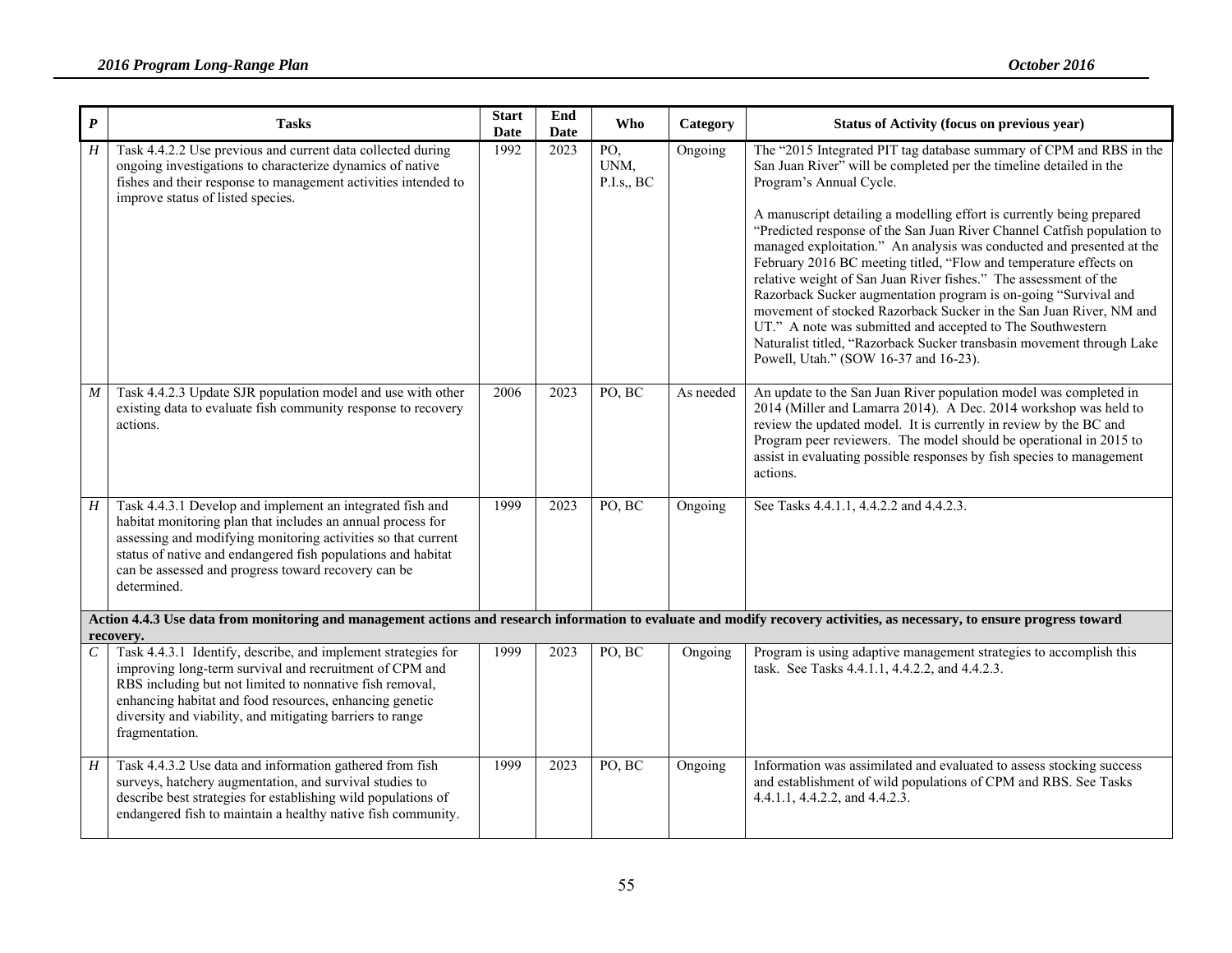| $\pmb{P}$        | <b>Tasks</b>                                                                                                                                                                                                                                                                                                                    | <b>Start</b><br><b>Date</b> | End<br><b>Date</b> | <b>Who</b>                | Category  | <b>Status of Activity (focus on previous year)</b>                                                                                                                                                                                                                                                                                                                                                                                                                                                                                                                                                                                                                                                                                                                                                                                                                  |
|------------------|---------------------------------------------------------------------------------------------------------------------------------------------------------------------------------------------------------------------------------------------------------------------------------------------------------------------------------|-----------------------------|--------------------|---------------------------|-----------|---------------------------------------------------------------------------------------------------------------------------------------------------------------------------------------------------------------------------------------------------------------------------------------------------------------------------------------------------------------------------------------------------------------------------------------------------------------------------------------------------------------------------------------------------------------------------------------------------------------------------------------------------------------------------------------------------------------------------------------------------------------------------------------------------------------------------------------------------------------------|
| $\boldsymbol{H}$ | Task 4.4.2.2 Use previous and current data collected during<br>ongoing investigations to characterize dynamics of native<br>fishes and their response to management activities intended to<br>improve status of listed species.                                                                                                 | 1992                        | 2023               | PO,<br>UNM,<br>P.I.s., BC | Ongoing   | The "2015 Integrated PIT tag database summary of CPM and RBS in the<br>San Juan River" will be completed per the timeline detailed in the<br>Program's Annual Cycle.<br>A manuscript detailing a modelling effort is currently being prepared<br>"Predicted response of the San Juan River Channel Catfish population to<br>managed exploitation." An analysis was conducted and presented at the<br>February 2016 BC meeting titled, "Flow and temperature effects on<br>relative weight of San Juan River fishes." The assessment of the<br>Razorback Sucker augmentation program is on-going "Survival and<br>movement of stocked Razorback Sucker in the San Juan River, NM and<br>UT." A note was submitted and accepted to The Southwestern<br>Naturalist titled, "Razorback Sucker transbasin movement through Lake<br>Powell, Utah." (SOW 16-37 and 16-23). |
| M                | Task 4.4.2.3 Update SJR population model and use with other<br>existing data to evaluate fish community response to recovery<br>actions.                                                                                                                                                                                        | 2006                        | 2023               | PO, BC                    | As needed | An update to the San Juan River population model was completed in<br>2014 (Miller and Lamarra 2014). A Dec. 2014 workshop was held to<br>review the updated model. It is currently in review by the BC and<br>Program peer reviewers. The model should be operational in 2015 to<br>assist in evaluating possible responses by fish species to management<br>actions.                                                                                                                                                                                                                                                                                                                                                                                                                                                                                               |
| H                | Task 4.4.3.1 Develop and implement an integrated fish and<br>habitat monitoring plan that includes an annual process for<br>assessing and modifying monitoring activities so that current<br>status of native and endangered fish populations and habitat<br>can be assessed and progress toward recovery can be<br>determined. | 1999                        | 2023               | PO, BC                    | Ongoing   | See Tasks 4.4.1.1, 4.4.2.2 and 4.4.2.3.                                                                                                                                                                                                                                                                                                                                                                                                                                                                                                                                                                                                                                                                                                                                                                                                                             |
|                  | recovery.                                                                                                                                                                                                                                                                                                                       |                             |                    |                           |           | Action 4.4.3 Use data from monitoring and management actions and research information to evaluate and modify recovery activities, as necessary, to ensure progress toward                                                                                                                                                                                                                                                                                                                                                                                                                                                                                                                                                                                                                                                                                           |
| $\mathcal{C}$    | Task 4.4.3.1 Identify, describe, and implement strategies for<br>improving long-term survival and recruitment of CPM and<br>RBS including but not limited to nonnative fish removal,<br>enhancing habitat and food resources, enhancing genetic<br>diversity and viability, and mitigating barriers to range<br>fragmentation.  | 1999                        | 2023               | PO, BC                    | Ongoing   | Program is using adaptive management strategies to accomplish this<br>task. See Tasks 4.4.1.1, 4.4.2.2, and 4.4.2.3.                                                                                                                                                                                                                                                                                                                                                                                                                                                                                                                                                                                                                                                                                                                                                |
| H                | Task 4.4.3.2 Use data and information gathered from fish<br>surveys, hatchery augmentation, and survival studies to<br>describe best strategies for establishing wild populations of<br>endangered fish to maintain a healthy native fish community.                                                                            | 1999                        | 2023               | PO, BC                    | Ongoing   | Information was assimilated and evaluated to assess stocking success<br>and establishment of wild populations of CPM and RBS. See Tasks<br>4.4.1.1, 4.4.2.2, and 4.4.2.3.                                                                                                                                                                                                                                                                                                                                                                                                                                                                                                                                                                                                                                                                                           |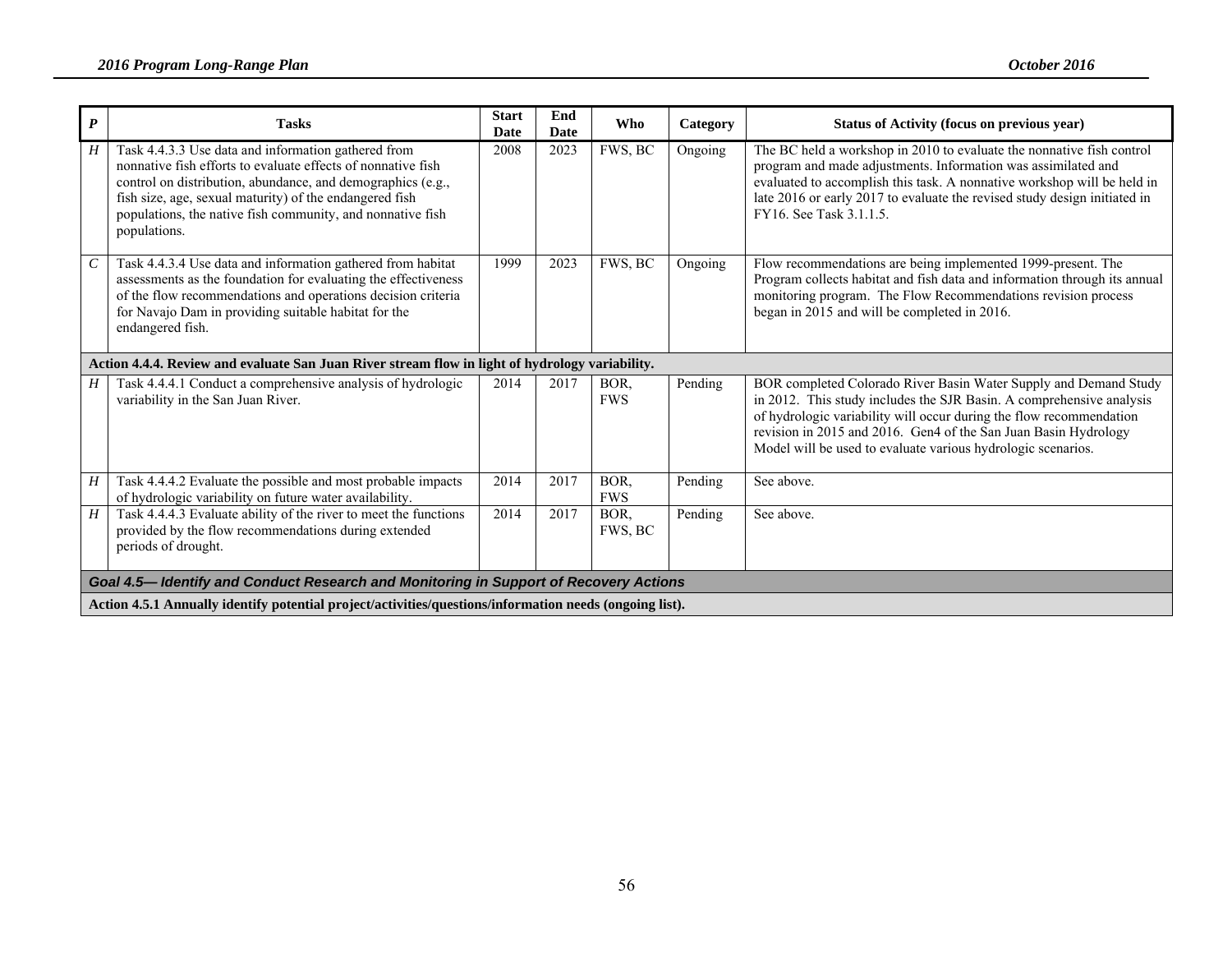| $\boldsymbol{P}$            | <b>Tasks</b>                                                                                                                                                                                                                                                                                                                | <b>Start</b><br>Date | End<br><b>Date</b> | Who                | Category | Status of Activity (focus on previous year)                                                                                                                                                                                                                                                                                                        |
|-----------------------------|-----------------------------------------------------------------------------------------------------------------------------------------------------------------------------------------------------------------------------------------------------------------------------------------------------------------------------|----------------------|--------------------|--------------------|----------|----------------------------------------------------------------------------------------------------------------------------------------------------------------------------------------------------------------------------------------------------------------------------------------------------------------------------------------------------|
| H                           | Task 4.4.3.3 Use data and information gathered from<br>nonnative fish efforts to evaluate effects of nonnative fish<br>control on distribution, abundance, and demographics (e.g.,<br>fish size, age, sexual maturity) of the endangered fish<br>populations, the native fish community, and nonnative fish<br>populations. | 2008                 | 2023               | FWS, BC            | Ongoing  | The BC held a workshop in 2010 to evaluate the nonnative fish control<br>program and made adjustments. Information was assimilated and<br>evaluated to accomplish this task. A nonnative workshop will be held in<br>late 2016 or early 2017 to evaluate the revised study design initiated in<br>FY16. See Task 3.1.1.5.                          |
| $\mathcal{C}_{\mathcal{C}}$ | Task 4.4.3.4 Use data and information gathered from habitat<br>assessments as the foundation for evaluating the effectiveness<br>of the flow recommendations and operations decision criteria<br>for Navajo Dam in providing suitable habitat for the<br>endangered fish.                                                   | 1999                 | 2023               | FWS, BC            | Ongoing  | Flow recommendations are being implemented 1999-present. The<br>Program collects habitat and fish data and information through its annual<br>monitoring program. The Flow Recommendations revision process<br>began in 2015 and will be completed in 2016.                                                                                         |
|                             | Action 4.4.4. Review and evaluate San Juan River stream flow in light of hydrology variability.                                                                                                                                                                                                                             |                      |                    |                    |          |                                                                                                                                                                                                                                                                                                                                                    |
| Н                           | Task 4.4.4.1 Conduct a comprehensive analysis of hydrologic<br>variability in the San Juan River.                                                                                                                                                                                                                           | 2014                 | 2017               | BOR.<br><b>FWS</b> | Pending  | BOR completed Colorado River Basin Water Supply and Demand Study<br>in 2012. This study includes the SJR Basin. A comprehensive analysis<br>of hydrologic variability will occur during the flow recommendation<br>revision in 2015 and 2016. Gen4 of the San Juan Basin Hydrology<br>Model will be used to evaluate various hydrologic scenarios. |
| H                           | Task 4.4.4.2 Evaluate the possible and most probable impacts<br>of hydrologic variability on future water availability.                                                                                                                                                                                                     | 2014                 | 2017               | BOR.<br><b>FWS</b> | Pending  | See above.                                                                                                                                                                                                                                                                                                                                         |
| H                           | Task 4.4.4.3 Evaluate ability of the river to meet the functions<br>provided by the flow recommendations during extended<br>periods of drought.                                                                                                                                                                             | 2014                 | 2017               | BOR.<br>FWS, BC    | Pending  | See above.                                                                                                                                                                                                                                                                                                                                         |
|                             | Goal 4.5— Identify and Conduct Research and Monitoring in Support of Recovery Actions                                                                                                                                                                                                                                       |                      |                    |                    |          |                                                                                                                                                                                                                                                                                                                                                    |
|                             | Action 4.5.1 Annually identify potential project/activities/questions/information needs (ongoing list).                                                                                                                                                                                                                     |                      |                    |                    |          |                                                                                                                                                                                                                                                                                                                                                    |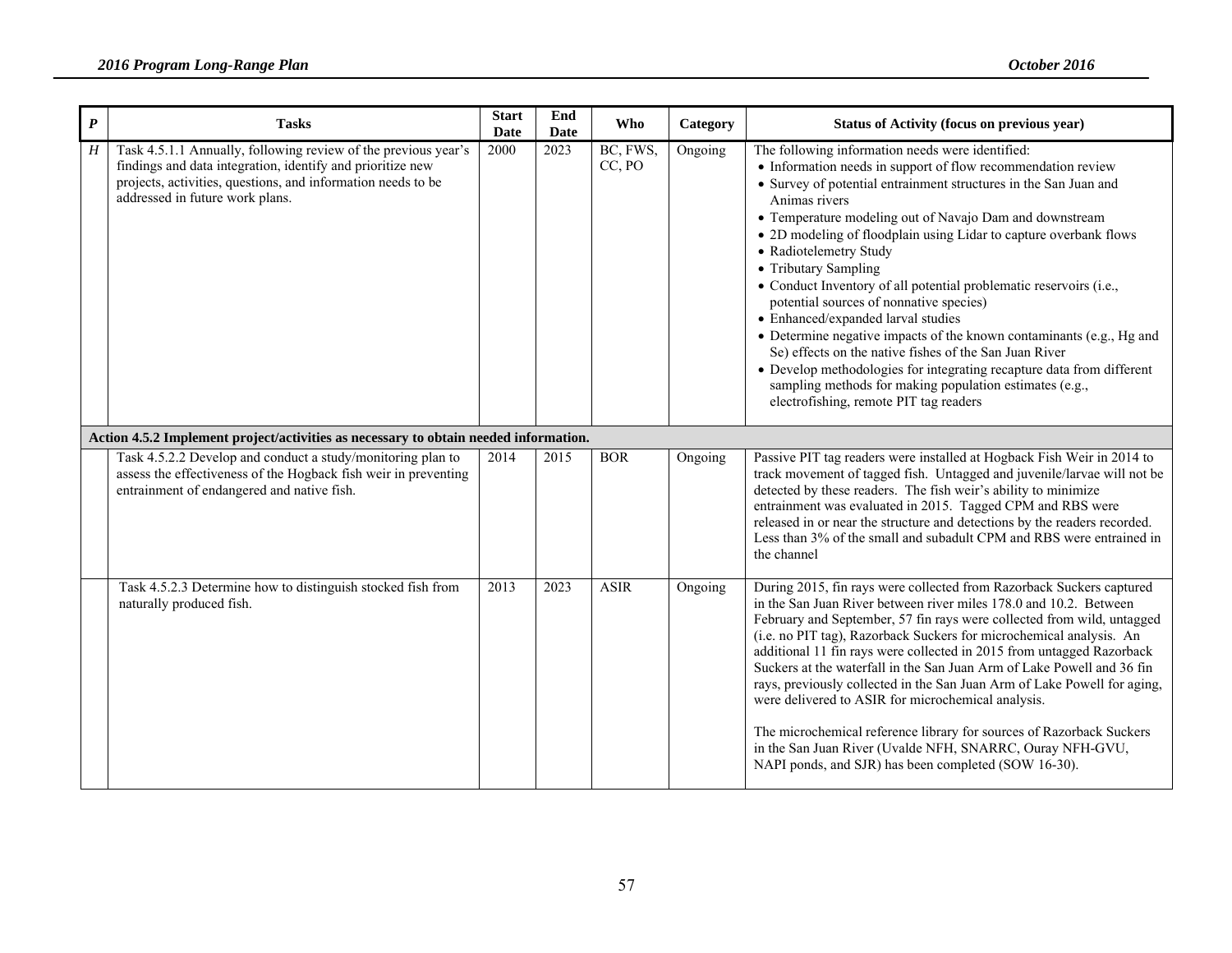| $\boldsymbol{P}$ | <b>Tasks</b>                                                                                                                                                                                                                    | <b>Start</b><br><b>Date</b> | End<br>Date | Who                | Category | Status of Activity (focus on previous year)                                                                                                                                                                                                                                                                                                                                                                                                                                                                                                                                                                                                                                                                                                                                                                                                                    |
|------------------|---------------------------------------------------------------------------------------------------------------------------------------------------------------------------------------------------------------------------------|-----------------------------|-------------|--------------------|----------|----------------------------------------------------------------------------------------------------------------------------------------------------------------------------------------------------------------------------------------------------------------------------------------------------------------------------------------------------------------------------------------------------------------------------------------------------------------------------------------------------------------------------------------------------------------------------------------------------------------------------------------------------------------------------------------------------------------------------------------------------------------------------------------------------------------------------------------------------------------|
| H                | Task 4.5.1.1 Annually, following review of the previous year's<br>findings and data integration, identify and prioritize new<br>projects, activities, questions, and information needs to be<br>addressed in future work plans. | 2000                        | 2023        | BC, FWS,<br>CC, PO | Ongoing  | The following information needs were identified:<br>• Information needs in support of flow recommendation review<br>• Survey of potential entrainment structures in the San Juan and<br>Animas rivers<br>• Temperature modeling out of Navajo Dam and downstream<br>• 2D modeling of floodplain using Lidar to capture overbank flows<br>• Radiotelemetry Study<br>• Tributary Sampling<br>• Conduct Inventory of all potential problematic reservoirs (i.e.,<br>potential sources of nonnative species)<br>• Enhanced/expanded larval studies<br>• Determine negative impacts of the known contaminants (e.g., Hg and<br>Se) effects on the native fishes of the San Juan River<br>• Develop methodologies for integrating recapture data from different<br>sampling methods for making population estimates (e.g.,<br>electrofishing, remote PIT tag readers |
|                  | Action 4.5.2 Implement project/activities as necessary to obtain needed information.                                                                                                                                            |                             |             |                    |          |                                                                                                                                                                                                                                                                                                                                                                                                                                                                                                                                                                                                                                                                                                                                                                                                                                                                |
|                  | Task 4.5.2.2 Develop and conduct a study/monitoring plan to<br>assess the effectiveness of the Hogback fish weir in preventing<br>entrainment of endangered and native fish.                                                    | 2014                        | 2015        | <b>BOR</b>         | Ongoing  | Passive PIT tag readers were installed at Hogback Fish Weir in 2014 to<br>track movement of tagged fish. Untagged and juvenile/larvae will not be<br>detected by these readers. The fish weir's ability to minimize<br>entrainment was evaluated in 2015. Tagged CPM and RBS were<br>released in or near the structure and detections by the readers recorded.<br>Less than 3% of the small and subadult CPM and RBS were entrained in<br>the channel                                                                                                                                                                                                                                                                                                                                                                                                          |
|                  | Task 4.5.2.3 Determine how to distinguish stocked fish from<br>naturally produced fish.                                                                                                                                         | 2013                        | 2023        | <b>ASIR</b>        | Ongoing  | During 2015, fin rays were collected from Razorback Suckers captured<br>in the San Juan River between river miles 178.0 and 10.2. Between<br>February and September, 57 fin rays were collected from wild, untagged<br>(i.e. no PIT tag), Razorback Suckers for microchemical analysis. An<br>additional 11 fin rays were collected in 2015 from untagged Razorback<br>Suckers at the waterfall in the San Juan Arm of Lake Powell and 36 fin<br>rays, previously collected in the San Juan Arm of Lake Powell for aging,<br>were delivered to ASIR for microchemical analysis.<br>The microchemical reference library for sources of Razorback Suckers<br>in the San Juan River (Uvalde NFH, SNARRC, Ouray NFH-GVU,<br>NAPI ponds, and SJR) has been completed (SOW 16-30).                                                                                   |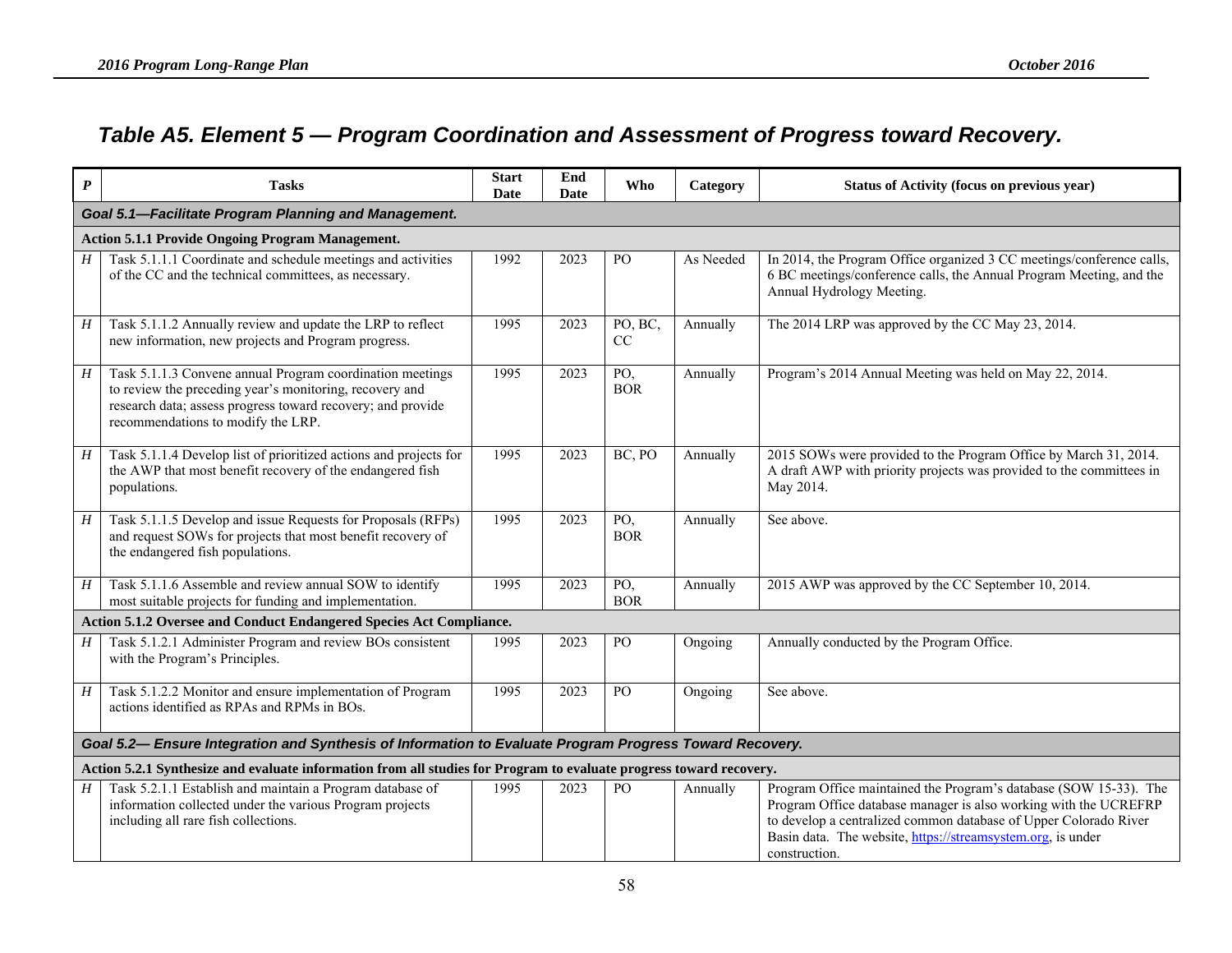### *Table A5. Element 5 — Program Coordination and Assessment of Progress toward Recovery.*

| $\boldsymbol{P}$ | <b>Tasks</b>                                                                                                                                                                                                              | <b>Start</b><br>Date | End<br>Date | Who               | Category  | <b>Status of Activity (focus on previous year)</b>                                                                                                                                                                                                                                        |  |  |  |  |
|------------------|---------------------------------------------------------------------------------------------------------------------------------------------------------------------------------------------------------------------------|----------------------|-------------|-------------------|-----------|-------------------------------------------------------------------------------------------------------------------------------------------------------------------------------------------------------------------------------------------------------------------------------------------|--|--|--|--|
|                  | Goal 5.1-Facilitate Program Planning and Management.                                                                                                                                                                      |                      |             |                   |           |                                                                                                                                                                                                                                                                                           |  |  |  |  |
|                  | <b>Action 5.1.1 Provide Ongoing Program Management.</b>                                                                                                                                                                   |                      |             |                   |           |                                                                                                                                                                                                                                                                                           |  |  |  |  |
| H                | Task 5.1.1.1 Coordinate and schedule meetings and activities<br>of the CC and the technical committees, as necessary.                                                                                                     | 1992                 | 2023        | P <sub>O</sub>    | As Needed | In 2014, the Program Office organized 3 CC meetings/conference calls,<br>6 BC meetings/conference calls, the Annual Program Meeting, and the<br>Annual Hydrology Meeting.                                                                                                                 |  |  |  |  |
| H                | Task 5.1.1.2 Annually review and update the LRP to reflect<br>new information, new projects and Program progress.                                                                                                         | 1995                 | 2023        | PO, BC,<br>CC     | Annually  | The 2014 LRP was approved by the CC May 23, 2014.                                                                                                                                                                                                                                         |  |  |  |  |
| H                | Task 5.1.1.3 Convene annual Program coordination meetings<br>to review the preceding year's monitoring, recovery and<br>research data; assess progress toward recovery; and provide<br>recommendations to modify the LRP. | 1995                 | 2023        | PO,<br><b>BOR</b> | Annually  | Program's 2014 Annual Meeting was held on May 22, 2014.                                                                                                                                                                                                                                   |  |  |  |  |
| H                | Task 5.1.1.4 Develop list of prioritized actions and projects for<br>the AWP that most benefit recovery of the endangered fish<br>populations.                                                                            | 1995                 | 2023        | BC, PO            | Annually  | 2015 SOWs were provided to the Program Office by March 31, 2014.<br>A draft AWP with priority projects was provided to the committees in<br>May 2014.                                                                                                                                     |  |  |  |  |
| H                | Task 5.1.1.5 Develop and issue Requests for Proposals (RFPs)<br>and request SOWs for projects that most benefit recovery of<br>the endangered fish populations.                                                           | 1995                 | 2023        | PO,<br><b>BOR</b> | Annually  | See above.                                                                                                                                                                                                                                                                                |  |  |  |  |
| H                | Task 5.1.1.6 Assemble and review annual SOW to identify<br>most suitable projects for funding and implementation.                                                                                                         | 1995                 | 2023        | PO,<br><b>BOR</b> | Annually  | 2015 AWP was approved by the CC September 10, 2014.                                                                                                                                                                                                                                       |  |  |  |  |
|                  | Action 5.1.2 Oversee and Conduct Endangered Species Act Compliance.                                                                                                                                                       |                      |             |                   |           |                                                                                                                                                                                                                                                                                           |  |  |  |  |
| $H_{-}$          | Task 5.1.2.1 Administer Program and review BOs consistent<br>with the Program's Principles.                                                                                                                               | 1995                 | 2023        | PO                | Ongoing   | Annually conducted by the Program Office.                                                                                                                                                                                                                                                 |  |  |  |  |
| H                | Task 5.1.2.2 Monitor and ensure implementation of Program<br>actions identified as RPAs and RPMs in BOs.                                                                                                                  | 1995                 | 2023        | PO                | Ongoing   | See above.                                                                                                                                                                                                                                                                                |  |  |  |  |
|                  | Goal 5.2— Ensure Integration and Synthesis of Information to Evaluate Program Progress Toward Recovery.                                                                                                                   |                      |             |                   |           |                                                                                                                                                                                                                                                                                           |  |  |  |  |
|                  | Action 5.2.1 Synthesize and evaluate information from all studies for Program to evaluate progress toward recovery.                                                                                                       |                      |             |                   |           |                                                                                                                                                                                                                                                                                           |  |  |  |  |
| H                | Task 5.2.1.1 Establish and maintain a Program database of<br>information collected under the various Program projects<br>including all rare fish collections.                                                             | 1995                 | 2023        | PO                | Annually  | Program Office maintained the Program's database (SOW 15-33). The<br>Program Office database manager is also working with the UCREFRP<br>to develop a centralized common database of Upper Colorado River<br>Basin data. The website, https://streamsystem.org, is under<br>construction. |  |  |  |  |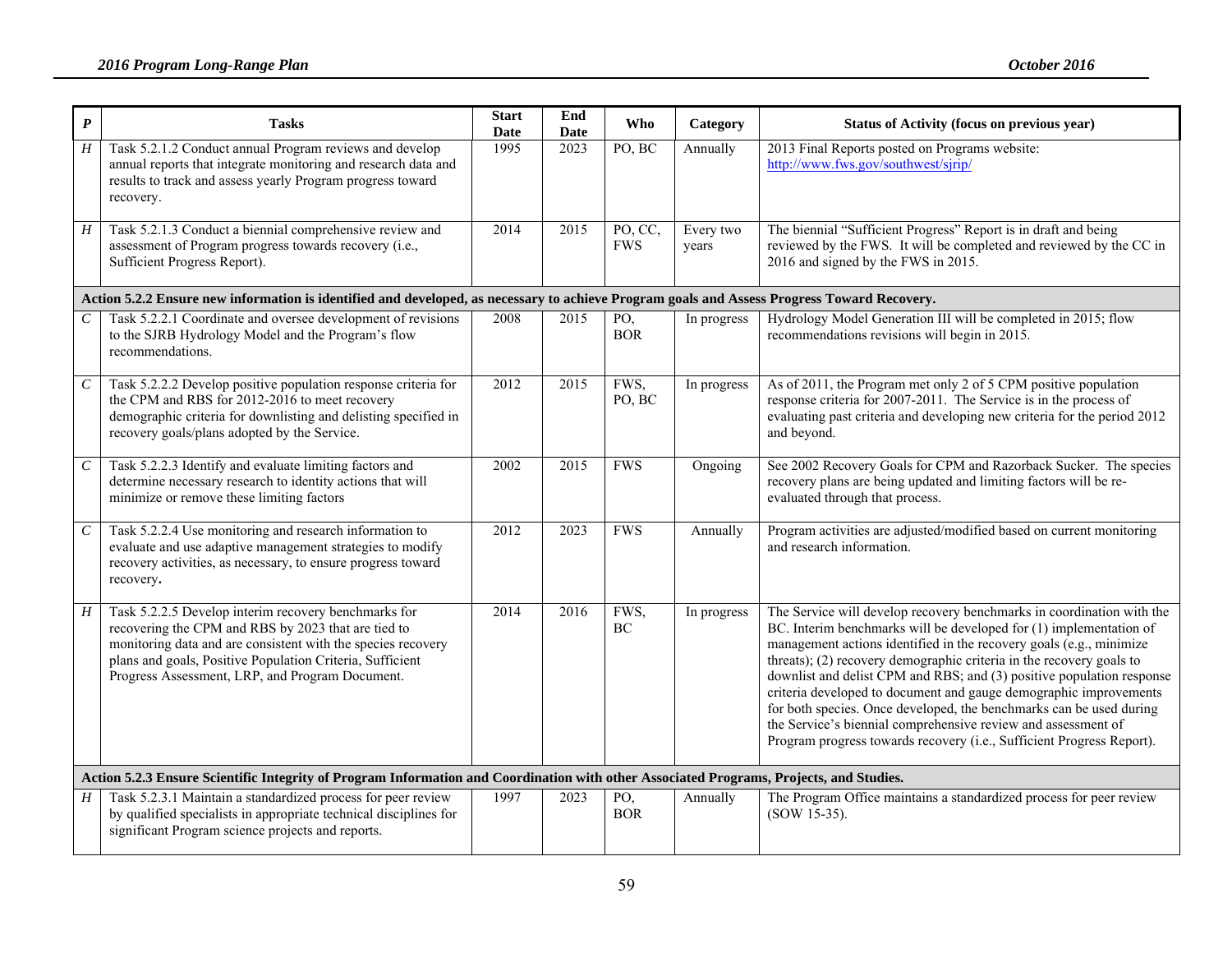| $\pmb{P}$        | <b>Tasks</b>                                                                                                                                                                                                                                                                                | <b>Start</b><br><b>Date</b> | End<br><b>Date</b> | Who                   | Category           | Status of Activity (focus on previous year)                                                                                                                                                                                                                                                                                                                                                                                                                                                                                                                                                                                                               |
|------------------|---------------------------------------------------------------------------------------------------------------------------------------------------------------------------------------------------------------------------------------------------------------------------------------------|-----------------------------|--------------------|-----------------------|--------------------|-----------------------------------------------------------------------------------------------------------------------------------------------------------------------------------------------------------------------------------------------------------------------------------------------------------------------------------------------------------------------------------------------------------------------------------------------------------------------------------------------------------------------------------------------------------------------------------------------------------------------------------------------------------|
| $\overline{H}$   | Task 5.2.1.2 Conduct annual Program reviews and develop<br>annual reports that integrate monitoring and research data and<br>results to track and assess yearly Program progress toward<br>recovery.                                                                                        | 1995                        | 2023               | PO, BC                | Annually           | 2013 Final Reports posted on Programs website:<br>http://www.fws.gov/southwest/sjrip/                                                                                                                                                                                                                                                                                                                                                                                                                                                                                                                                                                     |
| H                | Task 5.2.1.3 Conduct a biennial comprehensive review and<br>assessment of Program progress towards recovery (i.e.,<br>Sufficient Progress Report).                                                                                                                                          | 2014                        | 2015               | PO, CC,<br><b>FWS</b> | Every two<br>years | The biennial "Sufficient Progress" Report is in draft and being<br>reviewed by the FWS. It will be completed and reviewed by the CC in<br>2016 and signed by the FWS in 2015.                                                                                                                                                                                                                                                                                                                                                                                                                                                                             |
|                  | Action 5.2.2 Ensure new information is identified and developed, as necessary to achieve Program goals and Assess Progress Toward Recovery.                                                                                                                                                 |                             |                    |                       |                    |                                                                                                                                                                                                                                                                                                                                                                                                                                                                                                                                                                                                                                                           |
| $\mathcal C$     | Task 5.2.2.1 Coordinate and oversee development of revisions<br>to the SJRB Hydrology Model and the Program's flow<br>recommendations.                                                                                                                                                      | 2008                        | 2015               | PO,<br><b>BOR</b>     | In progress        | Hydrology Model Generation III will be completed in 2015; flow<br>recommendations revisions will begin in 2015.                                                                                                                                                                                                                                                                                                                                                                                                                                                                                                                                           |
| $\mathcal C$     | Task 5.2.2.2 Develop positive population response criteria for<br>the CPM and RBS for 2012-2016 to meet recovery<br>demographic criteria for downlisting and delisting specified in<br>recovery goals/plans adopted by the Service.                                                         | 2012                        | 2015               | FWS,<br>PO, BC        | In progress        | As of 2011, the Program met only 2 of 5 CPM positive population<br>response criteria for 2007-2011. The Service is in the process of<br>evaluating past criteria and developing new criteria for the period 2012<br>and beyond.                                                                                                                                                                                                                                                                                                                                                                                                                           |
| $\boldsymbol{C}$ | Task 5.2.2.3 Identify and evaluate limiting factors and<br>determine necessary research to identity actions that will<br>minimize or remove these limiting factors                                                                                                                          | 2002                        | 2015               | <b>FWS</b>            | Ongoing            | See 2002 Recovery Goals for CPM and Razorback Sucker. The species<br>recovery plans are being updated and limiting factors will be re-<br>evaluated through that process.                                                                                                                                                                                                                                                                                                                                                                                                                                                                                 |
| $\,c\,$          | Task 5.2.2.4 Use monitoring and research information to<br>evaluate and use adaptive management strategies to modify<br>recovery activities, as necessary, to ensure progress toward<br>recovery.                                                                                           | 2012                        | 2023               | <b>FWS</b>            | Annually           | Program activities are adjusted/modified based on current monitoring<br>and research information.                                                                                                                                                                                                                                                                                                                                                                                                                                                                                                                                                         |
| H                | Task 5.2.2.5 Develop interim recovery benchmarks for<br>recovering the CPM and RBS by 2023 that are tied to<br>monitoring data and are consistent with the species recovery<br>plans and goals, Positive Population Criteria, Sufficient<br>Progress Assessment, LRP, and Program Document. | 2014                        | 2016               | FWS,<br>BC            | In progress        | The Service will develop recovery benchmarks in coordination with the<br>BC. Interim benchmarks will be developed for (1) implementation of<br>management actions identified in the recovery goals (e.g., minimize<br>threats); (2) recovery demographic criteria in the recovery goals to<br>downlist and delist CPM and RBS; and (3) positive population response<br>criteria developed to document and gauge demographic improvements<br>for both species. Once developed, the benchmarks can be used during<br>the Service's biennial comprehensive review and assessment of<br>Program progress towards recovery (i.e., Sufficient Progress Report). |
|                  | Action 5.2.3 Ensure Scientific Integrity of Program Information and Coordination with other Associated Programs, Projects, and Studies.                                                                                                                                                     |                             |                    |                       |                    |                                                                                                                                                                                                                                                                                                                                                                                                                                                                                                                                                                                                                                                           |
| $H_{\parallel}$  | Task 5.2.3.1 Maintain a standardized process for peer review<br>by qualified specialists in appropriate technical disciplines for<br>significant Program science projects and reports.                                                                                                      | 1997                        | 2023               | PO,<br><b>BOR</b>     | Annually           | The Program Office maintains a standardized process for peer review<br>(SOW 15-35).                                                                                                                                                                                                                                                                                                                                                                                                                                                                                                                                                                       |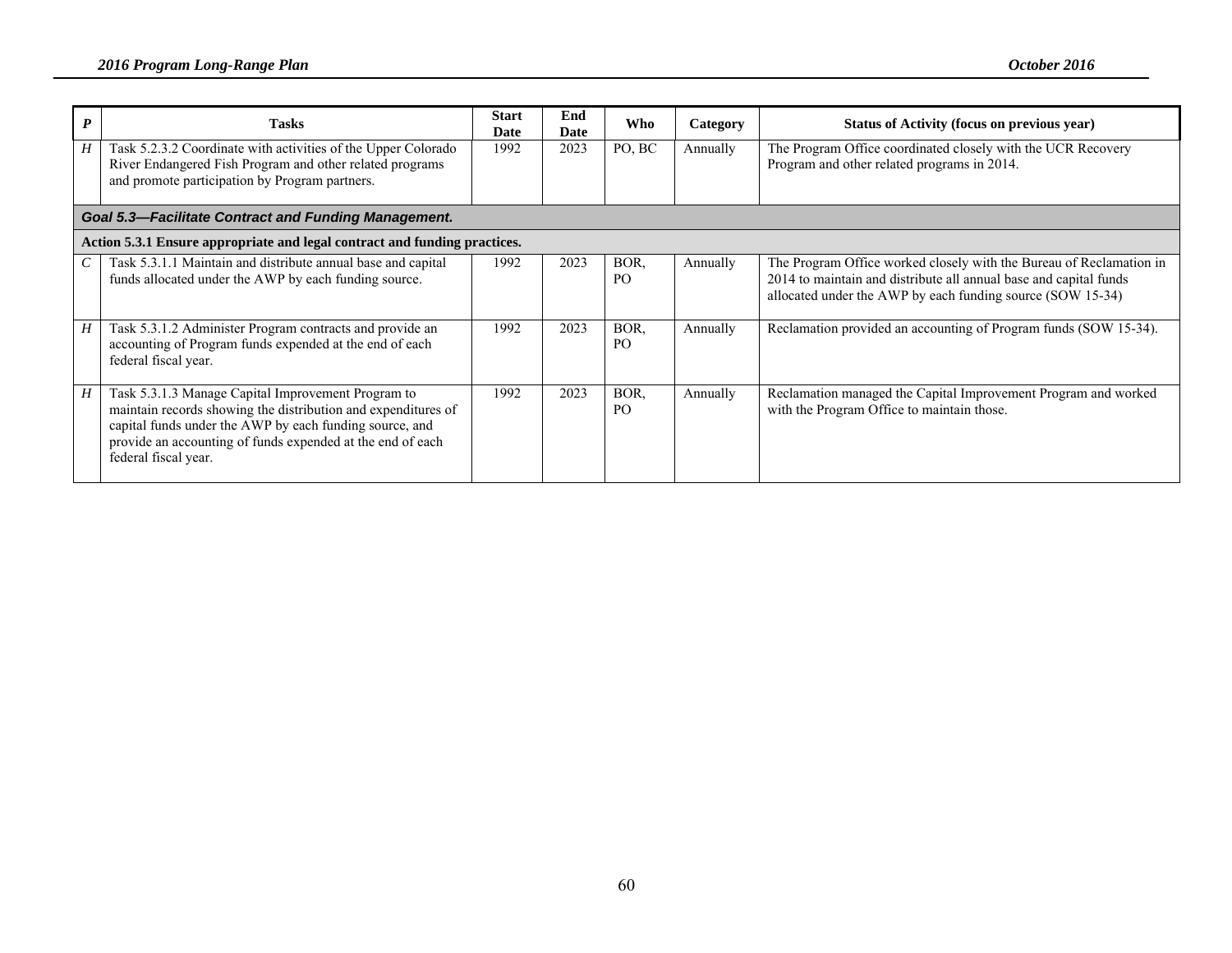|                 | <b>Tasks</b>                                                                                                                                                                                                                                                         | <b>Start</b><br>Date | End<br><b>Date</b> | Who                    | Category | Status of Activity (focus on previous year)                                                                                                                                                            |
|-----------------|----------------------------------------------------------------------------------------------------------------------------------------------------------------------------------------------------------------------------------------------------------------------|----------------------|--------------------|------------------------|----------|--------------------------------------------------------------------------------------------------------------------------------------------------------------------------------------------------------|
| Η               | Task 5.2.3.2 Coordinate with activities of the Upper Colorado<br>River Endangered Fish Program and other related programs<br>and promote participation by Program partners.                                                                                          | 1992                 | 2023               | PO, BC                 | Annually | The Program Office coordinated closely with the UCR Recovery<br>Program and other related programs in 2014.                                                                                            |
|                 | <b>Goal 5.3-Facilitate Contract and Funding Management.</b>                                                                                                                                                                                                          |                      |                    |                        |          |                                                                                                                                                                                                        |
|                 | Action 5.3.1 Ensure appropriate and legal contract and funding practices.                                                                                                                                                                                            |                      |                    |                        |          |                                                                                                                                                                                                        |
| $\mathcal{C}^-$ | Task 5.3.1.1 Maintain and distribute annual base and capital<br>funds allocated under the AWP by each funding source.                                                                                                                                                | 1992                 | 2023               | BOR.<br>P <sub>O</sub> | Annually | The Program Office worked closely with the Bureau of Reclamation in<br>2014 to maintain and distribute all annual base and capital funds<br>allocated under the AWP by each funding source (SOW 15-34) |
| H               | Task 5.3.1.2 Administer Program contracts and provide an<br>accounting of Program funds expended at the end of each<br>federal fiscal year.                                                                                                                          | 1992                 | 2023               | BOR.<br>P <sub>O</sub> | Annually | Reclamation provided an accounting of Program funds (SOW 15-34).                                                                                                                                       |
| H               | Task 5.3.1.3 Manage Capital Improvement Program to<br>maintain records showing the distribution and expenditures of<br>capital funds under the AWP by each funding source, and<br>provide an accounting of funds expended at the end of each<br>federal fiscal year. | 1992                 | 2023               | BOR.<br>P <sub>O</sub> | Annually | Reclamation managed the Capital Improvement Program and worked<br>with the Program Office to maintain those.                                                                                           |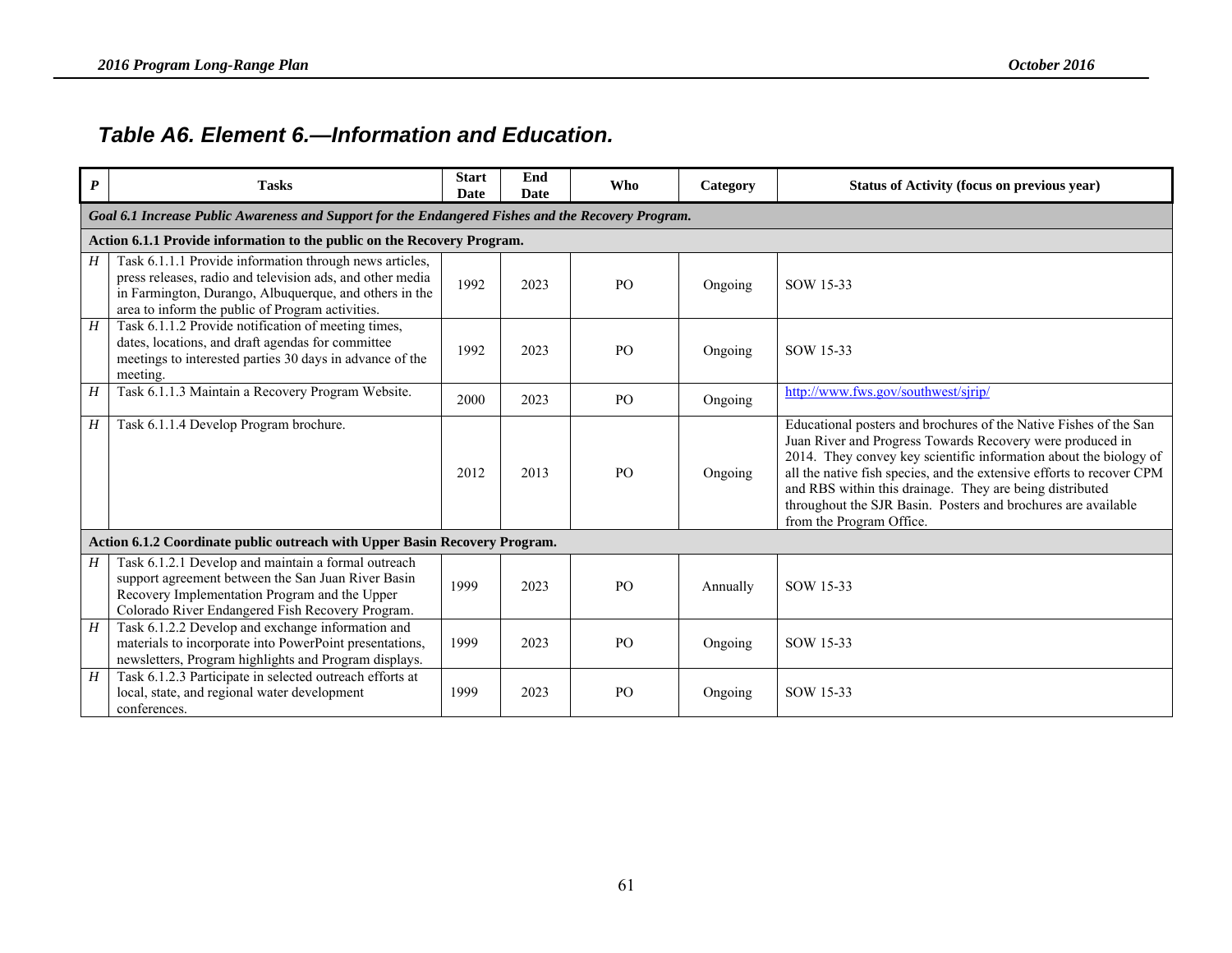#### *Table A6. Element 6.—Information and Education.*

| $\boldsymbol{P}$ | <b>Tasks</b>                                                                                                                                                                                                                       | <b>Start</b><br>Date | End<br>Date | Who            | Category | Status of Activity (focus on previous year)                                                                                                                                                                                                                                                                                                                                                                                           |  |  |  |  |
|------------------|------------------------------------------------------------------------------------------------------------------------------------------------------------------------------------------------------------------------------------|----------------------|-------------|----------------|----------|---------------------------------------------------------------------------------------------------------------------------------------------------------------------------------------------------------------------------------------------------------------------------------------------------------------------------------------------------------------------------------------------------------------------------------------|--|--|--|--|
|                  | Goal 6.1 Increase Public Awareness and Support for the Endangered Fishes and the Recovery Program.                                                                                                                                 |                      |             |                |          |                                                                                                                                                                                                                                                                                                                                                                                                                                       |  |  |  |  |
|                  | Action 6.1.1 Provide information to the public on the Recovery Program.                                                                                                                                                            |                      |             |                |          |                                                                                                                                                                                                                                                                                                                                                                                                                                       |  |  |  |  |
| H                | Task 6.1.1.1 Provide information through news articles,<br>press releases, radio and television ads, and other media<br>in Farmington, Durango, Albuquerque, and others in the<br>area to inform the public of Program activities. | 1992                 | 2023        | PO             | Ongoing  | SOW 15-33                                                                                                                                                                                                                                                                                                                                                                                                                             |  |  |  |  |
| H                | Task 6.1.1.2 Provide notification of meeting times,<br>dates, locations, and draft agendas for committee<br>meetings to interested parties 30 days in advance of the<br>meeting.                                                   | 1992                 | 2023        | P <sub>O</sub> | Ongoing  | SOW 15-33                                                                                                                                                                                                                                                                                                                                                                                                                             |  |  |  |  |
| H                | Task 6.1.1.3 Maintain a Recovery Program Website.                                                                                                                                                                                  | 2000                 | 2023        | PO             | Ongoing  | http://www.fws.gov/southwest/sjrip/                                                                                                                                                                                                                                                                                                                                                                                                   |  |  |  |  |
| H                | Task 6.1.1.4 Develop Program brochure.                                                                                                                                                                                             | 2012                 | 2013        | P <sub>O</sub> | Ongoing  | Educational posters and brochures of the Native Fishes of the San<br>Juan River and Progress Towards Recovery were produced in<br>2014. They convey key scientific information about the biology of<br>all the native fish species, and the extensive efforts to recover CPM<br>and RBS within this drainage. They are being distributed<br>throughout the SJR Basin. Posters and brochures are available<br>from the Program Office. |  |  |  |  |
|                  | Action 6.1.2 Coordinate public outreach with Upper Basin Recovery Program.                                                                                                                                                         |                      |             |                |          |                                                                                                                                                                                                                                                                                                                                                                                                                                       |  |  |  |  |
| H                | Task 6.1.2.1 Develop and maintain a formal outreach<br>support agreement between the San Juan River Basin<br>Recovery Implementation Program and the Upper<br>Colorado River Endangered Fish Recovery Program.                     | 1999                 | 2023        | PO             | Annually | SOW 15-33                                                                                                                                                                                                                                                                                                                                                                                                                             |  |  |  |  |
| H                | Task 6.1.2.2 Develop and exchange information and<br>materials to incorporate into PowerPoint presentations,<br>newsletters, Program highlights and Program displays.                                                              | 1999                 | 2023        | PO             | Ongoing  | SOW 15-33                                                                                                                                                                                                                                                                                                                                                                                                                             |  |  |  |  |
| H                | Task 6.1.2.3 Participate in selected outreach efforts at<br>local, state, and regional water development<br>conferences.                                                                                                           | 1999                 | 2023        | P <sub>O</sub> | Ongoing  | SOW 15-33                                                                                                                                                                                                                                                                                                                                                                                                                             |  |  |  |  |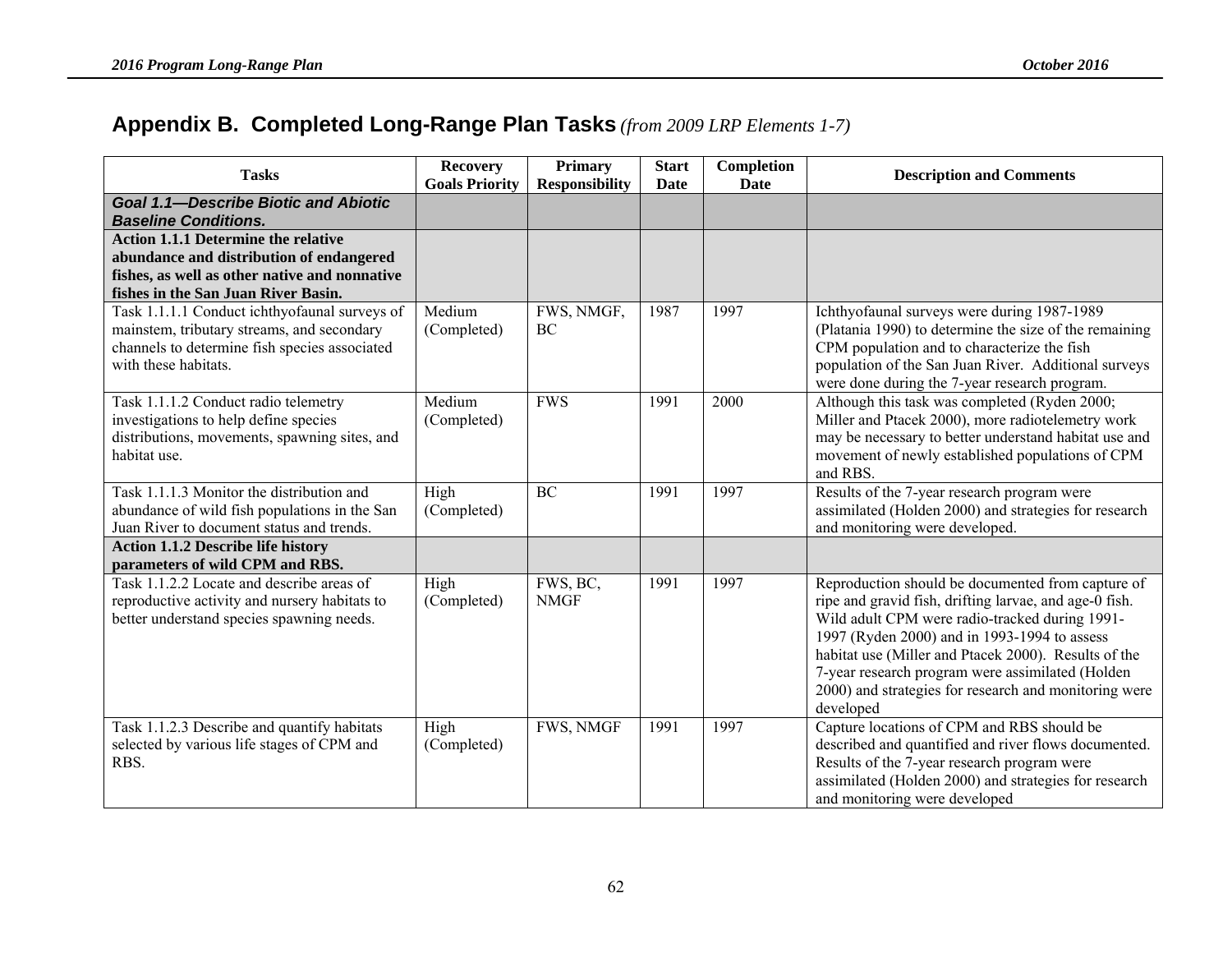# **Appendix B. Completed Long-Range Plan Tasks** *(from 2009 LRP Elements 1-7)*

| <b>Tasks</b>                                                                                                                                                                   | <b>Recovery</b><br><b>Goals Priority</b> | <b>Primary</b><br><b>Responsibility</b> | <b>Start</b><br>Date | Completion<br><b>Date</b> | <b>Description and Comments</b>                                                                                                                                                                                                                                                                                                                                                                 |
|--------------------------------------------------------------------------------------------------------------------------------------------------------------------------------|------------------------------------------|-----------------------------------------|----------------------|---------------------------|-------------------------------------------------------------------------------------------------------------------------------------------------------------------------------------------------------------------------------------------------------------------------------------------------------------------------------------------------------------------------------------------------|
| <b>Goal 1.1-Describe Biotic and Abiotic</b><br><b>Baseline Conditions.</b>                                                                                                     |                                          |                                         |                      |                           |                                                                                                                                                                                                                                                                                                                                                                                                 |
| <b>Action 1.1.1 Determine the relative</b><br>abundance and distribution of endangered<br>fishes, as well as other native and nonnative<br>fishes in the San Juan River Basin. |                                          |                                         |                      |                           |                                                                                                                                                                                                                                                                                                                                                                                                 |
| Task 1.1.1.1 Conduct ichthyofaunal surveys of<br>mainstem, tributary streams, and secondary<br>channels to determine fish species associated<br>with these habitats.           | Medium<br>(Completed)                    | FWS, NMGF,<br>BC                        | 1987                 | 1997                      | Ichthyofaunal surveys were during 1987-1989<br>(Platania 1990) to determine the size of the remaining<br>CPM population and to characterize the fish<br>population of the San Juan River. Additional surveys<br>were done during the 7-year research program.                                                                                                                                   |
| Task 1.1.1.2 Conduct radio telemetry<br>investigations to help define species<br>distributions, movements, spawning sites, and<br>habitat use.                                 | Medium<br>(Completed)                    | <b>FWS</b>                              | 1991                 | 2000                      | Although this task was completed (Ryden 2000;<br>Miller and Ptacek 2000), more radiotelemetry work<br>may be necessary to better understand habitat use and<br>movement of newly established populations of CPM<br>and RBS.                                                                                                                                                                     |
| Task 1.1.1.3 Monitor the distribution and<br>abundance of wild fish populations in the San<br>Juan River to document status and trends.                                        | High<br>(Completed)                      | BC                                      | 1991                 | 1997                      | Results of the 7-year research program were<br>assimilated (Holden 2000) and strategies for research<br>and monitoring were developed.                                                                                                                                                                                                                                                          |
| <b>Action 1.1.2 Describe life history</b><br>parameters of wild CPM and RBS.                                                                                                   |                                          |                                         |                      |                           |                                                                                                                                                                                                                                                                                                                                                                                                 |
| Task 1.1.2.2 Locate and describe areas of<br>reproductive activity and nursery habitats to<br>better understand species spawning needs.                                        | High<br>(Completed)                      | FWS, BC,<br><b>NMGF</b>                 | 1991                 | 1997                      | Reproduction should be documented from capture of<br>ripe and gravid fish, drifting larvae, and age-0 fish.<br>Wild adult CPM were radio-tracked during 1991-<br>1997 (Ryden 2000) and in 1993-1994 to assess<br>habitat use (Miller and Ptacek 2000). Results of the<br>7-year research program were assimilated (Holden<br>2000) and strategies for research and monitoring were<br>developed |
| Task 1.1.2.3 Describe and quantify habitats<br>selected by various life stages of CPM and<br>RBS.                                                                              | High<br>(Completed)                      | FWS, NMGF                               | 1991                 | 1997                      | Capture locations of CPM and RBS should be<br>described and quantified and river flows documented.<br>Results of the 7-year research program were<br>assimilated (Holden 2000) and strategies for research<br>and monitoring were developed                                                                                                                                                     |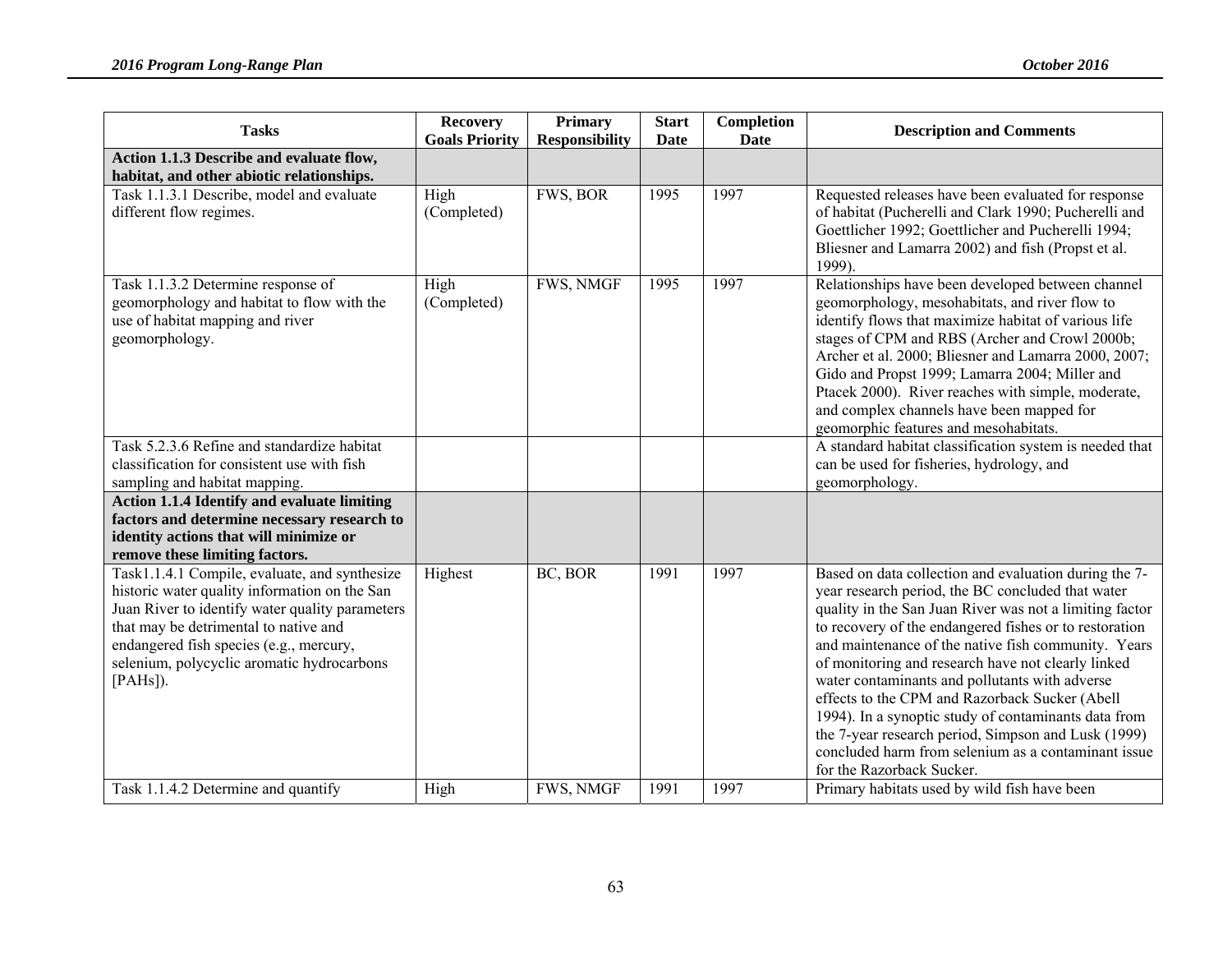| <b>Tasks</b>                                                                                                                                                                                                                                                                                                                | <b>Recovery</b><br><b>Goals Priority</b> | <b>Primary</b><br><b>Responsibility</b> | <b>Start</b><br>Date | Completion<br><b>Date</b> | <b>Description and Comments</b>                                                                                                                                                                                                                                                                                                                                                                                                                                                                                                                                                                                                                     |
|-----------------------------------------------------------------------------------------------------------------------------------------------------------------------------------------------------------------------------------------------------------------------------------------------------------------------------|------------------------------------------|-----------------------------------------|----------------------|---------------------------|-----------------------------------------------------------------------------------------------------------------------------------------------------------------------------------------------------------------------------------------------------------------------------------------------------------------------------------------------------------------------------------------------------------------------------------------------------------------------------------------------------------------------------------------------------------------------------------------------------------------------------------------------------|
| Action 1.1.3 Describe and evaluate flow,<br>habitat, and other abiotic relationships.                                                                                                                                                                                                                                       |                                          |                                         |                      |                           |                                                                                                                                                                                                                                                                                                                                                                                                                                                                                                                                                                                                                                                     |
| Task 1.1.3.1 Describe, model and evaluate<br>different flow regimes.                                                                                                                                                                                                                                                        | High<br>(Completed)                      | FWS, BOR                                | 1995                 | 1997                      | Requested releases have been evaluated for response<br>of habitat (Pucherelli and Clark 1990; Pucherelli and<br>Goettlicher 1992; Goettlicher and Pucherelli 1994;<br>Bliesner and Lamarra 2002) and fish (Propst et al.<br>1999).                                                                                                                                                                                                                                                                                                                                                                                                                  |
| Task 1.1.3.2 Determine response of<br>geomorphology and habitat to flow with the<br>use of habitat mapping and river<br>geomorphology.<br>Task 5.2.3.6 Refine and standardize habitat<br>classification for consistent use with fish<br>sampling and habitat mapping.<br><b>Action 1.1.4 Identify and evaluate limiting</b> | High<br>(Completed)                      | FWS, NMGF                               | 1995                 | 1997                      | Relationships have been developed between channel<br>geomorphology, mesohabitats, and river flow to<br>identify flows that maximize habitat of various life<br>stages of CPM and RBS (Archer and Crowl 2000b;<br>Archer et al. 2000; Bliesner and Lamarra 2000, 2007;<br>Gido and Propst 1999; Lamarra 2004; Miller and<br>Ptacek 2000). River reaches with simple, moderate,<br>and complex channels have been mapped for<br>geomorphic features and mesohabitats.<br>A standard habitat classification system is needed that<br>can be used for fisheries, hydrology, and<br>geomorphology.                                                       |
| factors and determine necessary research to<br>identity actions that will minimize or<br>remove these limiting factors.                                                                                                                                                                                                     |                                          |                                         |                      |                           |                                                                                                                                                                                                                                                                                                                                                                                                                                                                                                                                                                                                                                                     |
| Task1.1.4.1 Compile, evaluate, and synthesize<br>historic water quality information on the San<br>Juan River to identify water quality parameters<br>that may be detrimental to native and<br>endangered fish species (e.g., mercury,<br>selenium, polycyclic aromatic hydrocarbons<br>$[PAHs]$ ).                          | Highest                                  | BC, BOR                                 | 1991                 | 1997                      | Based on data collection and evaluation during the 7-<br>year research period, the BC concluded that water<br>quality in the San Juan River was not a limiting factor<br>to recovery of the endangered fishes or to restoration<br>and maintenance of the native fish community. Years<br>of monitoring and research have not clearly linked<br>water contaminants and pollutants with adverse<br>effects to the CPM and Razorback Sucker (Abell<br>1994). In a synoptic study of contaminants data from<br>the 7-year research period, Simpson and Lusk (1999)<br>concluded harm from selenium as a contaminant issue<br>for the Razorback Sucker. |
| Task 1.1.4.2 Determine and quantify                                                                                                                                                                                                                                                                                         | High                                     | FWS, NMGF                               | 1991                 | 1997                      | Primary habitats used by wild fish have been                                                                                                                                                                                                                                                                                                                                                                                                                                                                                                                                                                                                        |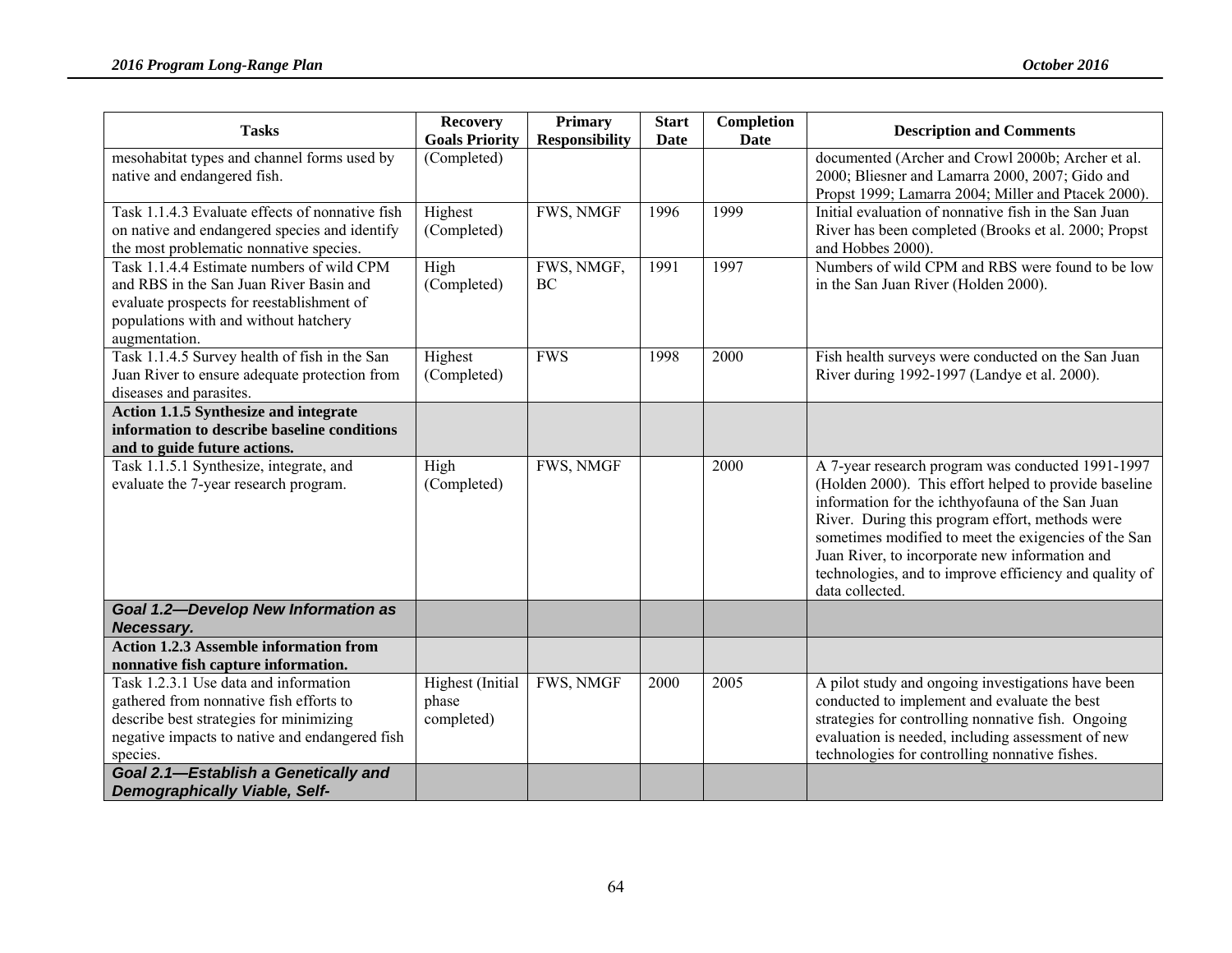| <b>Tasks</b>                                                                                                                                                                                                                      | <b>Recovery</b><br><b>Goals Priority</b> | <b>Primary</b><br><b>Responsibility</b> | <b>Start</b><br><b>Date</b> | Completion<br>Date | <b>Description and Comments</b>                                                                                                                                                                                                                                                                                                                                                                          |
|-----------------------------------------------------------------------------------------------------------------------------------------------------------------------------------------------------------------------------------|------------------------------------------|-----------------------------------------|-----------------------------|--------------------|----------------------------------------------------------------------------------------------------------------------------------------------------------------------------------------------------------------------------------------------------------------------------------------------------------------------------------------------------------------------------------------------------------|
| mesohabitat types and channel forms used by<br>native and endangered fish.                                                                                                                                                        | (Completed)                              |                                         |                             |                    | documented (Archer and Crowl 2000b; Archer et al.<br>2000; Bliesner and Lamarra 2000, 2007; Gido and<br>Propst 1999; Lamarra 2004; Miller and Ptacek 2000).                                                                                                                                                                                                                                              |
| Task 1.1.4.3 Evaluate effects of nonnative fish<br>on native and endangered species and identify<br>the most problematic nonnative species.                                                                                       | Highest<br>(Completed)                   | <b>FWS, NMGF</b>                        | 1996                        | 1999               | Initial evaluation of nonnative fish in the San Juan<br>River has been completed (Brooks et al. 2000; Propst<br>and Hobbes 2000).                                                                                                                                                                                                                                                                        |
| Task 1.1.4.4 Estimate numbers of wild CPM<br>and RBS in the San Juan River Basin and<br>evaluate prospects for reestablishment of<br>populations with and without hatchery<br>augmentation.                                       | High<br>(Completed)                      | FWS, NMGF,<br>BC                        | 1991                        | 1997               | Numbers of wild CPM and RBS were found to be low<br>in the San Juan River (Holden 2000).                                                                                                                                                                                                                                                                                                                 |
| Task 1.1.4.5 Survey health of fish in the San<br>Juan River to ensure adequate protection from<br>diseases and parasites.                                                                                                         | Highest<br>(Completed)                   | <b>FWS</b>                              | 1998                        | 2000               | Fish health surveys were conducted on the San Juan<br>River during 1992-1997 (Landye et al. 2000).                                                                                                                                                                                                                                                                                                       |
| <b>Action 1.1.5 Synthesize and integrate</b><br>information to describe baseline conditions<br>and to guide future actions.                                                                                                       |                                          |                                         |                             |                    |                                                                                                                                                                                                                                                                                                                                                                                                          |
| Task 1.1.5.1 Synthesize, integrate, and<br>evaluate the 7-year research program.                                                                                                                                                  | High<br>(Completed)                      | FWS, NMGF                               |                             | 2000               | A 7-year research program was conducted 1991-1997<br>(Holden 2000). This effort helped to provide baseline<br>information for the ichthyofauna of the San Juan<br>River. During this program effort, methods were<br>sometimes modified to meet the exigencies of the San<br>Juan River, to incorporate new information and<br>technologies, and to improve efficiency and quality of<br>data collected. |
| <b>Goal 1.2-Develop New Information as</b><br>Necessary.                                                                                                                                                                          |                                          |                                         |                             |                    |                                                                                                                                                                                                                                                                                                                                                                                                          |
| <b>Action 1.2.3 Assemble information from</b><br>nonnative fish capture information.                                                                                                                                              |                                          |                                         |                             |                    |                                                                                                                                                                                                                                                                                                                                                                                                          |
| Task 1.2.3.1 Use data and information<br>gathered from nonnative fish efforts to<br>describe best strategies for minimizing<br>negative impacts to native and endangered fish<br>species.<br>Goal 2.1-Establish a Genetically and | Highest (Initial<br>phase<br>completed)  | FWS, NMGF                               | 2000                        | 2005               | A pilot study and ongoing investigations have been<br>conducted to implement and evaluate the best<br>strategies for controlling nonnative fish. Ongoing<br>evaluation is needed, including assessment of new<br>technologies for controlling nonnative fishes.                                                                                                                                          |
| <b>Demographically Viable, Self-</b>                                                                                                                                                                                              |                                          |                                         |                             |                    |                                                                                                                                                                                                                                                                                                                                                                                                          |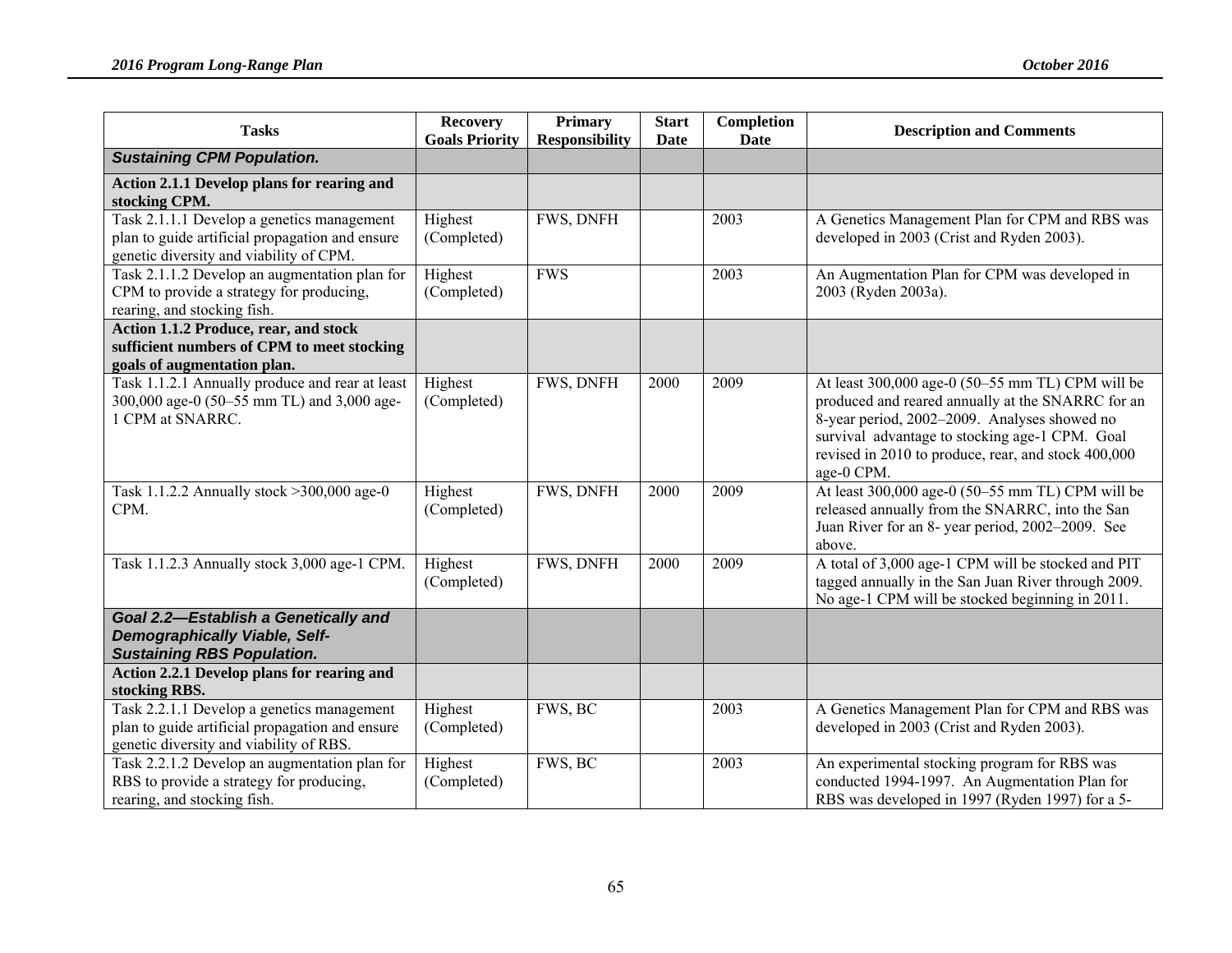| <b>Tasks</b>                                                                                                                             | <b>Recovery</b><br><b>Goals Priority</b> | <b>Primary</b><br><b>Responsibility</b> | <b>Start</b><br>Date | Completion<br><b>Date</b> | <b>Description and Comments</b>                                                                                                                                                                                                                                              |
|------------------------------------------------------------------------------------------------------------------------------------------|------------------------------------------|-----------------------------------------|----------------------|---------------------------|------------------------------------------------------------------------------------------------------------------------------------------------------------------------------------------------------------------------------------------------------------------------------|
| <b>Sustaining CPM Population.</b>                                                                                                        |                                          |                                         |                      |                           |                                                                                                                                                                                                                                                                              |
| Action 2.1.1 Develop plans for rearing and<br>stocking CPM.                                                                              |                                          |                                         |                      |                           |                                                                                                                                                                                                                                                                              |
| Task 2.1.1.1 Develop a genetics management<br>plan to guide artificial propagation and ensure<br>genetic diversity and viability of CPM. | Highest<br>(Completed)                   | FWS, DNFH                               |                      | 2003                      | A Genetics Management Plan for CPM and RBS was<br>developed in 2003 (Crist and Ryden 2003).                                                                                                                                                                                  |
| Task 2.1.1.2 Develop an augmentation plan for<br>CPM to provide a strategy for producing,<br>rearing, and stocking fish.                 | Highest<br>(Completed)                   | <b>FWS</b>                              |                      | 2003                      | An Augmentation Plan for CPM was developed in<br>2003 (Ryden 2003a).                                                                                                                                                                                                         |
| Action 1.1.2 Produce, rear, and stock<br>sufficient numbers of CPM to meet stocking<br>goals of augmentation plan.                       |                                          |                                         |                      |                           |                                                                                                                                                                                                                                                                              |
| Task 1.1.2.1 Annually produce and rear at least<br>300,000 age-0 (50-55 mm TL) and 3,000 age-<br>1 CPM at SNARRC.                        | Highest<br>(Completed)                   | FWS, DNFH                               | 2000                 | 2009                      | At least 300,000 age-0 (50–55 mm TL) CPM will be<br>produced and reared annually at the SNARRC for an<br>8-year period, 2002-2009. Analyses showed no<br>survival advantage to stocking age-1 CPM. Goal<br>revised in 2010 to produce, rear, and stock 400,000<br>age-0 CPM. |
| Task 1.1.2.2 Annually stock > 300,000 age-0<br>CPM.                                                                                      | Highest<br>(Completed)                   | FWS, DNFH                               | 2000                 | 2009                      | At least 300,000 age-0 (50-55 mm TL) CPM will be<br>released annually from the SNARRC, into the San<br>Juan River for an 8- year period, 2002-2009. See<br>above.                                                                                                            |
| Task 1.1.2.3 Annually stock 3,000 age-1 CPM.                                                                                             | Highest<br>(Completed)                   | FWS, DNFH                               | 2000                 | 2009                      | A total of 3,000 age-1 CPM will be stocked and PIT<br>tagged annually in the San Juan River through 2009.<br>No age-1 CPM will be stocked beginning in 2011.                                                                                                                 |
| Goal 2.2-Establish a Genetically and<br><b>Demographically Viable, Self-</b><br><b>Sustaining RBS Population.</b>                        |                                          |                                         |                      |                           |                                                                                                                                                                                                                                                                              |
| Action 2.2.1 Develop plans for rearing and<br>stocking RBS.                                                                              |                                          |                                         |                      |                           |                                                                                                                                                                                                                                                                              |
| Task 2.2.1.1 Develop a genetics management<br>plan to guide artificial propagation and ensure<br>genetic diversity and viability of RBS. | Highest<br>(Completed)                   | FWS, BC                                 |                      | 2003                      | A Genetics Management Plan for CPM and RBS was<br>developed in 2003 (Crist and Ryden 2003).                                                                                                                                                                                  |
| Task 2.2.1.2 Develop an augmentation plan for<br>RBS to provide a strategy for producing,<br>rearing, and stocking fish.                 | Highest<br>(Completed)                   | FWS, BC                                 |                      | 2003                      | An experimental stocking program for RBS was<br>conducted 1994-1997. An Augmentation Plan for<br>RBS was developed in 1997 (Ryden 1997) for a 5-                                                                                                                             |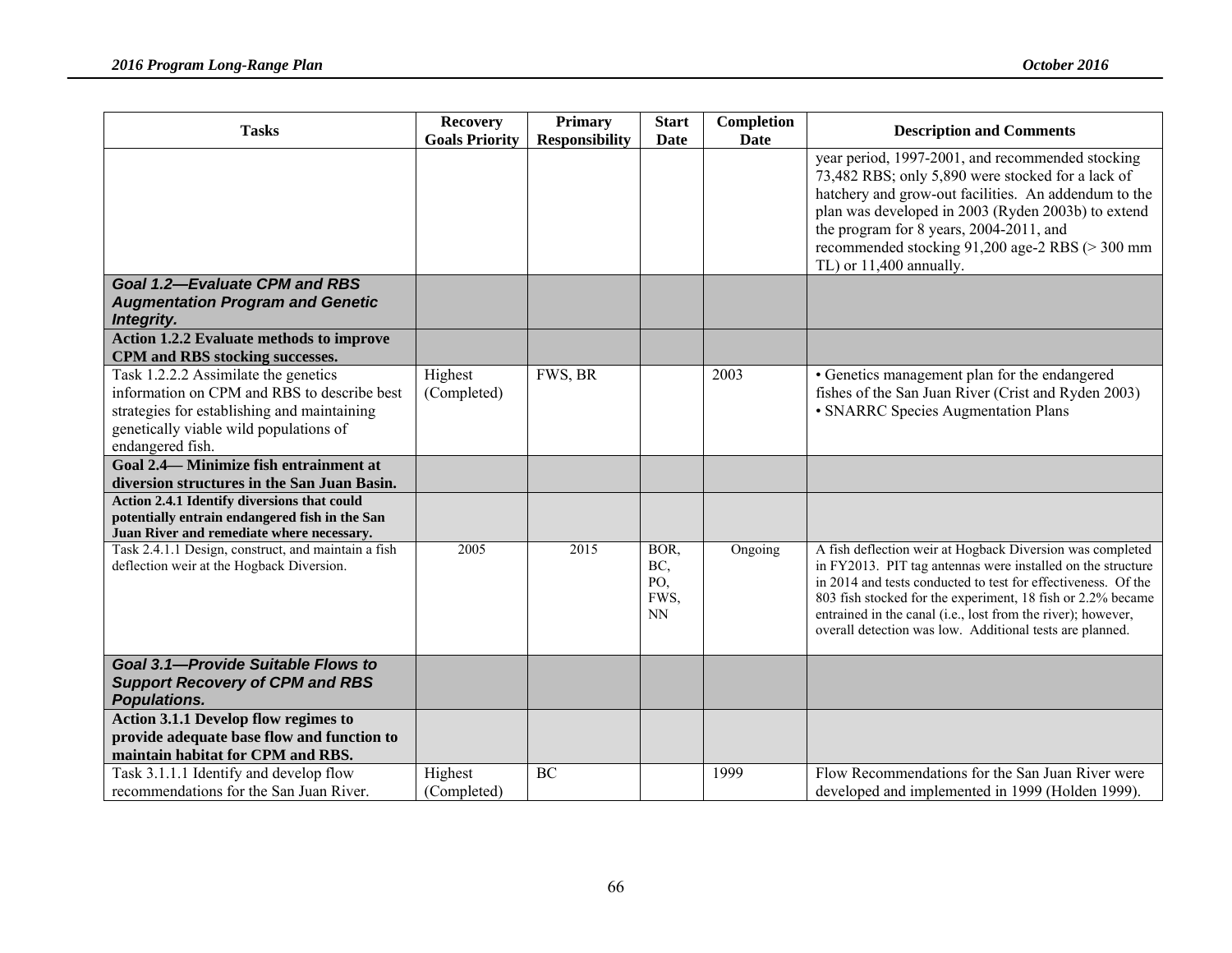| <b>Tasks</b>                                                                                                                                                                                     | <b>Recovery</b>        | <b>Primary</b>        | <b>Start</b>                            | Completion  | <b>Description and Comments</b>                                                                                                                                                                                                                                                                                                                                                      |
|--------------------------------------------------------------------------------------------------------------------------------------------------------------------------------------------------|------------------------|-----------------------|-----------------------------------------|-------------|--------------------------------------------------------------------------------------------------------------------------------------------------------------------------------------------------------------------------------------------------------------------------------------------------------------------------------------------------------------------------------------|
|                                                                                                                                                                                                  | <b>Goals Priority</b>  | <b>Responsibility</b> | <b>Date</b>                             | <b>Date</b> |                                                                                                                                                                                                                                                                                                                                                                                      |
|                                                                                                                                                                                                  |                        |                       |                                         |             | year period, 1997-2001, and recommended stocking<br>73,482 RBS; only 5,890 were stocked for a lack of<br>hatchery and grow-out facilities. An addendum to the<br>plan was developed in 2003 (Ryden 2003b) to extend<br>the program for 8 years, 2004-2011, and<br>recommended stocking 91,200 age-2 RBS (> 300 mm<br>TL) or 11,400 annually.                                         |
| <b>Goal 1.2-Evaluate CPM and RBS</b>                                                                                                                                                             |                        |                       |                                         |             |                                                                                                                                                                                                                                                                                                                                                                                      |
| <b>Augmentation Program and Genetic</b><br>Integrity.                                                                                                                                            |                        |                       |                                         |             |                                                                                                                                                                                                                                                                                                                                                                                      |
| <b>Action 1.2.2 Evaluate methods to improve</b><br>CPM and RBS stocking successes.                                                                                                               |                        |                       |                                         |             |                                                                                                                                                                                                                                                                                                                                                                                      |
| Task 1.2.2.2 Assimilate the genetics<br>information on CPM and RBS to describe best<br>strategies for establishing and maintaining<br>genetically viable wild populations of<br>endangered fish. | Highest<br>(Completed) | FWS, BR               |                                         | 2003        | • Genetics management plan for the endangered<br>fishes of the San Juan River (Crist and Ryden 2003)<br>• SNARRC Species Augmentation Plans                                                                                                                                                                                                                                          |
| Goal 2.4 – Minimize fish entrainment at<br>diversion structures in the San Juan Basin.                                                                                                           |                        |                       |                                         |             |                                                                                                                                                                                                                                                                                                                                                                                      |
| Action 2.4.1 Identify diversions that could<br>potentially entrain endangered fish in the San<br>Juan River and remediate where necessary.                                                       |                        |                       |                                         |             |                                                                                                                                                                                                                                                                                                                                                                                      |
| Task 2.4.1.1 Design, construct, and maintain a fish<br>deflection weir at the Hogback Diversion.                                                                                                 | 2005                   | 2015                  | BOR,<br>BC,<br>PO,<br>FWS,<br><b>NN</b> | Ongoing     | A fish deflection weir at Hogback Diversion was completed<br>in FY2013. PIT tag antennas were installed on the structure<br>in 2014 and tests conducted to test for effectiveness. Of the<br>803 fish stocked for the experiment, 18 fish or 2.2% became<br>entrained in the canal (i.e., lost from the river); however,<br>overall detection was low. Additional tests are planned. |
| Goal 3.1-Provide Suitable Flows to<br><b>Support Recovery of CPM and RBS</b><br>Populations.                                                                                                     |                        |                       |                                         |             |                                                                                                                                                                                                                                                                                                                                                                                      |
| Action 3.1.1 Develop flow regimes to<br>provide adequate base flow and function to<br>maintain habitat for CPM and RBS.                                                                          |                        |                       |                                         |             |                                                                                                                                                                                                                                                                                                                                                                                      |
| Task 3.1.1.1 Identify and develop flow<br>recommendations for the San Juan River.                                                                                                                | Highest<br>(Completed) | BC                    |                                         | 1999        | Flow Recommendations for the San Juan River were<br>developed and implemented in 1999 (Holden 1999).                                                                                                                                                                                                                                                                                 |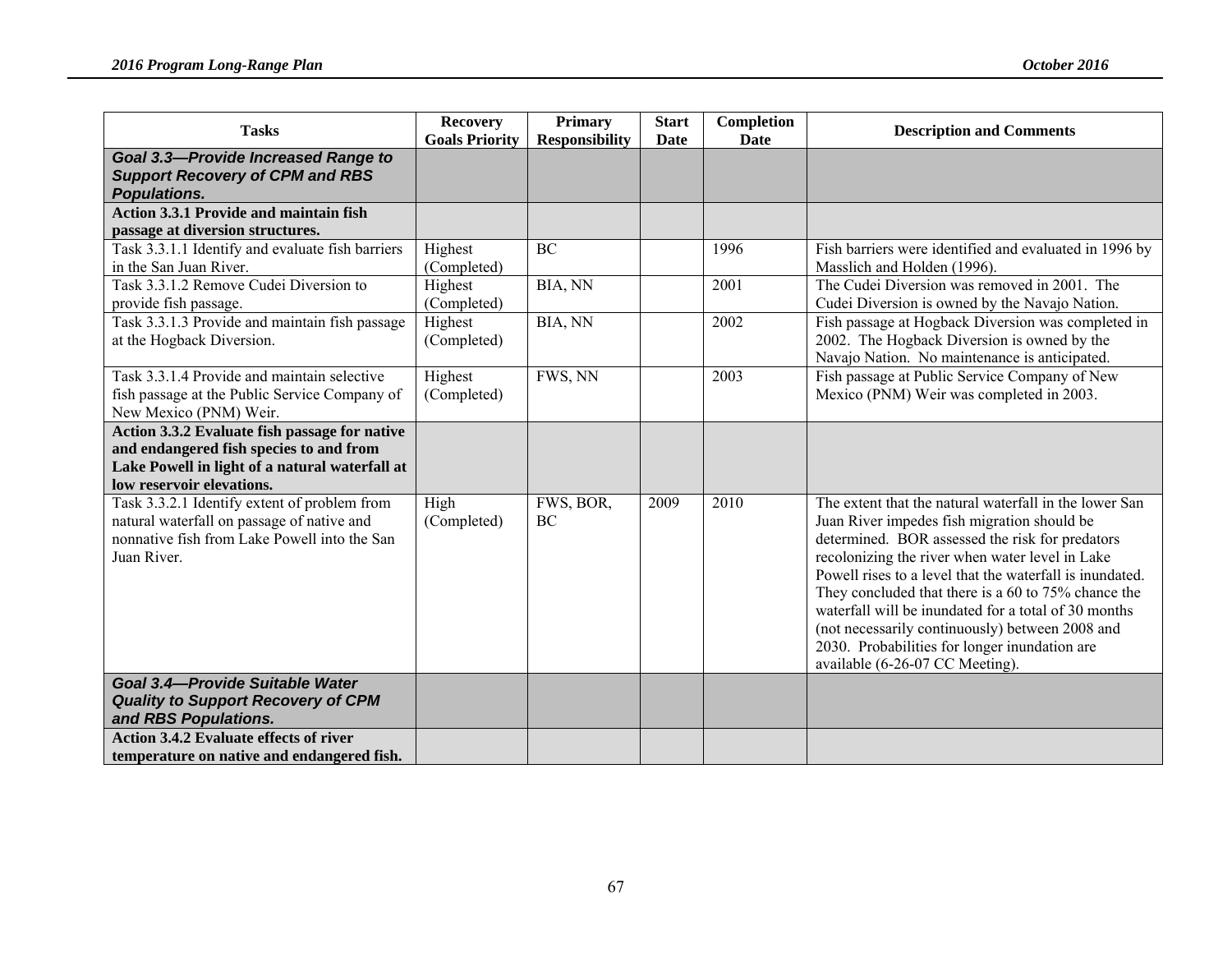| <b>Tasks</b>                                                                                                                                                            | <b>Recovery</b><br><b>Goals Priority</b> | Primary<br><b>Responsibility</b> | <b>Start</b><br>Date | Completion<br><b>Date</b> | <b>Description and Comments</b>                                                                                                                                                                                                                                                                                                                                                                                                                                                                                               |
|-------------------------------------------------------------------------------------------------------------------------------------------------------------------------|------------------------------------------|----------------------------------|----------------------|---------------------------|-------------------------------------------------------------------------------------------------------------------------------------------------------------------------------------------------------------------------------------------------------------------------------------------------------------------------------------------------------------------------------------------------------------------------------------------------------------------------------------------------------------------------------|
| <b>Goal 3.3-Provide Increased Range to</b><br><b>Support Recovery of CPM and RBS</b><br><b>Populations.</b>                                                             |                                          |                                  |                      |                           |                                                                                                                                                                                                                                                                                                                                                                                                                                                                                                                               |
| <b>Action 3.3.1 Provide and maintain fish</b><br>passage at diversion structures.                                                                                       |                                          |                                  |                      |                           |                                                                                                                                                                                                                                                                                                                                                                                                                                                                                                                               |
| Task 3.3.1.1 Identify and evaluate fish barriers<br>in the San Juan River.                                                                                              | Highest<br>(Completed)                   | <b>BC</b>                        |                      | 1996                      | Fish barriers were identified and evaluated in 1996 by<br>Masslich and Holden (1996).                                                                                                                                                                                                                                                                                                                                                                                                                                         |
| Task 3.3.1.2 Remove Cudei Diversion to<br>provide fish passage.                                                                                                         | Highest<br>(Completed)                   | BIA, NN                          |                      | 2001                      | The Cudei Diversion was removed in 2001. The<br>Cudei Diversion is owned by the Navajo Nation.                                                                                                                                                                                                                                                                                                                                                                                                                                |
| Task 3.3.1.3 Provide and maintain fish passage<br>at the Hogback Diversion.                                                                                             | Highest<br>(Completed)                   | BIA, NN                          |                      | 2002                      | Fish passage at Hogback Diversion was completed in<br>2002. The Hogback Diversion is owned by the<br>Navajo Nation. No maintenance is anticipated.                                                                                                                                                                                                                                                                                                                                                                            |
| Task 3.3.1.4 Provide and maintain selective<br>fish passage at the Public Service Company of<br>New Mexico (PNM) Weir.                                                  | Highest<br>(Completed)                   | FWS, NN                          |                      | 2003                      | Fish passage at Public Service Company of New<br>Mexico (PNM) Weir was completed in 2003.                                                                                                                                                                                                                                                                                                                                                                                                                                     |
| Action 3.3.2 Evaluate fish passage for native<br>and endangered fish species to and from<br>Lake Powell in light of a natural waterfall at<br>low reservoir elevations. |                                          |                                  |                      |                           |                                                                                                                                                                                                                                                                                                                                                                                                                                                                                                                               |
| Task 3.3.2.1 Identify extent of problem from<br>natural waterfall on passage of native and<br>nonnative fish from Lake Powell into the San<br>Juan River.               | High<br>(Completed)                      | FWS, BOR,<br>BC.                 | 2009                 | 2010                      | The extent that the natural waterfall in the lower San<br>Juan River impedes fish migration should be<br>determined. BOR assessed the risk for predators<br>recolonizing the river when water level in Lake<br>Powell rises to a level that the waterfall is inundated.<br>They concluded that there is a 60 to 75% chance the<br>waterfall will be inundated for a total of 30 months<br>(not necessarily continuously) between 2008 and<br>2030. Probabilities for longer inundation are<br>available (6-26-07 CC Meeting). |
| Goal 3.4-Provide Suitable Water<br><b>Quality to Support Recovery of CPM</b><br>and RBS Populations.                                                                    |                                          |                                  |                      |                           |                                                                                                                                                                                                                                                                                                                                                                                                                                                                                                                               |
| <b>Action 3.4.2 Evaluate effects of river</b><br>temperature on native and endangered fish.                                                                             |                                          |                                  |                      |                           |                                                                                                                                                                                                                                                                                                                                                                                                                                                                                                                               |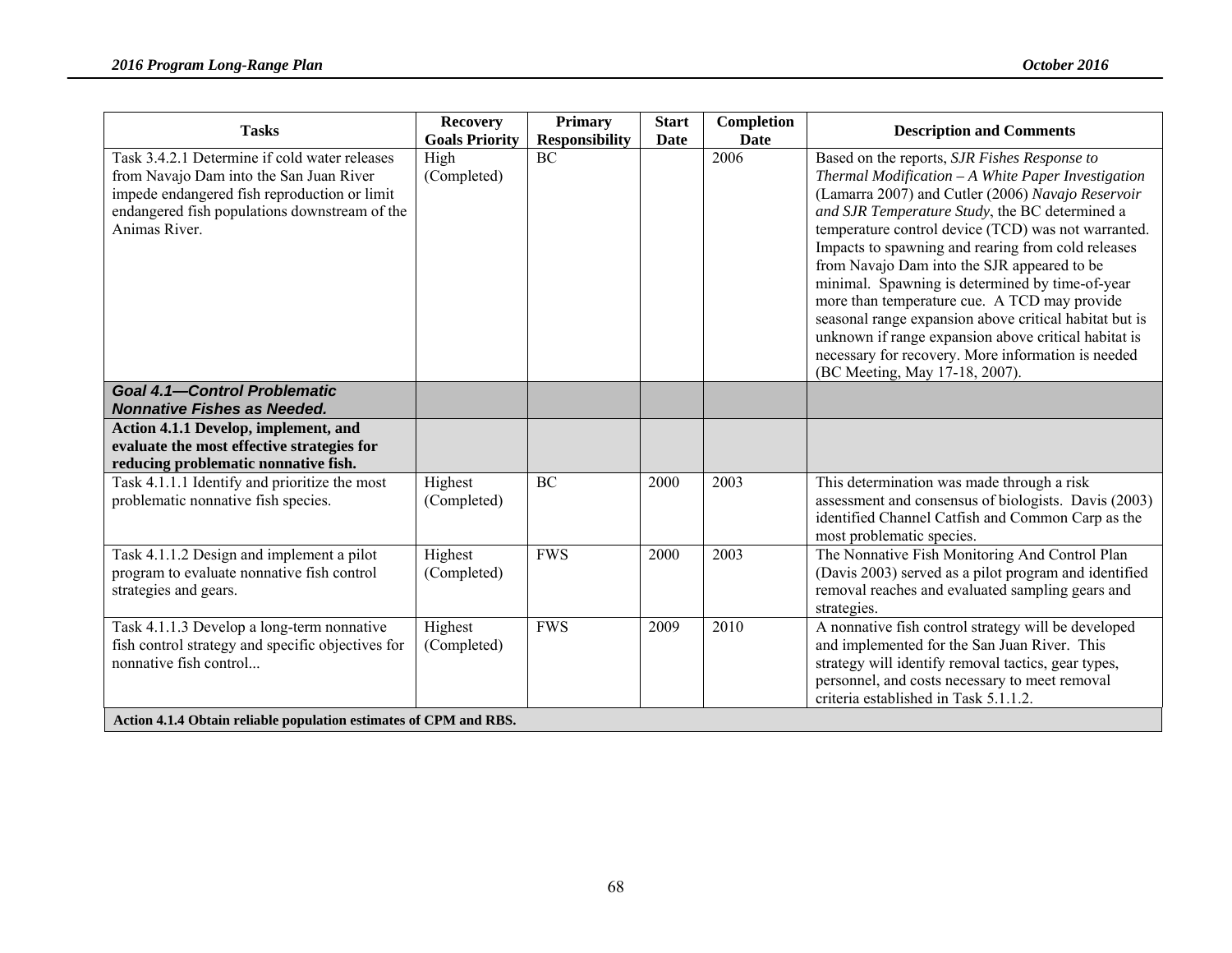| <b>Tasks</b>                                                                                                                                                                                               | <b>Recovery</b><br><b>Goals Priority</b> | <b>Primary</b><br><b>Responsibility</b> | <b>Start</b><br><b>Date</b> | Completion<br><b>Date</b> | <b>Description and Comments</b>                                                                                                                                                                                                                                                                                                                                                                                                                                                                                                                                                                                                                                                    |
|------------------------------------------------------------------------------------------------------------------------------------------------------------------------------------------------------------|------------------------------------------|-----------------------------------------|-----------------------------|---------------------------|------------------------------------------------------------------------------------------------------------------------------------------------------------------------------------------------------------------------------------------------------------------------------------------------------------------------------------------------------------------------------------------------------------------------------------------------------------------------------------------------------------------------------------------------------------------------------------------------------------------------------------------------------------------------------------|
| Task 3.4.2.1 Determine if cold water releases<br>from Navajo Dam into the San Juan River<br>impede endangered fish reproduction or limit<br>endangered fish populations downstream of the<br>Animas River. | High<br>(Completed)                      | <b>BC</b>                               |                             | 2006                      | Based on the reports, SJR Fishes Response to<br>Thermal Modification - A White Paper Investigation<br>(Lamarra 2007) and Cutler (2006) Navajo Reservoir<br>and SJR Temperature Study, the BC determined a<br>temperature control device (TCD) was not warranted.<br>Impacts to spawning and rearing from cold releases<br>from Navajo Dam into the SJR appeared to be<br>minimal. Spawning is determined by time-of-year<br>more than temperature cue. A TCD may provide<br>seasonal range expansion above critical habitat but is<br>unknown if range expansion above critical habitat is<br>necessary for recovery. More information is needed<br>(BC Meeting, May 17-18, 2007). |
| <b>Goal 4.1-Control Problematic</b><br><b>Nonnative Fishes as Needed.</b>                                                                                                                                  |                                          |                                         |                             |                           |                                                                                                                                                                                                                                                                                                                                                                                                                                                                                                                                                                                                                                                                                    |
| <b>Action 4.1.1 Develop, implement, and</b><br>evaluate the most effective strategies for<br>reducing problematic nonnative fish.                                                                          |                                          |                                         |                             |                           |                                                                                                                                                                                                                                                                                                                                                                                                                                                                                                                                                                                                                                                                                    |
| Task 4.1.1.1 Identify and prioritize the most<br>problematic nonnative fish species.                                                                                                                       | Highest<br>(Completed)                   | <b>BC</b>                               | 2000                        | 2003                      | This determination was made through a risk<br>assessment and consensus of biologists. Davis (2003)<br>identified Channel Catfish and Common Carp as the<br>most problematic species.                                                                                                                                                                                                                                                                                                                                                                                                                                                                                               |
| Task 4.1.1.2 Design and implement a pilot<br>program to evaluate nonnative fish control<br>strategies and gears.                                                                                           | Highest<br>(Completed)                   | <b>FWS</b>                              | 2000                        | 2003                      | The Nonnative Fish Monitoring And Control Plan<br>(Davis 2003) served as a pilot program and identified<br>removal reaches and evaluated sampling gears and<br>strategies.                                                                                                                                                                                                                                                                                                                                                                                                                                                                                                         |
| Task 4.1.1.3 Develop a long-term nonnative<br>fish control strategy and specific objectives for<br>nonnative fish control<br>Action 4.1.4 Obtain reliable population estimates of CPM and RBS.             | Highest<br>(Completed)                   | <b>FWS</b>                              | 2009                        | 2010                      | A nonnative fish control strategy will be developed<br>and implemented for the San Juan River. This<br>strategy will identify removal tactics, gear types,<br>personnel, and costs necessary to meet removal<br>criteria established in Task 5.1.1.2.                                                                                                                                                                                                                                                                                                                                                                                                                              |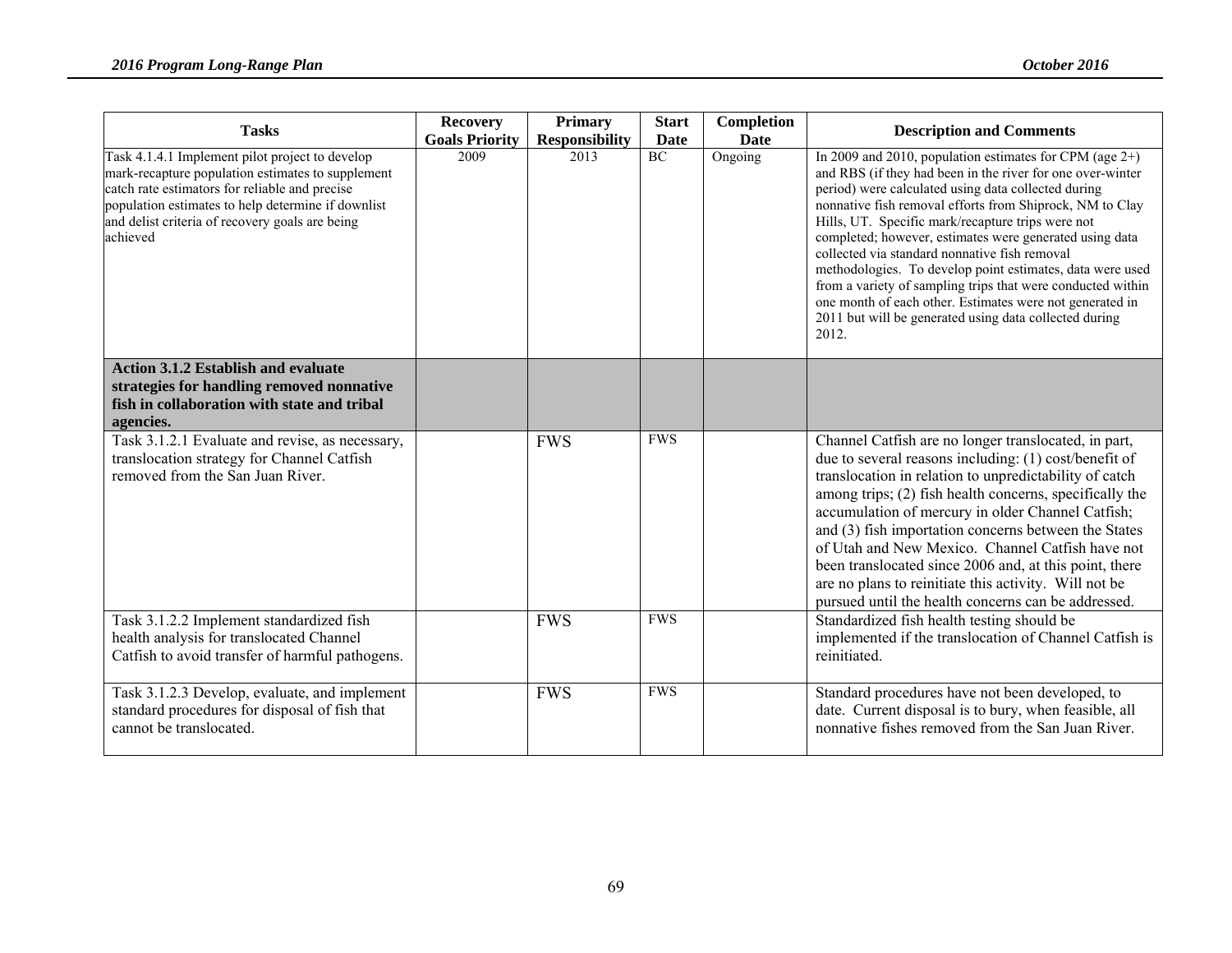| <b>Tasks</b>                                                                                                                                                                                                                                                                | <b>Recovery</b><br><b>Goals Priority</b> | <b>Primary</b><br><b>Responsibility</b> | <b>Start</b><br>Date | Completion<br>Date | <b>Description and Comments</b>                                                                                                                                                                                                                                                                                                                                                                                                                                                                                                                                                                                                                                         |
|-----------------------------------------------------------------------------------------------------------------------------------------------------------------------------------------------------------------------------------------------------------------------------|------------------------------------------|-----------------------------------------|----------------------|--------------------|-------------------------------------------------------------------------------------------------------------------------------------------------------------------------------------------------------------------------------------------------------------------------------------------------------------------------------------------------------------------------------------------------------------------------------------------------------------------------------------------------------------------------------------------------------------------------------------------------------------------------------------------------------------------------|
| Task 4.1.4.1 Implement pilot project to develop<br>mark-recapture population estimates to supplement<br>catch rate estimators for reliable and precise<br>population estimates to help determine if downlist<br>and delist criteria of recovery goals are being<br>achieved | 2009                                     | 2013                                    | <b>BC</b>            | Ongoing            | In 2009 and 2010, population estimates for CPM (age $2+$ )<br>and RBS (if they had been in the river for one over-winter<br>period) were calculated using data collected during<br>nonnative fish removal efforts from Shiprock, NM to Clay<br>Hills, UT. Specific mark/recapture trips were not<br>completed; however, estimates were generated using data<br>collected via standard nonnative fish removal<br>methodologies. To develop point estimates, data were used<br>from a variety of sampling trips that were conducted within<br>one month of each other. Estimates were not generated in<br>2011 but will be generated using data collected during<br>2012. |
| <b>Action 3.1.2 Establish and evaluate</b><br>strategies for handling removed nonnative<br>fish in collaboration with state and tribal<br>agencies.                                                                                                                         |                                          |                                         |                      |                    |                                                                                                                                                                                                                                                                                                                                                                                                                                                                                                                                                                                                                                                                         |
| Task 3.1.2.1 Evaluate and revise, as necessary,<br>translocation strategy for Channel Catfish<br>removed from the San Juan River.                                                                                                                                           |                                          | <b>FWS</b>                              | <b>FWS</b>           |                    | Channel Catfish are no longer translocated, in part,<br>due to several reasons including: (1) cost/benefit of<br>translocation in relation to unpredictability of catch<br>among trips; (2) fish health concerns, specifically the<br>accumulation of mercury in older Channel Catfish;<br>and (3) fish importation concerns between the States<br>of Utah and New Mexico. Channel Catfish have not<br>been translocated since 2006 and, at this point, there<br>are no plans to reinitiate this activity. Will not be<br>pursued until the health concerns can be addressed.                                                                                           |
| Task 3.1.2.2 Implement standardized fish<br>health analysis for translocated Channel<br>Catfish to avoid transfer of harmful pathogens.                                                                                                                                     |                                          | <b>FWS</b>                              | <b>FWS</b>           |                    | Standardized fish health testing should be<br>implemented if the translocation of Channel Catfish is<br>reinitiated.                                                                                                                                                                                                                                                                                                                                                                                                                                                                                                                                                    |
| Task 3.1.2.3 Develop, evaluate, and implement<br>standard procedures for disposal of fish that<br>cannot be translocated.                                                                                                                                                   |                                          | <b>FWS</b>                              | <b>FWS</b>           |                    | Standard procedures have not been developed, to<br>date. Current disposal is to bury, when feasible, all<br>nonnative fishes removed from the San Juan River.                                                                                                                                                                                                                                                                                                                                                                                                                                                                                                           |